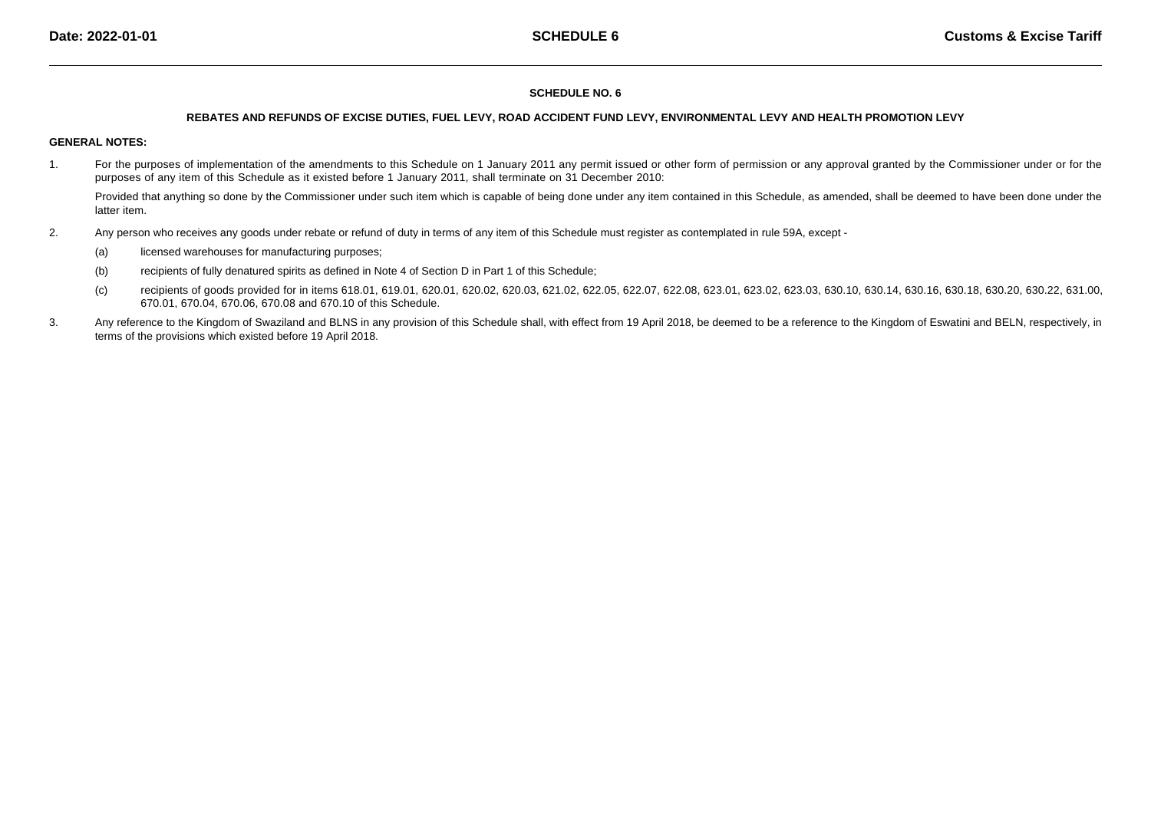## **SCHEDULE NO. 6**

#### **REBATES AND REFUNDS OF EXCISE DUTIES, FUEL LEVY, ROAD ACCIDENT FUND LEVY, ENVIRONMENTAL LEVY AND HEALTH PROMOTION LEVY**

## **GENERAL NOTES:**

1.For the purposes of implementation of the amendments to this Schedule on 1 January 2011 any permit issued or other form of permission or any approval granted by the Commissioner under or for the purposes of any item of this Schedule as it existed before 1 January 2011, shall terminate on 31 December 2010:

Provided that anything so done by the Commissioner under such item which is capable of being done under any item contained in this Schedule, as amended, shall be deemed to have been done under the latter item.

- 2. Any person who receives any goods under rebate or refund of duty in terms of any item of this Schedule must register as contemplated in rule 59A, except -
	- (a)licensed warehouses for manufacturing purposes;
	- (b)recipients of fully denatured spirits as defined in Note 4 of Section D in Part 1 of this Schedule;
	- (c)recipients of goods provided for in items 618.01, 619.01, 620.01, 620.02, 620.03, 621.02, 622.05, 622.07, 622.08, 623.01, 623.02, 623.03, 630.10, 630.10, 630.16, 630.16, 630.18, 630.20, 630.22, 631.00, 670.01, 670.04, 670.06, 670.08 and 670.10 of this Schedule.
- 3.Any reference to the Kingdom of Swaziland and BLNS in any provision of this Schedule shall, with effect from 19 April 2018, be deemed to be a reference to the Kingdom of Eswatini and BELN, respectively, in terms of the provisions which existed before 19 April 2018.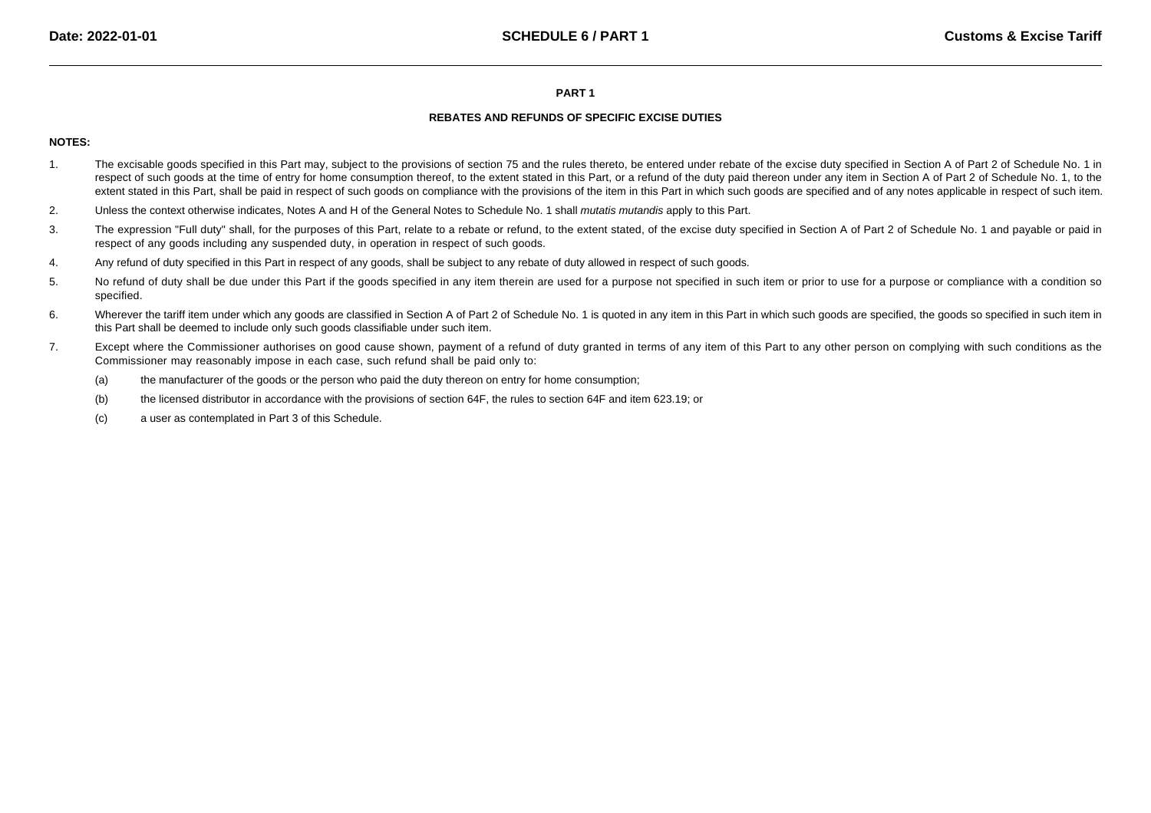#### **PART 1**

# **REBATES AND REFUNDS OF SPECIFIC EXCISE DUTIES**

# **NOTES:**

- 1.The excisable goods specified in this Part may, subject to the provisions of section 75 and the rules thereto, be entered under rebate of the excise duty specified in Section A of Part 2 of Schedule No. 1 in respect of such goods at the time of entry for home consumption thereof, to the extent stated in this Part, or a refund of the duty paid thereon under any item in Section A of Part 2 of Schedule No. 1, to the extent stated in this Part, shall be paid in respect of such goods on compliance with the provisions of the item in this Part in which such goods are specified and of any notes applicable in respect of such item.
- 2.Unless the context otherwise indicates, Notes A and H of the General Notes to Schedule No. 1 shall *mutatis mutandis* apply to this Part.
- 3.The expression "Full duty" shall, for the purposes of this Part, relate to a rebate or refund, to the extent stated, of the excise duty specified in Section A of Part 2 of Schedule No. 1 and payable or paid in respect of any goods including any suspended duty, in operation in respect of such goods.
- 4.Any refund of duty specified in this Part in respect of any goods, shall be subject to any rebate of duty allowed in respect of such goods.
- 5.No refund of duty shall be due under this Part if the goods specified in any item therein are used for a purpose not specified in such item or prior to use for a purpose or compliance with a condition so specified.
- 6.Wherever the tariff item under which any goods are classified in Section A of Part 2 of Schedule No. 1 is quoted in any item in this Part in which such goods are specified, the goods so specified in such item in this Part shall be deemed to include only such goods classifiable under such item.
- 7.Except where the Commissioner authorises on good cause shown, payment of a refund of duty granted in terms of any item of this Part to any other person on complying with such conditions as the Commissioner may reasonably impose in each case, such refund shall be paid only to:
	- (a)the manufacturer of the goods or the person who paid the duty thereon on entry for home consumption;
	- (b)the licensed distributor in accordance with the provisions of section 64F, the rules to section 64F and item 623.19; or
	- (c)a user as contemplated in Part 3 of this Schedule.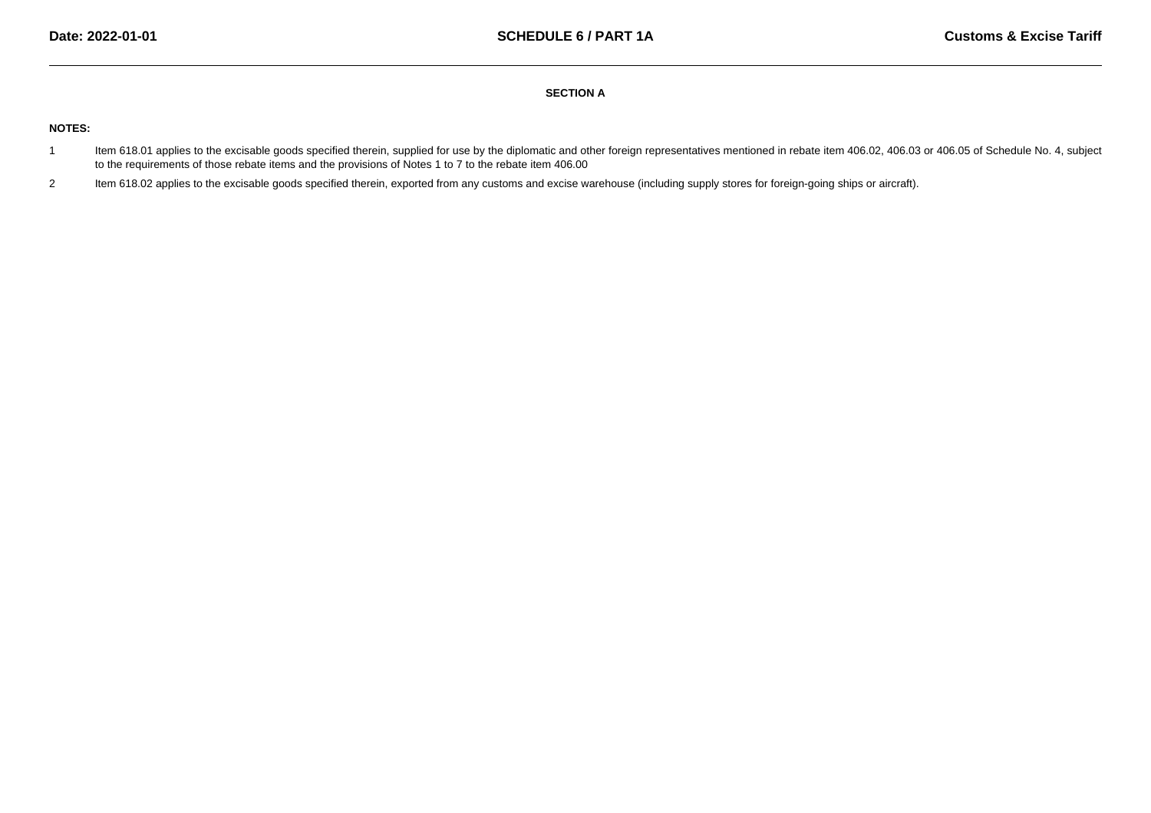## **SECTION A**

# **NOTES:**

- 1Item 618.01 applies to the excisable goods specified therein, supplied for use by the diplomatic and other foreign representatives mentioned in rebate item 406.02, 406.03 or 406.05 of Schedule No. 4, subject to the requirements of those rebate items and the provisions of Notes 1 to 7 to the rebate item 406.00
- 2 Item 618.02 applies to the excisable goods specified therein, exported from any customs and excise warehouse (including supply stores for foreign-going ships or aircraft). 2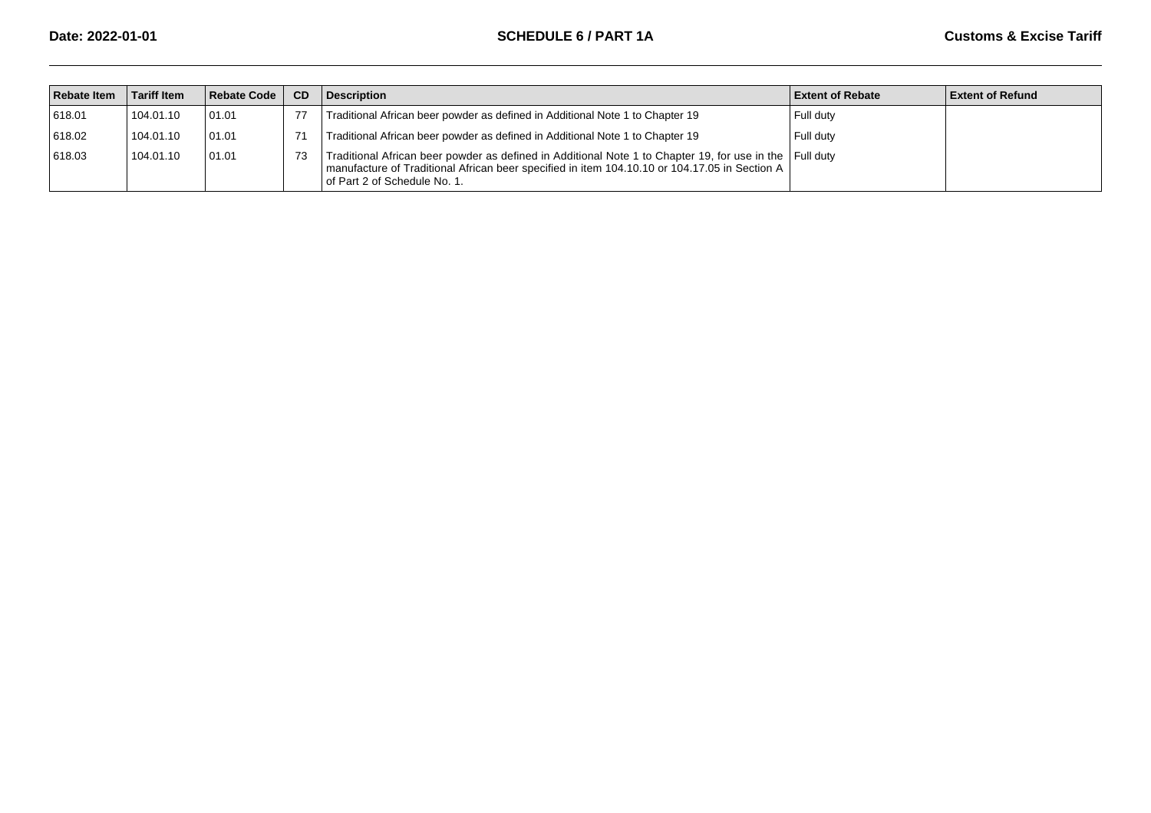| <b>Rebate Item</b> | <b>Tariff Item</b> | Rebate Code     | <b>CD</b> | <b>Description</b>                                                                                                                                                                                                                       | <b>Extent of Rebate</b> | <b>Extent of Refund</b> |
|--------------------|--------------------|-----------------|-----------|------------------------------------------------------------------------------------------------------------------------------------------------------------------------------------------------------------------------------------------|-------------------------|-------------------------|
| 618.01             | 104.01.10          | 01.01           |           | Traditional African beer powder as defined in Additional Note 1 to Chapter 19                                                                                                                                                            | Full duty               |                         |
| 618.02             | 104.01.10          | 01.01           |           | Traditional African beer powder as defined in Additional Note 1 to Chapter 19                                                                                                                                                            | Full duty               |                         |
| 618.03             | 104.01.10          | $ 01.01\rangle$ | 73        | Traditional African beer powder as defined in Additional Note 1 to Chapter 19, for use in the Full duty<br>manufacture of Traditional African beer specified in item 104.10.10 or 104.17.05 in Section A<br>of Part 2 of Schedule No. 1. |                         |                         |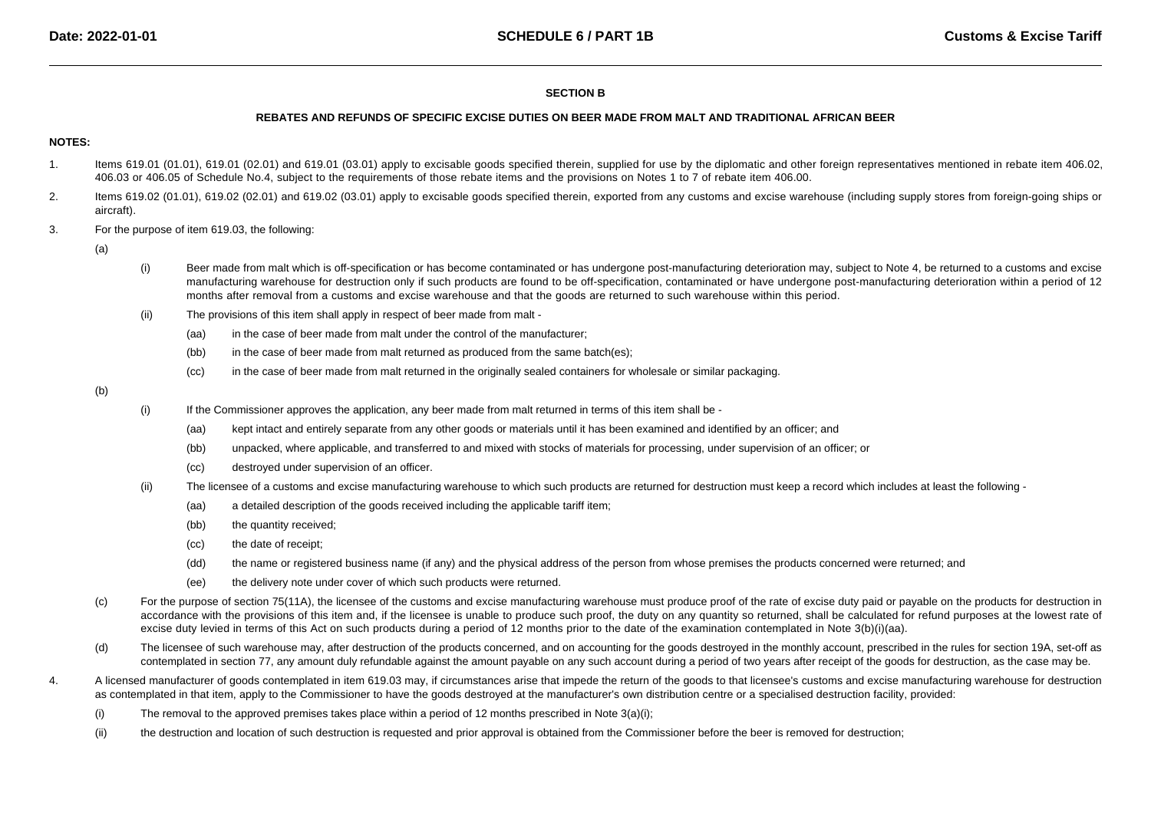# **SECTION B**

#### **REBATES AND REFUNDS OF SPECIFIC EXCISE DUTIES ON BEER MADE FROM MALT AND TRADITIONAL AFRICAN BEER**

# **NOTES:**

- 1. Items 619.01 (01.01), 619.01 (02.01) and 619.01 (03.01) apply to excisable goods specified therein, supplied for use by the diplomatic and other foreign representatives mentioned in rebate item 406.02, 406.03 or 406.05 of Schedule No.4, subject to the requirements of those rebate items and the provisions on Notes 1 to 7 of rebate item 406.00.
- 2. Items 619.02 (01.01), 619.02 (02.01) and 619.02 (03.01) apply to excisable goods specified therein, exported from any customs and excise warehouse (including supply stores from foreign-going ships oraircraft).
- 3.For the purpose of item 619.03, the following:

(a)

- (i)Beer made from malt which is off-specification or has become contaminated or has undergone post-manufacturing deterioration may, subject to Note 4, be returned to a customs and excise manufacturing warehouse for destruction only if such products are found to be off-specification, contaminated or have undergone post-manufacturing deterioration within a period of 12months after removal from a customs and excise warehouse and that the goods are returned to such warehouse within this period.
- (ii) The provisions of this item shall apply in respect of beer made from malt -
	- (aa)in the case of beer made from malt under the control of the manufacturer;
	- (bb)in the case of beer made from malt returned as produced from the same batch(es);
	- (cc)in the case of beer made from malt returned in the originally sealed containers for wholesale or similar packaging.

- (i) If the Commissioner approves the application, any beer made from malt returned in terms of this item shall be -
	- (aa)kept intact and entirely separate from any other goods or materials until it has been examined and identified by an officer; and
	- (bb)unpacked, where applicable, and transferred to and mixed with stocks of materials for processing, under supervision of an officer; or
	- (cc)destroyed under supervision of an officer.
- (ii) The licensee of a customs and excise manufacturing warehouse to which such products are returned for destruction must keep a record which includes at least the following -
	- (aa)a detailed description of the goods received including the applicable tariff item;
	- (bb)the quantity received;
	- $(cc)$ the date of receipt;
	- (dd)the name or registered business name (if any) and the physical address of the person from whose premises the products concerned were returned; and
	- (ee)the delivery note under cover of which such products were returned.
- (c)For the purpose of section 75(11A), the licensee of the customs and excise manufacturing warehouse must produce proof of the rate of excise duty paid or payable on the products for destruction in accordance with the provisions of this item and, if the licensee is unable to produce such proof, the duty on any quantity so returned, shall be calculated for refund purposes at the lowest rate of excise duty levied in terms of this Act on such products during a period of 12 months prior to the date of the examination contemplated in Note 3(b)(i)(aa).
- (d)The licensee of such warehouse may, after destruction of the products concerned, and on accounting for the goods destroyed in the monthly account, prescribed in the rules for section 19A, set-off as contemplated in section 77, any amount duly refundable against the amount payable on any such account during a period of two years after receipt of the goods for destruction, as the case may be.
- 4.A licensed manufacturer of goods contemplated in item 619.03 may, if circumstances arise that impede the return of the goods to that licensee's customs and excise manufacturing warehouse for destruction as contemplated in that item, apply to the Commissioner to have the goods destroyed at the manufacturer's own distribution centre or a specialised destruction facility, provided:
	- (i)The removal to the approved premises takes place within a period of 12 months prescribed in Note 3(a)(i);
	- (ii)the destruction and location of such destruction is requested and prior approval is obtained from the Commissioner before the beer is removed for destruction;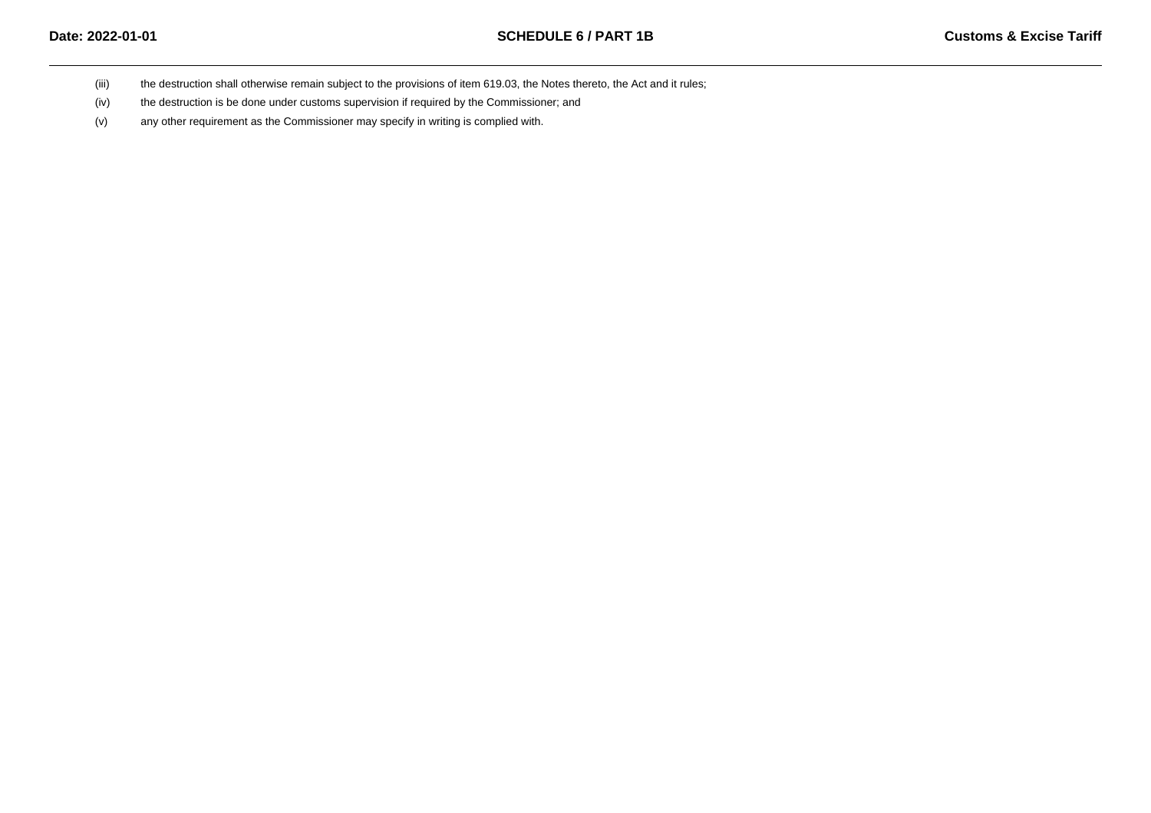- (iii)the destruction shall otherwise remain subject to the provisions of item 619.03, the Notes thereto, the Act and it rules;
- (iv)the destruction is be done under customs supervision if required by the Commissioner; and
- (v)any other requirement as the Commissioner may specify in writing is complied with.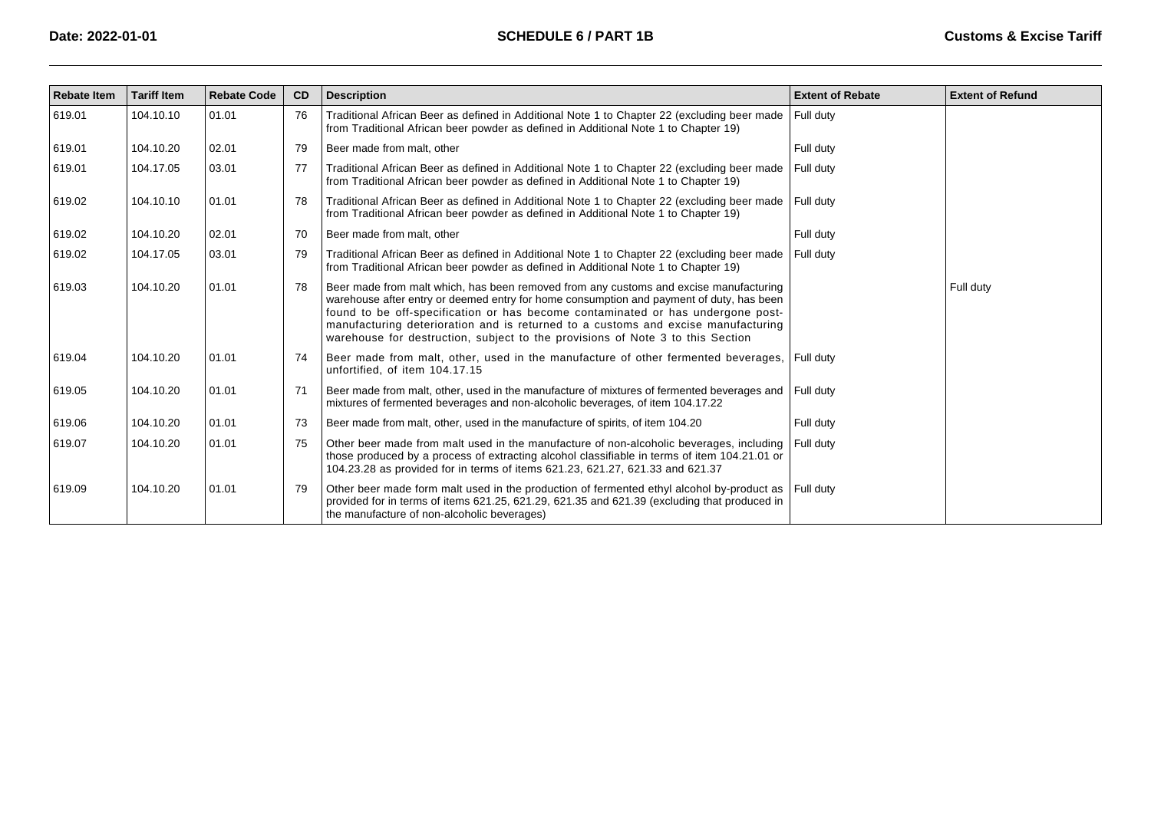| <b>Rebate Item</b> | <b>Tariff Item</b> | <b>Rebate Code</b> | CD | <b>Description</b>                                                                                                                                                                                                                                                                                                                                                                                                                          | <b>Extent of Rebate</b> | <b>Extent of Refund</b> |
|--------------------|--------------------|--------------------|----|---------------------------------------------------------------------------------------------------------------------------------------------------------------------------------------------------------------------------------------------------------------------------------------------------------------------------------------------------------------------------------------------------------------------------------------------|-------------------------|-------------------------|
| 619.01             | 104.10.10          | 01.01              | 76 | Traditional African Beer as defined in Additional Note 1 to Chapter 22 (excluding beer made<br>from Traditional African beer powder as defined in Additional Note 1 to Chapter 19)                                                                                                                                                                                                                                                          | Full duty               |                         |
| 619.01             | 104.10.20          | 02.01              | 79 | Beer made from malt, other                                                                                                                                                                                                                                                                                                                                                                                                                  | Full duty               |                         |
| 619.01             | 104.17.05          | 03.01              | 77 | Traditional African Beer as defined in Additional Note 1 to Chapter 22 (excluding beer made<br>from Traditional African beer powder as defined in Additional Note 1 to Chapter 19)                                                                                                                                                                                                                                                          | Full duty               |                         |
| 619.02             | 104.10.10          | 01.01              | 78 | Traditional African Beer as defined in Additional Note 1 to Chapter 22 (excluding beer made<br>from Traditional African beer powder as defined in Additional Note 1 to Chapter 19)                                                                                                                                                                                                                                                          | Full duty               |                         |
| 619.02             | 104.10.20          | 02.01              | 70 | Beer made from malt, other                                                                                                                                                                                                                                                                                                                                                                                                                  | Full duty               |                         |
| 619.02             | 104.17.05          | 03.01              | 79 | Traditional African Beer as defined in Additional Note 1 to Chapter 22 (excluding beer made<br>from Traditional African beer powder as defined in Additional Note 1 to Chapter 19)                                                                                                                                                                                                                                                          | Full duty               |                         |
| 619.03             | 104.10.20          | 01.01              | 78 | Beer made from malt which, has been removed from any customs and excise manufacturing<br>warehouse after entry or deemed entry for home consumption and payment of duty, has been<br>found to be off-specification or has become contaminated or has undergone post-<br>manufacturing deterioration and is returned to a customs and excise manufacturing<br>warehouse for destruction, subject to the provisions of Note 3 to this Section |                         | Full duty               |
| 619.04             | 104.10.20          | 01.01              | 74 | Beer made from malt, other, used in the manufacture of other fermented beverages,<br>unfortified, of item 104.17.15                                                                                                                                                                                                                                                                                                                         | Full duty               |                         |
| 619.05             | 104.10.20          | 01.01              | 71 | Beer made from malt, other, used in the manufacture of mixtures of fermented beverages and Full duty<br>mixtures of fermented beverages and non-alcoholic beverages, of item 104.17.22                                                                                                                                                                                                                                                      |                         |                         |
| 619.06             | 104.10.20          | 01.01              | 73 | Beer made from malt, other, used in the manufacture of spirits, of item 104.20                                                                                                                                                                                                                                                                                                                                                              | Full duty               |                         |
| 619.07             | 104.10.20          | 01.01              | 75 | Other beer made from malt used in the manufacture of non-alcoholic beverages, including<br>those produced by a process of extracting alcohol classifiable in terms of item 104.21.01 or<br>104.23.28 as provided for in terms of items 621.23, 621.27, 621.33 and 621.37                                                                                                                                                                    | Full duty               |                         |
| 619.09             | 104.10.20          | 01.01              | 79 | Other beer made form malt used in the production of fermented ethyl alcohol by-product as<br>provided for in terms of items 621.25, 621.29, 621.35 and 621.39 (excluding that produced in<br>the manufacture of non-alcoholic beverages)                                                                                                                                                                                                    | Full duty               |                         |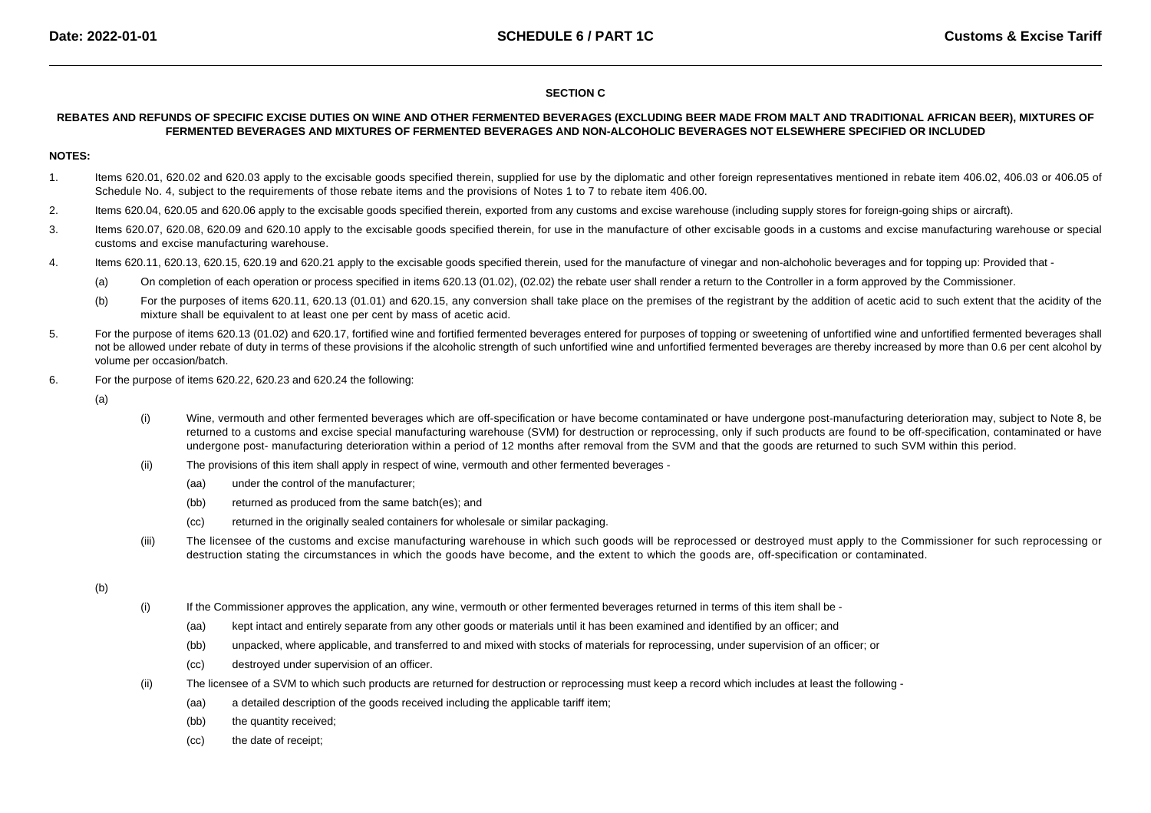# **SECTION C**

# **REBATES AND REFUNDS OF SPECIFIC EXCISE DUTIES ON WINE AND OTHER FERMENTED BEVERAGES (EXCLUDING BEER MADE FROM MALT AND TRADITIONAL AFRICAN BEER), MIXTURES OFFERMENTED BEVERAGES AND MIXTURES OF FERMENTED BEVERAGES AND NON-ALCOHOLIC BEVERAGES NOT ELSEWHERE SPECIFIED OR INCLUDED**

## **NOTES:**

- 1. Items 620.01, 620.02 and 620.03 apply to the excisable goods specified therein, supplied for use by the diplomatic and other foreign representatives mentioned in rebate item 406.02, 406.03 or 406.05 of Schedule No. 4, subject to the requirements of those rebate items and the provisions of Notes 1 to 7 to rebate item 406.00.
- 2.Items 620.04, 620.05 and 620.06 apply to the excisable goods specified therein, exported from any customs and excise warehouse (including supply stores for foreign-going ships or aircraft).
- 3. Items 620.07, 620.08, 620.09 and 620.10 apply to the excisable goods specified therein, for use in the manufacture of other excisable goods in a customs and excise manufacturing warehouse or special customs and excise manufacturing warehouse.
- 4. Items 620.11, 620.13, 620.15, 620.19 and 620.21 apply to the excisable goods specified therein, used for the manufacture of vinegar and non-alchoholic beverages and for topping up: Provided that -
	- (a)On completion of each operation or process specified in items 620.13 (01.02), (02.02) the rebate user shall render a return to the Controller in a form approved by the Commissioner.
	- (b)For the purposes of items 620.11, 620.13 (01.01) and 620.15, any conversion shall take place on the premises of the registrant by the addition of acetic acid to such extent that the acidity of the mixture shall be equivalent to at least one per cent by mass of acetic acid.
- 5.For the purpose of items 620.13 (01.02) and 620.17, fortified wine and fortified fermented beverages entered for purposes of topping or sweetening of unfortified wine and unfortified fermented beverages shall not be allowed under rebate of duty in terms of these provisions if the alcoholic strength of such unfortified wine and unfortified fermented beverages are thereby increased by more than 0.6 per cent alcohol by volume per occasion/batch.
- 6. For the purpose of items 620.22, 620.23 and 620.24 the following:
	- (a)
- (i) Wine, vermouth and other fermented beverages which are off-specification or have become contaminated or have undergone post-manufacturing deterioration may, subject to Note 8, be returned to a customs and excise special manufacturing warehouse (SVM) for destruction or reprocessing, only if such products are found to be off-specification, contaminated or haveundergone post- manufacturing deterioration within a period of 12 months after removal from the SVM and that the goods are returned to such SVM within this period.
- (ii) The provisions of this item shall apply in respect of wine, vermouth and other fermented beverages -
	- (aa)under the control of the manufacturer;
	- (bb)returned as produced from the same batch(es); and
	- (cc)returned in the originally sealed containers for wholesale or similar packaging.
- (iii) The licensee of the customs and excise manufacturing warehouse in which such goods will be reprocessed or destroyed must apply to the Commissioner for such reprocessing or destruction stating the circumstances in which the goods have become, and the extent to which the goods are, off-specification or contaminated.

- (i) If the Commissioner approves the application, any wine, vermouth or other fermented beverages returned in terms of this item shall be -
	- (aa)kept intact and entirely separate from any other goods or materials until it has been examined and identified by an officer; and
	- (bb)unpacked, where applicable, and transferred to and mixed with stocks of materials for reprocessing, under supervision of an officer; or
	- (cc)destroyed under supervision of an officer.
- (ii) The licensee of a SVM to which such products are returned for destruction or reprocessing must keep a record which includes at least the following -
	- (aa)a detailed description of the goods received including the applicable tariff item;
	- (bb)the quantity received;
	- $(cc)$ the date of receipt;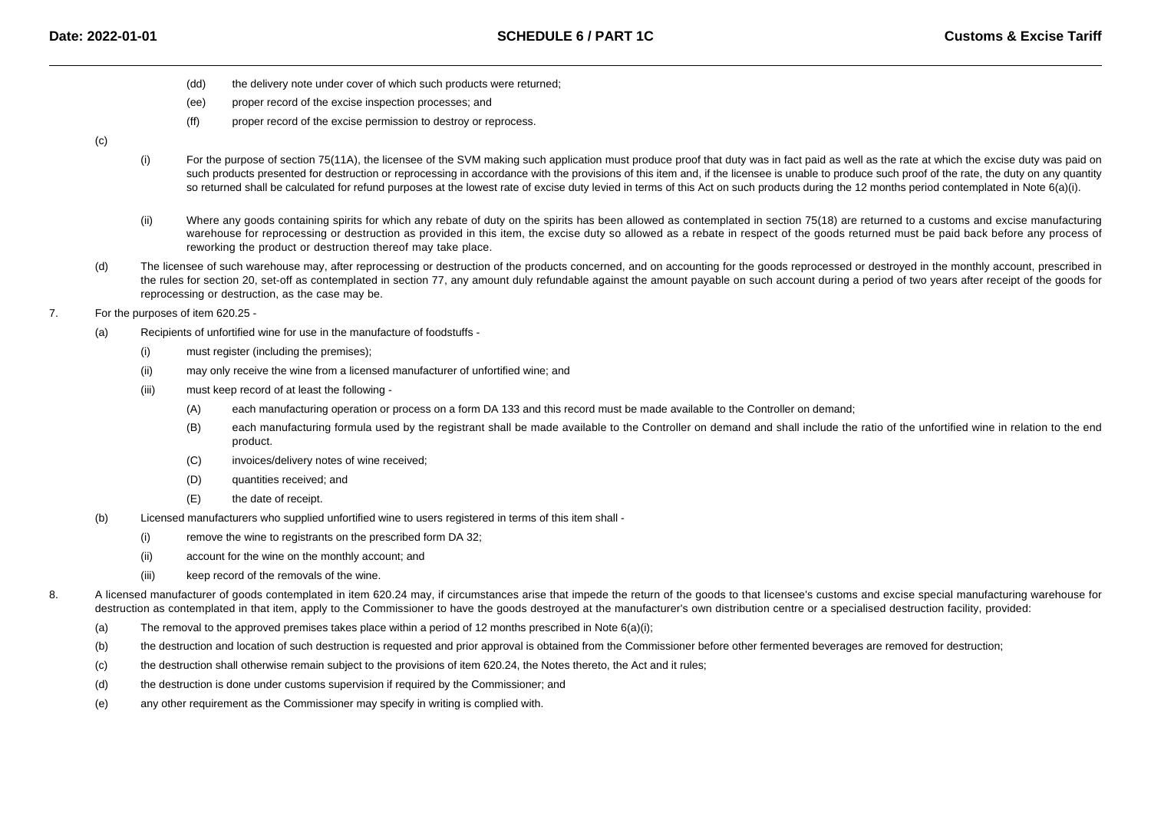- (dd)the delivery note under cover of which such products were returned;
- (ee)proper record of the excise inspection processes; and
- (ff)proper record of the excise permission to destroy or reprocess.

 $(c)$ 

- (i)For the purpose of section 75(11A), the licensee of the SVM making such application must produce proof that duty was in fact paid as well as the rate at which the excise duty was paid on such products presented for destruction or reprocessing in accordance with the provisions of this item and, if the licensee is unable to produce such proof of the rate, the duty on any quantityso returned shall be calculated for refund purposes at the lowest rate of excise duty levied in terms of this Act on such products during the 12 months period contemplated in Note 6(a)(i).
- (ii)Where any goods containing spirits for which any rebate of duty on the spirits has been allowed as contemplated in section 75(18) are returned to a customs and excise manufacturing warehouse for reprocessing or destruction as provided in this item, the excise duty so allowed as a rebate in respect of the goods returned must be paid back before any process ofreworking the product or destruction thereof may take place.
- (d)The licensee of such warehouse may, after reprocessing or destruction of the products concerned, and on accounting for the goods reprocessed or destroyed in the monthly account, prescribed in the rules for section 20, set-off as contemplated in section 77, any amount duly refundable against the amount payable on such account during a period of two years after receipt of the goods forreprocessing or destruction, as the case may be.
- 7. For the purposes of item 620.25 -
	- (a) Recipients of unfortified wine for use in the manufacture of foodstuffs -
		- (i)must register (including the premises);
		- (ii)may only receive the wine from a licensed manufacturer of unfortified wine; and
		- (iii) must keep record of at least the following -
			- (A)each manufacturing operation or process on a form DA 133 and this record must be made available to the Controller on demand;
			- (B) each manufacturing formula used by the registrant shall be made available to the Controller on demand and shall include the ratio of the unfortified wine in relation to the endproduct.
			- $(C)$ invoices/delivery notes of wine received;
			- (D)quantities received; and
			- (E)the date of receipt.
	- (b) Licensed manufacturers who supplied unfortified wine to users registered in terms of this item shall -
		- (i)remove the wine to registrants on the prescribed form DA 32;
		- (ii)account for the wine on the monthly account; and
		- (iii)keep record of the removals of the wine.
- 8.A licensed manufacturer of goods contemplated in item 620.24 may, if circumstances arise that impede the return of the goods to that licensee's customs and excise special manufacturing warehouse for destruction as contemplated in that item, apply to the Commissioner to have the goods destroyed at the manufacturer's own distribution centre or a specialised destruction facility, provided:
	- (a)The removal to the approved premises takes place within a period of 12 months prescribed in Note  $6(a)(i)$ ;
	- (b)the destruction and location of such destruction is requested and prior approval is obtained from the Commissioner before other fermented beverages are removed for destruction;
	- (c)the destruction shall otherwise remain subject to the provisions of item 620.24, the Notes thereto, the Act and it rules;
	- (d)the destruction is done under customs supervision if required by the Commissioner; and
	- (e)any other requirement as the Commissioner may specify in writing is complied with.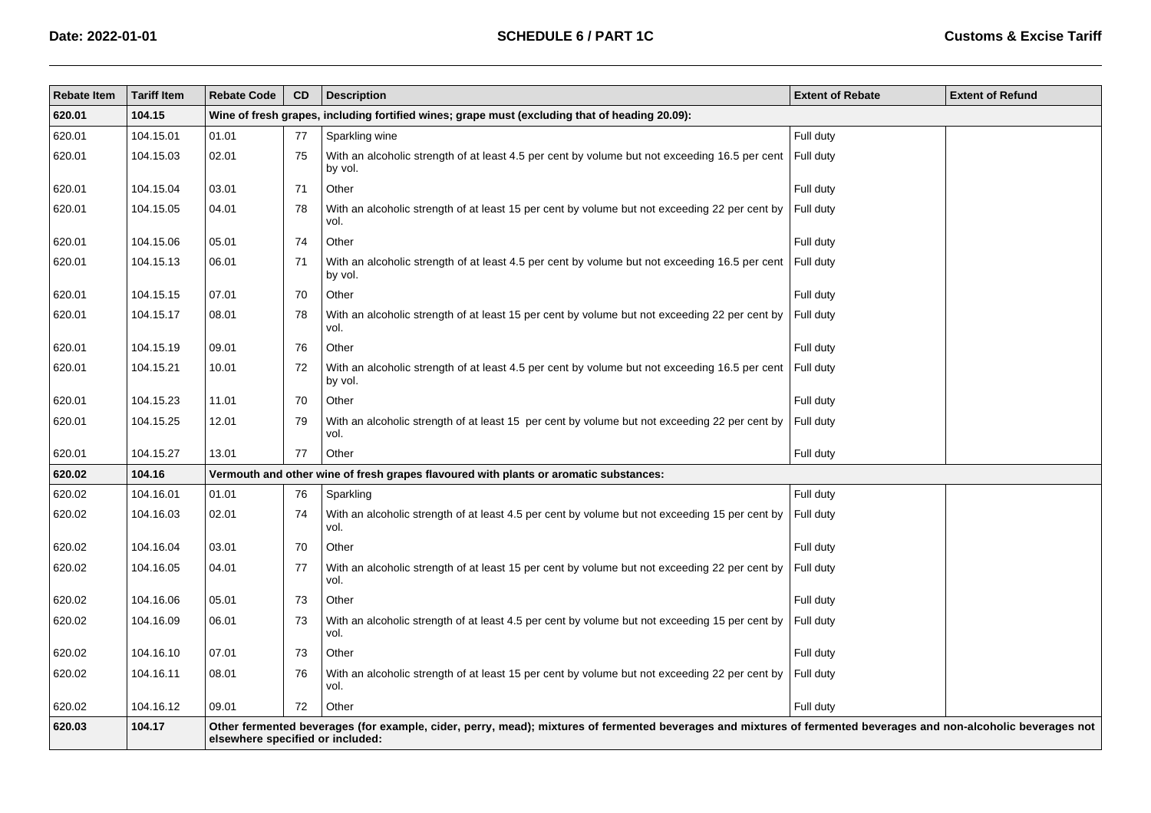| <b>Rebate Item</b> | <b>Tariff Item</b> | <b>Rebate Code</b> | <b>CD</b>                                                                                                                                                                                            | <b>Description</b>                                                                                       | <b>Extent of Rebate</b> | <b>Extent of Refund</b> |  |  |  |  |  |
|--------------------|--------------------|--------------------|------------------------------------------------------------------------------------------------------------------------------------------------------------------------------------------------------|----------------------------------------------------------------------------------------------------------|-------------------------|-------------------------|--|--|--|--|--|
| 620.01             | 104.15             |                    | Wine of fresh grapes, including fortified wines; grape must (excluding that of heading 20.09):                                                                                                       |                                                                                                          |                         |                         |  |  |  |  |  |
| 620.01             | 104.15.01          | 01.01              | 77                                                                                                                                                                                                   | Sparkling wine                                                                                           | Full duty               |                         |  |  |  |  |  |
| 620.01             | 104.15.03          | 02.01              | 75                                                                                                                                                                                                   | With an alcoholic strength of at least 4.5 per cent by volume but not exceeding 16.5 per cent<br>by vol. | Full duty               |                         |  |  |  |  |  |
| 620.01             | 104.15.04          | 03.01              | 71                                                                                                                                                                                                   | Other                                                                                                    | Full duty               |                         |  |  |  |  |  |
| 620.01             | 104.15.05          | 04.01              | 78                                                                                                                                                                                                   | With an alcoholic strength of at least 15 per cent by volume but not exceeding 22 per cent by<br>vol.    | Full duty               |                         |  |  |  |  |  |
| 620.01             | 104.15.06          | 05.01              | 74                                                                                                                                                                                                   | Other                                                                                                    | Full duty               |                         |  |  |  |  |  |
| 620.01             | 104.15.13          | 06.01              | 71                                                                                                                                                                                                   | With an alcoholic strength of at least 4.5 per cent by volume but not exceeding 16.5 per cent<br>by vol. | Full duty               |                         |  |  |  |  |  |
| 620.01             | 104.15.15          | 07.01              | 70                                                                                                                                                                                                   | Other                                                                                                    | Full duty               |                         |  |  |  |  |  |
| 620.01             | 104.15.17          | 08.01              | 78                                                                                                                                                                                                   | With an alcoholic strength of at least 15 per cent by volume but not exceeding 22 per cent by<br>vol.    | Full duty               |                         |  |  |  |  |  |
| 620.01             | 104.15.19          | 09.01              | 76                                                                                                                                                                                                   | Other                                                                                                    | Full duty               |                         |  |  |  |  |  |
| 620.01             | 104.15.21          | 10.01              | 72                                                                                                                                                                                                   | With an alcoholic strength of at least 4.5 per cent by volume but not exceeding 16.5 per cent<br>by vol. | Full duty               |                         |  |  |  |  |  |
| 620.01             | 104.15.23          | 11.01              | 70                                                                                                                                                                                                   | Other                                                                                                    | Full duty               |                         |  |  |  |  |  |
| 620.01             | 104.15.25          | 12.01              | 79                                                                                                                                                                                                   | With an alcoholic strength of at least 15 per cent by volume but not exceeding 22 per cent by<br>vol.    | Full duty               |                         |  |  |  |  |  |
| 620.01             | 104.15.27          | 13.01              | 77                                                                                                                                                                                                   | Other                                                                                                    | Full duty               |                         |  |  |  |  |  |
| 620.02             | 104.16             |                    |                                                                                                                                                                                                      | Vermouth and other wine of fresh grapes flavoured with plants or aromatic substances:                    |                         |                         |  |  |  |  |  |
| 620.02             | 104.16.01          | 01.01              | 76                                                                                                                                                                                                   | Sparkling                                                                                                | Full duty               |                         |  |  |  |  |  |
| 620.02             | 104.16.03          | 02.01              | 74                                                                                                                                                                                                   | With an alcoholic strength of at least 4.5 per cent by volume but not exceeding 15 per cent by<br>vol.   | Full duty               |                         |  |  |  |  |  |
| 620.02             | 104.16.04          | 03.01              | 70                                                                                                                                                                                                   | Other                                                                                                    | Full duty               |                         |  |  |  |  |  |
| 620.02             | 104.16.05          | 04.01              | 77                                                                                                                                                                                                   | With an alcoholic strength of at least 15 per cent by volume but not exceeding 22 per cent by<br>vol.    | Full duty               |                         |  |  |  |  |  |
| 620.02             | 104.16.06          | 05.01              | 73                                                                                                                                                                                                   | Other                                                                                                    | Full duty               |                         |  |  |  |  |  |
| 620.02             | 104.16.09          | 06.01              | 73                                                                                                                                                                                                   | With an alcoholic strength of at least 4.5 per cent by volume but not exceeding 15 per cent by<br>vol.   | Full duty               |                         |  |  |  |  |  |
| 620.02             | 104.16.10          | 07.01              | 73                                                                                                                                                                                                   | Other                                                                                                    | Full duty               |                         |  |  |  |  |  |
| 620.02             | 104.16.11          | 08.01              | 76                                                                                                                                                                                                   | With an alcoholic strength of at least 15 per cent by volume but not exceeding 22 per cent by<br>vol.    | Full duty               |                         |  |  |  |  |  |
| 620.02             | 104.16.12          | 09.01              | $72\,$                                                                                                                                                                                               | Other                                                                                                    | Full duty               |                         |  |  |  |  |  |
| 620.03             | 104.17             |                    | Other fermented beverages (for example, cider, perry, mead); mixtures of fermented beverages and mixtures of fermented beverages and non-alcoholic beverages not<br>elsewhere specified or included: |                                                                                                          |                         |                         |  |  |  |  |  |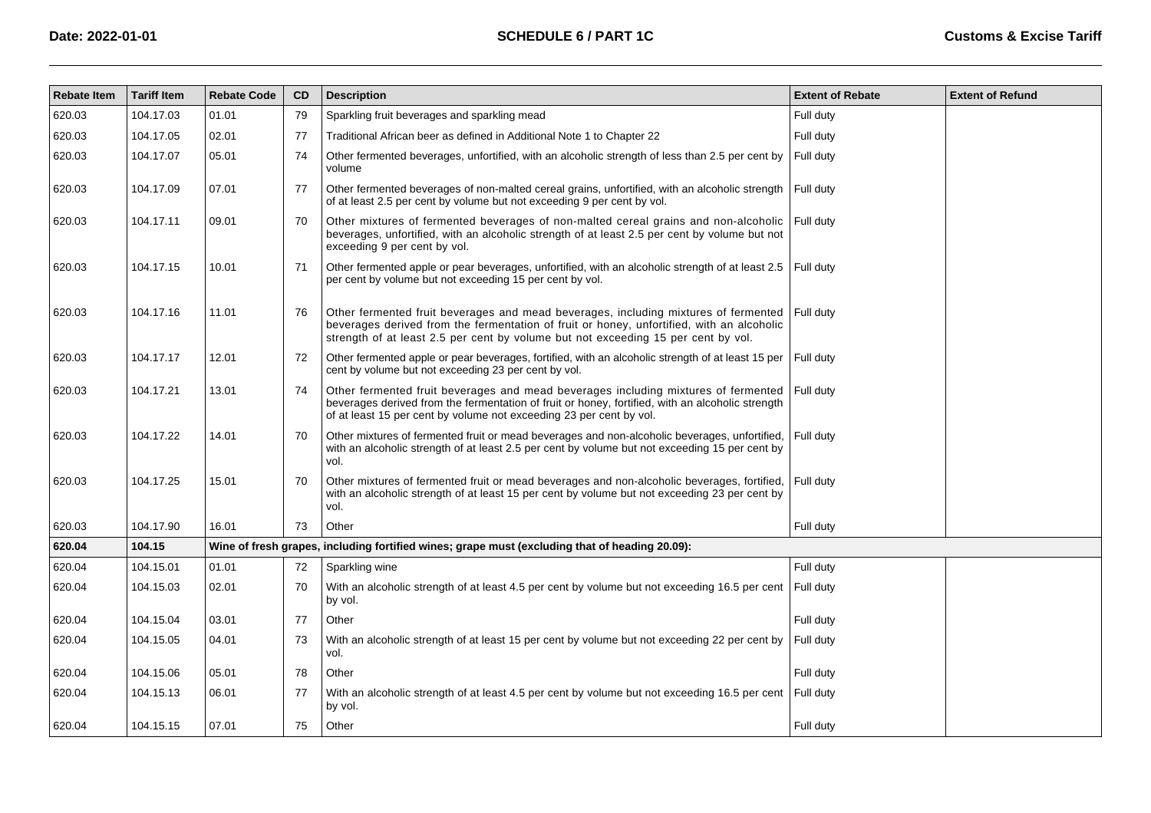| <b>Rebate Item</b> | <b>Tariff Item</b> | <b>Rebate Code</b> | CD | <b>Description</b>                                                                                                                                                                                                                                                    | <b>Extent of Rebate</b> | <b>Extent of Refund</b> |
|--------------------|--------------------|--------------------|----|-----------------------------------------------------------------------------------------------------------------------------------------------------------------------------------------------------------------------------------------------------------------------|-------------------------|-------------------------|
| 620.03             | 104.17.03          | 01.01              | 79 | Sparkling fruit beverages and sparkling mead                                                                                                                                                                                                                          | Full duty               |                         |
| 620.03             | 104.17.05          | 02.01              | 77 | Traditional African beer as defined in Additional Note 1 to Chapter 22                                                                                                                                                                                                | Full duty               |                         |
| 620.03             | 104.17.07          | 05.01              | 74 | Other fermented beverages, unfortified, with an alcoholic strength of less than 2.5 per cent by<br>volume                                                                                                                                                             | Full duty               |                         |
| 620.03             | 104.17.09          | 07.01              | 77 | Other fermented beverages of non-malted cereal grains, unfortified, with an alcoholic strength Full duty<br>of at least 2.5 per cent by volume but not exceeding 9 per cent by vol.                                                                                   |                         |                         |
| 620.03             | 104.17.11          | 09.01              | 70 | Other mixtures of fermented beverages of non-malted cereal grains and non-alcoholic<br>beverages, unfortified, with an alcoholic strength of at least 2.5 per cent by volume but not<br>exceeding 9 per cent by vol.                                                  | Full duty               |                         |
| 620.03             | 104.17.15          | 10.01              | 71 | Other fermented apple or pear beverages, unfortified, with an alcoholic strength of at least 2.5   Full duty<br>per cent by volume but not exceeding 15 per cent by vol.                                                                                              |                         |                         |
| 620.03             | 104.17.16          | 11.01              | 76 | Other fermented fruit beverages and mead beverages, including mixtures of fermented<br>beverages derived from the fermentation of fruit or honey, unfortified, with an alcoholic<br>strength of at least 2.5 per cent by volume but not exceeding 15 per cent by vol. | Full duty               |                         |
| 620.03             | 104.17.17          | 12.01              | 72 | Other fermented apple or pear beverages, fortified, with an alcoholic strength of at least 15 per<br>cent by volume but not exceeding 23 per cent by vol.                                                                                                             | Full duty               |                         |
| 620.03             | 104.17.21          | 13.01              | 74 | Other fermented fruit beverages and mead beverages including mixtures of fermented<br>beverages derived from the fermentation of fruit or honey, fortified, with an alcoholic strength<br>of at least 15 per cent by volume not exceeding 23 per cent by vol.         | Full duty               |                         |
| 620.03             | 104.17.22          | 14.01              | 70 | Other mixtures of fermented fruit or mead beverages and non-alcoholic beverages, unfortified,<br>with an alcoholic strength of at least 2.5 per cent by volume but not exceeding 15 per cent by<br>vol.                                                               | Full duty               |                         |
| 620.03             | 104.17.25          | 15.01              | 70 | Other mixtures of fermented fruit or mead beverages and non-alcoholic beverages, fortified,<br>with an alcoholic strength of at least 15 per cent by volume but not exceeding 23 per cent by<br>vol.                                                                  | Full duty               |                         |
| 620.03             | 104.17.90          | 16.01              | 73 | Other                                                                                                                                                                                                                                                                 | Full duty               |                         |
| 620.04             | 104.15             |                    |    | Wine of fresh grapes, including fortified wines; grape must (excluding that of heading 20.09):                                                                                                                                                                        |                         |                         |
| 620.04             | 104.15.01          | 01.01              | 72 | Sparkling wine                                                                                                                                                                                                                                                        | Full duty               |                         |
| 620.04             | 104.15.03          | 02.01              | 70 | With an alcoholic strength of at least 4.5 per cent by volume but not exceeding 16.5 per cent<br>by vol.                                                                                                                                                              | Full duty               |                         |
| 620.04             | 104.15.04          | 03.01              | 77 | Other                                                                                                                                                                                                                                                                 | Full duty               |                         |
| 620.04             | 104.15.05          | 04.01              | 73 | With an alcoholic strength of at least 15 per cent by volume but not exceeding 22 per cent by<br>vol.                                                                                                                                                                 | Full duty               |                         |
| 620.04             | 104.15.06          | 05.01              | 78 | Other                                                                                                                                                                                                                                                                 | Full duty               |                         |
| 620.04             | 104.15.13          | 06.01              | 77 | With an alcoholic strength of at least 4.5 per cent by volume but not exceeding 16.5 per cent<br>by vol.                                                                                                                                                              | Full duty               |                         |
| 620.04             | 104.15.15          | 07.01              | 75 | Other                                                                                                                                                                                                                                                                 | Full duty               |                         |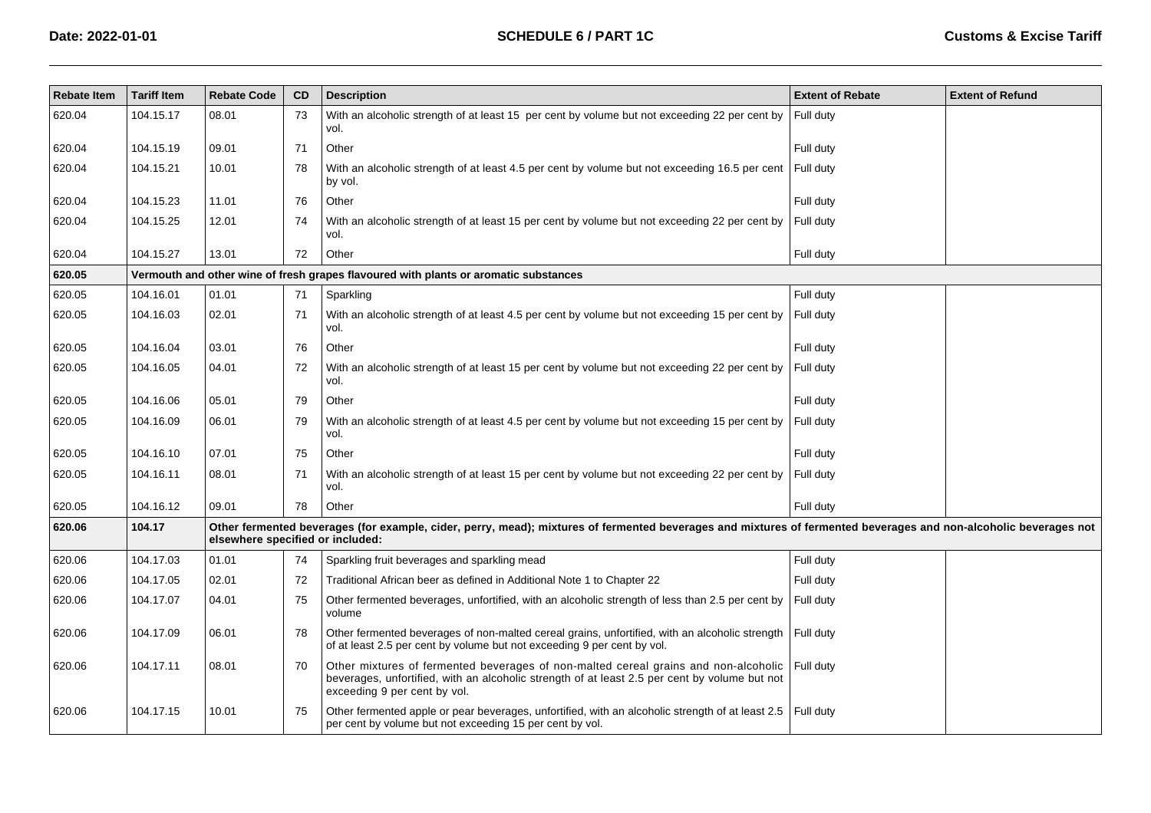| <b>Rebate Item</b> | <b>Tariff Item</b> | <b>Rebate Code</b>               | <b>CD</b> | <b>Description</b>                                                                                                                                                                                                   | <b>Extent of Rebate</b> | <b>Extent of Refund</b> |
|--------------------|--------------------|----------------------------------|-----------|----------------------------------------------------------------------------------------------------------------------------------------------------------------------------------------------------------------------|-------------------------|-------------------------|
| 620.04             | 104.15.17          | 08.01                            | 73        | With an alcoholic strength of at least 15 per cent by volume but not exceeding 22 per cent by<br>vol.                                                                                                                | Full duty               |                         |
| 620.04             | 104.15.19          | 09.01                            | 71        | Other                                                                                                                                                                                                                | Full duty               |                         |
| 620.04             | 104.15.21          | 10.01                            | 78        | With an alcoholic strength of at least 4.5 per cent by volume but not exceeding 16.5 per cent Full duty<br>by vol.                                                                                                   |                         |                         |
| 620.04             | 104.15.23          | 11.01                            | 76        | Other                                                                                                                                                                                                                | Full duty               |                         |
| 620.04             | 104.15.25          | 12.01                            | 74        | With an alcoholic strength of at least 15 per cent by volume but not exceeding 22 per cent by<br>vol.                                                                                                                | Full duty               |                         |
| 620.04             | 104.15.27          | 13.01                            | 72        | Other                                                                                                                                                                                                                | Full duty               |                         |
| 620.05             |                    |                                  |           | Vermouth and other wine of fresh grapes flavoured with plants or aromatic substances                                                                                                                                 |                         |                         |
| 620.05             | 104.16.01          | 01.01                            | 71        | Sparkling                                                                                                                                                                                                            | Full duty               |                         |
| 620.05             | 104.16.03          | 02.01                            | 71        | With an alcoholic strength of at least 4.5 per cent by volume but not exceeding 15 per cent by<br>vol.                                                                                                               | Full duty               |                         |
| 620.05             | 104.16.04          | 03.01                            | 76        | Other                                                                                                                                                                                                                | Full duty               |                         |
| 620.05             | 104.16.05          | 04.01                            | 72        | With an alcoholic strength of at least 15 per cent by volume but not exceeding 22 per cent by<br>vol.                                                                                                                | Full duty               |                         |
| 620.05             | 104.16.06          | 05.01                            | 79        | Other                                                                                                                                                                                                                | Full duty               |                         |
| 620.05             | 104.16.09          | 06.01                            | 79        | With an alcoholic strength of at least 4.5 per cent by volume but not exceeding 15 per cent by<br>vol.                                                                                                               | Full duty               |                         |
| 620.05             | 104.16.10          | 07.01                            | 75        | Other                                                                                                                                                                                                                | Full duty               |                         |
| 620.05             | 104.16.11          | 08.01                            | 71        | With an alcoholic strength of at least 15 per cent by volume but not exceeding 22 per cent by<br>vol.                                                                                                                | Full duty               |                         |
| 620.05             | 104.16.12          | 09.01                            | 78        | Other                                                                                                                                                                                                                | Full duty               |                         |
| 620.06             | 104.17             | elsewhere specified or included: |           | Other fermented beverages (for example, cider, perry, mead); mixtures of fermented beverages and mixtures of fermented beverages and non-alcoholic beverages not                                                     |                         |                         |
| 620.06             | 104.17.03          | 01.01                            | 74        | Sparkling fruit beverages and sparkling mead                                                                                                                                                                         | Full duty               |                         |
| 620.06             | 104.17.05          | 02.01                            | 72        | Traditional African beer as defined in Additional Note 1 to Chapter 22                                                                                                                                               | Full duty               |                         |
| 620.06             | 104.17.07          | 04.01                            | 75        | Other fermented beverages, unfortified, with an alcoholic strength of less than 2.5 per cent by<br>volume                                                                                                            | Full duty               |                         |
| 620.06             | 104.17.09          | 06.01                            | 78        | Other fermented beverages of non-malted cereal grains, unfortified, with an alcoholic strength Full duty<br>of at least 2.5 per cent by volume but not exceeding 9 per cent by vol.                                  |                         |                         |
| 620.06             | 104.17.11          | 08.01                            | 70        | Other mixtures of fermented beverages of non-malted cereal grains and non-alcoholic<br>beverages, unfortified, with an alcoholic strength of at least 2.5 per cent by volume but not<br>exceeding 9 per cent by vol. | Full duty               |                         |
| 620.06             | 104.17.15          | 10.01                            | 75        | Other fermented apple or pear beverages, unfortified, with an alcoholic strength of at least 2.5   Full duty<br>per cent by volume but not exceeding 15 per cent by vol.                                             |                         |                         |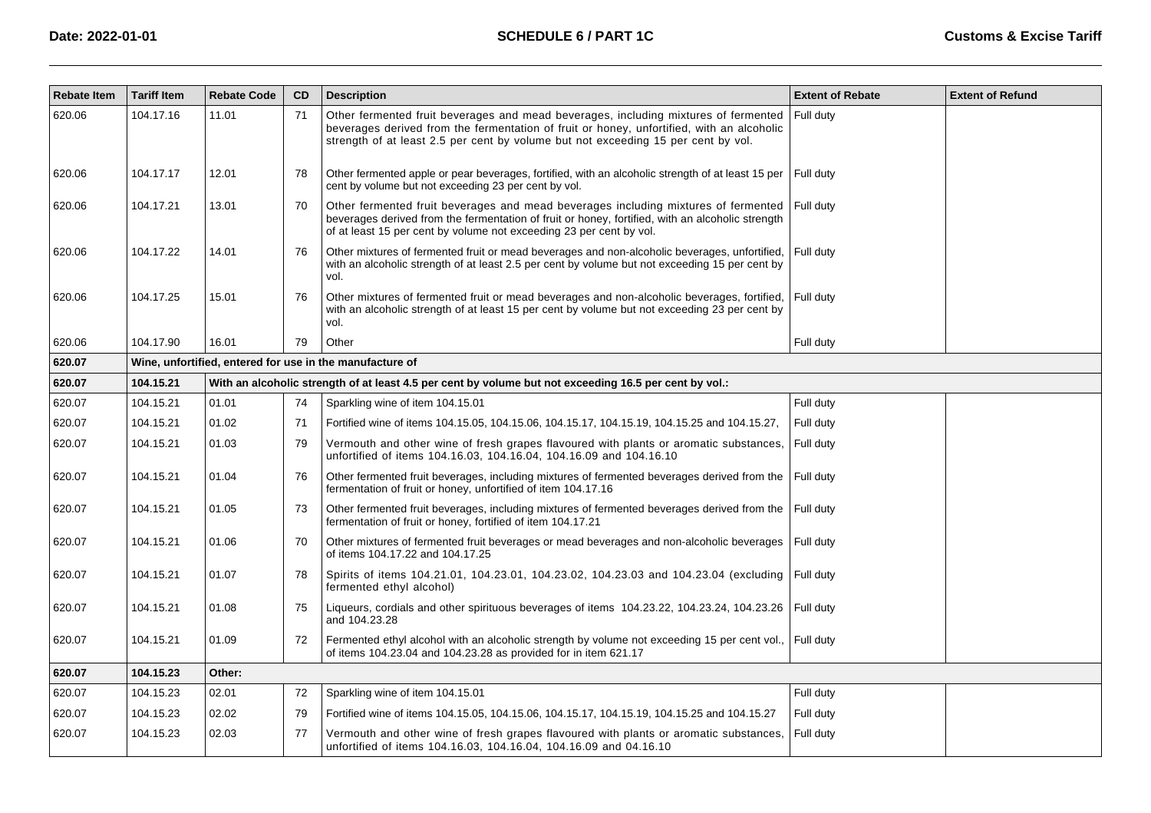| <b>Rebate Item</b> | <b>Tariff Item</b>                                       | <b>Rebate Code</b> | CD | <b>Description</b>                                                                                                                                                                                                                                                    | <b>Extent of Rebate</b> | <b>Extent of Refund</b> |  |  |  |
|--------------------|----------------------------------------------------------|--------------------|----|-----------------------------------------------------------------------------------------------------------------------------------------------------------------------------------------------------------------------------------------------------------------------|-------------------------|-------------------------|--|--|--|
| 620.06             | 104.17.16                                                | 11.01              | 71 | Other fermented fruit beverages and mead beverages, including mixtures of fermented<br>beverages derived from the fermentation of fruit or honey, unfortified, with an alcoholic<br>strength of at least 2.5 per cent by volume but not exceeding 15 per cent by vol. | Full duty               |                         |  |  |  |
| 620.06             | 104.17.17                                                | 12.01              | 78 | Other fermented apple or pear beverages, fortified, with an alcoholic strength of at least 15 per<br>cent by volume but not exceeding 23 per cent by vol.                                                                                                             | l Full dutv             |                         |  |  |  |
| 620.06             | 104.17.21                                                | 13.01              | 70 | Other fermented fruit beverages and mead beverages including mixtures of fermented<br>beverages derived from the fermentation of fruit or honey, fortified, with an alcoholic strength<br>of at least 15 per cent by volume not exceeding 23 per cent by vol.         | Full duty               |                         |  |  |  |
| 620.06             | 104.17.22                                                | 14.01              | 76 | Other mixtures of fermented fruit or mead beverages and non-alcoholic beverages, unfortified,<br>with an alcoholic strength of at least 2.5 per cent by volume but not exceeding 15 per cent by<br>vol.                                                               | Full duty               |                         |  |  |  |
| 620.06             | 104.17.25                                                | 15.01              | 76 | Other mixtures of fermented fruit or mead beverages and non-alcoholic beverages, fortified,<br>with an alcoholic strength of at least 15 per cent by volume but not exceeding 23 per cent by<br>vol.                                                                  | Full duty               |                         |  |  |  |
| 620.06             | 104.17.90                                                | 16.01              | 79 | Other                                                                                                                                                                                                                                                                 | Full duty               |                         |  |  |  |
| 620.07             | Wine, unfortified, entered for use in the manufacture of |                    |    |                                                                                                                                                                                                                                                                       |                         |                         |  |  |  |
| 620.07             | 104.15.21                                                |                    |    | With an alcoholic strength of at least 4.5 per cent by volume but not exceeding 16.5 per cent by vol.:                                                                                                                                                                |                         |                         |  |  |  |
| 620.07             | 104.15.21                                                | 01.01              | 74 | Sparkling wine of item 104.15.01                                                                                                                                                                                                                                      | Full duty               |                         |  |  |  |
| 620.07             | 104.15.21                                                | 01.02              | 71 | Fortified wine of items 104.15.05, 104.15.06, 104.15.17, 104.15.19, 104.15.25 and 104.15.27,                                                                                                                                                                          | Full duty               |                         |  |  |  |
| 620.07             | 104.15.21                                                | 01.03              | 79 | Vermouth and other wine of fresh grapes flavoured with plants or aromatic substances,<br>unfortified of items 104.16.03, 104.16.04, 104.16.09 and 104.16.10                                                                                                           | Full duty               |                         |  |  |  |
| 620.07             | 104.15.21                                                | 01.04              | 76 | Other fermented fruit beverages, including mixtures of fermented beverages derived from the<br>fermentation of fruit or honey, unfortified of item 104.17.16                                                                                                          | Full duty               |                         |  |  |  |
| 620.07             | 104.15.21                                                | 01.05              | 73 | Other fermented fruit beverages, including mixtures of fermented beverages derived from the<br>fermentation of fruit or honey, fortified of item 104.17.21                                                                                                            | Full duty               |                         |  |  |  |
| 620.07             | 104.15.21                                                | 01.06              | 70 | Other mixtures of fermented fruit beverages or mead beverages and non-alcoholic beverages<br>of items 104.17.22 and 104.17.25                                                                                                                                         | Full duty               |                         |  |  |  |
| 620.07             | 104.15.21                                                | 01.07              | 78 | Spirits of items 104.21.01, 104.23.01, 104.23.02, 104.23.03 and 104.23.04 (excluding Full duty<br>fermented ethyl alcohol)                                                                                                                                            |                         |                         |  |  |  |
| 620.07             | 104.15.21                                                | 01.08              | 75 | Liqueurs, cordials and other spirituous beverages of items 104.23.22, 104.23.24, 104.23.26<br>and 104.23.28                                                                                                                                                           | Full duty               |                         |  |  |  |
| 620.07             | 104.15.21                                                | 01.09              | 72 | Fermented ethyl alcohol with an alcoholic strength by volume not exceeding 15 per cent vol.,<br>of items 104.23.04 and 104.23.28 as provided for in item 621.17                                                                                                       | Full duty               |                         |  |  |  |
| 620.07             | 104.15.23                                                | Other:             |    |                                                                                                                                                                                                                                                                       |                         |                         |  |  |  |
| 620.07             | 104.15.23                                                | 02.01              | 72 | Sparkling wine of item 104.15.01                                                                                                                                                                                                                                      | Full duty               |                         |  |  |  |
| 620.07             | 104.15.23                                                | 02.02              | 79 | Fortified wine of items 104.15.05, 104.15.06, 104.15.17, 104.15.19, 104.15.25 and 104.15.27                                                                                                                                                                           | Full duty               |                         |  |  |  |
| 620.07             | 104.15.23                                                | 02.03              | 77 | Vermouth and other wine of fresh grapes flavoured with plants or aromatic substances,<br>unfortified of items 104.16.03, 104.16.04, 104.16.09 and 04.16.10                                                                                                            | Full duty               |                         |  |  |  |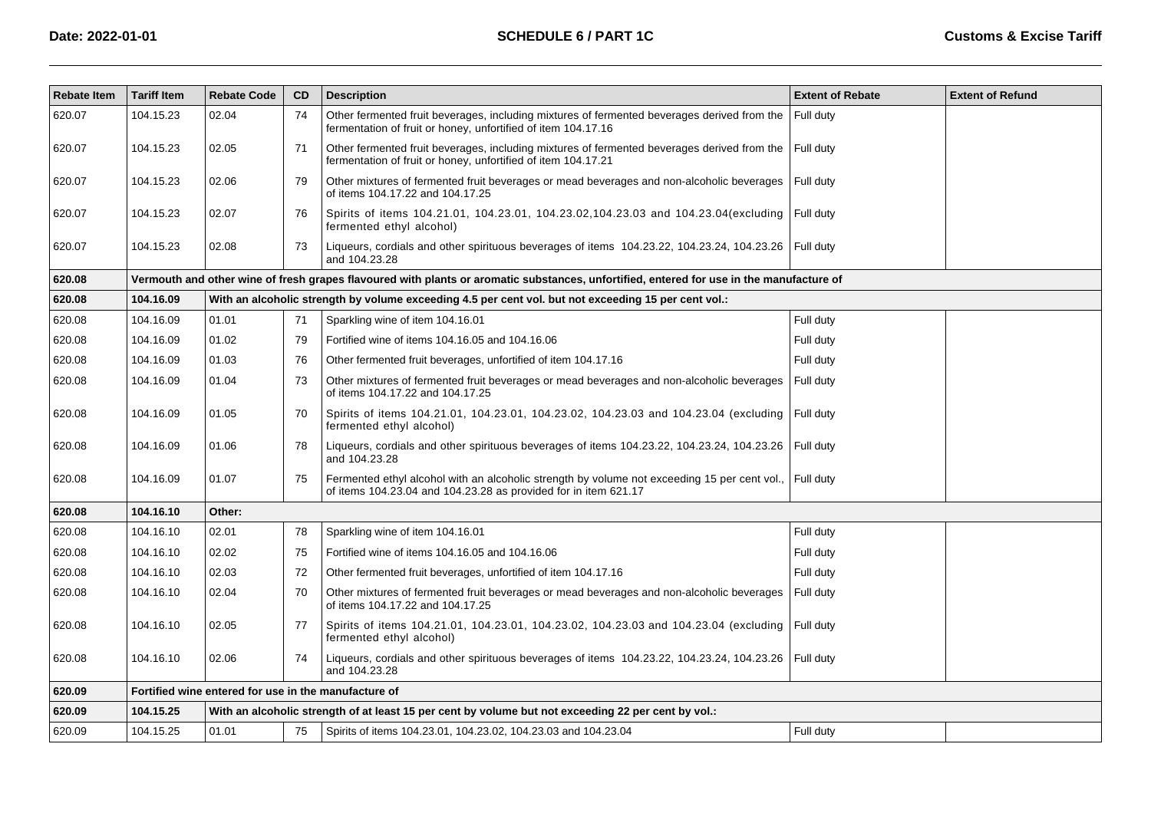| <b>Rebate Item</b> | <b>Tariff Item</b> | <b>Rebate Code</b>                                   | CD | <b>Description</b>                                                                                                                                                        | <b>Extent of Rebate</b> | <b>Extent of Refund</b> |
|--------------------|--------------------|------------------------------------------------------|----|---------------------------------------------------------------------------------------------------------------------------------------------------------------------------|-------------------------|-------------------------|
| 620.07             | 104.15.23          | 02.04                                                | 74 | Other fermented fruit beverages, including mixtures of fermented beverages derived from the<br>fermentation of fruit or honey, unfortified of item 104.17.16              | Full duty               |                         |
| 620.07             | 104.15.23          | 02.05                                                | 71 | Other fermented fruit beverages, including mixtures of fermented beverages derived from the<br>fermentation of fruit or honey, unfortified of item 104.17.21              | Full duty               |                         |
| 620.07             | 104.15.23          | 02.06                                                | 79 | Other mixtures of fermented fruit beverages or mead beverages and non-alcoholic beverages<br>of items 104.17.22 and 104.17.25                                             | Full duty               |                         |
| 620.07             | 104.15.23          | 02.07                                                | 76 | Spirits of items 104.21.01, 104.23.01, 104.23.02, 104.23.03 and 104.23.04(excluding   Full duty<br>fermented ethyl alcohol)                                               |                         |                         |
| 620.07             | 104.15.23          | 02.08                                                | 73 | Liqueurs, cordials and other spirituous beverages of items 104.23.22, 104.23.24, 104.23.26 Full duty<br>and 104.23.28                                                     |                         |                         |
| 620.08             |                    |                                                      |    | Vermouth and other wine of fresh grapes flavoured with plants or aromatic substances, unfortified, entered for use in the manufacture of                                  |                         |                         |
| 620.08             | 104.16.09          |                                                      |    | With an alcoholic strength by volume exceeding 4.5 per cent vol. but not exceeding 15 per cent vol.:                                                                      |                         |                         |
| 620.08             | 104.16.09          | 01.01                                                | 71 | Sparkling wine of item 104.16.01                                                                                                                                          | Full duty               |                         |
| 620.08             | 104.16.09          | 01.02                                                | 79 | Fortified wine of items 104.16.05 and 104.16.06                                                                                                                           | Full duty               |                         |
| 620.08             | 104.16.09          | 01.03                                                | 76 | Other fermented fruit beverages, unfortified of item 104.17.16                                                                                                            | Full duty               |                         |
| 620.08             | 104.16.09          | 01.04                                                | 73 | Other mixtures of fermented fruit beverages or mead beverages and non-alcoholic beverages<br>of items 104.17.22 and 104.17.25                                             | Full duty               |                         |
| 620.08             | 104.16.09          | 01.05                                                | 70 | Spirits of items 104.21.01, 104.23.01, 104.23.02, 104.23.03 and 104.23.04 (excluding<br>fermented ethyl alcohol)                                                          | Full duty               |                         |
| 620.08             | 104.16.09          | 01.06                                                | 78 | Liqueurs, cordials and other spirituous beverages of items 104.23.22, 104.23.24, 104.23.26 Full duty<br>and 104.23.28                                                     |                         |                         |
| 620.08             | 104.16.09          | 01.07                                                | 75 | Fermented ethyl alcohol with an alcoholic strength by volume not exceeding 15 per cent vol., Full duty<br>of items 104.23.04 and 104.23.28 as provided for in item 621.17 |                         |                         |
| 620.08             | 104.16.10          | Other:                                               |    |                                                                                                                                                                           |                         |                         |
| 620.08             | 104.16.10          | 02.01                                                | 78 | Sparkling wine of item 104.16.01                                                                                                                                          | Full duty               |                         |
| 620.08             | 104.16.10          | 02.02                                                | 75 | Fortified wine of items 104.16.05 and 104.16.06                                                                                                                           | Full duty               |                         |
| 620.08             | 104.16.10          | 02.03                                                | 72 | Other fermented fruit beverages, unfortified of item 104.17.16                                                                                                            | Full duty               |                         |
| 620.08             | 104.16.10          | 02.04                                                | 70 | Other mixtures of fermented fruit beverages or mead beverages and non-alcoholic beverages<br>of items 104.17.22 and 104.17.25                                             | Full duty               |                         |
| 620.08             | 104.16.10          | 02.05                                                | 77 | Spirits of items 104.21.01, 104.23.01, 104.23.02, 104.23.03 and 104.23.04 (excluding Full duty<br>fermented ethyl alcohol)                                                |                         |                         |
| 620.08             | 104.16.10          | 02.06                                                | 74 | Liqueurs, cordials and other spirituous beverages of items 104.23.22, 104.23.24, 104.23.26 Full duty<br>and 104.23.28                                                     |                         |                         |
| 620.09             |                    | Fortified wine entered for use in the manufacture of |    |                                                                                                                                                                           |                         |                         |
| 620.09             | 104.15.25          |                                                      |    | With an alcoholic strength of at least 15 per cent by volume but not exceeding 22 per cent by vol.:                                                                       |                         |                         |
| 620.09             | 104.15.25          | 01.01                                                | 75 | Spirits of items 104.23.01, 104.23.02, 104.23.03 and 104.23.04                                                                                                            | Full duty               |                         |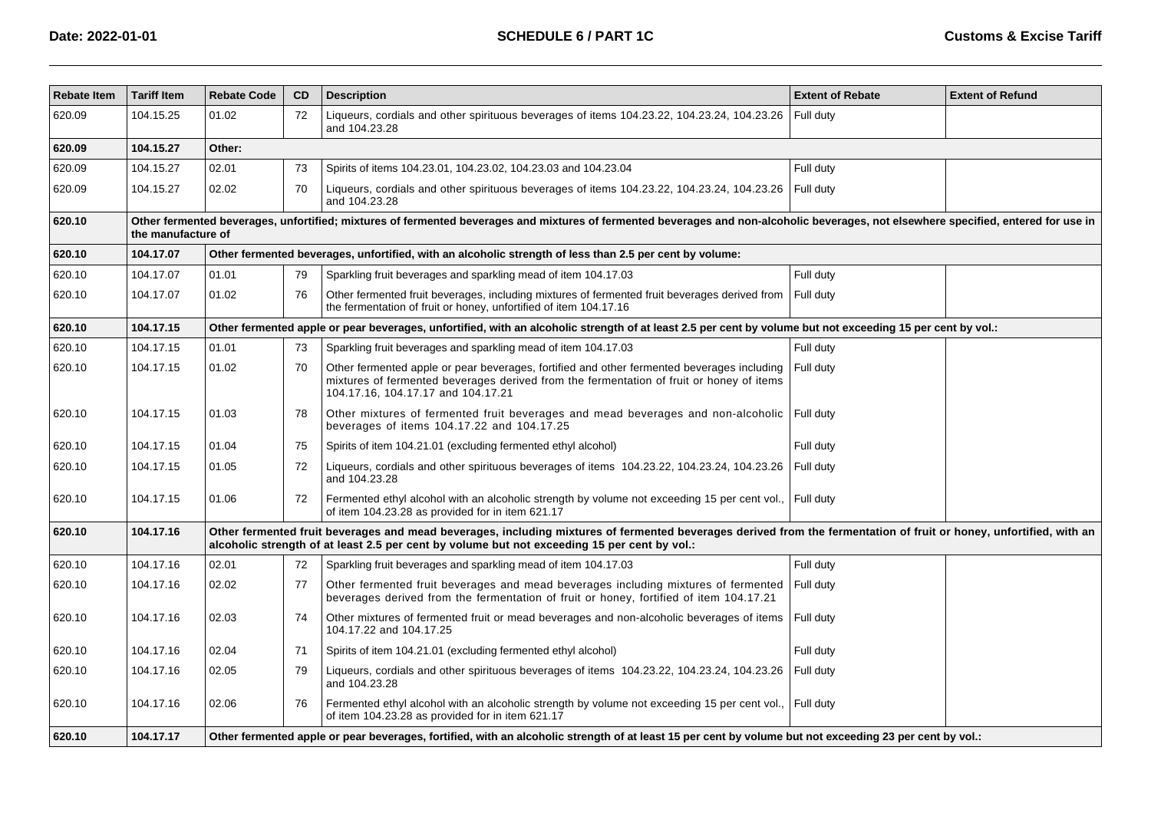| <b>Rebate Item</b> | <b>Tariff Item</b>                                                                                                                                                                                         | <b>Rebate Code</b> | CD | <b>Description</b>                                                                                                                                                                                                                                                  | <b>Extent of Rebate</b> | <b>Extent of Refund</b> |  |  |  |  |
|--------------------|------------------------------------------------------------------------------------------------------------------------------------------------------------------------------------------------------------|--------------------|----|---------------------------------------------------------------------------------------------------------------------------------------------------------------------------------------------------------------------------------------------------------------------|-------------------------|-------------------------|--|--|--|--|
| 620.09             | 104.15.25                                                                                                                                                                                                  | 01.02              | 72 | Liqueurs, cordials and other spirituous beverages of items 104.23.22, 104.23.24, 104.23.26<br>and 104.23.28                                                                                                                                                         | Full duty               |                         |  |  |  |  |
| 620.09             | 104.15.27                                                                                                                                                                                                  | Other:             |    |                                                                                                                                                                                                                                                                     |                         |                         |  |  |  |  |
| 620.09             | 104.15.27                                                                                                                                                                                                  | 02.01              | 73 | Spirits of items 104.23.01, 104.23.02, 104.23.03 and 104.23.04                                                                                                                                                                                                      | Full duty               |                         |  |  |  |  |
| 620.09             | 104.15.27                                                                                                                                                                                                  | 02.02              | 70 | Liqueurs, cordials and other spirituous beverages of items 104.23.22, 104.23.24, 104.23.26<br>and 104.23.28                                                                                                                                                         | Full duty               |                         |  |  |  |  |
| 620.10             | Other fermented beverages, unfortified; mixtures of fermented beverages and mixtures of fermented beverages and non-alcoholic beverages, not elsewhere specified, entered for use in<br>the manufacture of |                    |    |                                                                                                                                                                                                                                                                     |                         |                         |  |  |  |  |
| 620.10             | 104.17.07                                                                                                                                                                                                  |                    |    | Other fermented beverages, unfortified, with an alcoholic strength of less than 2.5 per cent by volume:                                                                                                                                                             |                         |                         |  |  |  |  |
| 620.10             | 104.17.07                                                                                                                                                                                                  | 01.01              | 79 | Sparkling fruit beverages and sparkling mead of item 104.17.03                                                                                                                                                                                                      | Full duty               |                         |  |  |  |  |
| 620.10             | 104.17.07                                                                                                                                                                                                  | 01.02              | 76 | Other fermented fruit beverages, including mixtures of fermented fruit beverages derived from<br>the fermentation of fruit or honey, unfortified of item 104.17.16                                                                                                  | Full duty               |                         |  |  |  |  |
| 620.10             | 104.17.15                                                                                                                                                                                                  |                    |    | Other fermented apple or pear beverages, unfortified, with an alcoholic strength of at least 2.5 per cent by volume but not exceeding 15 per cent by vol.:                                                                                                          |                         |                         |  |  |  |  |
| 620.10             | 104.17.15                                                                                                                                                                                                  | 01.01              | 73 | Sparkling fruit beverages and sparkling mead of item 104.17.03                                                                                                                                                                                                      | Full duty               |                         |  |  |  |  |
| 620.10             | 104.17.15                                                                                                                                                                                                  | 01.02              | 70 | Other fermented apple or pear beverages, fortified and other fermented beverages including<br>mixtures of fermented beverages derived from the fermentation of fruit or honey of items<br>104.17.16, 104.17.17 and 104.17.21                                        | Full duty               |                         |  |  |  |  |
| 620.10             | 104.17.15                                                                                                                                                                                                  | 01.03              | 78 | Other mixtures of fermented fruit beverages and mead beverages and non-alcoholic Full duty<br>beverages of items 104.17.22 and 104.17.25                                                                                                                            |                         |                         |  |  |  |  |
| 620.10             | 104.17.15                                                                                                                                                                                                  | 01.04              | 75 | Spirits of item 104.21.01 (excluding fermented ethyl alcohol)                                                                                                                                                                                                       | Full duty               |                         |  |  |  |  |
| 620.10             | 104.17.15                                                                                                                                                                                                  | 01.05              | 72 | Liqueurs, cordials and other spirituous beverages of items 104.23.22, 104.23.24, 104.23.26<br>and 104.23.28                                                                                                                                                         | Full duty               |                         |  |  |  |  |
| 620.10             | 104.17.15                                                                                                                                                                                                  | 01.06              | 72 | Fermented ethyl alcohol with an alcoholic strength by volume not exceeding 15 per cent vol., Full duty<br>of item 104.23.28 as provided for in item 621.17                                                                                                          |                         |                         |  |  |  |  |
| 620.10             | 104.17.16                                                                                                                                                                                                  |                    |    | Other fermented fruit beverages and mead beverages, including mixtures of fermented beverages derived from the fermentation of fruit or honey, unfortified, with an<br>alcoholic strength of at least 2.5 per cent by volume but not exceeding 15 per cent by vol.: |                         |                         |  |  |  |  |
| 620.10             | 104.17.16                                                                                                                                                                                                  | 02.01              | 72 | Sparkling fruit beverages and sparkling mead of item 104.17.03                                                                                                                                                                                                      | Full duty               |                         |  |  |  |  |
| 620.10             | 104.17.16                                                                                                                                                                                                  | 02.02              | 77 | Other fermented fruit beverages and mead beverages including mixtures of fermented<br>beverages derived from the fermentation of fruit or honey, fortified of item 104.17.21                                                                                        | Full duty               |                         |  |  |  |  |
| 620.10             | 104.17.16                                                                                                                                                                                                  | 02.03              | 74 | Other mixtures of fermented fruit or mead beverages and non-alcoholic beverages of items<br>104.17.22 and 104.17.25                                                                                                                                                 | Full duty               |                         |  |  |  |  |
| 620.10             | 104.17.16                                                                                                                                                                                                  | 02.04              | 71 | Spirits of item 104.21.01 (excluding fermented ethyl alcohol)                                                                                                                                                                                                       | Full duty               |                         |  |  |  |  |
| 620.10             | 104.17.16                                                                                                                                                                                                  | 02.05              | 79 | Liqueurs, cordials and other spirituous beverages of items 104.23.22, 104.23.24, 104.23.26<br>and 104.23.28                                                                                                                                                         | Full duty               |                         |  |  |  |  |
| 620.10             | 104.17.16                                                                                                                                                                                                  | 02.06              | 76 | Fermented ethyl alcohol with an alcoholic strength by volume not exceeding 15 per cent vol.,<br>of item 104.23.28 as provided for in item 621.17                                                                                                                    | Full duty               |                         |  |  |  |  |
| 620.10             | 104.17.17                                                                                                                                                                                                  |                    |    | Other fermented apple or pear beverages, fortified, with an alcoholic strength of at least 15 per cent by volume but not exceeding 23 per cent by vol.:                                                                                                             |                         |                         |  |  |  |  |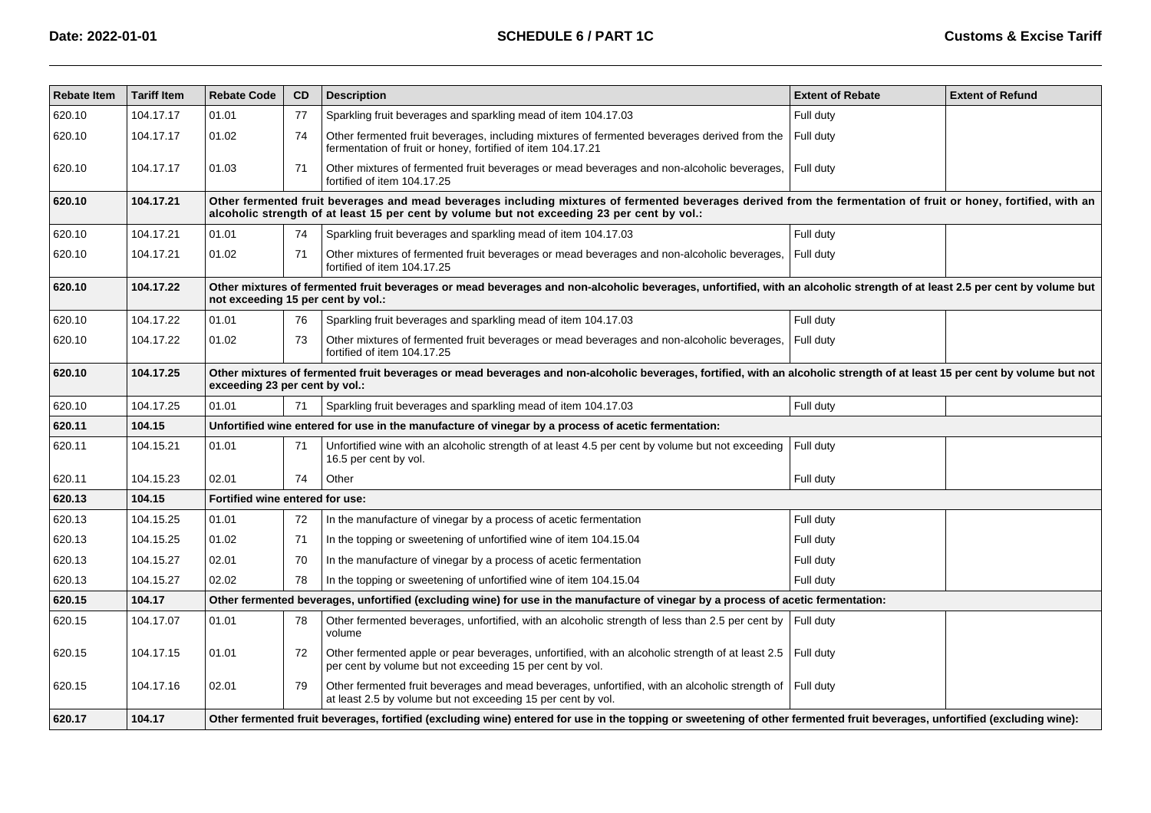| <b>Rebate Item</b> | <b>Tariff Item</b> | <b>Rebate Code</b>              | CD                                                                                                                                                                                                                                                              | <b>Description</b>                                                                                                                                                         | <b>Extent of Rebate</b> | <b>Extent of Refund</b> |  |  |  |  |  |
|--------------------|--------------------|---------------------------------|-----------------------------------------------------------------------------------------------------------------------------------------------------------------------------------------------------------------------------------------------------------------|----------------------------------------------------------------------------------------------------------------------------------------------------------------------------|-------------------------|-------------------------|--|--|--|--|--|
| 620.10             | 104.17.17          | 01.01                           | 77                                                                                                                                                                                                                                                              | Sparkling fruit beverages and sparkling mead of item 104.17.03                                                                                                             | Full duty               |                         |  |  |  |  |  |
| 620.10             | 104.17.17          | 01.02                           | 74                                                                                                                                                                                                                                                              | Other fermented fruit beverages, including mixtures of fermented beverages derived from the<br>fermentation of fruit or honey, fortified of item 104.17.21                 | Full duty               |                         |  |  |  |  |  |
| 620.10             | 104.17.17          | 01.03                           | 71                                                                                                                                                                                                                                                              | Other mixtures of fermented fruit beverages or mead beverages and non-alcoholic beverages,<br>fortified of item 104.17.25                                                  | Full duty               |                         |  |  |  |  |  |
| 620.10             | 104.17.21          |                                 | Other fermented fruit beverages and mead beverages including mixtures of fermented beverages derived from the fermentation of fruit or honey, fortified, with an<br>alcoholic strength of at least 15 per cent by volume but not exceeding 23 per cent by vol.: |                                                                                                                                                                            |                         |                         |  |  |  |  |  |
| 620.10             | 104.17.21          | 01.01                           | 74                                                                                                                                                                                                                                                              | Sparkling fruit beverages and sparkling mead of item 104.17.03                                                                                                             | Full duty               |                         |  |  |  |  |  |
| 620.10             | 104.17.21          | 01.02                           | 71                                                                                                                                                                                                                                                              | Other mixtures of fermented fruit beverages or mead beverages and non-alcoholic beverages,<br>fortified of item 104.17.25                                                  | Full duty               |                         |  |  |  |  |  |
| 620.10             | 104.17.22          |                                 | Other mixtures of fermented fruit beverages or mead beverages and non-alcoholic beverages, unfortified, with an alcoholic strength of at least 2.5 per cent by volume but<br>not exceeding 15 per cent by vol.:                                                 |                                                                                                                                                                            |                         |                         |  |  |  |  |  |
| 620.10             | 104.17.22          | 01.01                           | 76                                                                                                                                                                                                                                                              | Sparkling fruit beverages and sparkling mead of item 104.17.03                                                                                                             | Full duty               |                         |  |  |  |  |  |
| 620.10             | 104.17.22          | 01.02                           | 73                                                                                                                                                                                                                                                              | Other mixtures of fermented fruit beverages or mead beverages and non-alcoholic beverages,<br>fortified of item 104.17.25                                                  | Full duty               |                         |  |  |  |  |  |
| 620.10             | 104.17.25          |                                 | Other mixtures of fermented fruit beverages or mead beverages and non-alcoholic beverages, fortified, with an alcoholic strength of at least 15 per cent by volume but not<br>exceeding 23 per cent by vol.:                                                    |                                                                                                                                                                            |                         |                         |  |  |  |  |  |
| 620.10             | 104.17.25          | 01.01                           | 71                                                                                                                                                                                                                                                              | Sparkling fruit beverages and sparkling mead of item 104.17.03                                                                                                             | Full duty               |                         |  |  |  |  |  |
| 620.11             | 104.15             |                                 |                                                                                                                                                                                                                                                                 | Unfortified wine entered for use in the manufacture of vinegar by a process of acetic fermentation:                                                                        |                         |                         |  |  |  |  |  |
| 620.11             | 104.15.21          | 01.01                           | 71                                                                                                                                                                                                                                                              | Unfortified wine with an alcoholic strength of at least 4.5 per cent by volume but not exceeding<br>16.5 per cent by vol.                                                  | Full duty               |                         |  |  |  |  |  |
| 620.11             | 104.15.23          | 02.01                           | 74                                                                                                                                                                                                                                                              | Other                                                                                                                                                                      | Full duty               |                         |  |  |  |  |  |
| 620.13             | 104.15             | Fortified wine entered for use: |                                                                                                                                                                                                                                                                 |                                                                                                                                                                            |                         |                         |  |  |  |  |  |
| 620.13             | 104.15.25          | 01.01                           | 72                                                                                                                                                                                                                                                              | In the manufacture of vinegar by a process of acetic fermentation                                                                                                          | Full duty               |                         |  |  |  |  |  |
| 620.13             | 104.15.25          | 01.02                           | 71                                                                                                                                                                                                                                                              | In the topping or sweetening of unfortified wine of item 104.15.04                                                                                                         | Full duty               |                         |  |  |  |  |  |
| 620.13             | 104.15.27          | 02.01                           | 70                                                                                                                                                                                                                                                              | In the manufacture of vinegar by a process of acetic fermentation                                                                                                          | Full duty               |                         |  |  |  |  |  |
| 620.13             | 104.15.27          | 02.02                           | 78                                                                                                                                                                                                                                                              | In the topping or sweetening of unfortified wine of item 104.15.04                                                                                                         | Full duty               |                         |  |  |  |  |  |
| 620.15             | 104.17             |                                 |                                                                                                                                                                                                                                                                 | Other fermented beverages, unfortified (excluding wine) for use in the manufacture of vinegar by a process of acetic fermentation:                                         |                         |                         |  |  |  |  |  |
| 620.15             | 104.17.07          | 01.01                           | 78                                                                                                                                                                                                                                                              | Other fermented beverages, unfortified, with an alcoholic strength of less than 2.5 per cent by<br>volume                                                                  | Full duty               |                         |  |  |  |  |  |
| 620.15             | 104.17.15          | 01.01                           | 72                                                                                                                                                                                                                                                              | Other fermented apple or pear beverages, unfortified, with an alcoholic strength of at least 2.5<br>per cent by volume but not exceeding 15 per cent by vol.               | Full duty               |                         |  |  |  |  |  |
| 620.15             | 104.17.16          | 02.01                           | 79                                                                                                                                                                                                                                                              | Other fermented fruit beverages and mead beverages, unfortified, with an alcoholic strength of<br>at least 2.5 by volume but not exceeding 15 per cent by vol.             | Full duty               |                         |  |  |  |  |  |
| 620.17             | 104.17             |                                 |                                                                                                                                                                                                                                                                 | Other fermented fruit beverages, fortified (excluding wine) entered for use in the topping or sweetening of other fermented fruit beverages, unfortified (excluding wine): |                         |                         |  |  |  |  |  |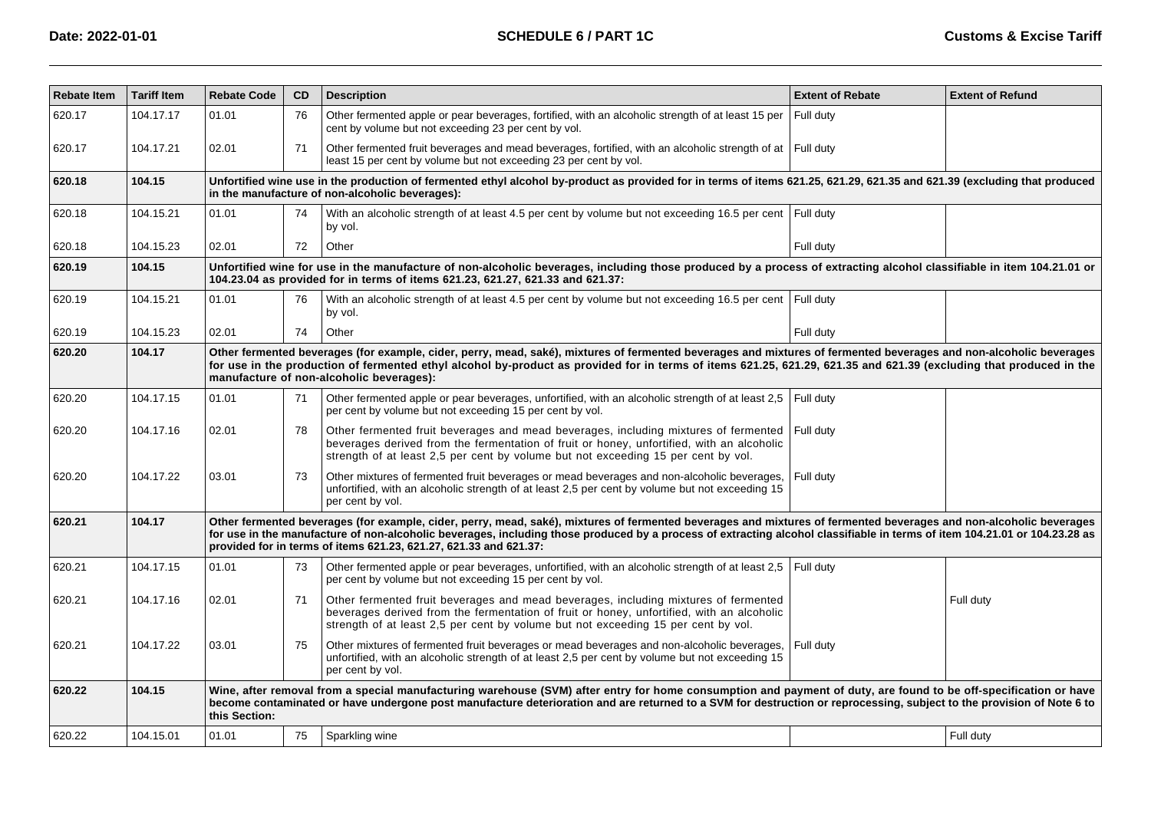| <b>Rebate Item</b> | <b>Tariff Item</b> | <b>Rebate Code</b> | CD                                                                                                                                                                                                                                                                                                                                                                                    | <b>Description</b>                                                                                                                                                                                                                                                                                                                                                                                                    | <b>Extent of Rebate</b> | <b>Extent of Refund</b> |  |  |  |  |
|--------------------|--------------------|--------------------|---------------------------------------------------------------------------------------------------------------------------------------------------------------------------------------------------------------------------------------------------------------------------------------------------------------------------------------------------------------------------------------|-----------------------------------------------------------------------------------------------------------------------------------------------------------------------------------------------------------------------------------------------------------------------------------------------------------------------------------------------------------------------------------------------------------------------|-------------------------|-------------------------|--|--|--|--|
| 620.17             | 104.17.17          | 01.01              | 76                                                                                                                                                                                                                                                                                                                                                                                    | Other fermented apple or pear beverages, fortified, with an alcoholic strength of at least 15 per<br>cent by volume but not exceeding 23 per cent by vol.                                                                                                                                                                                                                                                             | Full duty               |                         |  |  |  |  |
| 620.17             | 104.17.21          | 02.01              | 71                                                                                                                                                                                                                                                                                                                                                                                    | Other fermented fruit beverages and mead beverages, fortified, with an alcoholic strength of at Full duty<br>least 15 per cent by volume but not exceeding 23 per cent by vol.                                                                                                                                                                                                                                        |                         |                         |  |  |  |  |
| 620.18             | 104.15             |                    |                                                                                                                                                                                                                                                                                                                                                                                       | Unfortified wine use in the production of fermented ethyl alcohol by-product as provided for in terms of items 621.25, 621.29, 621.35 and 621.39 (excluding that produced<br>in the manufacture of non-alcoholic beverages):                                                                                                                                                                                          |                         |                         |  |  |  |  |
| 620.18             | 104.15.21          | 01.01              | 74                                                                                                                                                                                                                                                                                                                                                                                    | With an alcoholic strength of at least 4.5 per cent by volume but not exceeding 16.5 per cent Full duty<br>by vol.                                                                                                                                                                                                                                                                                                    |                         |                         |  |  |  |  |
| 620.18             | 104.15.23          | 02.01              | 72                                                                                                                                                                                                                                                                                                                                                                                    | Other                                                                                                                                                                                                                                                                                                                                                                                                                 | Full duty               |                         |  |  |  |  |
| 620.19             | 104.15             |                    |                                                                                                                                                                                                                                                                                                                                                                                       | Unfortified wine for use in the manufacture of non-alcoholic beverages, including those produced by a process of extracting alcohol classifiable in item 104.21.01 or<br>104.23.04 as provided for in terms of items 621.23, 621.27, 621.33 and 621.37:                                                                                                                                                               |                         |                         |  |  |  |  |
| 620.19             | 104.15.21          | 01.01              | 76                                                                                                                                                                                                                                                                                                                                                                                    | With an alcoholic strength of at least 4.5 per cent by volume but not exceeding 16.5 per cent Full duty<br>by vol.                                                                                                                                                                                                                                                                                                    |                         |                         |  |  |  |  |
| 620.19             | 104.15.23          | 02.01              | 74                                                                                                                                                                                                                                                                                                                                                                                    | Other                                                                                                                                                                                                                                                                                                                                                                                                                 | Full duty               |                         |  |  |  |  |
| 620.20             | 104.17             |                    | Other fermented beverages (for example, cider, perry, mead, saké), mixtures of fermented beverages and mixtures of fermented beverages and non-alcoholic beverages<br>for use in the production of fermented ethyl alcohol by-product as provided for in terms of items 621.25, 621.29, 621.35 and 621.39 (excluding that produced in the<br>manufacture of non-alcoholic beverages): |                                                                                                                                                                                                                                                                                                                                                                                                                       |                         |                         |  |  |  |  |
| 620.20             | 104.17.15          | 01.01              | 71                                                                                                                                                                                                                                                                                                                                                                                    | Other fermented apple or pear beverages, unfortified, with an alcoholic strength of at least 2,5<br>per cent by volume but not exceeding 15 per cent by vol.                                                                                                                                                                                                                                                          | Full duty               |                         |  |  |  |  |
| 620.20             | 104.17.16          | 02.01              | 78                                                                                                                                                                                                                                                                                                                                                                                    | Other fermented fruit beverages and mead beverages, including mixtures of fermented<br>beverages derived from the fermentation of fruit or honey, unfortified, with an alcoholic<br>strength of at least 2,5 per cent by volume but not exceeding 15 per cent by vol.                                                                                                                                                 | Full duty               |                         |  |  |  |  |
| 620.20             | 104.17.22          | 03.01              | 73                                                                                                                                                                                                                                                                                                                                                                                    | Other mixtures of fermented fruit beverages or mead beverages and non-alcoholic beverages,<br>unfortified, with an alcoholic strength of at least 2,5 per cent by volume but not exceeding 15<br>per cent by vol.                                                                                                                                                                                                     | Full duty               |                         |  |  |  |  |
| 620.21             | 104.17             |                    |                                                                                                                                                                                                                                                                                                                                                                                       | Other fermented beverages (for example, cider, perry, mead, saké), mixtures of fermented beverages and mixtures of fermented beverages and non-alcoholic beverages<br>for use in the manufacture of non-alcoholic beverages, including those produced by a process of extracting alcohol classifiable in terms of item 104.21.01 or 104.23.28 as<br>provided for in terms of items 621.23, 621.27, 621.33 and 621.37: |                         |                         |  |  |  |  |
| 620.21             | 104.17.15          | 01.01              | 73                                                                                                                                                                                                                                                                                                                                                                                    | Other fermented apple or pear beverages, unfortified, with an alcoholic strength of at least 2,5<br>per cent by volume but not exceeding 15 per cent by vol.                                                                                                                                                                                                                                                          | Full duty               |                         |  |  |  |  |
| 620.21             | 104.17.16          | 02.01              | 71                                                                                                                                                                                                                                                                                                                                                                                    | Other fermented fruit beverages and mead beverages, including mixtures of fermented<br>beverages derived from the fermentation of fruit or honey, unfortified, with an alcoholic<br>strength of at least 2,5 per cent by volume but not exceeding 15 per cent by vol.                                                                                                                                                 |                         | Full duty               |  |  |  |  |
| 620.21             | 104.17.22          | 03.01              | 75                                                                                                                                                                                                                                                                                                                                                                                    | Other mixtures of fermented fruit beverages or mead beverages and non-alcoholic beverages,<br>unfortified, with an alcoholic strength of at least 2,5 per cent by volume but not exceeding 15<br>per cent by vol.                                                                                                                                                                                                     | Full duty               |                         |  |  |  |  |
| 620.22             | 104.15             | this Section:      |                                                                                                                                                                                                                                                                                                                                                                                       | Wine, after removal from a special manufacturing warehouse (SVM) after entry for home consumption and payment of duty, are found to be off-specification or have<br>become contaminated or have undergone post manufacture deterioration and are returned to a SVM for destruction or reprocessing, subject to the provision of Note 6 to                                                                             |                         |                         |  |  |  |  |
| 620.22             | 104.15.01          | 01.01              | 75                                                                                                                                                                                                                                                                                                                                                                                    | Sparkling wine                                                                                                                                                                                                                                                                                                                                                                                                        |                         | Full duty               |  |  |  |  |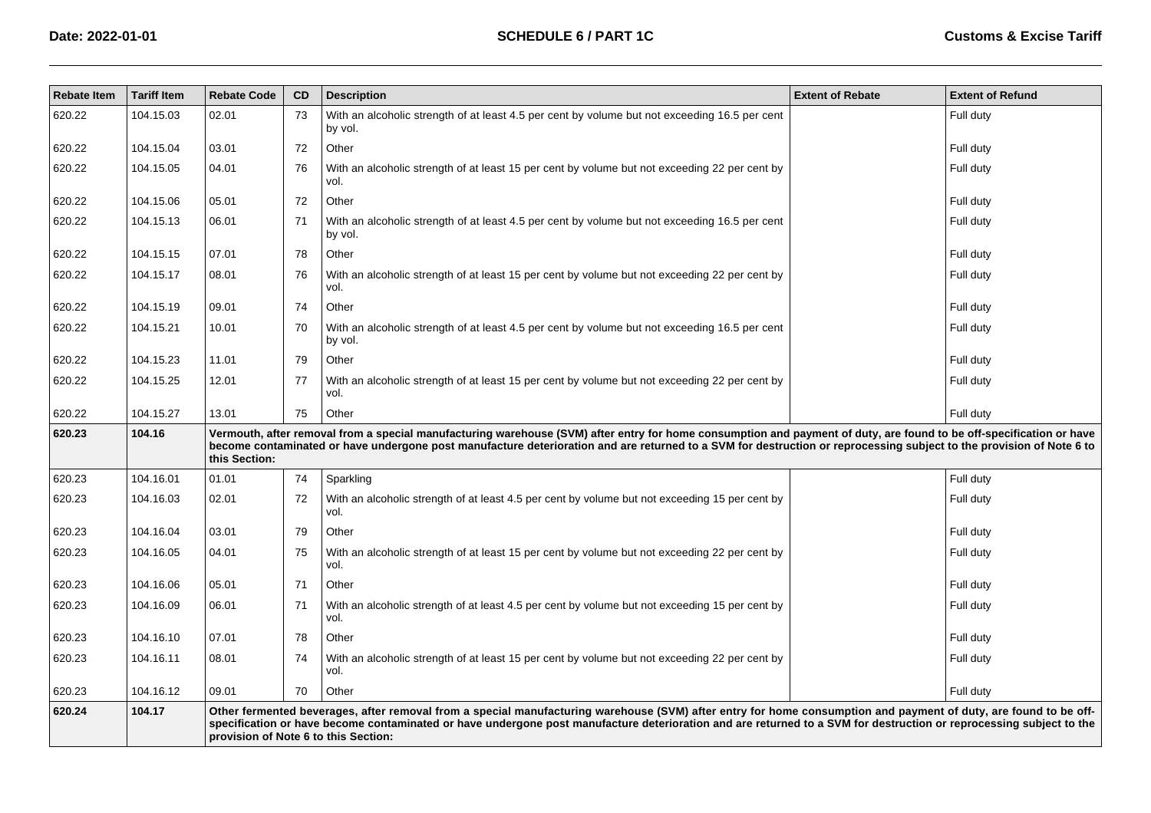| <b>Rebate Item</b> | <b>Tariff Item</b> | <b>Rebate Code</b>                                                                                                                                                                                                                                                                                                                                            | <b>CD</b>                                                                                                                                                                                                                                                                                                                                                                       | <b>Description</b>                                                                                       | <b>Extent of Rebate</b> | <b>Extent of Refund</b> |  |  |  |
|--------------------|--------------------|---------------------------------------------------------------------------------------------------------------------------------------------------------------------------------------------------------------------------------------------------------------------------------------------------------------------------------------------------------------|---------------------------------------------------------------------------------------------------------------------------------------------------------------------------------------------------------------------------------------------------------------------------------------------------------------------------------------------------------------------------------|----------------------------------------------------------------------------------------------------------|-------------------------|-------------------------|--|--|--|
| 620.22             | 104.15.03          | 02.01                                                                                                                                                                                                                                                                                                                                                         | 73                                                                                                                                                                                                                                                                                                                                                                              | With an alcoholic strength of at least 4.5 per cent by volume but not exceeding 16.5 per cent<br>by vol. |                         | Full duty               |  |  |  |
| 620.22             | 104.15.04          | 03.01                                                                                                                                                                                                                                                                                                                                                         | 72                                                                                                                                                                                                                                                                                                                                                                              | Other                                                                                                    |                         | Full duty               |  |  |  |
| 620.22             | 104.15.05          | 04.01                                                                                                                                                                                                                                                                                                                                                         | 76                                                                                                                                                                                                                                                                                                                                                                              | With an alcoholic strength of at least 15 per cent by volume but not exceeding 22 per cent by<br>vol.    |                         | Full duty               |  |  |  |
| 620.22             | 104.15.06          | 05.01                                                                                                                                                                                                                                                                                                                                                         | 72                                                                                                                                                                                                                                                                                                                                                                              | Other                                                                                                    |                         | Full duty               |  |  |  |
| 620.22             | 104.15.13          | 06.01                                                                                                                                                                                                                                                                                                                                                         | 71                                                                                                                                                                                                                                                                                                                                                                              | With an alcoholic strength of at least 4.5 per cent by volume but not exceeding 16.5 per cent<br>by vol. |                         | Full duty               |  |  |  |
| 620.22             | 104.15.15          | 07.01                                                                                                                                                                                                                                                                                                                                                         | 78                                                                                                                                                                                                                                                                                                                                                                              | Other                                                                                                    |                         | Full duty               |  |  |  |
| 620.22             | 104.15.17          | 08.01                                                                                                                                                                                                                                                                                                                                                         | 76                                                                                                                                                                                                                                                                                                                                                                              | With an alcoholic strength of at least 15 per cent by volume but not exceeding 22 per cent by<br>vol.    |                         | Full duty               |  |  |  |
| 620.22             | 104.15.19          | 09.01                                                                                                                                                                                                                                                                                                                                                         | 74                                                                                                                                                                                                                                                                                                                                                                              | Other                                                                                                    |                         | Full duty               |  |  |  |
| 620.22             | 104.15.21          | 10.01                                                                                                                                                                                                                                                                                                                                                         | 70                                                                                                                                                                                                                                                                                                                                                                              | With an alcoholic strength of at least 4.5 per cent by volume but not exceeding 16.5 per cent<br>by vol. |                         | Full duty               |  |  |  |
| 620.22             | 104.15.23          | 11.01                                                                                                                                                                                                                                                                                                                                                         | 79                                                                                                                                                                                                                                                                                                                                                                              | Other                                                                                                    |                         | Full duty               |  |  |  |
| 620.22             | 104.15.25          | 12.01                                                                                                                                                                                                                                                                                                                                                         | 77                                                                                                                                                                                                                                                                                                                                                                              | With an alcoholic strength of at least 15 per cent by volume but not exceeding 22 per cent by<br>vol.    |                         | Full duty               |  |  |  |
| 620.22             | 104.15.27          | 13.01                                                                                                                                                                                                                                                                                                                                                         | 75                                                                                                                                                                                                                                                                                                                                                                              | Other                                                                                                    |                         | Full duty               |  |  |  |
| 620.23             | 104.16             | Vermouth, after removal from a special manufacturing warehouse (SVM) after entry for home consumption and payment of duty, are found to be off-specification or have<br>become contaminated or have undergone post manufacture deterioration and are returned to a SVM for destruction or reprocessing subject to the provision of Note 6 to<br>this Section: |                                                                                                                                                                                                                                                                                                                                                                                 |                                                                                                          |                         |                         |  |  |  |
| 620.23             | 104.16.01          | 01.01                                                                                                                                                                                                                                                                                                                                                         | 74                                                                                                                                                                                                                                                                                                                                                                              | Sparkling                                                                                                |                         | Full duty               |  |  |  |
| 620.23             | 104.16.03          | 02.01                                                                                                                                                                                                                                                                                                                                                         | 72                                                                                                                                                                                                                                                                                                                                                                              | With an alcoholic strength of at least 4.5 per cent by volume but not exceeding 15 per cent by<br>vol.   |                         | Full duty               |  |  |  |
| 620.23             | 104.16.04          | 03.01                                                                                                                                                                                                                                                                                                                                                         | 79                                                                                                                                                                                                                                                                                                                                                                              | Other                                                                                                    |                         | Full duty               |  |  |  |
| 620.23             | 104.16.05          | 04.01                                                                                                                                                                                                                                                                                                                                                         | 75                                                                                                                                                                                                                                                                                                                                                                              | With an alcoholic strength of at least 15 per cent by volume but not exceeding 22 per cent by<br>vol.    |                         | Full duty               |  |  |  |
| 620.23             | 104.16.06          | 05.01                                                                                                                                                                                                                                                                                                                                                         | 71                                                                                                                                                                                                                                                                                                                                                                              | Other                                                                                                    |                         | Full duty               |  |  |  |
| 620.23             | 104.16.09          | 06.01                                                                                                                                                                                                                                                                                                                                                         | 71                                                                                                                                                                                                                                                                                                                                                                              | With an alcoholic strength of at least 4.5 per cent by volume but not exceeding 15 per cent by<br>vol.   |                         | Full duty               |  |  |  |
| 620.23             | 104.16.10          | 07.01                                                                                                                                                                                                                                                                                                                                                         | 78                                                                                                                                                                                                                                                                                                                                                                              | Other                                                                                                    |                         | Full duty               |  |  |  |
| 620.23             | 104.16.11          | 08.01                                                                                                                                                                                                                                                                                                                                                         | 74                                                                                                                                                                                                                                                                                                                                                                              | With an alcoholic strength of at least 15 per cent by volume but not exceeding 22 per cent by<br>vol.    |                         | Full duty               |  |  |  |
| 620.23             | 104.16.12          | 09.01                                                                                                                                                                                                                                                                                                                                                         | 70                                                                                                                                                                                                                                                                                                                                                                              | Other                                                                                                    |                         | Full duty               |  |  |  |
| 620.24             | 104.17             |                                                                                                                                                                                                                                                                                                                                                               | Other fermented beverages, after removal from a special manufacturing warehouse (SVM) after entry for home consumption and payment of duty, are found to be off-<br>specification or have become contaminated or have undergone post manufacture deterioration and are returned to a SVM for destruction or reprocessing subject to the<br>provision of Note 6 to this Section: |                                                                                                          |                         |                         |  |  |  |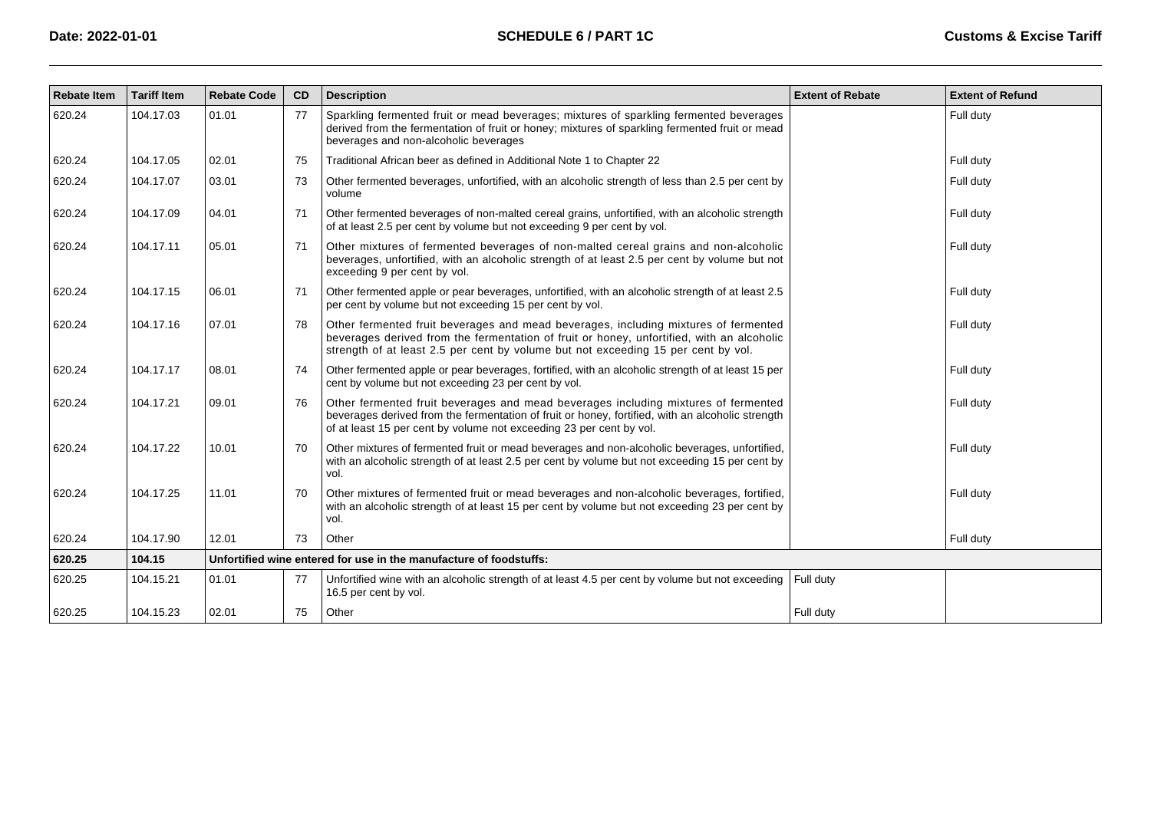| <b>Rebate Item</b> | <b>Tariff Item</b> | <b>Rebate Code</b> | CD | <b>Description</b>                                                                                                                                                                                                                                                    | <b>Extent of Rebate</b> | <b>Extent of Refund</b> |
|--------------------|--------------------|--------------------|----|-----------------------------------------------------------------------------------------------------------------------------------------------------------------------------------------------------------------------------------------------------------------------|-------------------------|-------------------------|
| 620.24             | 104.17.03          | 01.01              | 77 | Sparkling fermented fruit or mead beverages; mixtures of sparkling fermented beverages<br>derived from the fermentation of fruit or honey; mixtures of sparkling fermented fruit or mead<br>beverages and non-alcoholic beverages                                     |                         | Full duty               |
| 620.24             | 104.17.05          | 02.01              | 75 | Traditional African beer as defined in Additional Note 1 to Chapter 22                                                                                                                                                                                                |                         | Full duty               |
| 620.24             | 104.17.07          | 03.01              | 73 | Other fermented beverages, unfortified, with an alcoholic strength of less than 2.5 per cent by<br>volume                                                                                                                                                             |                         | Full duty               |
| 620.24             | 104.17.09          | 04.01              | 71 | Other fermented beverages of non-malted cereal grains, unfortified, with an alcoholic strength<br>of at least 2.5 per cent by volume but not exceeding 9 per cent by vol.                                                                                             |                         | Full duty               |
| 620.24             | 104.17.11          | 05.01              | 71 | Other mixtures of fermented beverages of non-malted cereal grains and non-alcoholic<br>beverages, unfortified, with an alcoholic strength of at least 2.5 per cent by volume but not<br>exceeding 9 per cent by vol.                                                  |                         | Full duty               |
| 620.24             | 104.17.15          | 06.01              | 71 | Other fermented apple or pear beverages, unfortified, with an alcoholic strength of at least 2.5<br>per cent by volume but not exceeding 15 per cent by vol.                                                                                                          |                         | Full duty               |
| 620.24             | 104.17.16          | 07.01              | 78 | Other fermented fruit beverages and mead beverages, including mixtures of fermented<br>beverages derived from the fermentation of fruit or honey, unfortified, with an alcoholic<br>strength of at least 2.5 per cent by volume but not exceeding 15 per cent by vol. |                         | Full duty               |
| 620.24             | 104.17.17          | 08.01              | 74 | Other fermented apple or pear beverages, fortified, with an alcoholic strength of at least 15 per<br>cent by volume but not exceeding 23 per cent by vol.                                                                                                             |                         | Full duty               |
| 620.24             | 104.17.21          | 09.01              | 76 | Other fermented fruit beverages and mead beverages including mixtures of fermented<br>beverages derived from the fermentation of fruit or honey, fortified, with an alcoholic strength<br>of at least 15 per cent by volume not exceeding 23 per cent by vol.         |                         | Full duty               |
| 620.24             | 104.17.22          | 10.01              | 70 | Other mixtures of fermented fruit or mead beverages and non-alcoholic beverages, unfortified,<br>with an alcoholic strength of at least 2.5 per cent by volume but not exceeding 15 per cent by<br>vol.                                                               |                         | Full duty               |
| 620.24             | 104.17.25          | 11.01              | 70 | Other mixtures of fermented fruit or mead beverages and non-alcoholic beverages, fortified,<br>with an alcoholic strength of at least 15 per cent by volume but not exceeding 23 per cent by<br>vol.                                                                  |                         | Full duty               |
| 620.24             | 104.17.90          | 12.01              | 73 | Other                                                                                                                                                                                                                                                                 |                         | Full duty               |
| 620.25             | 104.15             |                    |    | Unfortified wine entered for use in the manufacture of foodstuffs:                                                                                                                                                                                                    |                         |                         |
| 620.25             | 104.15.21          | 01.01              | 77 | Unfortified wine with an alcoholic strength of at least 4.5 per cent by volume but not exceeding<br>16.5 per cent by vol.                                                                                                                                             | Full duty               |                         |
| 620.25             | 104.15.23          | 02.01              | 75 | Other                                                                                                                                                                                                                                                                 | Full duty               |                         |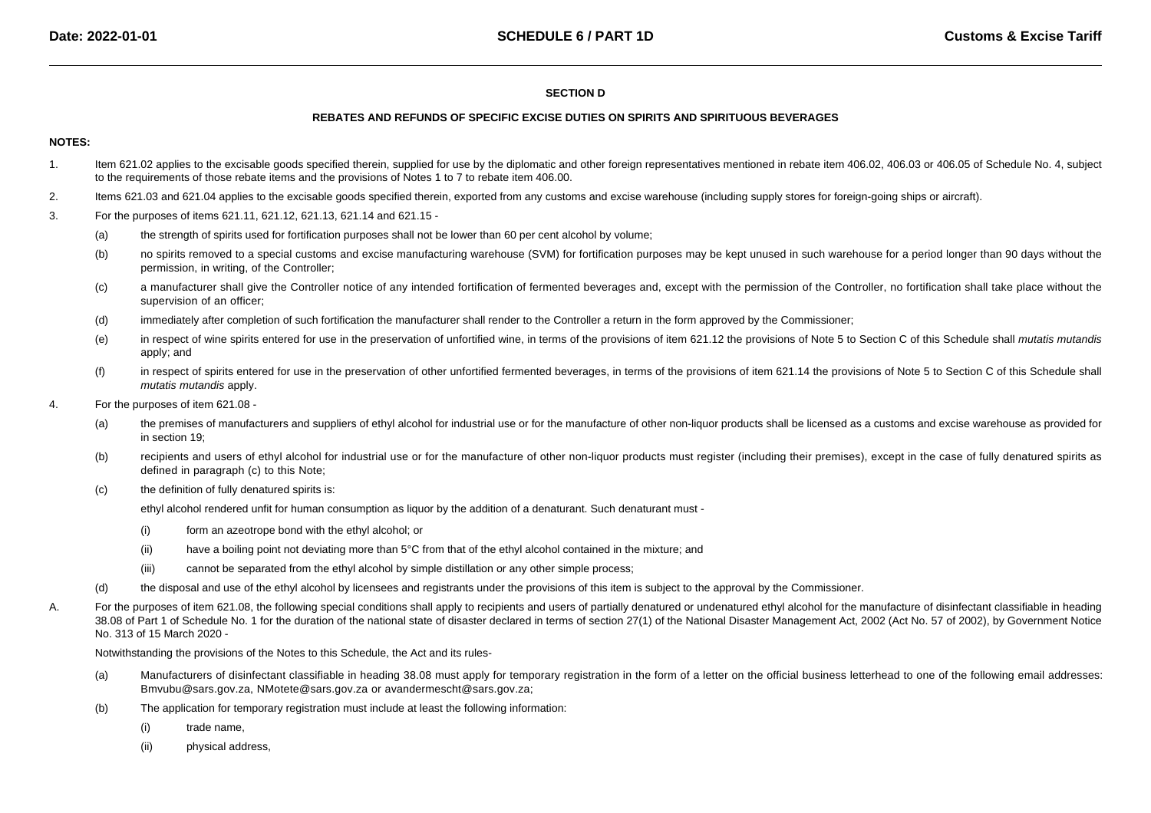# **SECTION D**

#### **REBATES AND REFUNDS OF SPECIFIC EXCISE DUTIES ON SPIRITS AND SPIRITUOUS BEVERAGES**

#### **NOTES:**

- 1.Item 621.02 applies to the excisable goods specified therein, supplied for use by the diplomatic and other foreign representatives mentioned in rebate item 406.02, 406.03 or 406.05 of Schedule No. 4, subject to the requirements of those rebate items and the provisions of Notes 1 to 7 to rebate item 406.00.
- 2.Items 621.03 and 621.04 applies to the excisable goods specified therein, exported from any customs and excise warehouse (including supply stores for foreign-going ships or aircraft).
- 3. For the purposes of items 621.11, 621.12, 621.13, 621.14 and 621.15 -
	- (a)the strength of spirits used for fortification purposes shall not be lower than 60 per cent alcohol by volume;
	- $(b)$ no spirits removed to a special customs and excise manufacturing warehouse (SVM) for fortification purposes may be kept unused in such warehouse for a period longer than 90 days without the permission, in writing, of the Controller;
	- (c)a manufacturer shall give the Controller notice of any intended fortification of fermented beverages and, except with the permission of the Controller, no fortification shall take place without the supervision of an officer;
	- (d)immediately after completion of such fortification the manufacturer shall render to the Controller a return in the form approved by the Commissioner;
	- (e)in respect of wine spirits entered for use in the preservation of unfortified wine, in terms of the provisions of item 621.12 the provisions of Note 5 to Section C of this Schedule shall mutatis mutandis apply; and
	- (f)in respect of spirits entered for use in the preservation of other unfortified fermented beverages, in terms of the provisions of item 621.14 the provisions of Note 5 to Section C of this Schedule shall mutatis mutandis apply.
- 4. For the purposes of item 621.08 -
	- (a) the premises of manufacturers and suppliers of ethyl alcohol for industrial use or for the manufacture of other non-liquor products shall be licensed as a customs and excise warehouse as provided for in section 19;
	- (b)recipients and users of ethyl alcohol for industrial use or for the manufacture of other non-liquor products must register (including their premises), except in the case of fully denatured spirits as defined in paragraph (c) to this Note;
	- (c)the definition of fully denatured spirits is:

ethyl alcohol rendered unfit for human consumption as liquor by the addition of a denaturant. Such denaturant must -

- (i)form an azeotrope bond with the ethyl alcohol; or
- (ii)have a boiling point not deviating more than 5°C from that of the ethyl alcohol contained in the mixture; and
- (iii)cannot be separated from the ethyl alcohol by simple distillation or any other simple process;
- (d)the disposal and use of the ethyl alcohol by licensees and registrants under the provisions of this item is subject to the approval by the Commissioner.
- A.For the purposes of item 621.08, the following special conditions shall apply to recipients and users of partially denatured or undenatured ethyl alcohol for the manufacture of disinfectant classifiable in heading 38.08 of Part 1 of Schedule No. 1 for the duration of the national state of disaster declared in terms of section 27(1) of the National Disaster Management Act, 2002 (Act No. 57 of 2002), by Government Notice No. 313 of 15 March 2020 -

Notwithstanding the provisions of the Notes to this Schedule, the Act and its rules-

- (a) Manufacturers of disinfectant classifiable in heading 38.08 must apply for temporary registration in the form of a letter on the official business letterhead to one of the following email addresses: Bmvubu@sars.gov.za, NMotete@sars.gov.za or [avandermescht@sars.gov.za](mailto:avandermescht@sars.gov.za);
- (b) The application for temporary registration must include at least the following information:
	- (i)trade name,
	- (ii)physical address,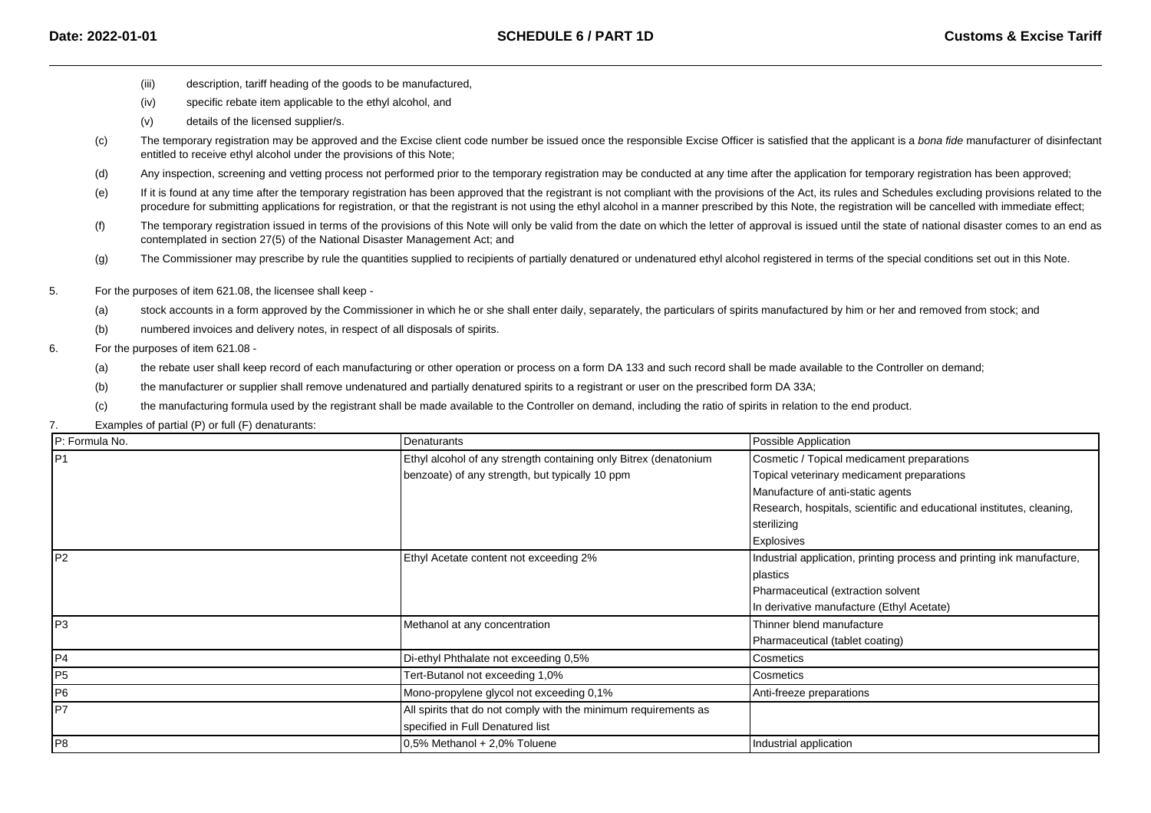- (iii)description, tariff heading of the goods to be manufactured,
- (iv)specific rebate item applicable to the ethyl alcohol, and
- (v)details of the licensed supplier/s.
- $(c)$ The temporary registration may be approved and the Excise client code number be issued once the responsible Excise Officer is satisfied that the applicant is a bona fide manufacturer of disinfectant entitled to receive ethyl alcohol under the provisions of this Note;
- (d)Any inspection, screening and vetting process not performed prior to the temporary registration may be conducted at any time after the application for temporary registration has been approved;
- (e)If it is found at any time after the temporary registration has been approved that the registrant is not compliant with the provisions of the Act, its rules and Schedules excluding provisions related to the procedure for submitting applications for registration, or that the registrant is not using the ethyl alcohol in a manner prescribed by this Note, the registration will be cancelled with immediate effect;
- (f)The temporary registration issued in terms of the provisions of this Note will only be valid from the date on which the letter of approval is issued until the state of national disaster comes to an end as contemplated in section 27(5) of the National Disaster Management Act; and
- (g)The Commissioner may prescribe by rule the quantities supplied to recipients of partially denatured or undenatured ethyl alcohol registered in terms of the special conditions set out in this Note.
- 5. For the purposes of item 621.08, the licensee shall keep -
	- (a)stock accounts in a form approved by the Commissioner in which he or she shall enter daily, separately, the particulars of spirits manufactured by him or her and removed from stock; and
	- (b)numbered invoices and delivery notes, in respect of all disposals of spirits.

#### 6.For the purposes of item 621.08 -

- (a)the rebate user shall keep record of each manufacturing or other operation or process on a form DA 133 and such record shall be made available to the Controller on demand;
- (b)the manufacturer or supplier shall remove undenatured and partially denatured spirits to a registrant or user on the prescribed form DA 33A;
- (c)the manufacturing formula used by the registrant shall be made available to the Controller on demand, including the ratio of spirits in relation to the end product.
- 7.Examples of partial (P) or full (F) denaturants:

| P: Formula No.  | Denaturants                                                      | Possible Application                                                   |
|-----------------|------------------------------------------------------------------|------------------------------------------------------------------------|
| IP1             | Ethyl alcohol of any strength containing only Bitrex (denatonium | Cosmetic / Topical medicament preparations                             |
|                 | benzoate) of any strength, but typically 10 ppm                  | Topical veterinary medicament preparations                             |
|                 |                                                                  | Manufacture of anti-static agents                                      |
|                 |                                                                  | Research, hospitals, scientific and educational institutes, cleaning,  |
|                 |                                                                  | sterilizing                                                            |
|                 |                                                                  | <b>Explosives</b>                                                      |
| IP <sub>2</sub> | Ethyl Acetate content not exceeding 2%                           | Industrial application, printing process and printing ink manufacture, |
|                 |                                                                  | plastics                                                               |
|                 |                                                                  | Pharmaceutical (extraction solvent                                     |
|                 |                                                                  | In derivative manufacture (Ethyl Acetate)                              |
| lP3             | Methanol at any concentration                                    | Thinner blend manufacture                                              |
|                 |                                                                  | Pharmaceutical (tablet coating)                                        |
| P4              | Di-ethyl Phthalate not exceeding 0,5%                            | Cosmetics                                                              |
| P <sub>5</sub>  | Tert-Butanol not exceeding 1,0%                                  | Cosmetics                                                              |
| P <sub>6</sub>  | Mono-propylene glycol not exceeding 0,1%                         | Anti-freeze preparations                                               |
| IP7             | All spirits that do not comply with the minimum requirements as  |                                                                        |
|                 | specified in Full Denatured list                                 |                                                                        |
| IP8             | $0.5\%$ Methanol + 2,0% Toluene                                  | Industrial application                                                 |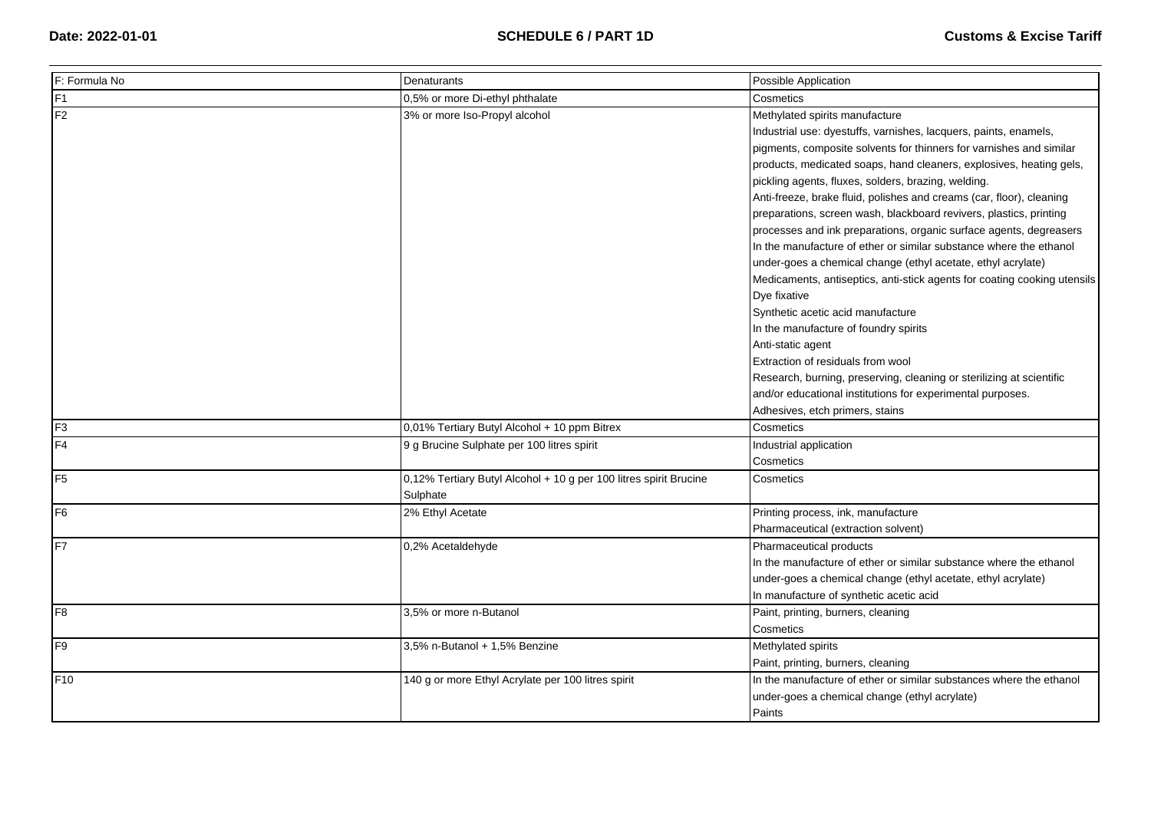| F: Formula No   | <b>Denaturants</b>                                                | Possible Application                                                     |
|-----------------|-------------------------------------------------------------------|--------------------------------------------------------------------------|
| F1              | 0,5% or more Di-ethyl phthalate                                   | Cosmetics                                                                |
| F <sub>2</sub>  | 3% or more Iso-Propyl alcohol                                     | Methylated spirits manufacture                                           |
|                 |                                                                   | Industrial use: dyestuffs, varnishes, lacquers, paints, enamels,         |
|                 |                                                                   | pigments, composite solvents for thinners for varnishes and similar      |
|                 |                                                                   | products, medicated soaps, hand cleaners, explosives, heating gels,      |
|                 |                                                                   | pickling agents, fluxes, solders, brazing, welding.                      |
|                 |                                                                   | Anti-freeze, brake fluid, polishes and creams (car, floor), cleaning     |
|                 |                                                                   | preparations, screen wash, blackboard revivers, plastics, printing       |
|                 |                                                                   | processes and ink preparations, organic surface agents, degreasers       |
|                 |                                                                   | In the manufacture of ether or similar substance where the ethanol       |
|                 |                                                                   | under-goes a chemical change (ethyl acetate, ethyl acrylate)             |
|                 |                                                                   | Medicaments, antiseptics, anti-stick agents for coating cooking utensils |
|                 |                                                                   | Dye fixative                                                             |
|                 |                                                                   | Synthetic acetic acid manufacture                                        |
|                 |                                                                   | In the manufacture of foundry spirits                                    |
|                 |                                                                   | Anti-static agent                                                        |
|                 |                                                                   | Extraction of residuals from wool                                        |
|                 |                                                                   | Research, burning, preserving, cleaning or sterilizing at scientific     |
|                 |                                                                   | and/or educational institutions for experimental purposes.               |
|                 |                                                                   | Adhesives, etch primers, stains                                          |
| F <sub>3</sub>  | 0,01% Tertiary Butyl Alcohol + 10 ppm Bitrex                      | Cosmetics                                                                |
| F <sub>4</sub>  | 9 g Brucine Sulphate per 100 litres spirit                        | Industrial application                                                   |
|                 |                                                                   | Cosmetics                                                                |
| F <sub>5</sub>  | 0,12% Tertiary Butyl Alcohol + 10 g per 100 litres spirit Brucine | Cosmetics                                                                |
|                 | Sulphate                                                          |                                                                          |
| F <sub>6</sub>  | 2% Ethyl Acetate                                                  | Printing process, ink, manufacture                                       |
|                 |                                                                   | Pharmaceutical (extraction solvent)                                      |
| F7              | 0,2% Acetaldehyde                                                 | Pharmaceutical products                                                  |
|                 |                                                                   | In the manufacture of ether or similar substance where the ethanol       |
|                 |                                                                   | under-goes a chemical change (ethyl acetate, ethyl acrylate)             |
|                 |                                                                   | In manufacture of synthetic acetic acid                                  |
| F <sub>8</sub>  | 3,5% or more n-Butanol                                            | Paint, printing, burners, cleaning                                       |
|                 |                                                                   | Cosmetics                                                                |
| F <sub>9</sub>  | 3,5% n-Butanol + 1,5% Benzine                                     | Methylated spirits                                                       |
|                 |                                                                   | Paint, printing, burners, cleaning                                       |
| F <sub>10</sub> | 140 g or more Ethyl Acrylate per 100 litres spirit                | In the manufacture of ether or similar substances where the ethanol      |
|                 |                                                                   | under-goes a chemical change (ethyl acrylate)                            |
|                 |                                                                   | Paints                                                                   |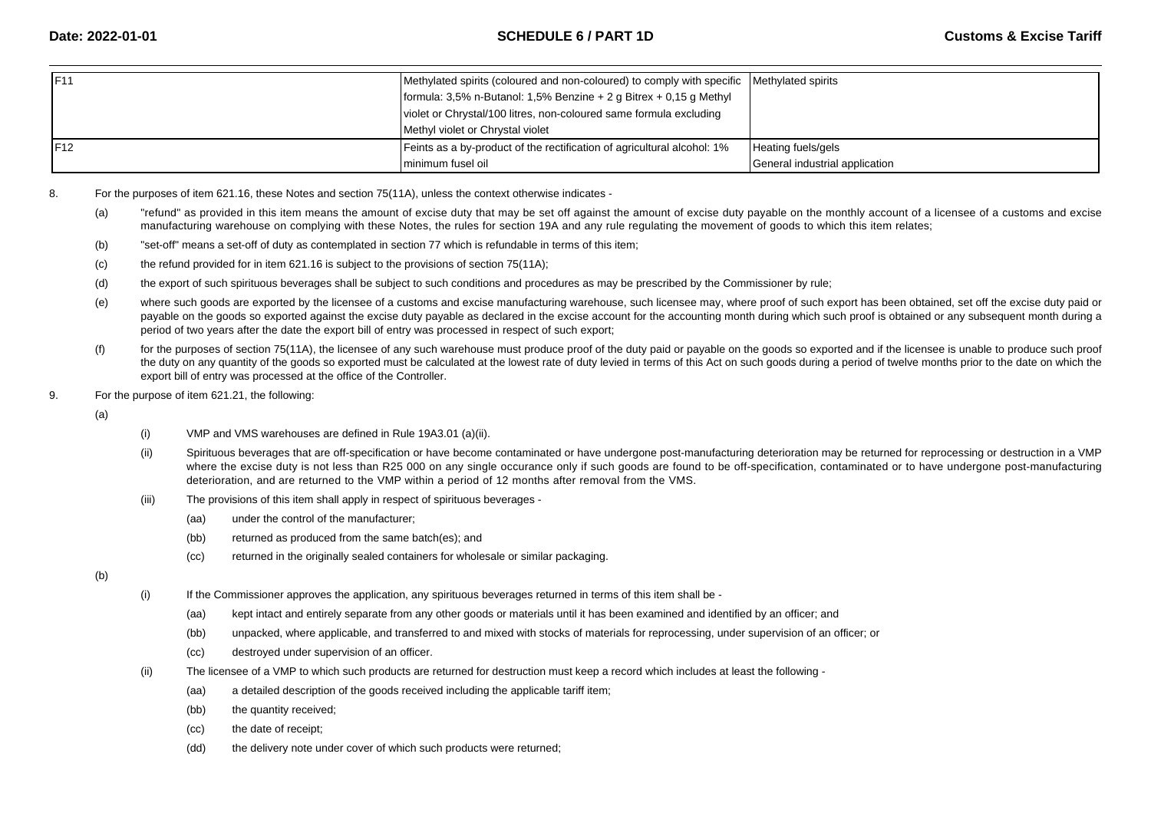| IF11 | Methylated spirits (coloured and non-coloured) to comply with specific Methylated spirits |                                |
|------|-------------------------------------------------------------------------------------------|--------------------------------|
|      | formula: $3,5\%$ n-Butanol: 1,5% Benzine + 2 g Bitrex + 0,15 g Methyl                     |                                |
|      | violet or Chrystal/100 litres, non-coloured same formula excluding                        |                                |
|      | Methyl violet or Chrystal violet                                                          |                                |
| IF12 | Feints as a by-product of the rectification of agricultural alcohol: 1%                   | Heating fuels/gels             |
|      | I minimum fusel oil                                                                       | General industrial application |

- 8. For the purposes of item 621.16, these Notes and section 75(11A), unless the context otherwise indicates -
	- (a) "refund" as provided in this item means the amount of excise duty that may be set off against the amount of excise duty payable on the monthly account of a licensee of a customs and excisemanufacturing warehouse on complying with these Notes, the rules for section 19A and any rule regulating the movement of goods to which this item relates;
	- (b)"set-off" means a set-off of duty as contemplated in section 77 which is refundable in terms of this item;
	- (c)the refund provided for in item 621.16 is subject to the provisions of section 75(11A);
	- (d)the export of such spirituous beverages shall be subject to such conditions and procedures as may be prescribed by the Commissioner by rule;
	- (e)where such goods are exported by the licensee of a customs and excise manufacturing warehouse, such licensee may, where proof of such export has been obtained, set off the excise duty paid or payable on the goods so exported against the excise duty payable as declared in the excise account for the accounting month during which such proof is obtained or any subsequent month during a period of two years after the date the export bill of entry was processed in respect of such export;
	- (f)for the purposes of section 75(11A), the licensee of any such warehouse must produce proof of the duty paid or payable on the goods so exported and if the licensee is unable to produce such proof the duty on any quantity of the goods so exported must be calculated at the lowest rate of duty levied in terms of this Act on such goods during a period of twelve months prior to the date on which the export bill of entry was processed at the office of the Controller.
- 9.For the purpose of item 621.21, the following:

(a)

- (i)VMP and VMS warehouses are defined in Rule 19A3.01 (a)(ii).
- (ii)Spirituous beverages that are off-specification or have become contaminated or have undergone post-manufacturing deterioration may be returned for reprocessing or destruction in a VMP where the excise duty is not less than R25 000 on any single occurance only if such goods are found to be off-specification, contaminated or to have undergone post-manufacturingdeterioration, and are returned to the VMP within a period of 12 months after removal from the VMS.
- (iii) The provisions of this item shall apply in respect of spirituous beverages -
	- (aa)under the control of the manufacturer;
	- (bb)returned as produced from the same batch(es); and
	- (cc)returned in the originally sealed containers for wholesale or similar packaging.

- (i) If the Commissioner approves the application, any spirituous beverages returned in terms of this item shall be -
	- (aa)kept intact and entirely separate from any other goods or materials until it has been examined and identified by an officer; and
	- (bb)unpacked, where applicable, and transferred to and mixed with stocks of materials for reprocessing, under supervision of an officer; or
	- (cc)destroyed under supervision of an officer.
- (ii) The licensee of a VMP to which such products are returned for destruction must keep a record which includes at least the following -
	- (aa)a detailed description of the goods received including the applicable tariff item;
	- (bb)the quantity received;
	- (cc)the date of receipt;
	- (dd)the delivery note under cover of which such products were returned;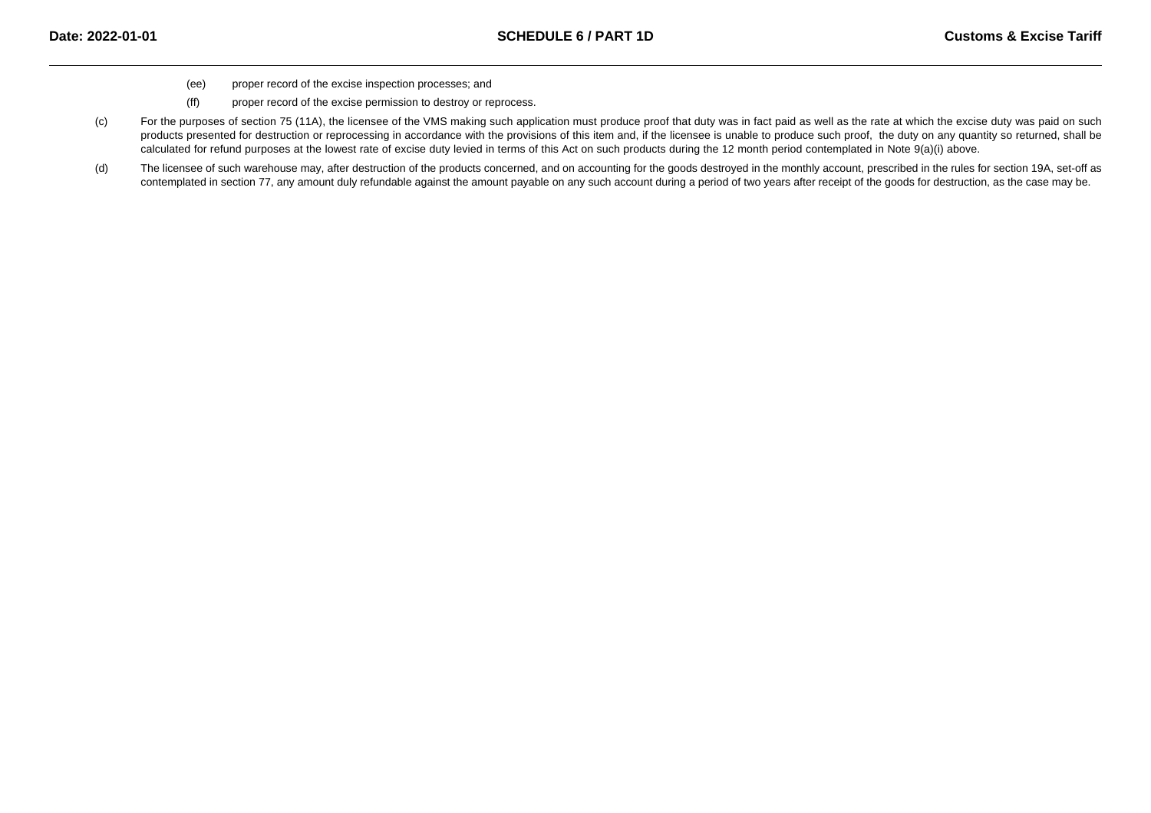- (ee)proper record of the excise inspection processes; and
- (ff)proper record of the excise permission to destroy or reprocess.
- (c)For the purposes of section 75 (11A), the licensee of the VMS making such application must produce proof that duty was in fact paid as well as the rate at which the excise duty was paid on such products presented for destruction or reprocessing in accordance with the provisions of this item and, if the licensee is unable to produce such proof, the duty on any quantity so returned, shall be calculated for refund purposes at the lowest rate of excise duty levied in terms of this Act on such products during the 12 month period contemplated in Note 9(a)(i) above.
- (d)The licensee of such warehouse may, after destruction of the products concerned, and on accounting for the goods destroyed in the monthly account, prescribed in the rules for section 19A, set-off as contemplated in section 77, any amount duly refundable against the amount payable on any such account during a period of two years after receipt of the goods for destruction, as the case may be.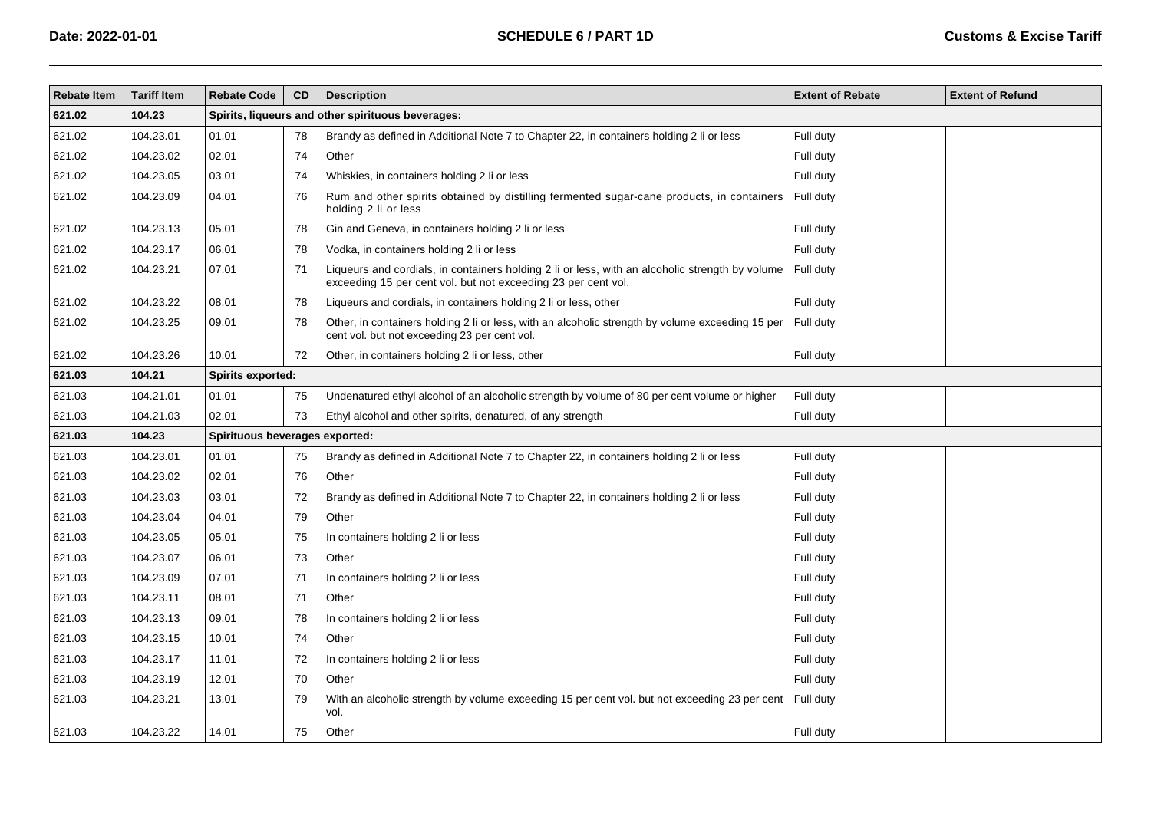| <b>Rebate Item</b> | <b>Tariff Item</b> | <b>Rebate Code</b>             | CD                                                | <b>Description</b>                                                                                                                                               | <b>Extent of Rebate</b> | <b>Extent of Refund</b> |  |  |  |  |  |
|--------------------|--------------------|--------------------------------|---------------------------------------------------|------------------------------------------------------------------------------------------------------------------------------------------------------------------|-------------------------|-------------------------|--|--|--|--|--|
| 621.02             | 104.23             |                                | Spirits, liqueurs and other spirituous beverages: |                                                                                                                                                                  |                         |                         |  |  |  |  |  |
| 621.02             | 104.23.01          | 01.01                          | 78                                                | Brandy as defined in Additional Note 7 to Chapter 22, in containers holding 2 li or less                                                                         | Full duty               |                         |  |  |  |  |  |
| 621.02             | 104.23.02          | 02.01                          | 74                                                | Other                                                                                                                                                            | Full duty               |                         |  |  |  |  |  |
| 621.02             | 104.23.05          | 03.01                          | 74                                                | Whiskies, in containers holding 2 li or less                                                                                                                     | Full duty               |                         |  |  |  |  |  |
| 621.02             | 104.23.09          | 04.01                          | 76                                                | Rum and other spirits obtained by distilling fermented sugar-cane products, in containers<br>holding 2 li or less                                                | Full duty               |                         |  |  |  |  |  |
| 621.02             | 104.23.13          | 05.01                          | 78                                                | Gin and Geneva, in containers holding 2 li or less                                                                                                               | Full duty               |                         |  |  |  |  |  |
| 621.02             | 104.23.17          | 06.01                          | 78                                                | Vodka, in containers holding 2 li or less                                                                                                                        | Full duty               |                         |  |  |  |  |  |
| 621.02             | 104.23.21          | 07.01                          | 71                                                | Liqueurs and cordials, in containers holding 2 li or less, with an alcoholic strength by volume<br>exceeding 15 per cent vol. but not exceeding 23 per cent vol. | Full duty               |                         |  |  |  |  |  |
| 621.02             | 104.23.22          | 08.01                          | 78                                                | Liqueurs and cordials, in containers holding 2 li or less, other                                                                                                 | Full duty               |                         |  |  |  |  |  |
| 621.02             | 104.23.25          | 09.01                          | 78                                                | Other, in containers holding 2 li or less, with an alcoholic strength by volume exceeding 15 per<br>cent vol. but not exceeding 23 per cent vol.                 | Full duty               |                         |  |  |  |  |  |
| 621.02             | 104.23.26          | 10.01                          | 72                                                | Other, in containers holding 2 li or less, other                                                                                                                 | Full duty               |                         |  |  |  |  |  |
| 621.03             | 104.21             | Spirits exported:              |                                                   |                                                                                                                                                                  |                         |                         |  |  |  |  |  |
| 621.03             | 104.21.01          | 01.01                          | 75                                                | Undenatured ethyl alcohol of an alcoholic strength by volume of 80 per cent volume or higher                                                                     | Full duty               |                         |  |  |  |  |  |
| 621.03             | 104.21.03          | 02.01                          | 73                                                | Ethyl alcohol and other spirits, denatured, of any strength                                                                                                      | Full duty               |                         |  |  |  |  |  |
| 621.03             | 104.23             | Spirituous beverages exported: |                                                   |                                                                                                                                                                  |                         |                         |  |  |  |  |  |
| 621.03             | 104.23.01          | 01.01                          | 75                                                | Brandy as defined in Additional Note 7 to Chapter 22, in containers holding 2 li or less                                                                         | Full duty               |                         |  |  |  |  |  |
| 621.03             | 104.23.02          | 02.01                          | 76                                                | Other                                                                                                                                                            | Full duty               |                         |  |  |  |  |  |
| 621.03             | 104.23.03          | 03.01                          | 72                                                | Brandy as defined in Additional Note 7 to Chapter 22, in containers holding 2 li or less                                                                         | Full duty               |                         |  |  |  |  |  |
| 621.03             | 104.23.04          | 04.01                          | 79                                                | Other                                                                                                                                                            | Full duty               |                         |  |  |  |  |  |
| 621.03             | 104.23.05          | 05.01                          | 75                                                | In containers holding 2 li or less                                                                                                                               | Full duty               |                         |  |  |  |  |  |
| 621.03             | 104.23.07          | 06.01                          | 73                                                | Other                                                                                                                                                            | Full duty               |                         |  |  |  |  |  |
| 621.03             | 104.23.09          | 07.01                          | 71                                                | In containers holding 2 li or less                                                                                                                               | Full duty               |                         |  |  |  |  |  |
| 621.03             | 104.23.11          | 08.01                          | 71                                                | Other                                                                                                                                                            | Full duty               |                         |  |  |  |  |  |
| 621.03             | 104.23.13          | 09.01                          | 78                                                | In containers holding 2 li or less                                                                                                                               | Full duty               |                         |  |  |  |  |  |
| 621.03             | 104.23.15          | 10.01                          | 74                                                | Other                                                                                                                                                            | Full duty               |                         |  |  |  |  |  |
| 621.03             | 104.23.17          | 11.01                          | 72                                                | In containers holding 2 li or less                                                                                                                               | Full duty               |                         |  |  |  |  |  |
| 621.03             | 104.23.19          | 12.01                          | 70                                                | Other                                                                                                                                                            | Full duty               |                         |  |  |  |  |  |
| 621.03             | 104.23.21          | 13.01                          | 79                                                | With an alcoholic strength by volume exceeding 15 per cent vol. but not exceeding 23 per cent<br>vol.                                                            | Full duty               |                         |  |  |  |  |  |
| 621.03             | 104.23.22          | 14.01                          | 75                                                | Other                                                                                                                                                            | Full duty               |                         |  |  |  |  |  |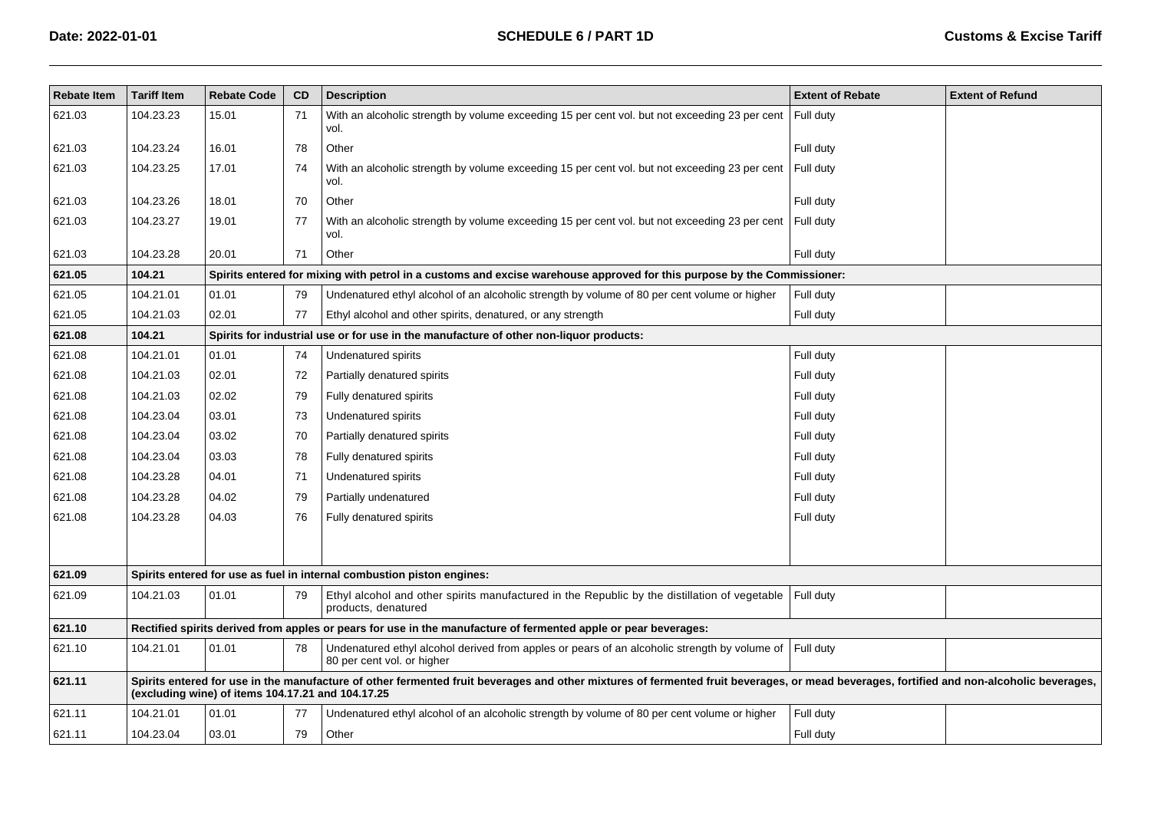| <b>Rebate Item</b> | <b>Tariff Item</b> | <b>Rebate Code</b>                                | CD. | <b>Description</b>                                                                                                                                                                       | <b>Extent of Rebate</b> | <b>Extent of Refund</b> |
|--------------------|--------------------|---------------------------------------------------|-----|------------------------------------------------------------------------------------------------------------------------------------------------------------------------------------------|-------------------------|-------------------------|
| 621.03             | 104.23.23          | 15.01                                             | 71  | With an alcoholic strength by volume exceeding 15 per cent vol. but not exceeding 23 per cent<br>vol.                                                                                    | Full duty               |                         |
| 621.03             | 104.23.24          | 16.01                                             | 78  | Other                                                                                                                                                                                    | Full duty               |                         |
| 621.03             | 104.23.25          | 17.01                                             | 74  | With an alcoholic strength by volume exceeding 15 per cent vol. but not exceeding 23 per cent<br>vol.                                                                                    | Full duty               |                         |
| 621.03             | 104.23.26          | 18.01                                             | 70  | Other                                                                                                                                                                                    | Full duty               |                         |
| 621.03             | 104.23.27          | 19.01                                             | 77  | With an alcoholic strength by volume exceeding 15 per cent vol. but not exceeding 23 per cent<br>vol.                                                                                    | Full duty               |                         |
| 621.03             | 104.23.28          | 20.01                                             | 71  | Other                                                                                                                                                                                    | Full duty               |                         |
| 621.05             | 104.21             |                                                   |     | Spirits entered for mixing with petrol in a customs and excise warehouse approved for this purpose by the Commissioner:                                                                  |                         |                         |
| 621.05             | 104.21.01          | 01.01                                             | 79  | Undenatured ethyl alcohol of an alcoholic strength by volume of 80 per cent volume or higher                                                                                             | Full duty               |                         |
| 621.05             | 104.21.03          | 02.01                                             | 77  | Ethyl alcohol and other spirits, denatured, or any strength                                                                                                                              | Full duty               |                         |
| 621.08             | 104.21             |                                                   |     | Spirits for industrial use or for use in the manufacture of other non-liquor products:                                                                                                   |                         |                         |
| 621.08             | 104.21.01          | 01.01                                             | 74  | Undenatured spirits                                                                                                                                                                      | Full duty               |                         |
| 621.08             | 104.21.03          | 02.01                                             | 72  | Partially denatured spirits                                                                                                                                                              | Full duty               |                         |
| 621.08             | 104.21.03          | 02.02                                             | 79  | Fully denatured spirits                                                                                                                                                                  | Full duty               |                         |
| 621.08             | 104.23.04          | 03.01                                             | 73  | Undenatured spirits                                                                                                                                                                      | Full duty               |                         |
| 621.08             | 104.23.04          | 03.02                                             | 70  | Partially denatured spirits                                                                                                                                                              | Full duty               |                         |
| 621.08             | 104.23.04          | 03.03                                             | 78  | Fully denatured spirits                                                                                                                                                                  | Full duty               |                         |
| 621.08             | 104.23.28          | 04.01                                             | 71  | Undenatured spirits                                                                                                                                                                      | Full duty               |                         |
| 621.08             | 104.23.28          | 04.02                                             | 79  | Partially undenatured                                                                                                                                                                    | Full duty               |                         |
| 621.08             | 104.23.28          | 04.03                                             | 76  | Fully denatured spirits                                                                                                                                                                  | Full duty               |                         |
|                    |                    |                                                   |     |                                                                                                                                                                                          |                         |                         |
| 621.09             |                    |                                                   |     | Spirits entered for use as fuel in internal combustion piston engines:                                                                                                                   |                         |                         |
| 621.09             | 104.21.03          | 01.01                                             | 79  | Ethyl alcohol and other spirits manufactured in the Republic by the distillation of vegetable<br>products, denatured                                                                     | Full duty               |                         |
| 621.10             |                    |                                                   |     | Rectified spirits derived from apples or pears for use in the manufacture of fermented apple or pear beverages:                                                                          |                         |                         |
| 621.10             | 104.21.01          | 01.01                                             | 78  | Undenatured ethyl alcohol derived from apples or pears of an alcoholic strength by volume of<br>80 per cent vol. or higher                                                               | Full duty               |                         |
| 621.11             |                    | (excluding wine) of items 104.17.21 and 104.17.25 |     | Spirits entered for use in the manufacture of other fermented fruit beverages and other mixtures of fermented fruit beverages, or mead beverages, fortified and non-alcoholic beverages, |                         |                         |
| 621.11             | 104.21.01          | 01.01                                             | 77  | Undenatured ethyl alcohol of an alcoholic strength by volume of 80 per cent volume or higher                                                                                             | Full duty               |                         |
| 621.11             | 104.23.04          | 03.01                                             | 79  | Other                                                                                                                                                                                    | Full duty               |                         |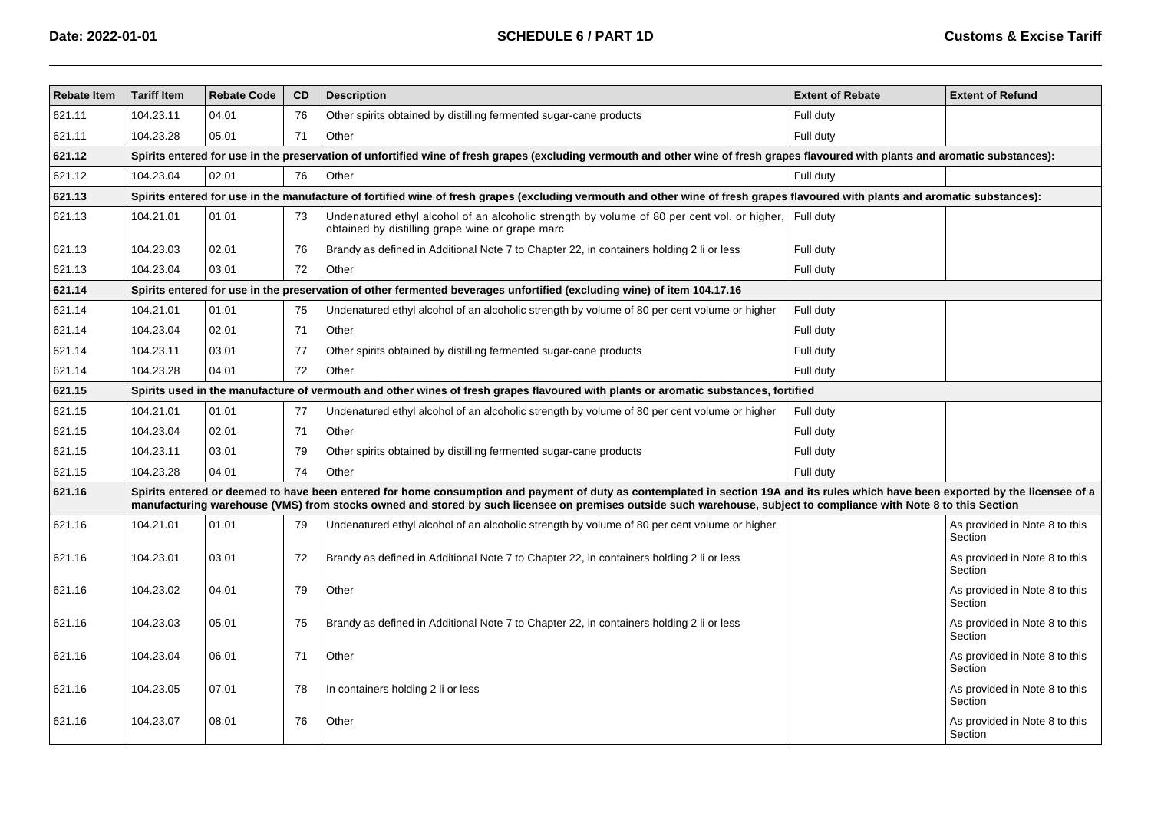| <b>Rebate Item</b> | <b>Tariff Item</b>                                                                                                                                                                 | <b>Rebate Code</b> | CD | <b>Description</b>                                                                                                                                                                                                                                                                                                                                      | <b>Extent of Rebate</b> | <b>Extent of Refund</b>                  |  |  |  |  |  |
|--------------------|------------------------------------------------------------------------------------------------------------------------------------------------------------------------------------|--------------------|----|---------------------------------------------------------------------------------------------------------------------------------------------------------------------------------------------------------------------------------------------------------------------------------------------------------------------------------------------------------|-------------------------|------------------------------------------|--|--|--|--|--|
| 621.11             | 104.23.11                                                                                                                                                                          | 04.01              | 76 | Other spirits obtained by distilling fermented sugar-cane products                                                                                                                                                                                                                                                                                      | Full duty               |                                          |  |  |  |  |  |
| 621.11             | 104.23.28                                                                                                                                                                          | 05.01              | 71 | Other                                                                                                                                                                                                                                                                                                                                                   | Full duty               |                                          |  |  |  |  |  |
| 621.12             | Spirits entered for use in the preservation of unfortified wine of fresh grapes (excluding vermouth and other wine of fresh grapes flavoured with plants and aromatic substances): |                    |    |                                                                                                                                                                                                                                                                                                                                                         |                         |                                          |  |  |  |  |  |
| 621.12             | 104.23.04                                                                                                                                                                          | 02.01              | 76 | Other                                                                                                                                                                                                                                                                                                                                                   | Full duty               |                                          |  |  |  |  |  |
| 621.13             |                                                                                                                                                                                    |                    |    | Spirits entered for use in the manufacture of fortified wine of fresh grapes (excluding vermouth and other wine of fresh grapes flavoured with plants and aromatic substances):                                                                                                                                                                         |                         |                                          |  |  |  |  |  |
| 621.13             | 104.21.01                                                                                                                                                                          | 01.01              | 73 | Undenatured ethyl alcohol of an alcoholic strength by volume of 80 per cent vol. or higher,<br>obtained by distilling grape wine or grape marc                                                                                                                                                                                                          | Full duty               |                                          |  |  |  |  |  |
| 621.13             | 104.23.03                                                                                                                                                                          | 02.01              | 76 | Brandy as defined in Additional Note 7 to Chapter 22, in containers holding 2 li or less                                                                                                                                                                                                                                                                | Full duty               |                                          |  |  |  |  |  |
| 621.13             | 104.23.04                                                                                                                                                                          | 03.01              | 72 | Other                                                                                                                                                                                                                                                                                                                                                   | Full duty               |                                          |  |  |  |  |  |
| 621.14             |                                                                                                                                                                                    |                    |    | Spirits entered for use in the preservation of other fermented beverages unfortified (excluding wine) of item 104.17.16                                                                                                                                                                                                                                 |                         |                                          |  |  |  |  |  |
| 621.14             | 104.21.01                                                                                                                                                                          | 01.01              | 75 | Undenatured ethyl alcohol of an alcoholic strength by volume of 80 per cent volume or higher                                                                                                                                                                                                                                                            | Full duty               |                                          |  |  |  |  |  |
| 621.14             | 104.23.04                                                                                                                                                                          | 02.01              | 71 | Other                                                                                                                                                                                                                                                                                                                                                   | Full duty               |                                          |  |  |  |  |  |
| 621.14             | 104.23.11                                                                                                                                                                          | 03.01              | 77 | Other spirits obtained by distilling fermented sugar-cane products                                                                                                                                                                                                                                                                                      | Full duty               |                                          |  |  |  |  |  |
| 621.14             | 104.23.28                                                                                                                                                                          | 04.01              | 72 | Other                                                                                                                                                                                                                                                                                                                                                   | Full duty               |                                          |  |  |  |  |  |
| 621.15             |                                                                                                                                                                                    |                    |    | Spirits used in the manufacture of vermouth and other wines of fresh grapes flavoured with plants or aromatic substances, fortified                                                                                                                                                                                                                     |                         |                                          |  |  |  |  |  |
| 621.15             | 104.21.01                                                                                                                                                                          | 01.01              | 77 | Undenatured ethyl alcohol of an alcoholic strength by volume of 80 per cent volume or higher                                                                                                                                                                                                                                                            | Full duty               |                                          |  |  |  |  |  |
| 621.15             | 104.23.04                                                                                                                                                                          | 02.01              | 71 | Other                                                                                                                                                                                                                                                                                                                                                   | Full duty               |                                          |  |  |  |  |  |
| 621.15             | 104.23.11                                                                                                                                                                          | 03.01              | 79 | Other spirits obtained by distilling fermented sugar-cane products                                                                                                                                                                                                                                                                                      | Full duty               |                                          |  |  |  |  |  |
| 621.15             | 104.23.28                                                                                                                                                                          | 04.01              | 74 | Other                                                                                                                                                                                                                                                                                                                                                   | Full duty               |                                          |  |  |  |  |  |
| 621.16             |                                                                                                                                                                                    |                    |    | Spirits entered or deemed to have been entered for home consumption and payment of duty as contemplated in section 19A and its rules which have been exported by the licensee of a<br>manufacturing warehouse (VMS) from stocks owned and stored by such licensee on premises outside such warehouse, subject to compliance with Note 8 to this Section |                         |                                          |  |  |  |  |  |
| 621.16             | 104.21.01                                                                                                                                                                          | 01.01              | 79 | Undenatured ethyl alcohol of an alcoholic strength by volume of 80 per cent volume or higher                                                                                                                                                                                                                                                            |                         | As provided in Note 8 to this<br>Section |  |  |  |  |  |
| 621.16             | 104.23.01                                                                                                                                                                          | 03.01              | 72 | Brandy as defined in Additional Note 7 to Chapter 22, in containers holding 2 li or less                                                                                                                                                                                                                                                                |                         | As provided in Note 8 to this<br>Section |  |  |  |  |  |
| 621.16             | 104.23.02                                                                                                                                                                          | 04.01              | 79 | Other                                                                                                                                                                                                                                                                                                                                                   |                         | As provided in Note 8 to this<br>Section |  |  |  |  |  |
| 621.16             | 104.23.03                                                                                                                                                                          | 05.01              | 75 | Brandy as defined in Additional Note 7 to Chapter 22, in containers holding 2 li or less                                                                                                                                                                                                                                                                |                         | As provided in Note 8 to this<br>Section |  |  |  |  |  |
| 621.16             | 104.23.04                                                                                                                                                                          | 06.01              | 71 | Other                                                                                                                                                                                                                                                                                                                                                   |                         | As provided in Note 8 to this<br>Section |  |  |  |  |  |
| 621.16             | 104.23.05                                                                                                                                                                          | 07.01              | 78 | In containers holding 2 li or less                                                                                                                                                                                                                                                                                                                      |                         | As provided in Note 8 to this<br>Section |  |  |  |  |  |
| 621.16             | 104.23.07                                                                                                                                                                          | 08.01              | 76 | Other                                                                                                                                                                                                                                                                                                                                                   |                         | As provided in Note 8 to this<br>Section |  |  |  |  |  |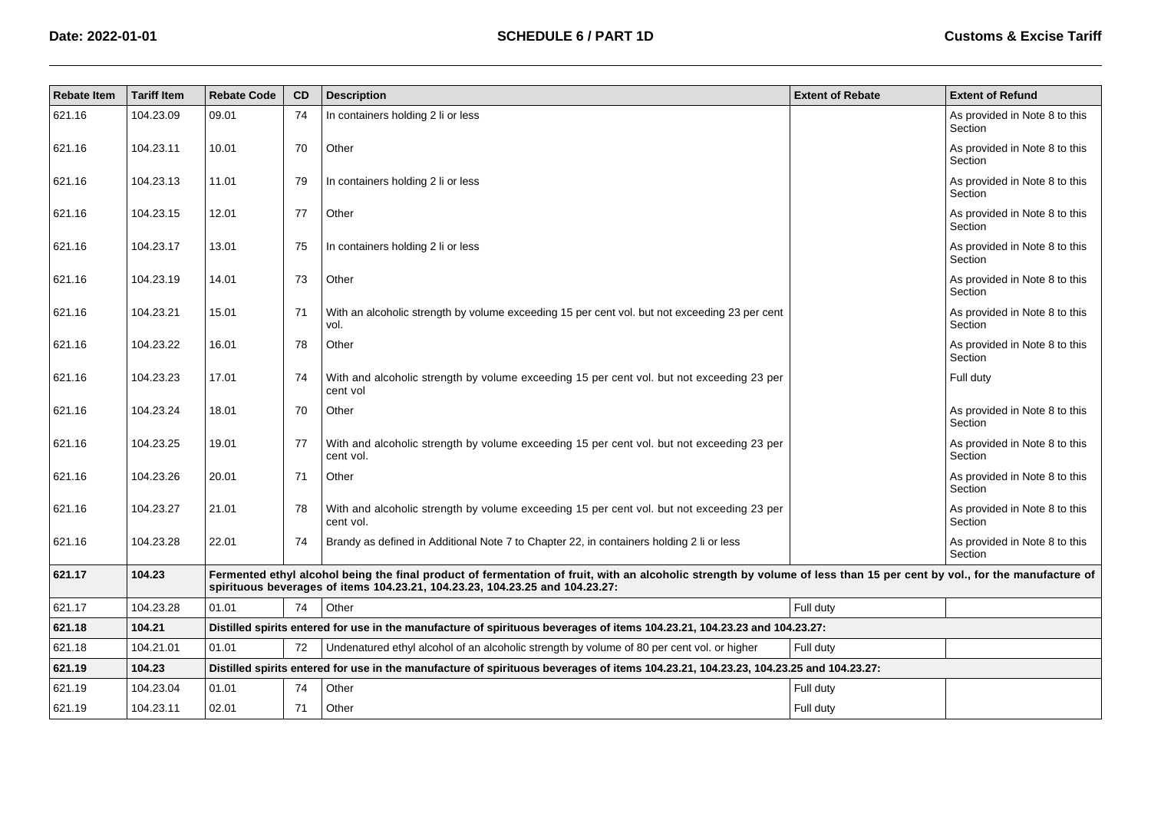| <b>Rebate Item</b> | <b>Tariff Item</b> | <b>Rebate Code</b> | CD | <b>Description</b>                                                                                                                                                                                                                                      | <b>Extent of Rebate</b> | <b>Extent of Refund</b>                  |
|--------------------|--------------------|--------------------|----|---------------------------------------------------------------------------------------------------------------------------------------------------------------------------------------------------------------------------------------------------------|-------------------------|------------------------------------------|
| 621.16             | 104.23.09          | 09.01              | 74 | In containers holding 2 li or less                                                                                                                                                                                                                      |                         | As provided in Note 8 to this<br>Section |
| 621.16             | 104.23.11          | 10.01              | 70 | Other                                                                                                                                                                                                                                                   |                         | As provided in Note 8 to this<br>Section |
| 621.16             | 104.23.13          | 11.01              | 79 | In containers holding 2 li or less                                                                                                                                                                                                                      |                         | As provided in Note 8 to this<br>Section |
| 621.16             | 104.23.15          | 12.01              | 77 | Other                                                                                                                                                                                                                                                   |                         | As provided in Note 8 to this<br>Section |
| 621.16             | 104.23.17          | 13.01              | 75 | In containers holding 2 li or less                                                                                                                                                                                                                      |                         | As provided in Note 8 to this<br>Section |
| 621.16             | 104.23.19          | 14.01              | 73 | Other                                                                                                                                                                                                                                                   |                         | As provided in Note 8 to this<br>Section |
| 621.16             | 104.23.21          | 15.01              | 71 | With an alcoholic strength by volume exceeding 15 per cent vol. but not exceeding 23 per cent<br>vol.                                                                                                                                                   |                         | As provided in Note 8 to this<br>Section |
| 621.16             | 104.23.22          | 16.01              | 78 | Other                                                                                                                                                                                                                                                   |                         | As provided in Note 8 to this<br>Section |
| 621.16             | 104.23.23          | 17.01              | 74 | With and alcoholic strength by volume exceeding 15 per cent vol. but not exceeding 23 per<br>cent vol                                                                                                                                                   |                         | Full duty                                |
| 621.16             | 104.23.24          | 18.01              | 70 | Other                                                                                                                                                                                                                                                   |                         | As provided in Note 8 to this<br>Section |
| 621.16             | 104.23.25          | 19.01              | 77 | With and alcoholic strength by volume exceeding 15 per cent vol. but not exceeding 23 per<br>cent vol.                                                                                                                                                  |                         | As provided in Note 8 to this<br>Section |
| 621.16             | 104.23.26          | 20.01              | 71 | Other                                                                                                                                                                                                                                                   |                         | As provided in Note 8 to this<br>Section |
| 621.16             | 104.23.27          | 21.01              | 78 | With and alcoholic strength by volume exceeding 15 per cent vol. but not exceeding 23 per<br>cent vol.                                                                                                                                                  |                         | As provided in Note 8 to this<br>Section |
| 621.16             | 104.23.28          | 22.01              | 74 | Brandy as defined in Additional Note 7 to Chapter 22, in containers holding 2 li or less                                                                                                                                                                |                         | As provided in Note 8 to this<br>Section |
| 621.17             | 104.23             |                    |    | Fermented ethyl alcohol being the final product of fermentation of fruit, with an alcoholic strength by volume of less than 15 per cent by vol., for the manufacture of<br>spirituous beverages of items 104.23.21, 104.23.23, 104.23.25 and 104.23.27: |                         |                                          |
| 621.17             | 104.23.28          | 01.01              | 74 | Other                                                                                                                                                                                                                                                   | Full duty               |                                          |
| 621.18             | 104.21             |                    |    | Distilled spirits entered for use in the manufacture of spirituous beverages of items 104.23.21, 104.23.23 and 104.23.27:                                                                                                                               |                         |                                          |
| 621.18             | 104.21.01          | 01.01              | 72 | Undenatured ethyl alcohol of an alcoholic strength by volume of 80 per cent vol. or higher                                                                                                                                                              | Full duty               |                                          |
| 621.19             | 104.23             |                    |    | Distilled spirits entered for use in the manufacture of spirituous beverages of items 104.23.21, 104.23.23, 104.23.25 and 104.23.27:                                                                                                                    |                         |                                          |
| 621.19             | 104.23.04          | 01.01              | 74 | Other                                                                                                                                                                                                                                                   | Full duty               |                                          |
| 621.19             | 104.23.11          | 02.01              | 71 | Other                                                                                                                                                                                                                                                   | Full duty               |                                          |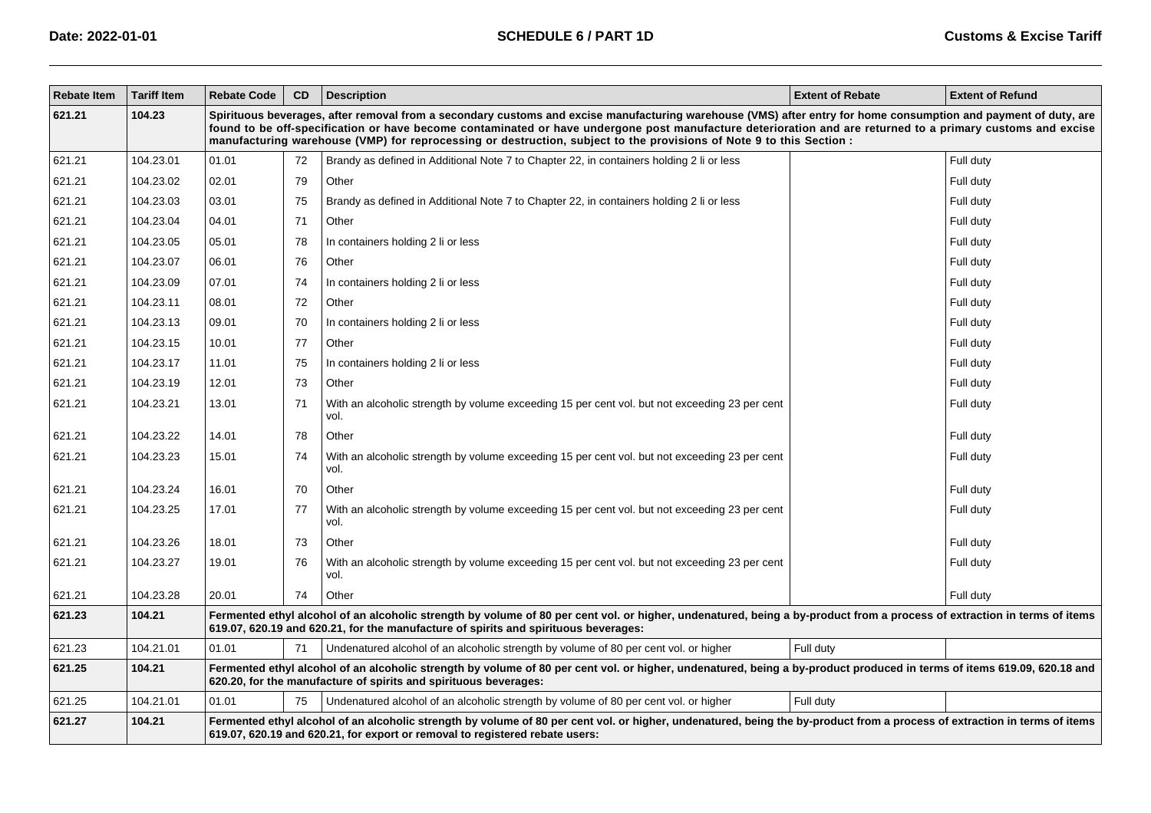| <b>Rebate Item</b> | <b>Tariff Item</b> | <b>Rebate Code</b> | CD                                                                                                                                                                                                                                                                                                                                                                                                                                                     | <b>Description</b>                                                                                                                                                                                                                                              | <b>Extent of Rebate</b> | <b>Extent of Refund</b> |  |  |  |  |  |
|--------------------|--------------------|--------------------|--------------------------------------------------------------------------------------------------------------------------------------------------------------------------------------------------------------------------------------------------------------------------------------------------------------------------------------------------------------------------------------------------------------------------------------------------------|-----------------------------------------------------------------------------------------------------------------------------------------------------------------------------------------------------------------------------------------------------------------|-------------------------|-------------------------|--|--|--|--|--|
| 621.21             | 104.23             |                    | Spirituous beverages, after removal from a secondary customs and excise manufacturing warehouse (VMS) after entry for home consumption and payment of duty, are<br>found to be off-specification or have become contaminated or have undergone post manufacture deterioration and are returned to a primary customs and excise<br>manufacturing warehouse (VMP) for reprocessing or destruction, subject to the provisions of Note 9 to this Section : |                                                                                                                                                                                                                                                                 |                         |                         |  |  |  |  |  |
| 621.21             | 104.23.01          | 01.01              | 72                                                                                                                                                                                                                                                                                                                                                                                                                                                     | Brandy as defined in Additional Note 7 to Chapter 22, in containers holding 2 li or less                                                                                                                                                                        |                         | Full duty               |  |  |  |  |  |
| 621.21             | 104.23.02          | 02.01              | 79                                                                                                                                                                                                                                                                                                                                                                                                                                                     | Other                                                                                                                                                                                                                                                           |                         | Full duty               |  |  |  |  |  |
| 621.21             | 104.23.03          | 03.01              | 75                                                                                                                                                                                                                                                                                                                                                                                                                                                     | Brandy as defined in Additional Note 7 to Chapter 22, in containers holding 2 li or less                                                                                                                                                                        |                         | Full duty               |  |  |  |  |  |
| 621.21             | 104.23.04          | 04.01              | 71                                                                                                                                                                                                                                                                                                                                                                                                                                                     | Other                                                                                                                                                                                                                                                           |                         | Full duty               |  |  |  |  |  |
| 621.21             | 104.23.05          | 05.01              | 78                                                                                                                                                                                                                                                                                                                                                                                                                                                     | In containers holding 2 li or less                                                                                                                                                                                                                              |                         | Full duty               |  |  |  |  |  |
| 621.21             | 104.23.07          | 06.01              | 76                                                                                                                                                                                                                                                                                                                                                                                                                                                     | Other                                                                                                                                                                                                                                                           |                         | Full duty               |  |  |  |  |  |
| 621.21             | 104.23.09          | 07.01              | 74                                                                                                                                                                                                                                                                                                                                                                                                                                                     | In containers holding 2 li or less                                                                                                                                                                                                                              |                         | Full duty               |  |  |  |  |  |
| 621.21             | 104.23.11          | 08.01              | 72                                                                                                                                                                                                                                                                                                                                                                                                                                                     | Other                                                                                                                                                                                                                                                           |                         | Full duty               |  |  |  |  |  |
| 621.21             | 104.23.13          | 09.01              | 70                                                                                                                                                                                                                                                                                                                                                                                                                                                     | In containers holding 2 li or less                                                                                                                                                                                                                              |                         | Full duty               |  |  |  |  |  |
| 621.21             | 104.23.15          | 10.01              | 77                                                                                                                                                                                                                                                                                                                                                                                                                                                     | Other                                                                                                                                                                                                                                                           |                         | Full duty               |  |  |  |  |  |
| 621.21             | 104.23.17          | 11.01              | 75                                                                                                                                                                                                                                                                                                                                                                                                                                                     | In containers holding 2 li or less                                                                                                                                                                                                                              |                         | Full duty               |  |  |  |  |  |
| 621.21             | 104.23.19          | 12.01              | 73                                                                                                                                                                                                                                                                                                                                                                                                                                                     | Other                                                                                                                                                                                                                                                           |                         | Full duty               |  |  |  |  |  |
| 621.21             | 104.23.21          | 13.01              | 71                                                                                                                                                                                                                                                                                                                                                                                                                                                     | With an alcoholic strength by volume exceeding 15 per cent vol. but not exceeding 23 per cent<br>vol.                                                                                                                                                           |                         | Full duty               |  |  |  |  |  |
| 621.21             | 104.23.22          | 14.01              | 78                                                                                                                                                                                                                                                                                                                                                                                                                                                     | Other                                                                                                                                                                                                                                                           |                         | Full duty               |  |  |  |  |  |
| 621.21             | 104.23.23          | 15.01              | 74                                                                                                                                                                                                                                                                                                                                                                                                                                                     | With an alcoholic strength by volume exceeding 15 per cent vol. but not exceeding 23 per cent<br>vol.                                                                                                                                                           |                         | Full duty               |  |  |  |  |  |
| 621.21             | 104.23.24          | 16.01              | 70                                                                                                                                                                                                                                                                                                                                                                                                                                                     | Other                                                                                                                                                                                                                                                           |                         | Full duty               |  |  |  |  |  |
| 621.21             | 104.23.25          | 17.01              | 77                                                                                                                                                                                                                                                                                                                                                                                                                                                     | With an alcoholic strength by volume exceeding 15 per cent vol. but not exceeding 23 per cent<br>vol.                                                                                                                                                           |                         | Full duty               |  |  |  |  |  |
| 621.21             | 104.23.26          | 18.01              | 73                                                                                                                                                                                                                                                                                                                                                                                                                                                     | Other                                                                                                                                                                                                                                                           |                         | Full duty               |  |  |  |  |  |
| 621.21             | 104.23.27          | 19.01              | 76                                                                                                                                                                                                                                                                                                                                                                                                                                                     | With an alcoholic strength by volume exceeding 15 per cent vol. but not exceeding 23 per cent<br>vol.                                                                                                                                                           |                         | Full duty               |  |  |  |  |  |
| 621.21             | 104.23.28          | 20.01              | 74                                                                                                                                                                                                                                                                                                                                                                                                                                                     | Other                                                                                                                                                                                                                                                           |                         | Full duty               |  |  |  |  |  |
| 621.23             | 104.21             |                    |                                                                                                                                                                                                                                                                                                                                                                                                                                                        | Fermented ethyl alcohol of an alcoholic strength by volume of 80 per cent vol. or higher, undenatured, being a by-product from a process of extraction in terms of items<br>619.07, 620.19 and 620.21, for the manufacture of spirits and spirituous beverages: |                         |                         |  |  |  |  |  |
| 621.23             | 104.21.01          | 01.01              | 71                                                                                                                                                                                                                                                                                                                                                                                                                                                     | Undenatured alcohol of an alcoholic strength by volume of 80 per cent vol. or higher                                                                                                                                                                            | Full duty               |                         |  |  |  |  |  |
| 621.25             | 104.21             |                    | Fermented ethyl alcohol of an alcoholic strength by volume of 80 per cent vol. or higher, undenatured, being a by-product produced in terms of items 619.09, 620.18 and<br>620.20, for the manufacture of spirits and spirituous beverages:                                                                                                                                                                                                            |                                                                                                                                                                                                                                                                 |                         |                         |  |  |  |  |  |
| 621.25             | 104.21.01          | 01.01              | 75                                                                                                                                                                                                                                                                                                                                                                                                                                                     | Undenatured alcohol of an alcoholic strength by volume of 80 per cent vol. or higher                                                                                                                                                                            | Full duty               |                         |  |  |  |  |  |
| 621.27             | 104.21             |                    | Fermented ethyl alcohol of an alcoholic strength by volume of 80 per cent vol. or higher, undenatured, being the by-product from a process of extraction in terms of items<br>619.07, 620.19 and 620.21, for export or removal to registered rebate users:                                                                                                                                                                                             |                                                                                                                                                                                                                                                                 |                         |                         |  |  |  |  |  |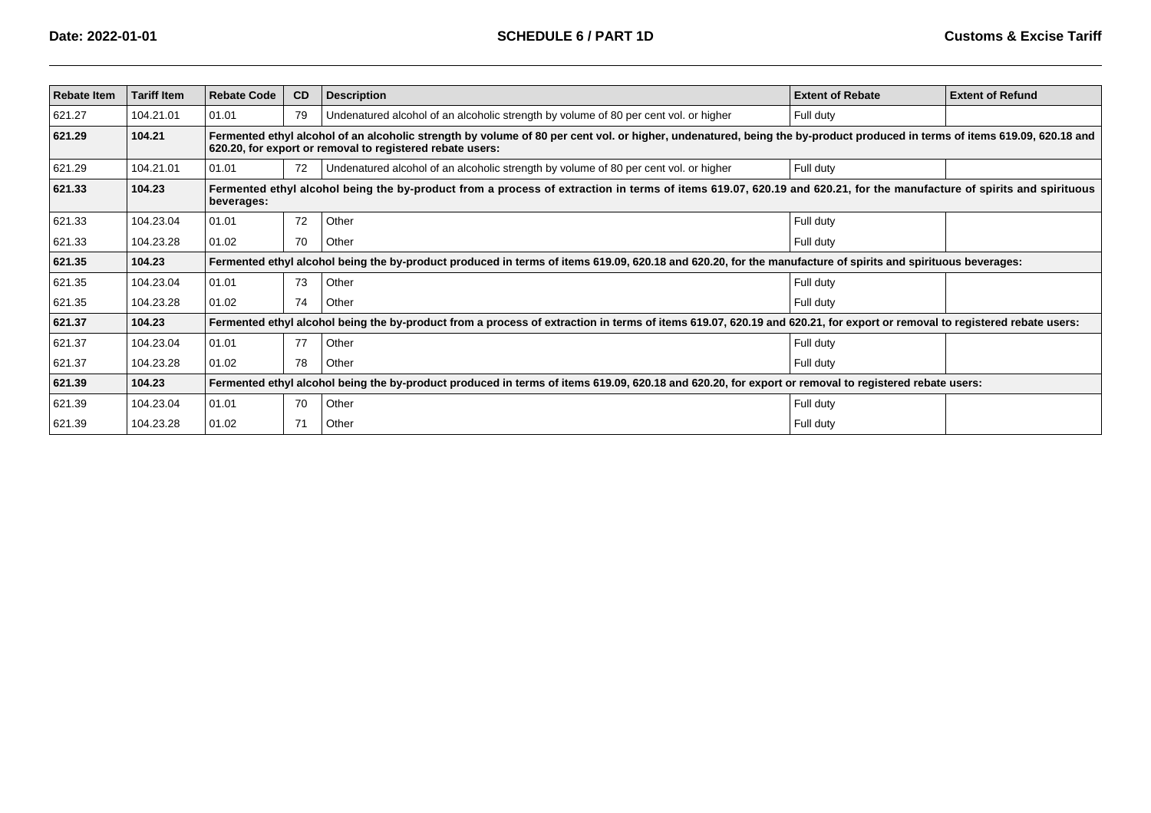| <b>Rebate Item</b> | <b>Tariff Item</b> | <b>Rebate Code</b> | CD | <b>Description</b>                                                                                                                                                                                                                     | <b>Extent of Rebate</b> | <b>Extent of Refund</b> |
|--------------------|--------------------|--------------------|----|----------------------------------------------------------------------------------------------------------------------------------------------------------------------------------------------------------------------------------------|-------------------------|-------------------------|
| 621.27             | 104.21.01          | 01.01              | 79 | Undenatured alcohol of an alcoholic strength by volume of 80 per cent vol. or higher                                                                                                                                                   | Full duty               |                         |
| 621.29             | 104.21             |                    |    | Fermented ethyl alcohol of an alcoholic strength by volume of 80 per cent vol. or higher, undenatured, being the by-product produced in terms of items 619.09, 620.18 and<br>620.20, for export or removal to registered rebate users: |                         |                         |
| 621.29             | 104.21.01          | 01.01              | 72 | Undenatured alcohol of an alcoholic strength by volume of 80 per cent vol. or higher                                                                                                                                                   | Full duty               |                         |
| 621.33             | 104.23             | beverages:         |    | Fermented ethyl alcohol being the by-product from a process of extraction in terms of items 619.07, 620.19 and 620.21, for the manufacture of spirits and spirituous                                                                   |                         |                         |
| 621.33             | 104.23.04          | 01.01              | 72 | Other                                                                                                                                                                                                                                  | Full duty               |                         |
| 621.33             | 104.23.28          | 01.02              | 70 | Other                                                                                                                                                                                                                                  | Full duty               |                         |
| 621.35             | 104.23             |                    |    | Fermented ethyl alcohol being the by-product produced in terms of items 619.09, 620.18 and 620.20, for the manufacture of spirits and spirituous beverages:                                                                            |                         |                         |
| 621.35             | 104.23.04          | 01.01              | 73 | Other                                                                                                                                                                                                                                  | Full duty               |                         |
| 621.35             | 104.23.28          | 01.02              | 74 | Other                                                                                                                                                                                                                                  | Full duty               |                         |
| 621.37             | 104.23             |                    |    | Fermented ethyl alcohol being the by-product from a process of extraction in terms of items 619.07, 620.19 and 620.21, for export or removal to registered rebate users:                                                               |                         |                         |
| 621.37             | 104.23.04          | 01.01              | 77 | Other                                                                                                                                                                                                                                  | Full duty               |                         |
| 621.37             | 104.23.28          | 01.02              | 78 | Other                                                                                                                                                                                                                                  | Full duty               |                         |
| 621.39             | 104.23             |                    |    | Fermented ethyl alcohol being the by-product produced in terms of items 619.09, 620.18 and 620.20, for export or removal to registered rebate users:                                                                                   |                         |                         |
| 621.39             | 104.23.04          | 01.01              | 70 | Other                                                                                                                                                                                                                                  | Full duty               |                         |
| 621.39             | 104.23.28          | 01.02              | 71 | Other                                                                                                                                                                                                                                  | Full duty               |                         |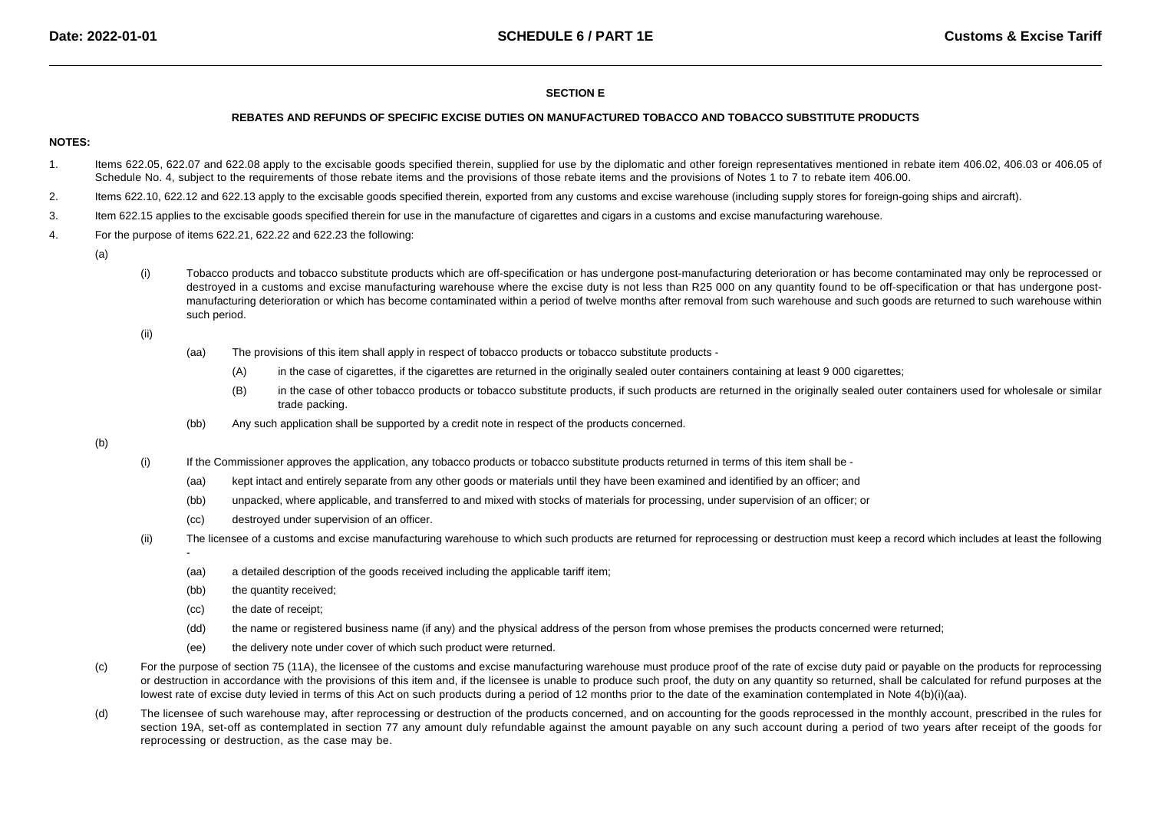# **SECTION E**

#### **REBATES AND REFUNDS OF SPECIFIC EXCISE DUTIES ON MANUFACTURED TOBACCO AND TOBACCO SUBSTITUTE PRODUCTS**

# **NOTES:**

- 1. Items 622.05, 622.07 and 622.08 apply to the excisable goods specified therein, supplied for use by the diplomatic and other foreign representatives mentioned in rebate item 406.02, 406.03 or 406.05 of Schedule No. 4, subject to the requirements of those rebate items and the provisions of those rebate items and the provisions of Notes 1 to 7 to rebate item 406.00.
- 2.Items 622.10, 622.12 and 622.13 apply to the excisable goods specified therein, exported from any customs and excise warehouse (including supply stores for foreign-going ships and aircraft).
- 3.Item 622.15 applies to the excisable goods specified therein for use in the manufacture of cigarettes and cigars in a customs and excise manufacturing warehouse.
- 4. For the purpose of items 622.21, 622.22 and 622.23 the following:
	- (a)
- (i) Tobacco products and tobacco substitute products which are off-specification or has undergone post-manufacturing deterioration or has become contaminated may only be reprocessed or destroyed in a customs and excise manufacturing warehouse where the excise duty is not less than R25 000 on any quantity found to be off-specification or that has undergone postmanufacturing deterioration or which has become contaminated within a period of twelve months after removal from such warehouse and such goods are returned to such warehouse withinsuch period.

(ii)

- (aa) The provisions of this item shall apply in respect of tobacco products or tobacco substitute products -
	- (A)in the case of cigarettes, if the cigarettes are returned in the originally sealed outer containers containing at least 9 000 cigarettes;
	- (B) in the case of other tobacco products or tobacco substitute products, if such products are returned in the originally sealed outer containers used for wholesale or similar trade packing.
- (bb)Any such application shall be supported by a credit note in respect of the products concerned.

- (i) If the Commissioner approves the application, any tobacco products or tobacco substitute products returned in terms of this item shall be -
	- (aa)kept intact and entirely separate from any other goods or materials until they have been examined and identified by an officer; and
	- (bb)unpacked, where applicable, and transferred to and mixed with stocks of materials for processing, under supervision of an officer; or
	- (cc)destroyed under supervision of an officer.
- (ii) The licensee of a customs and excise manufacturing warehouse to which such products are returned for reprocessing or destruction must keep a record which includes at least the following
	- -(aa)a detailed description of the goods received including the applicable tariff item;
	- (bb)the quantity received;
	- (cc)the date of receipt;
	- (dd)the name or registered business name (if any) and the physical address of the person from whose premises the products concerned were returned;
	- (ee)the delivery note under cover of which such product were returned.
- (c)For the purpose of section 75 (11A), the licensee of the customs and excise manufacturing warehouse must produce proof of the rate of excise duty paid or payable on the products for reprocessing or destruction in accordance with the provisions of this item and, if the licensee is unable to produce such proof, the duty on any quantity so returned, shall be calculated for refund purposes at the lowest rate of excise duty levied in terms of this Act on such products during a period of 12 months prior to the date of the examination contemplated in Note 4(b)(i)(aa).
- (d)The licensee of such warehouse may, after reprocessing or destruction of the products concerned, and on accounting for the goods reprocessed in the monthly account, prescribed in the rules for section 19A, set-off as contemplated in section 77 any amount duly refundable against the amount payable on any such account during a period of two years after receipt of the goods for reprocessing or destruction, as the case may be.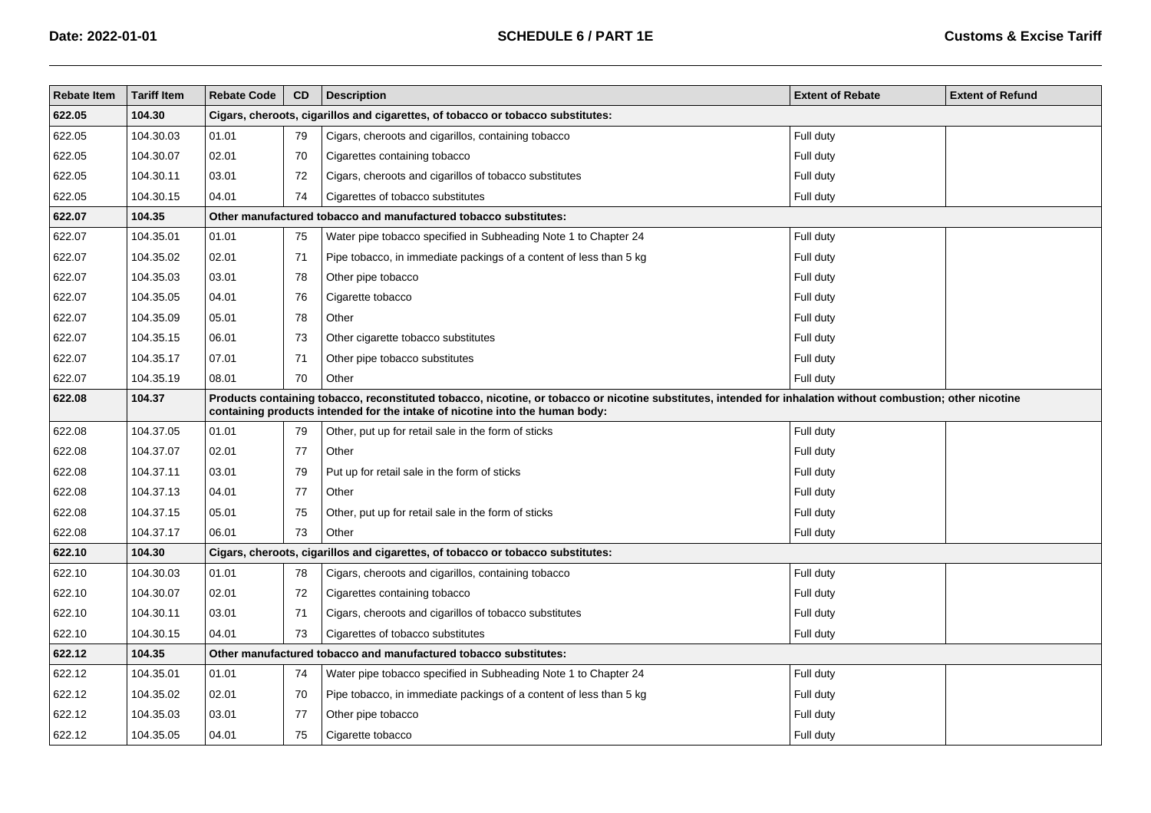| <b>Rebate Item</b> | <b>Tariff Item</b> | <b>Rebate Code</b> | CD                                                                                                                                                                                                                                           | <b>Description</b>                                                              | <b>Extent of Rebate</b> | <b>Extent of Refund</b> |  |  |  |  |  |
|--------------------|--------------------|--------------------|----------------------------------------------------------------------------------------------------------------------------------------------------------------------------------------------------------------------------------------------|---------------------------------------------------------------------------------|-------------------------|-------------------------|--|--|--|--|--|
| 622.05             | 104.30             |                    | Cigars, cheroots, cigarillos and cigarettes, of tobacco or tobacco substitutes:                                                                                                                                                              |                                                                                 |                         |                         |  |  |  |  |  |
| 622.05             | 104.30.03          | 01.01              | 79                                                                                                                                                                                                                                           | Cigars, cheroots and cigarillos, containing tobacco                             | Full duty               |                         |  |  |  |  |  |
| 622.05             | 104.30.07          | 02.01              | 70                                                                                                                                                                                                                                           | Cigarettes containing tobacco                                                   | Full duty               |                         |  |  |  |  |  |
| 622.05             | 104.30.11          | 03.01              | 72                                                                                                                                                                                                                                           | Cigars, cheroots and cigarillos of tobacco substitutes                          | Full duty               |                         |  |  |  |  |  |
| 622.05             | 104.30.15          | 04.01              | 74                                                                                                                                                                                                                                           | Cigarettes of tobacco substitutes                                               | Full duty               |                         |  |  |  |  |  |
| 622.07             | 104.35             |                    |                                                                                                                                                                                                                                              | Other manufactured tobacco and manufactured tobacco substitutes:                |                         |                         |  |  |  |  |  |
| 622.07             | 104.35.01          | 01.01              | 75                                                                                                                                                                                                                                           | Water pipe tobacco specified in Subheading Note 1 to Chapter 24                 | Full duty               |                         |  |  |  |  |  |
| 622.07             | 104.35.02          | 02.01              | 71                                                                                                                                                                                                                                           | Pipe tobacco, in immediate packings of a content of less than 5 kg              | Full duty               |                         |  |  |  |  |  |
| 622.07             | 104.35.03          | 03.01              | 78                                                                                                                                                                                                                                           | Other pipe tobacco                                                              | Full duty               |                         |  |  |  |  |  |
| 622.07             | 104.35.05          | 04.01              | 76                                                                                                                                                                                                                                           | Cigarette tobacco                                                               | Full duty               |                         |  |  |  |  |  |
| 622.07             | 104.35.09          | 05.01              | 78                                                                                                                                                                                                                                           | Other                                                                           | Full duty               |                         |  |  |  |  |  |
| 622.07             | 104.35.15          | 06.01              | 73                                                                                                                                                                                                                                           | Other cigarette tobacco substitutes                                             | Full duty               |                         |  |  |  |  |  |
| 622.07             | 104.35.17          | 07.01              | 71                                                                                                                                                                                                                                           | Other pipe tobacco substitutes                                                  | Full duty               |                         |  |  |  |  |  |
| 622.07             | 104.35.19          | 08.01              | 70                                                                                                                                                                                                                                           | Other                                                                           | Full duty               |                         |  |  |  |  |  |
| 622.08             | 104.37             |                    | Products containing tobacco, reconstituted tobacco, nicotine, or tobacco or nicotine substitutes, intended for inhalation without combustion; other nicotine<br>containing products intended for the intake of nicotine into the human body: |                                                                                 |                         |                         |  |  |  |  |  |
| 622.08             | 104.37.05          | 01.01              | 79                                                                                                                                                                                                                                           | Other, put up for retail sale in the form of sticks                             | Full duty               |                         |  |  |  |  |  |
| 622.08             | 104.37.07          | 02.01              | 77                                                                                                                                                                                                                                           | Other                                                                           | Full duty               |                         |  |  |  |  |  |
| 622.08             | 104.37.11          | 03.01              | 79                                                                                                                                                                                                                                           | Put up for retail sale in the form of sticks                                    | Full duty               |                         |  |  |  |  |  |
| 622.08             | 104.37.13          | 04.01              | 77                                                                                                                                                                                                                                           | Other                                                                           | Full duty               |                         |  |  |  |  |  |
| 622.08             | 104.37.15          | 05.01              | 75                                                                                                                                                                                                                                           | Other, put up for retail sale in the form of sticks                             | Full duty               |                         |  |  |  |  |  |
| 622.08             | 104.37.17          | 06.01              | 73                                                                                                                                                                                                                                           | Other                                                                           | Full duty               |                         |  |  |  |  |  |
| 622.10             | 104.30             |                    |                                                                                                                                                                                                                                              | Cigars, cheroots, cigarillos and cigarettes, of tobacco or tobacco substitutes: |                         |                         |  |  |  |  |  |
| 622.10             | 104.30.03          | 01.01              | 78                                                                                                                                                                                                                                           | Cigars, cheroots and cigarillos, containing tobacco                             | Full duty               |                         |  |  |  |  |  |
| 622.10             | 104.30.07          | 02.01              | 72                                                                                                                                                                                                                                           | Cigarettes containing tobacco                                                   | Full duty               |                         |  |  |  |  |  |
| 622.10             | 104.30.11          | 03.01              | 71                                                                                                                                                                                                                                           | Cigars, cheroots and cigarillos of tobacco substitutes                          | Full duty               |                         |  |  |  |  |  |
| 622.10             | 104.30.15          | 04.01              | 73                                                                                                                                                                                                                                           | Cigarettes of tobacco substitutes                                               | Full duty               |                         |  |  |  |  |  |
| 622.12             | 104.35             |                    |                                                                                                                                                                                                                                              | Other manufactured tobacco and manufactured tobacco substitutes:                |                         |                         |  |  |  |  |  |
| 622.12             | 104.35.01          | 01.01              | 74                                                                                                                                                                                                                                           | Water pipe tobacco specified in Subheading Note 1 to Chapter 24                 | Full duty               |                         |  |  |  |  |  |
| 622.12             | 104.35.02          | 02.01              | 70                                                                                                                                                                                                                                           | Pipe tobacco, in immediate packings of a content of less than 5 kg              | Full duty               |                         |  |  |  |  |  |
| 622.12             | 104.35.03          | 03.01              | 77                                                                                                                                                                                                                                           | Other pipe tobacco                                                              | Full duty               |                         |  |  |  |  |  |
| 622.12             | 104.35.05          | 04.01              | 75                                                                                                                                                                                                                                           | Cigarette tobacco                                                               | Full duty               |                         |  |  |  |  |  |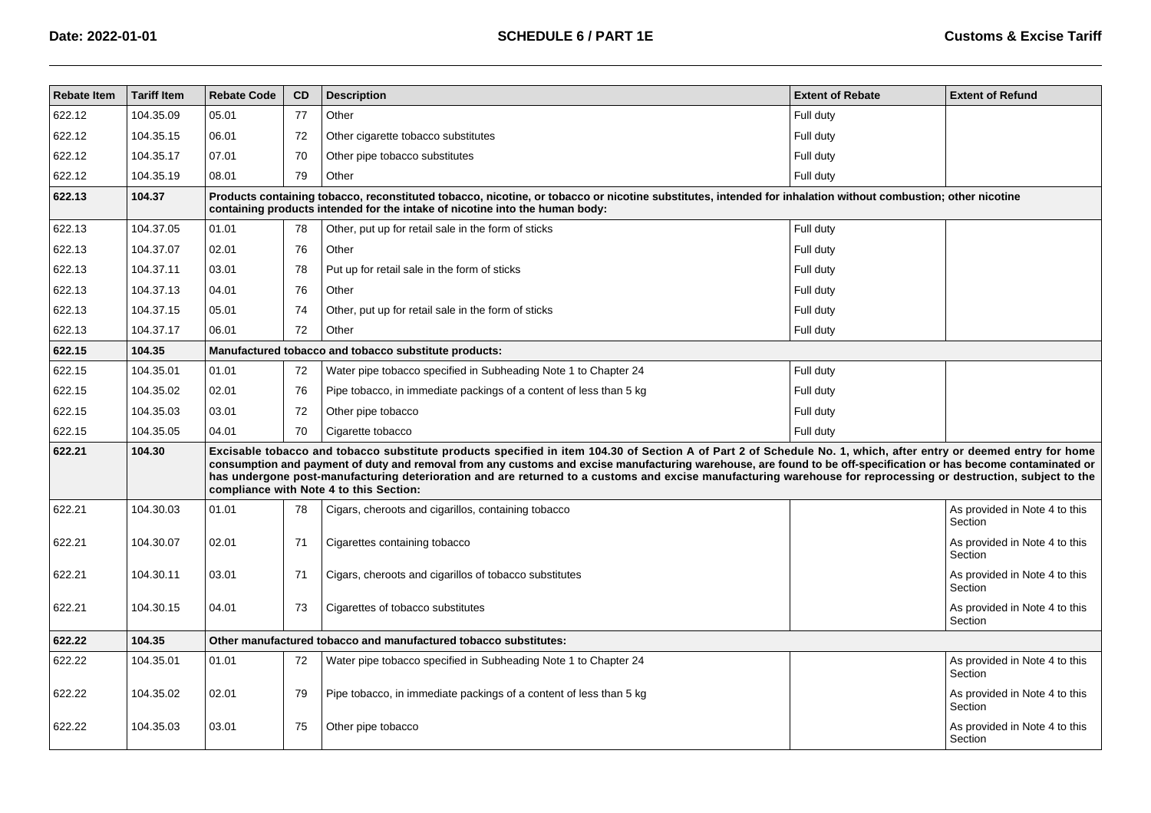| <b>Rebate Item</b> | <b>Tariff Item</b> | <b>Rebate Code</b> | CD | <b>Description</b>                                                                                                                                                                                                                                                                                                                                                                                                                                                                                                                                 | <b>Extent of Rebate</b> | <b>Extent of Refund</b>                  |
|--------------------|--------------------|--------------------|----|----------------------------------------------------------------------------------------------------------------------------------------------------------------------------------------------------------------------------------------------------------------------------------------------------------------------------------------------------------------------------------------------------------------------------------------------------------------------------------------------------------------------------------------------------|-------------------------|------------------------------------------|
| 622.12             | 104.35.09          | 05.01              | 77 | Other                                                                                                                                                                                                                                                                                                                                                                                                                                                                                                                                              | Full duty               |                                          |
| 622.12             | 104.35.15          | 06.01              | 72 | Other cigarette tobacco substitutes                                                                                                                                                                                                                                                                                                                                                                                                                                                                                                                | Full duty               |                                          |
| 622.12             | 104.35.17          | 07.01              | 70 | Other pipe tobacco substitutes                                                                                                                                                                                                                                                                                                                                                                                                                                                                                                                     | Full duty               |                                          |
| 622.12             | 104.35.19          | 08.01              | 79 | Other                                                                                                                                                                                                                                                                                                                                                                                                                                                                                                                                              | Full duty               |                                          |
| 622.13             | 104.37             |                    |    | Products containing tobacco, reconstituted tobacco, nicotine, or tobacco or nicotine substitutes, intended for inhalation without combustion; other nicotine<br>containing products intended for the intake of nicotine into the human body:                                                                                                                                                                                                                                                                                                       |                         |                                          |
| 622.13             | 104.37.05          | 01.01              | 78 | Other, put up for retail sale in the form of sticks                                                                                                                                                                                                                                                                                                                                                                                                                                                                                                | Full duty               |                                          |
| 622.13             | 104.37.07          | 02.01              | 76 | Other                                                                                                                                                                                                                                                                                                                                                                                                                                                                                                                                              | Full duty               |                                          |
| 622.13             | 104.37.11          | 03.01              | 78 | Put up for retail sale in the form of sticks                                                                                                                                                                                                                                                                                                                                                                                                                                                                                                       | Full duty               |                                          |
| 622.13             | 104.37.13          | 04.01              | 76 | Other                                                                                                                                                                                                                                                                                                                                                                                                                                                                                                                                              | Full duty               |                                          |
| 622.13             | 104.37.15          | 05.01              | 74 | Other, put up for retail sale in the form of sticks                                                                                                                                                                                                                                                                                                                                                                                                                                                                                                | Full duty               |                                          |
| 622.13             | 104.37.17          | 06.01              | 72 | Other                                                                                                                                                                                                                                                                                                                                                                                                                                                                                                                                              | Full duty               |                                          |
| 622.15             | 104.35             |                    |    | Manufactured tobacco and tobacco substitute products:                                                                                                                                                                                                                                                                                                                                                                                                                                                                                              |                         |                                          |
| 622.15             | 104.35.01          | 01.01              | 72 | Water pipe tobacco specified in Subheading Note 1 to Chapter 24                                                                                                                                                                                                                                                                                                                                                                                                                                                                                    | Full duty               |                                          |
| 622.15             | 104.35.02          | 02.01              | 76 | Pipe tobacco, in immediate packings of a content of less than 5 kg                                                                                                                                                                                                                                                                                                                                                                                                                                                                                 | Full duty               |                                          |
| 622.15             | 104.35.03          | 03.01              | 72 | Other pipe tobacco                                                                                                                                                                                                                                                                                                                                                                                                                                                                                                                                 | Full duty               |                                          |
| 622.15             | 104.35.05          | 04.01              | 70 | Cigarette tobacco                                                                                                                                                                                                                                                                                                                                                                                                                                                                                                                                  | Full duty               |                                          |
| 622.21             | 104.30             |                    |    | Excisable tobacco and tobacco substitute products specified in item 104.30 of Section A of Part 2 of Schedule No. 1, which, after entry or deemed entry for home<br>consumption and payment of duty and removal from any customs and excise manufacturing warehouse, are found to be off-specification or has become contaminated or<br>has undergone post-manufacturing deterioration and are returned to a customs and excise manufacturing warehouse for reprocessing or destruction, subject to the<br>compliance with Note 4 to this Section: |                         |                                          |
| 622.21             | 104.30.03          | 01.01              | 78 | Cigars, cheroots and cigarillos, containing tobacco                                                                                                                                                                                                                                                                                                                                                                                                                                                                                                |                         | As provided in Note 4 to this<br>Section |
| 622.21             | 104.30.07          | 02.01              | 71 | Cigarettes containing tobacco                                                                                                                                                                                                                                                                                                                                                                                                                                                                                                                      |                         | As provided in Note 4 to this<br>Section |
| 622.21             | 104.30.11          | 03.01              | 71 | Cigars, cheroots and cigarillos of tobacco substitutes                                                                                                                                                                                                                                                                                                                                                                                                                                                                                             |                         | As provided in Note 4 to this<br>Section |
| 622.21             | 104.30.15          | 04.01              | 73 | Cigarettes of tobacco substitutes                                                                                                                                                                                                                                                                                                                                                                                                                                                                                                                  |                         | As provided in Note 4 to this<br>Section |
| 622.22             | 104.35             |                    |    | Other manufactured tobacco and manufactured tobacco substitutes:                                                                                                                                                                                                                                                                                                                                                                                                                                                                                   |                         |                                          |
| 622.22             | 104.35.01          | 01.01              | 72 | Water pipe tobacco specified in Subheading Note 1 to Chapter 24                                                                                                                                                                                                                                                                                                                                                                                                                                                                                    |                         | As provided in Note 4 to this<br>Section |
| 622.22             | 104.35.02          | 02.01              | 79 | Pipe tobacco, in immediate packings of a content of less than 5 kg                                                                                                                                                                                                                                                                                                                                                                                                                                                                                 |                         | As provided in Note 4 to this<br>Section |
| 622.22             | 104.35.03          | 03.01              | 75 | Other pipe tobacco                                                                                                                                                                                                                                                                                                                                                                                                                                                                                                                                 |                         | As provided in Note 4 to this<br>Section |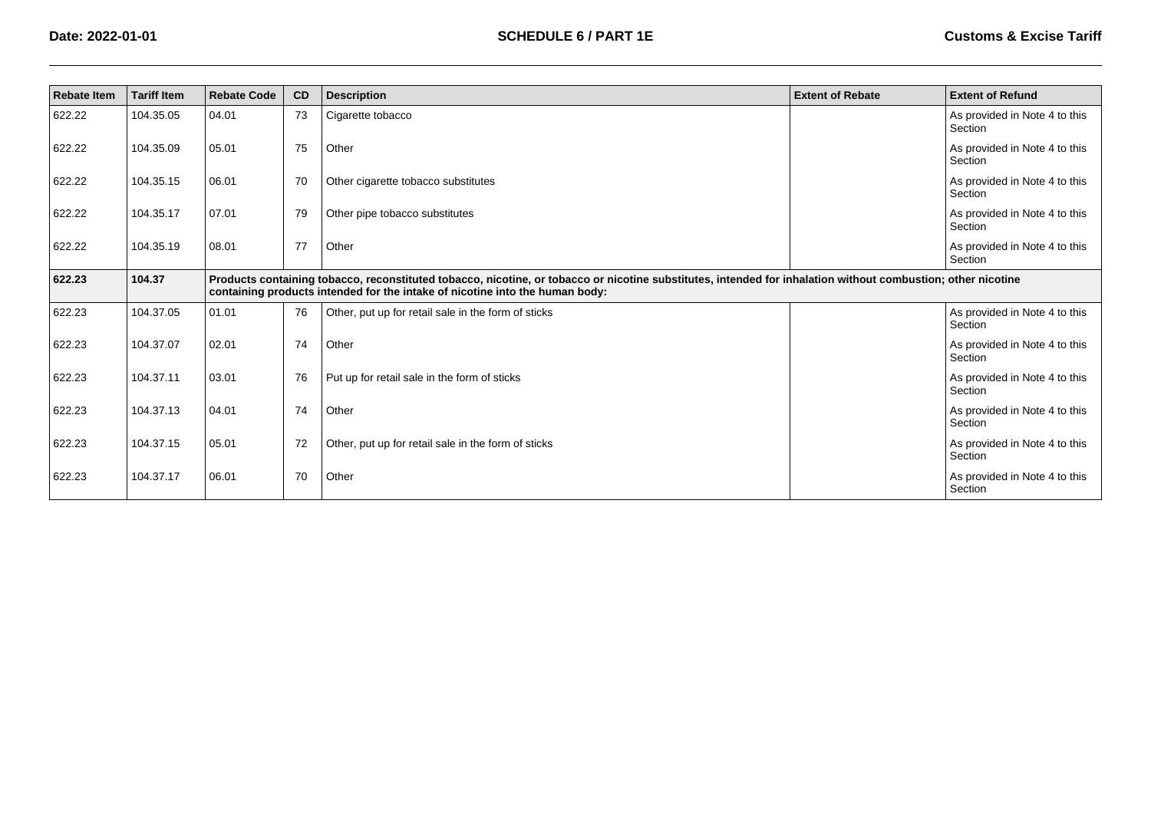| <b>Rebate Item</b> | <b>Tariff Item</b> | <b>Rebate Code</b> | CD                                                                                                                                                                                                                                           | <b>Description</b>                                  | <b>Extent of Rebate</b> | <b>Extent of Refund</b>                  |  |  |  |
|--------------------|--------------------|--------------------|----------------------------------------------------------------------------------------------------------------------------------------------------------------------------------------------------------------------------------------------|-----------------------------------------------------|-------------------------|------------------------------------------|--|--|--|
| 622.22             | 104.35.05          | 04.01              | 73                                                                                                                                                                                                                                           | Cigarette tobacco                                   |                         | As provided in Note 4 to this<br>Section |  |  |  |
| 622.22             | 104.35.09          | 05.01              | 75                                                                                                                                                                                                                                           | Other                                               |                         | As provided in Note 4 to this<br>Section |  |  |  |
| 622.22             | 104.35.15          | 06.01              | 70                                                                                                                                                                                                                                           | Other cigarette tobacco substitutes                 |                         | As provided in Note 4 to this<br>Section |  |  |  |
| 622.22             | 104.35.17          | 07.01              | 79                                                                                                                                                                                                                                           | Other pipe tobacco substitutes                      |                         | As provided in Note 4 to this<br>Section |  |  |  |
| 622.22             | 104.35.19          | 08.01              | 77                                                                                                                                                                                                                                           | Other                                               |                         | As provided in Note 4 to this<br>Section |  |  |  |
| 622.23             | 104.37             |                    | Products containing tobacco, reconstituted tobacco, nicotine, or tobacco or nicotine substitutes, intended for inhalation without combustion; other nicotine<br>containing products intended for the intake of nicotine into the human body: |                                                     |                         |                                          |  |  |  |
| 622.23             | 104.37.05          | 01.01              | 76                                                                                                                                                                                                                                           | Other, put up for retail sale in the form of sticks |                         | As provided in Note 4 to this<br>Section |  |  |  |
| 622.23             | 104.37.07          | 02.01              | 74                                                                                                                                                                                                                                           | Other                                               |                         | As provided in Note 4 to this<br>Section |  |  |  |
| 622.23             | 104.37.11          | 03.01              | 76                                                                                                                                                                                                                                           | Put up for retail sale in the form of sticks        |                         | As provided in Note 4 to this<br>Section |  |  |  |
| 622.23             | 104.37.13          | 04.01              | 74                                                                                                                                                                                                                                           | Other                                               |                         | As provided in Note 4 to this<br>Section |  |  |  |
| 622.23             | 104.37.15          | 05.01              | 72                                                                                                                                                                                                                                           | Other, put up for retail sale in the form of sticks |                         | As provided in Note 4 to this<br>Section |  |  |  |
| 622.23             | 104.37.17          | 06.01              | 70                                                                                                                                                                                                                                           | Other                                               |                         | As provided in Note 4 to this<br>Section |  |  |  |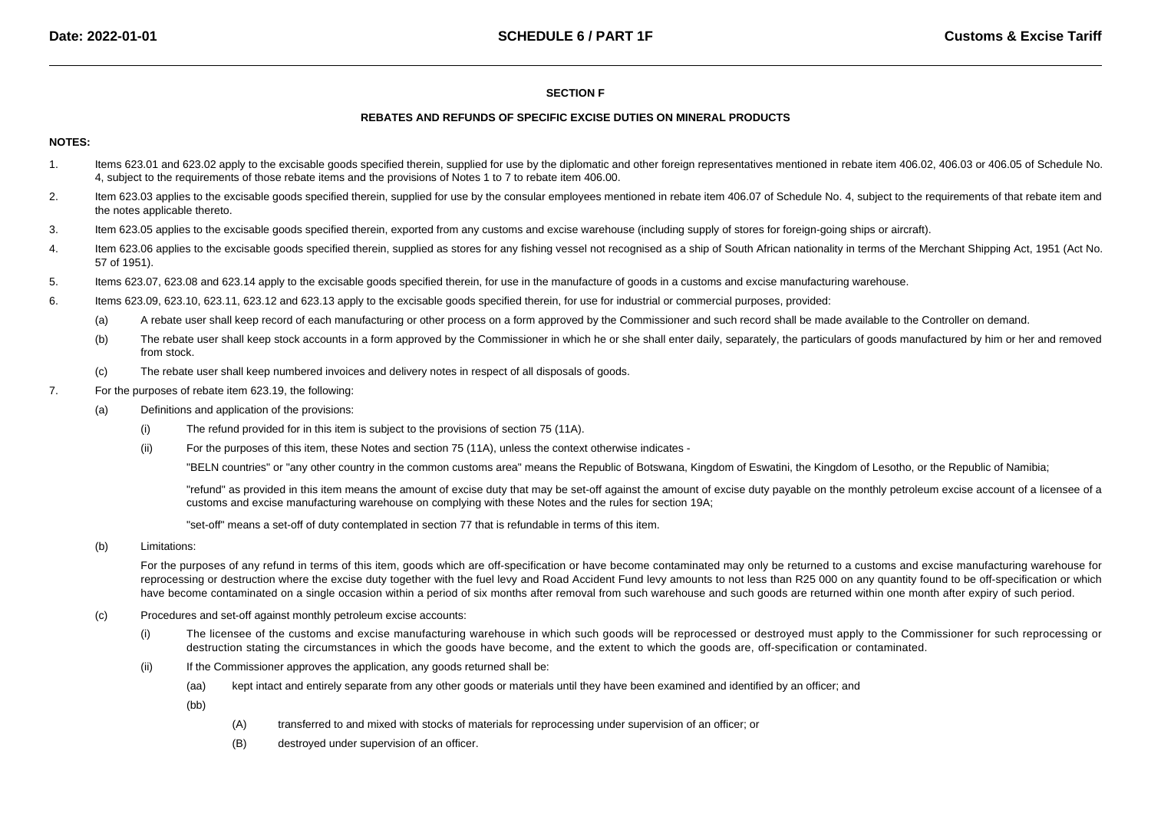## **SECTION F**

#### **REBATES AND REFUNDS OF SPECIFIC EXCISE DUTIES ON MINERAL PRODUCTS**

## **NOTES:**

- 1. Items 623.01 and 623.02 apply to the excisable goods specified therein, supplied for use by the diplomatic and other foreign representatives mentioned in rebate item 406.02, 406.03 or 406.05 of Schedule No. 4, subject to the requirements of those rebate items and the provisions of Notes 1 to 7 to rebate item 406.00.
- 2.Item 623.03 applies to the excisable goods specified therein, supplied for use by the consular employees mentioned in rebate item 406.07 of Schedule No. 4, subject to the requirements of that rebate item and the notes applicable thereto.
- 3.Item 623.05 applies to the excisable goods specified therein, exported from any customs and excise warehouse (including supply of stores for foreign-going ships or aircraft).
- 4.Item 623.06 applies to the excisable goods specified therein, supplied as stores for any fishing vessel not recognised as a ship of South African nationality in terms of the Merchant Shipping Act, 1951 (Act No. 57 of 1951).
- 5.Items 623.07, 623.08 and 623.14 apply to the excisable goods specified therein, for use in the manufacture of goods in a customs and excise manufacturing warehouse.
- 6. Items 623.09, 623.10, 623.11, 623.12 and 623.13 apply to the excisable goods specified therein, for use for industrial or commercial purposes, provided:
	- (a)A rebate user shall keep record of each manufacturing or other process on a form approved by the Commissioner and such record shall be made available to the Controller on demand.
	- (b)The rebate user shall keep stock accounts in a form approved by the Commissioner in which he or she shall enter daily, separately, the particulars of goods manufactured by him or her and removed from stock.
	- (c)The rebate user shall keep numbered invoices and delivery notes in respect of all disposals of goods.
- 7. For the purposes of rebate item 623.19, the following:
	- (a) Definitions and application of the provisions:
		- (i)The refund provided for in this item is subject to the provisions of section 75 (11A).
		- (ii)For the purposes of this item, these Notes and section 75 (11A), unless the context otherwise indicates -

"BELN countries" or "any other country in the common customs area" means the Republic of Botswana, Kingdom of Eswatini, the Kingdom of Lesotho, or the Republic of Namibia;

"refund" as provided in this item means the amount of excise duty that may be set-off against the amount of excise duty payable on the monthly petroleum excise account of a licensee of acustoms and excise manufacturing warehouse on complying with these Notes and the rules for section 19A;

"set-off" means a set-off of duty contemplated in section 77 that is refundable in terms of this item.

(b)Limitations:

> For the purposes of any refund in terms of this item, goods which are off-specification or have become contaminated may only be returned to a customs and excise manufacturing warehouse for reprocessing or destruction where the excise duty together with the fuel levy and Road Accident Fund levy amounts to not less than R25 000 on any quantity found to be off-specification or which have become contaminated on a single occasion within a period of six months after removal from such warehouse and such goods are returned within one month after expiry of such period.

- (c) Procedures and set-off against monthly petroleum excise accounts:
	- (i) The licensee of the customs and excise manufacturing warehouse in which such goods will be reprocessed or destroyed must apply to the Commissioner for such reprocessing or destruction stating the circumstances in which the goods have become, and the extent to which the goods are, off-specification or contaminated.
	- (ii) If the Commissioner approves the application, any goods returned shall be:
		- (aa)kept intact and entirely separate from any other goods or materials until they have been examined and identified by an officer; and

(bb)

- (A)transferred to and mixed with stocks of materials for reprocessing under supervision of an officer; or
- (B)destroyed under supervision of an officer.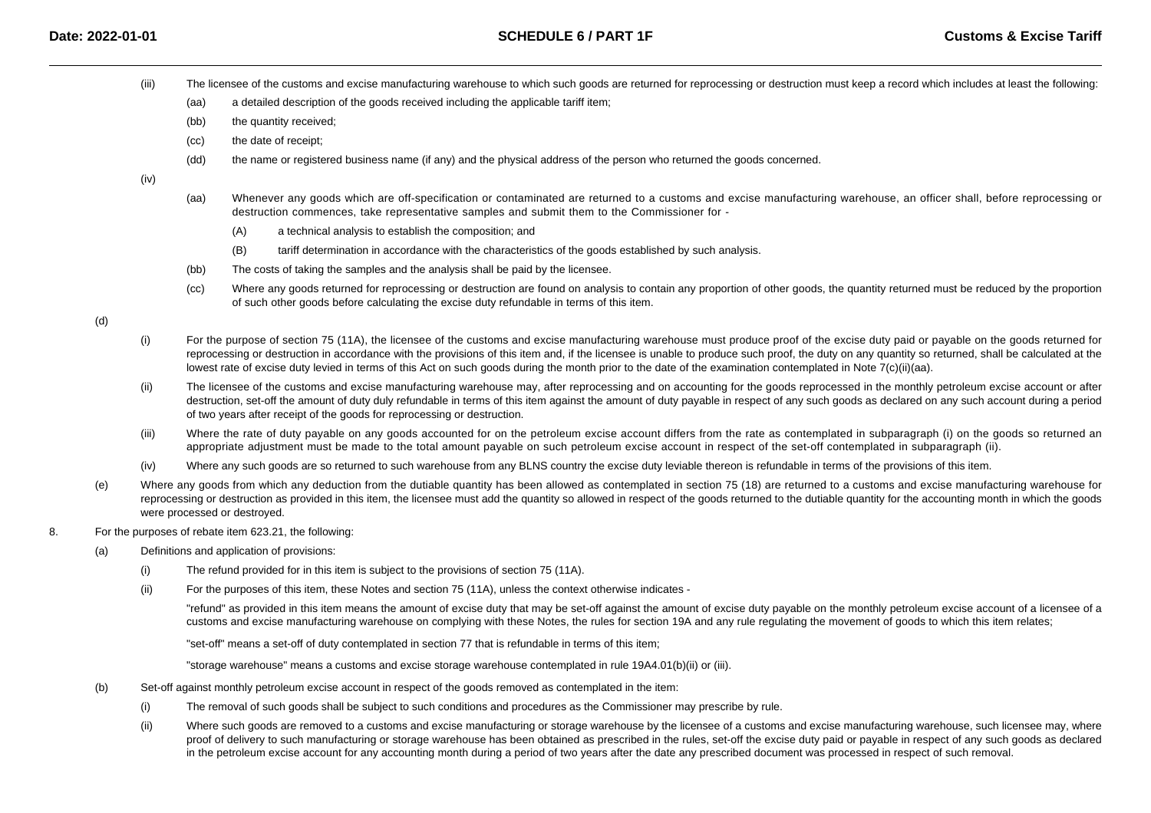- (iii)The licensee of the customs and excise manufacturing warehouse to which such goods are returned for reprocessing or destruction must keep a record which includes at least the following:
	- (aa)a detailed description of the goods received including the applicable tariff item;
	- (bb)the quantity received;
	- (cc)the date of receipt;
	- (dd)the name or registered business name (if any) and the physical address of the person who returned the goods concerned.

(iv)

- (aa) Whenever any goods which are off-specification or contaminated are returned to a customs and excise manufacturing warehouse, an officer shall, before reprocessing or destruction commences, take representative samples and submit them to the Commissioner for -
	- (A)a technical analysis to establish the composition; and
	- (B)tariff determination in accordance with the characteristics of the goods established by such analysis.
- (bb)The costs of taking the samples and the analysis shall be paid by the licensee.
- (cc)Where any goods returned for reprocessing or destruction are found on analysis to contain any proportion of other goods, the quantity returned must be reduced by the proportion of such other goods before calculating the excise duty refundable in terms of this item.

(d)

- (i) For the purpose of section 75 (11A), the licensee of the customs and excise manufacturing warehouse must produce proof of the excise duty paid or payable on the goods returned for reprocessing or destruction in accordance with the provisions of this item and, if the licensee is unable to produce such proof, the duty on any quantity so returned, shall be calculated at the lowest rate of excise duty levied in terms of this Act on such goods during the month prior to the date of the examination contemplated in Note 7(c)(ii)(aa).
- (ii)The licensee of the customs and excise manufacturing warehouse may, after reprocessing and on accounting for the goods reprocessed in the monthly petroleum excise account or after destruction, set-off the amount of duty duly refundable in terms of this item against the amount of duty payable in respect of any such goods as declared on any such account during a period of two years after receipt of the goods for reprocessing or destruction.
- (iii)Where the rate of duty payable on any goods accounted for on the petroleum excise account differs from the rate as contemplated in subparagraph (i) on the goods so returned an appropriate adjustment must be made to the total amount payable on such petroleum excise account in respect of the set-off contemplated in subparagraph (ii).
- (iv)Where any such goods are so returned to such warehouse from any BLNS country the excise duty leviable thereon is refundable in terms of the provisions of this item.
- (e)Where any goods from which any deduction from the dutiable quantity has been allowed as contemplated in section 75 (18) are returned to a customs and excise manufacturing warehouse for reprocessing or destruction as provided in this item, the licensee must add the quantity so allowed in respect of the goods returned to the dutiable quantity for the accounting month in which the goods were processed or destroyed.
- 8. For the purposes of rebate item 623.21, the following:
	- (a) Definitions and application of provisions:
		- (i)The refund provided for in this item is subject to the provisions of section 75 (11A).
		- (ii)For the purposes of this item, these Notes and section 75 (11A), unless the context otherwise indicates -

"refund" as provided in this item means the amount of excise duty that may be set-off against the amount of excise duty payable on the monthly petroleum excise account of a licensee of acustoms and excise manufacturing warehouse on complying with these Notes, the rules for section 19A and any rule regulating the movement of goods to which this item relates;

"set-off" means a set-off of duty contemplated in section 77 that is refundable in terms of this item;

"storage warehouse" means a customs and excise storage warehouse contemplated in rule 19A4.01(b)(ii) or (iii).

- (b) Set-off against monthly petroleum excise account in respect of the goods removed as contemplated in the item:
	- (i)The removal of such goods shall be subject to such conditions and procedures as the Commissioner may prescribe by rule.
	- (ii)Where such goods are removed to a customs and excise manufacturing or storage warehouse by the licensee of a customs and excise manufacturing warehouse, such licensee may, where proof of delivery to such manufacturing or storage warehouse has been obtained as prescribed in the rules, set-off the excise duty paid or payable in respect of any such goods as declared in the petroleum excise account for any accounting month during a period of two years after the date any prescribed document was processed in respect of such removal.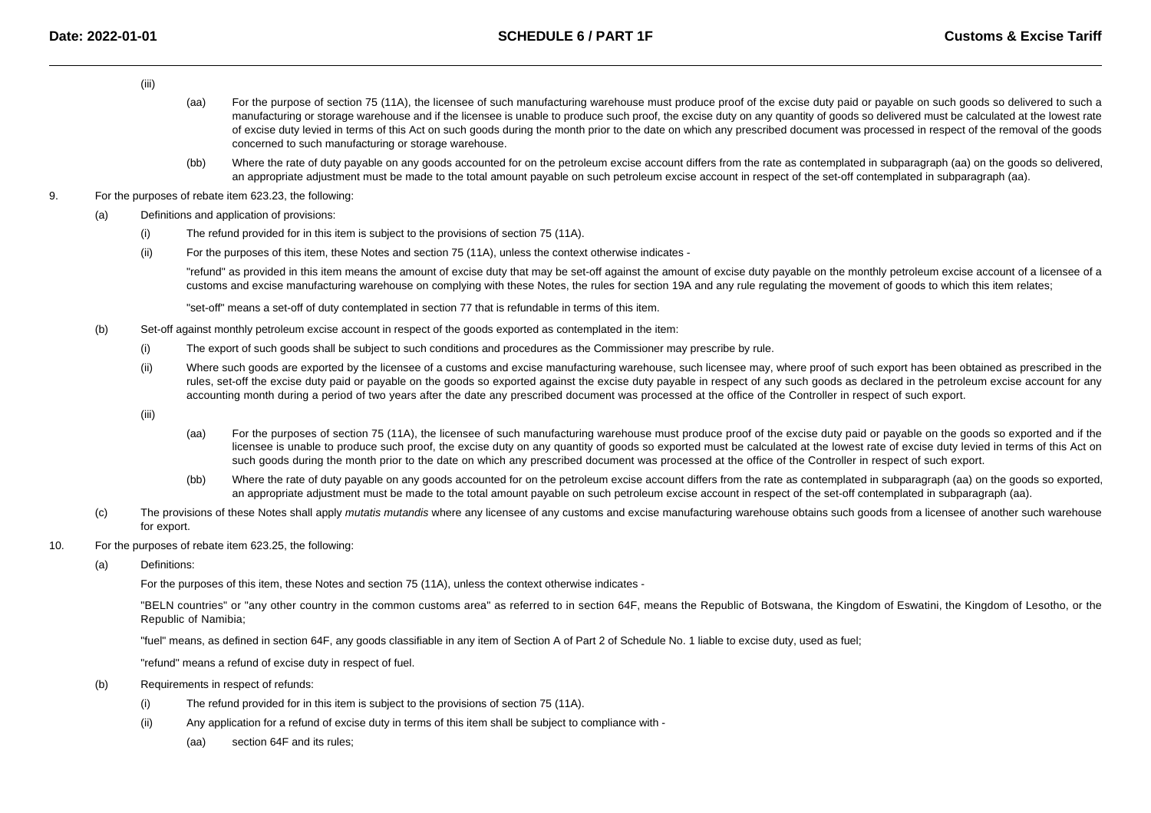- (iii)
- (aa) For the purpose of section 75 (11A), the licensee of such manufacturing warehouse must produce proof of the excise duty paid or payable on such goods so delivered to such a manufacturing or storage warehouse and if the licensee is unable to produce such proof, the excise duty on any quantity of goods so delivered must be calculated at the lowest rate of excise duty levied in terms of this Act on such goods during the month prior to the date on which any prescribed document was processed in respect of the removal of the goodsconcerned to such manufacturing or storage warehouse.
- (bb)Where the rate of duty payable on any goods accounted for on the petroleum excise account differs from the rate as contemplated in subparagraph (aa) on the goods so delivered, an appropriate adjustment must be made to the total amount payable on such petroleum excise account in respect of the set-off contemplated in subparagraph (aa).
- 9. For the purposes of rebate item 623.23, the following:
	- (a) Definitions and application of provisions:
		- (i)The refund provided for in this item is subject to the provisions of section 75 (11A).
		- (ii)For the purposes of this item, these Notes and section 75 (11A), unless the context otherwise indicates -

"refund" as provided in this item means the amount of excise duty that may be set-off against the amount of excise duty payable on the monthly petroleum excise account of a licensee of acustoms and excise manufacturing warehouse on complying with these Notes, the rules for section 19A and any rule regulating the movement of goods to which this item relates;

"set-off" means a set-off of duty contemplated in section 77 that is refundable in terms of this item.

- (b) Set-off against monthly petroleum excise account in respect of the goods exported as contemplated in the item:
	- (i)The export of such goods shall be subject to such conditions and procedures as the Commissioner may prescribe by rule.
	- (ii)Where such goods are exported by the licensee of a customs and excise manufacturing warehouse, such licensee may, where proof of such export has been obtained as prescribed in the rules, set-off the excise duty paid or payable on the goods so exported against the excise duty payable in respect of any such goods as declared in the petroleum excise account for anyaccounting month during a period of two years after the date any prescribed document was processed at the office of the Controller in respect of such export.
	- (iii)
- (aa) For the purposes of section 75 (11A), the licensee of such manufacturing warehouse must produce proof of the excise duty paid or payable on the goods so exported and if the licensee is unable to produce such proof, the excise duty on any quantity of goods so exported must be calculated at the lowest rate of excise duty levied in terms of this Act onsuch goods during the month prior to the date on which any prescribed document was processed at the office of the Controller in respect of such export.
- (bb)Where the rate of duty payable on any goods accounted for on the petroleum excise account differs from the rate as contemplated in subparagraph (aa) on the goods so exported, an appropriate adjustment must be made to the total amount payable on such petroleum excise account in respect of the set-off contemplated in subparagraph (aa).
- (c)The provisions of these Notes shall apply *mutatis mutandis* where any licensee of any customs and excise manufacturing warehouse obtains such goods from a licensee of another such warehouse for export.
- 10. For the purposes of rebate item 623.25, the following:
	- (a)Definitions:

For the purposes of this item, these Notes and section 75 (11A), unless the context otherwise indicates -

"BELN countries" or "any other country in the common customs area" as referred to in section 64F, means the Republic of Botswana, the Kingdom of Eswatini, the Kingdom of Lesotho, or theRepublic of Namibia;

"fuel" means, as defined in section 64F, any goods classifiable in any item of Section A of Part 2 of Schedule No. 1 liable to excise duty, used as fuel;

"refund" means a refund of excise duty in respect of fuel.

- (b) Requirements in respect of refunds:
	- (i)The refund provided for in this item is subject to the provisions of section 75 (11A).
	- (ii) Any application for a refund of excise duty in terms of this item shall be subject to compliance with -
		- (aa)section 64F and its rules;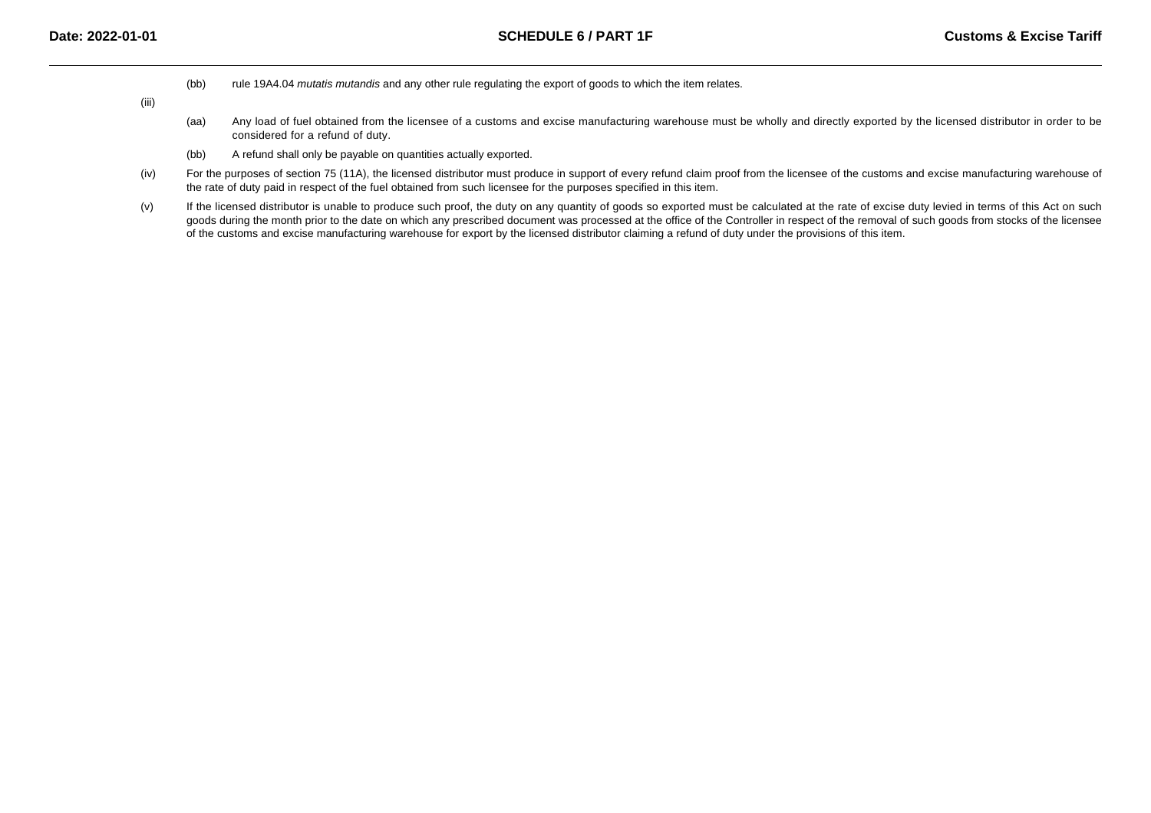(bb)rule 19A4.04 mutatis mutandis and any other rule regulating the export of goods to which the item relates.

(iii)

- (aa)Any load of fuel obtained from the licensee of a customs and excise manufacturing warehouse must be wholly and directly exported by the licensed distributor in order to be considered for a refund of duty.
- (bb)A refund shall only be payable on quantities actually exported.
- (iv)For the purposes of section 75 (11A), the licensed distributor must produce in support of every refund claim proof from the licensee of the customs and excise manufacturing warehouse of the rate of duty paid in respect of the fuel obtained from such licensee for the purposes specified in this item.
- (v)If the licensed distributor is unable to produce such proof, the duty on any quantity of goods so exported must be calculated at the rate of excise duty levied in terms of this Act on such goods during the month prior to the date on which any prescribed document was processed at the office of the Controller in respect of the removal of such goods from stocks of the licensee of the customs and excise manufacturing warehouse for export by the licensed distributor claiming a refund of duty under the provisions of this item.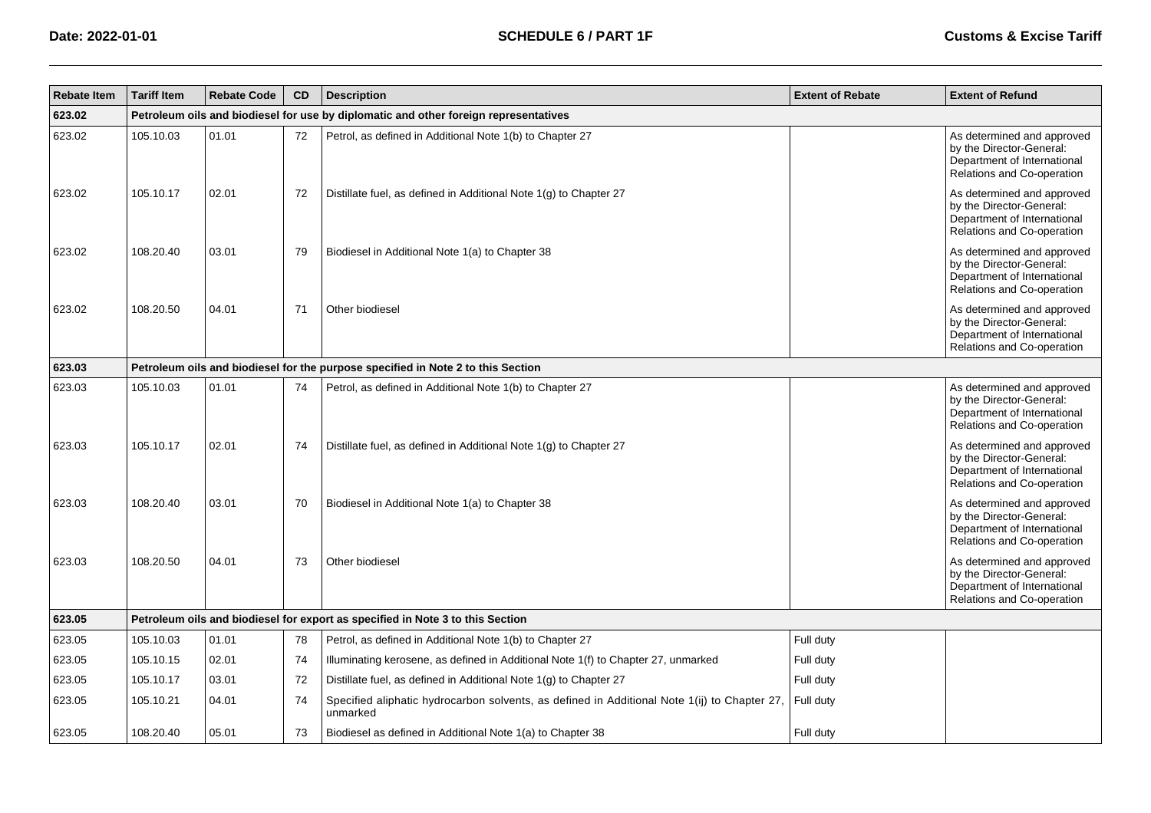| <b>Rebate Item</b> | <b>Tariff Item</b>                                                                   | <b>Rebate Code</b> | <b>CD</b> | <b>Description</b>                                                                                       | <b>Extent of Rebate</b> | <b>Extent of Refund</b>                                                                                             |  |  |  |
|--------------------|--------------------------------------------------------------------------------------|--------------------|-----------|----------------------------------------------------------------------------------------------------------|-------------------------|---------------------------------------------------------------------------------------------------------------------|--|--|--|
| 623.02             | Petroleum oils and biodiesel for use by diplomatic and other foreign representatives |                    |           |                                                                                                          |                         |                                                                                                                     |  |  |  |
| 623.02             | 105.10.03                                                                            | 01.01              | 72        | Petrol, as defined in Additional Note 1(b) to Chapter 27                                                 |                         | As determined and approved<br>by the Director-General:<br>Department of International<br>Relations and Co-operation |  |  |  |
| 623.02             | 105.10.17                                                                            | 02.01              | 72        | Distillate fuel, as defined in Additional Note 1(g) to Chapter 27                                        |                         | As determined and approved<br>by the Director-General:<br>Department of International<br>Relations and Co-operation |  |  |  |
| 623.02             | 108.20.40                                                                            | 03.01              | 79        | Biodiesel in Additional Note 1(a) to Chapter 38                                                          |                         | As determined and approved<br>by the Director-General:<br>Department of International<br>Relations and Co-operation |  |  |  |
| 623.02             | 108.20.50                                                                            | 04.01              | 71        | Other biodiesel                                                                                          |                         | As determined and approved<br>by the Director-General:<br>Department of International<br>Relations and Co-operation |  |  |  |
| 623.03             |                                                                                      |                    |           | Petroleum oils and biodiesel for the purpose specified in Note 2 to this Section                         |                         |                                                                                                                     |  |  |  |
| 623.03             | 105.10.03                                                                            | 01.01              | 74        | Petrol, as defined in Additional Note 1(b) to Chapter 27                                                 |                         | As determined and approved<br>by the Director-General:<br>Department of International<br>Relations and Co-operation |  |  |  |
| 623.03             | 105.10.17                                                                            | 02.01              | 74        | Distillate fuel, as defined in Additional Note 1(g) to Chapter 27                                        |                         | As determined and approved<br>by the Director-General:<br>Department of International<br>Relations and Co-operation |  |  |  |
| 623.03             | 108.20.40                                                                            | 03.01              | 70        | Biodiesel in Additional Note 1(a) to Chapter 38                                                          |                         | As determined and approved<br>by the Director-General:<br>Department of International<br>Relations and Co-operation |  |  |  |
| 623.03             | 108.20.50                                                                            | 04.01              | 73        | Other biodiesel                                                                                          |                         | As determined and approved<br>by the Director-General:<br>Department of International<br>Relations and Co-operation |  |  |  |
| 623.05             |                                                                                      |                    |           | Petroleum oils and biodiesel for export as specified in Note 3 to this Section                           |                         |                                                                                                                     |  |  |  |
| 623.05             | 105.10.03                                                                            | 01.01              | 78        | Petrol, as defined in Additional Note 1(b) to Chapter 27                                                 | Full duty               |                                                                                                                     |  |  |  |
| 623.05             | 105.10.15                                                                            | 02.01              | 74        | Illuminating kerosene, as defined in Additional Note 1(f) to Chapter 27, unmarked                        | Full duty               |                                                                                                                     |  |  |  |
| 623.05             | 105.10.17                                                                            | 03.01              | 72        | Distillate fuel, as defined in Additional Note 1(g) to Chapter 27                                        | Full duty               |                                                                                                                     |  |  |  |
| 623.05             | 105.10.21                                                                            | 04.01              | 74        | Specified aliphatic hydrocarbon solvents, as defined in Additional Note 1(ij) to Chapter 27,<br>unmarked | Full duty               |                                                                                                                     |  |  |  |
| 623.05             | 108.20.40                                                                            | 05.01              | 73        | Biodiesel as defined in Additional Note 1(a) to Chapter 38                                               | Full duty               |                                                                                                                     |  |  |  |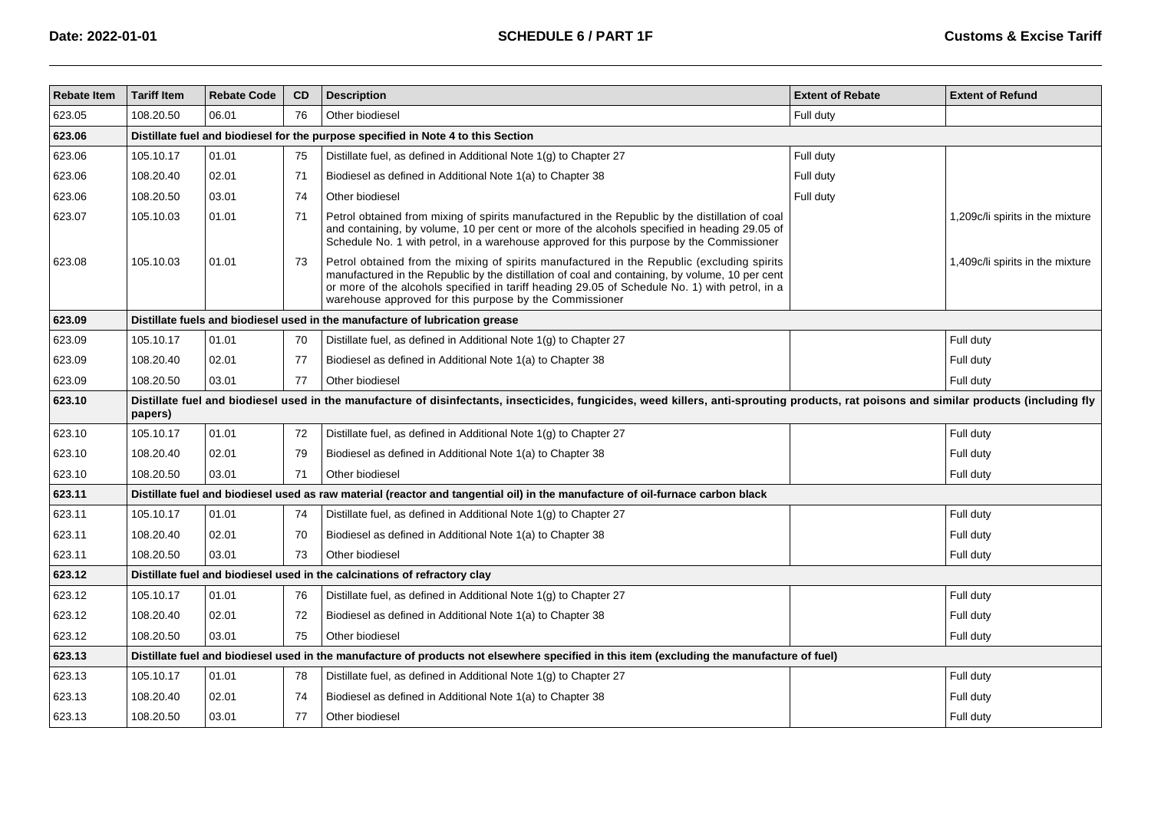| <b>Rebate Item</b> | <b>Tariff Item</b>                                                                                                                                                                                  | <b>Rebate Code</b> | CD | <b>Description</b>                                                                                                                                                                                                                                                                                                                                         | <b>Extent of Rebate</b> | <b>Extent of Refund</b>          |  |  |
|--------------------|-----------------------------------------------------------------------------------------------------------------------------------------------------------------------------------------------------|--------------------|----|------------------------------------------------------------------------------------------------------------------------------------------------------------------------------------------------------------------------------------------------------------------------------------------------------------------------------------------------------------|-------------------------|----------------------------------|--|--|
| 623.05             | 108.20.50                                                                                                                                                                                           | 06.01              | 76 | Other biodiesel                                                                                                                                                                                                                                                                                                                                            | Full duty               |                                  |  |  |
| 623.06             |                                                                                                                                                                                                     |                    |    | Distillate fuel and biodiesel for the purpose specified in Note 4 to this Section                                                                                                                                                                                                                                                                          |                         |                                  |  |  |
| 623.06             | 105.10.17                                                                                                                                                                                           | 01.01              | 75 | Distillate fuel, as defined in Additional Note 1(g) to Chapter 27                                                                                                                                                                                                                                                                                          | Full duty               |                                  |  |  |
| 623.06             | 108.20.40                                                                                                                                                                                           | 02.01              | 71 | Biodiesel as defined in Additional Note 1(a) to Chapter 38                                                                                                                                                                                                                                                                                                 | Full duty               |                                  |  |  |
| 623.06             | 108.20.50                                                                                                                                                                                           | 03.01              | 74 | Other biodiesel                                                                                                                                                                                                                                                                                                                                            | Full duty               |                                  |  |  |
| 623.07             | 105.10.03                                                                                                                                                                                           | 01.01              | 71 | Petrol obtained from mixing of spirits manufactured in the Republic by the distillation of coal<br>and containing, by volume, 10 per cent or more of the alcohols specified in heading 29.05 of<br>Schedule No. 1 with petrol, in a warehouse approved for this purpose by the Commissioner                                                                |                         | 1,209c/li spirits in the mixture |  |  |
| 623.08             | 105.10.03                                                                                                                                                                                           | 01.01              | 73 | Petrol obtained from the mixing of spirits manufactured in the Republic (excluding spirits<br>manufactured in the Republic by the distillation of coal and containing, by volume, 10 per cent<br>or more of the alcohols specified in tariff heading 29.05 of Schedule No. 1) with petrol, in a<br>warehouse approved for this purpose by the Commissioner |                         | 1,409c/li spirits in the mixture |  |  |
| 623.09             |                                                                                                                                                                                                     |                    |    | Distillate fuels and biodiesel used in the manufacture of lubrication grease                                                                                                                                                                                                                                                                               |                         |                                  |  |  |
| 623.09             | 105.10.17                                                                                                                                                                                           | 01.01              | 70 | Distillate fuel, as defined in Additional Note 1(g) to Chapter 27                                                                                                                                                                                                                                                                                          |                         | Full duty                        |  |  |
| 623.09             | 108.20.40                                                                                                                                                                                           | 02.01              | 77 | Biodiesel as defined in Additional Note 1(a) to Chapter 38                                                                                                                                                                                                                                                                                                 |                         | Full duty                        |  |  |
| 623.09             | 108.20.50                                                                                                                                                                                           | 03.01              | 77 | Other biodiesel                                                                                                                                                                                                                                                                                                                                            |                         | Full duty                        |  |  |
| 623.10             | Distillate fuel and biodiesel used in the manufacture of disinfectants, insecticides, fungicides, weed killers, anti-sprouting products, rat poisons and similar products (including fly<br>papers) |                    |    |                                                                                                                                                                                                                                                                                                                                                            |                         |                                  |  |  |
| 623.10             | 105.10.17                                                                                                                                                                                           | 01.01              | 72 | Distillate fuel, as defined in Additional Note 1(g) to Chapter 27                                                                                                                                                                                                                                                                                          |                         | Full duty                        |  |  |
| 623.10             | 108.20.40                                                                                                                                                                                           | 02.01              | 79 | Biodiesel as defined in Additional Note 1(a) to Chapter 38                                                                                                                                                                                                                                                                                                 |                         | Full duty                        |  |  |
| 623.10             | 108.20.50                                                                                                                                                                                           | 03.01              | 71 | Other biodiesel                                                                                                                                                                                                                                                                                                                                            |                         | Full duty                        |  |  |
| 623.11             |                                                                                                                                                                                                     |                    |    | Distillate fuel and biodiesel used as raw material (reactor and tangential oil) in the manufacture of oil-furnace carbon black                                                                                                                                                                                                                             |                         |                                  |  |  |
| 623.11             | 105.10.17                                                                                                                                                                                           | 01.01              | 74 | Distillate fuel, as defined in Additional Note 1(g) to Chapter 27                                                                                                                                                                                                                                                                                          |                         | Full duty                        |  |  |
| 623.11             | 108.20.40                                                                                                                                                                                           | 02.01              | 70 | Biodiesel as defined in Additional Note 1(a) to Chapter 38                                                                                                                                                                                                                                                                                                 |                         | Full duty                        |  |  |
| 623.11             | 108.20.50                                                                                                                                                                                           | 03.01              | 73 | Other biodiesel                                                                                                                                                                                                                                                                                                                                            |                         | Full duty                        |  |  |
| 623.12             |                                                                                                                                                                                                     |                    |    | Distillate fuel and biodiesel used in the calcinations of refractory clay                                                                                                                                                                                                                                                                                  |                         |                                  |  |  |
| 623.12             | 105.10.17                                                                                                                                                                                           | 01.01              | 76 | Distillate fuel, as defined in Additional Note 1(g) to Chapter 27                                                                                                                                                                                                                                                                                          |                         | Full duty                        |  |  |
| 623.12             | 108.20.40                                                                                                                                                                                           | 02.01              | 72 | Biodiesel as defined in Additional Note 1(a) to Chapter 38                                                                                                                                                                                                                                                                                                 |                         | Full duty                        |  |  |
| 623.12             | 108.20.50                                                                                                                                                                                           | 03.01              | 75 | Other biodiesel                                                                                                                                                                                                                                                                                                                                            |                         | Full duty                        |  |  |
| 623.13             |                                                                                                                                                                                                     |                    |    | Distillate fuel and biodiesel used in the manufacture of products not elsewhere specified in this item (excluding the manufacture of fuel)                                                                                                                                                                                                                 |                         |                                  |  |  |
| 623.13             | 105.10.17                                                                                                                                                                                           | 01.01              | 78 | Distillate fuel, as defined in Additional Note 1(g) to Chapter 27                                                                                                                                                                                                                                                                                          |                         | Full duty                        |  |  |
| 623.13             | 108.20.40                                                                                                                                                                                           | 02.01              | 74 | Biodiesel as defined in Additional Note 1(a) to Chapter 38                                                                                                                                                                                                                                                                                                 |                         | Full duty                        |  |  |
| 623.13             | 108.20.50                                                                                                                                                                                           | 03.01              | 77 | Other biodiesel                                                                                                                                                                                                                                                                                                                                            |                         | Full duty                        |  |  |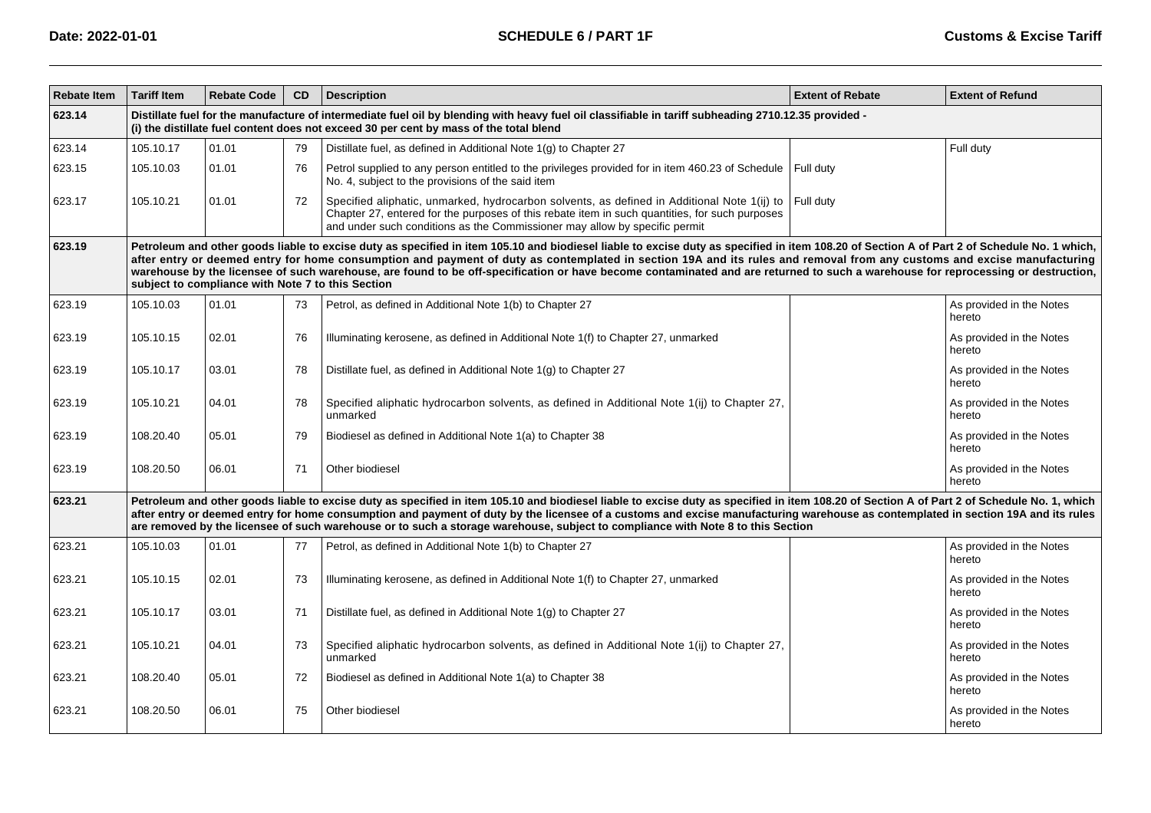| <b>Rebate Item</b> | <b>Tariff Item</b>                                                                                                                                                                                                                                                                                                                                                                                                                                                                                                                                                                                              | <b>Rebate Code</b> | <b>CD</b> | <b>Description</b>                                                                                                                                                                                                                                                                                                                                                                                                                                                                                                  | <b>Extent of Rebate</b> | <b>Extent of Refund</b>            |  |  |  |  |
|--------------------|-----------------------------------------------------------------------------------------------------------------------------------------------------------------------------------------------------------------------------------------------------------------------------------------------------------------------------------------------------------------------------------------------------------------------------------------------------------------------------------------------------------------------------------------------------------------------------------------------------------------|--------------------|-----------|---------------------------------------------------------------------------------------------------------------------------------------------------------------------------------------------------------------------------------------------------------------------------------------------------------------------------------------------------------------------------------------------------------------------------------------------------------------------------------------------------------------------|-------------------------|------------------------------------|--|--|--|--|
| 623.14             |                                                                                                                                                                                                                                                                                                                                                                                                                                                                                                                                                                                                                 |                    |           | Distillate fuel for the manufacture of intermediate fuel oil by blending with heavy fuel oil classifiable in tariff subheading 2710.12.35 provided -<br>(i) the distillate fuel content does not exceed 30 per cent by mass of the total blend                                                                                                                                                                                                                                                                      |                         |                                    |  |  |  |  |
| 623.14             | 105.10.17                                                                                                                                                                                                                                                                                                                                                                                                                                                                                                                                                                                                       | 01.01              | 79        | Distillate fuel, as defined in Additional Note 1(g) to Chapter 27                                                                                                                                                                                                                                                                                                                                                                                                                                                   |                         | Full duty                          |  |  |  |  |
| 623.15             | 105.10.03                                                                                                                                                                                                                                                                                                                                                                                                                                                                                                                                                                                                       | 01.01              | 76        | Petrol supplied to any person entitled to the privileges provided for in item 460.23 of Schedule<br>No. 4, subject to the provisions of the said item                                                                                                                                                                                                                                                                                                                                                               | Full duty               |                                    |  |  |  |  |
| 623.17             | 105.10.21                                                                                                                                                                                                                                                                                                                                                                                                                                                                                                                                                                                                       | 01.01              | 72        | Specified aliphatic, unmarked, hydrocarbon solvents, as defined in Additional Note 1(ij) to<br>Chapter 27, entered for the purposes of this rebate item in such quantities, for such purposes<br>and under such conditions as the Commissioner may allow by specific permit                                                                                                                                                                                                                                         | Full duty               |                                    |  |  |  |  |
| 623.19             | Petroleum and other goods liable to excise duty as specified in item 105.10 and biodiesel liable to excise duty as specified in item 108.20 of Section A of Part 2 of Schedule No. 1 which,<br>after entry or deemed entry for home consumption and payment of duty as contemplated in section 19A and its rules and removal from any customs and excise manufacturing<br>warehouse by the licensee of such warehouse, are found to be off-specification or have become contaminated and are returned to such a warehouse for reprocessing or destruction,<br>subject to compliance with Note 7 to this Section |                    |           |                                                                                                                                                                                                                                                                                                                                                                                                                                                                                                                     |                         |                                    |  |  |  |  |
| 623.19             | 105.10.03                                                                                                                                                                                                                                                                                                                                                                                                                                                                                                                                                                                                       | 01.01              | 73        | Petrol, as defined in Additional Note 1(b) to Chapter 27                                                                                                                                                                                                                                                                                                                                                                                                                                                            |                         | As provided in the Notes<br>hereto |  |  |  |  |
| 623.19             | 105.10.15                                                                                                                                                                                                                                                                                                                                                                                                                                                                                                                                                                                                       | 02.01              | 76        | Illuminating kerosene, as defined in Additional Note 1(f) to Chapter 27, unmarked                                                                                                                                                                                                                                                                                                                                                                                                                                   |                         | As provided in the Notes<br>hereto |  |  |  |  |
| 623.19             | 105.10.17                                                                                                                                                                                                                                                                                                                                                                                                                                                                                                                                                                                                       | 03.01              | 78        | Distillate fuel, as defined in Additional Note 1(g) to Chapter 27                                                                                                                                                                                                                                                                                                                                                                                                                                                   |                         | As provided in the Notes<br>hereto |  |  |  |  |
| 623.19             | 105.10.21                                                                                                                                                                                                                                                                                                                                                                                                                                                                                                                                                                                                       | 04.01              | 78        | Specified aliphatic hydrocarbon solvents, as defined in Additional Note 1(ij) to Chapter 27,<br>unmarked                                                                                                                                                                                                                                                                                                                                                                                                            |                         | As provided in the Notes<br>hereto |  |  |  |  |
| 623.19             | 108.20.40                                                                                                                                                                                                                                                                                                                                                                                                                                                                                                                                                                                                       | 05.01              | 79        | Biodiesel as defined in Additional Note 1(a) to Chapter 38                                                                                                                                                                                                                                                                                                                                                                                                                                                          |                         | As provided in the Notes<br>hereto |  |  |  |  |
| 623.19             | 108.20.50                                                                                                                                                                                                                                                                                                                                                                                                                                                                                                                                                                                                       | 06.01              | 71        | Other biodiesel                                                                                                                                                                                                                                                                                                                                                                                                                                                                                                     |                         | As provided in the Notes<br>hereto |  |  |  |  |
| 623.21             |                                                                                                                                                                                                                                                                                                                                                                                                                                                                                                                                                                                                                 |                    |           | Petroleum and other goods liable to excise duty as specified in item 105.10 and biodiesel liable to excise duty as specified in item 108.20 of Section A of Part 2 of Schedule No. 1, which<br>after entry or deemed entry for home consumption and payment of duty by the licensee of a customs and excise manufacturing warehouse as contemplated in section 19A and its rules<br>are removed by the licensee of such warehouse or to such a storage warehouse, subject to compliance with Note 8 to this Section |                         |                                    |  |  |  |  |
| 623.21             | 105.10.03                                                                                                                                                                                                                                                                                                                                                                                                                                                                                                                                                                                                       | 01.01              | 77        | Petrol, as defined in Additional Note 1(b) to Chapter 27                                                                                                                                                                                                                                                                                                                                                                                                                                                            |                         | As provided in the Notes<br>hereto |  |  |  |  |
| 623.21             | 105.10.15                                                                                                                                                                                                                                                                                                                                                                                                                                                                                                                                                                                                       | 02.01              | 73        | Illuminating kerosene, as defined in Additional Note 1(f) to Chapter 27, unmarked                                                                                                                                                                                                                                                                                                                                                                                                                                   |                         | As provided in the Notes<br>hereto |  |  |  |  |
| 623.21             | 105.10.17                                                                                                                                                                                                                                                                                                                                                                                                                                                                                                                                                                                                       | 03.01              | 71        | Distillate fuel, as defined in Additional Note 1(g) to Chapter 27                                                                                                                                                                                                                                                                                                                                                                                                                                                   |                         | As provided in the Notes<br>hereto |  |  |  |  |
| 623.21             | 105.10.21                                                                                                                                                                                                                                                                                                                                                                                                                                                                                                                                                                                                       | 04.01              | 73        | Specified aliphatic hydrocarbon solvents, as defined in Additional Note 1(ij) to Chapter 27,<br>unmarked                                                                                                                                                                                                                                                                                                                                                                                                            |                         | As provided in the Notes<br>hereto |  |  |  |  |
| 623.21             | 108.20.40                                                                                                                                                                                                                                                                                                                                                                                                                                                                                                                                                                                                       | 05.01              | 72        | Biodiesel as defined in Additional Note 1(a) to Chapter 38                                                                                                                                                                                                                                                                                                                                                                                                                                                          |                         | As provided in the Notes<br>hereto |  |  |  |  |
| 623.21             | 108.20.50                                                                                                                                                                                                                                                                                                                                                                                                                                                                                                                                                                                                       | 06.01              | 75        | Other biodiesel                                                                                                                                                                                                                                                                                                                                                                                                                                                                                                     |                         | As provided in the Notes<br>hereto |  |  |  |  |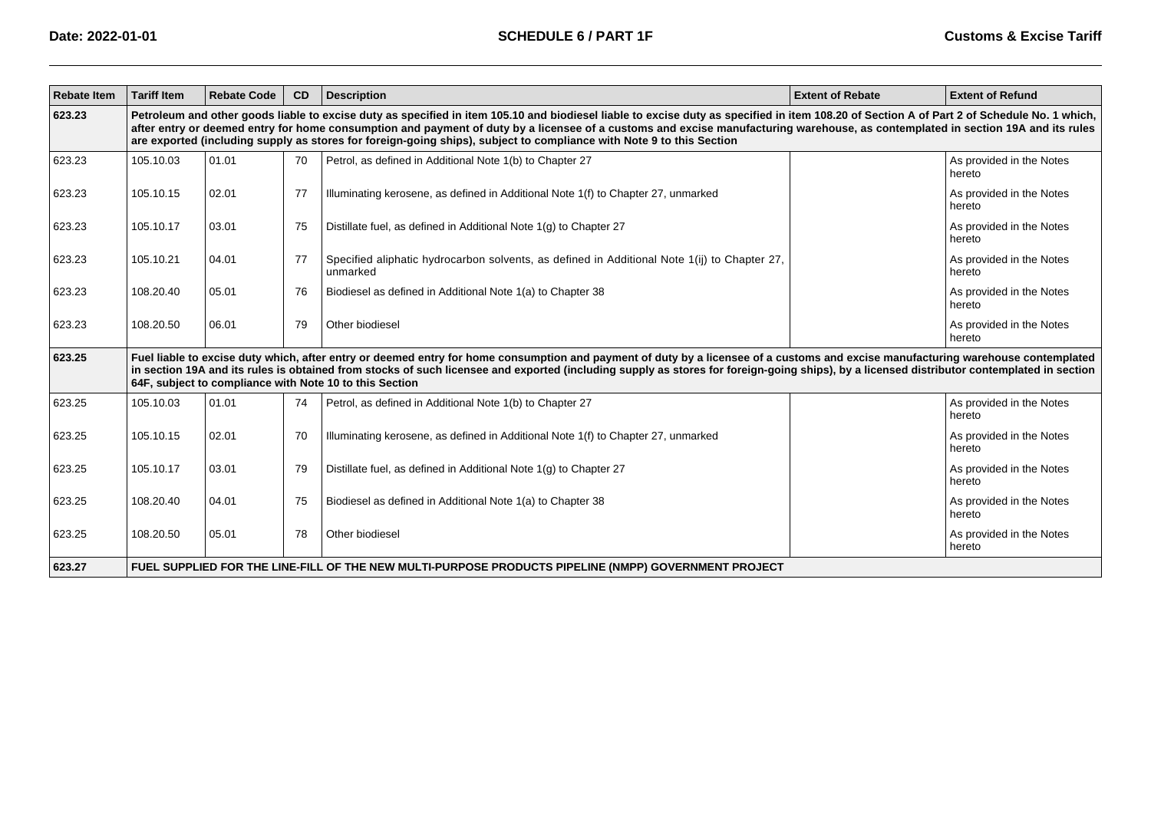| <b>Rebate Item</b> | <b>Tariff Item</b>                                                                                                                                                                                                                                                                                                                                                                                                                                                                                      | <b>Rebate Code</b> | CD | <b>Description</b>                                                                                       | <b>Extent of Rebate</b> | <b>Extent of Refund</b>            |  |  |  |  |
|--------------------|---------------------------------------------------------------------------------------------------------------------------------------------------------------------------------------------------------------------------------------------------------------------------------------------------------------------------------------------------------------------------------------------------------------------------------------------------------------------------------------------------------|--------------------|----|----------------------------------------------------------------------------------------------------------|-------------------------|------------------------------------|--|--|--|--|
| 623.23             | Petroleum and other goods liable to excise duty as specified in item 105.10 and biodiesel liable to excise duty as specified in item 108.20 of Section A of Part 2 of Schedule No. 1 which,<br>after entry or deemed entry for home consumption and payment of duty by a licensee of a customs and excise manufacturing warehouse, as contemplated in section 19A and its rules<br>are exported (including supply as stores for foreign-going ships), subject to compliance with Note 9 to this Section |                    |    |                                                                                                          |                         |                                    |  |  |  |  |
| 623.23             | 105.10.03                                                                                                                                                                                                                                                                                                                                                                                                                                                                                               | 01.01              | 70 | Petrol, as defined in Additional Note 1(b) to Chapter 27                                                 |                         | As provided in the Notes<br>hereto |  |  |  |  |
| 623.23             | 105.10.15                                                                                                                                                                                                                                                                                                                                                                                                                                                                                               | 02.01              | 77 | Illuminating kerosene, as defined in Additional Note 1(f) to Chapter 27, unmarked                        |                         | As provided in the Notes<br>hereto |  |  |  |  |
| 623.23             | 105.10.17                                                                                                                                                                                                                                                                                                                                                                                                                                                                                               | 03.01              | 75 | Distillate fuel, as defined in Additional Note 1(g) to Chapter 27                                        |                         | As provided in the Notes<br>hereto |  |  |  |  |
| 623.23             | 105.10.21                                                                                                                                                                                                                                                                                                                                                                                                                                                                                               | 04.01              | 77 | Specified aliphatic hydrocarbon solvents, as defined in Additional Note 1(ij) to Chapter 27,<br>unmarked |                         | As provided in the Notes<br>hereto |  |  |  |  |
| 623.23             | 108.20.40                                                                                                                                                                                                                                                                                                                                                                                                                                                                                               | 05.01              | 76 | Biodiesel as defined in Additional Note 1(a) to Chapter 38                                               |                         | As provided in the Notes<br>hereto |  |  |  |  |
| 623.23             | 108.20.50                                                                                                                                                                                                                                                                                                                                                                                                                                                                                               | 06.01              | 79 | Other biodiesel                                                                                          |                         | As provided in the Notes<br>hereto |  |  |  |  |
| 623.25             | Fuel liable to excise duty which, after entry or deemed entry for home consumption and payment of duty by a licensee of a customs and excise manufacturing warehouse contemplated<br>in section 19A and its rules is obtained from stocks of such licensee and exported (including supply as stores for foreign-going ships), by a licensed distributor contemplated in section<br>64F, subject to compliance with Note 10 to this Section                                                              |                    |    |                                                                                                          |                         |                                    |  |  |  |  |
| 623.25             | 105.10.03                                                                                                                                                                                                                                                                                                                                                                                                                                                                                               | 01.01              | 74 | Petrol, as defined in Additional Note 1(b) to Chapter 27                                                 |                         | As provided in the Notes<br>hereto |  |  |  |  |
| 623.25             | 105.10.15                                                                                                                                                                                                                                                                                                                                                                                                                                                                                               | 02.01              | 70 | Illuminating kerosene, as defined in Additional Note 1(f) to Chapter 27, unmarked                        |                         | As provided in the Notes<br>hereto |  |  |  |  |
| 623.25             | 105.10.17                                                                                                                                                                                                                                                                                                                                                                                                                                                                                               | 03.01              | 79 | Distillate fuel, as defined in Additional Note 1(g) to Chapter 27                                        |                         | As provided in the Notes<br>hereto |  |  |  |  |
| 623.25             | 108.20.40                                                                                                                                                                                                                                                                                                                                                                                                                                                                                               | 04.01              | 75 | Biodiesel as defined in Additional Note 1(a) to Chapter 38                                               |                         | As provided in the Notes<br>hereto |  |  |  |  |
| 623.25             | 108.20.50                                                                                                                                                                                                                                                                                                                                                                                                                                                                                               | 05.01              | 78 | Other biodiesel                                                                                          |                         | As provided in the Notes<br>hereto |  |  |  |  |
| 623.27             | FUEL SUPPLIED FOR THE LINE-FILL OF THE NEW MULTI-PURPOSE PRODUCTS PIPELINE (NMPP) GOVERNMENT PROJECT                                                                                                                                                                                                                                                                                                                                                                                                    |                    |    |                                                                                                          |                         |                                    |  |  |  |  |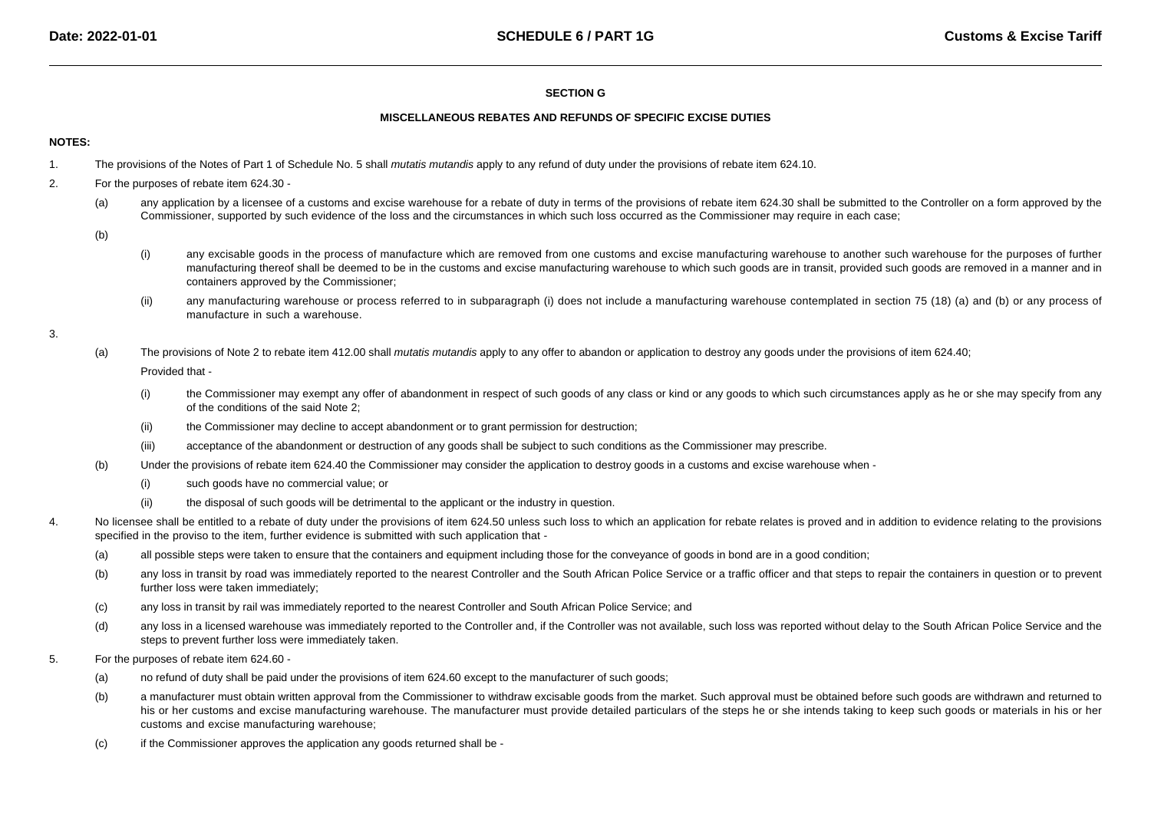# **SECTION G**

### **MISCELLANEOUS REBATES AND REFUNDS OF SPECIFIC EXCISE DUTIES**

# **NOTES:**

- 1.The provisions of the Notes of Part 1 of Schedule No. 5 shall mutatis mutandis apply to any refund of duty under the provisions of rebate item 624.10.
- 2. For the purposes of rebate item 624.30 -
	- (a)any application by a licensee of a customs and excise warehouse for a rebate of duty in terms of the provisions of rebate item 624.30 shall be submitted to the Controller on a form approved by the Commissioner, supported by such evidence of the loss and the circumstances in which such loss occurred as the Commissioner may require in each case;
	- (b)
- (i) any excisable goods in the process of manufacture which are removed from one customs and excise manufacturing warehouse to another such warehouse for the purposes of further manufacturing thereof shall be deemed to be in the customs and excise manufacturing warehouse to which such goods are in transit, provided such goods are removed in a manner and incontainers approved by the Commissioner;
- (ii)any manufacturing warehouse or process referred to in subparagraph (i) does not include a manufacturing warehouse contemplated in section 75 (18) (a) and (b) or any process of manufacture in such a warehouse.
- 3.
- (a)The provisions of Note 2 to rebate item 412.00 shall mutatis mutandis apply to any offer to abandon or application to destroy any goods under the provisions of item 624.40;

Provided that -

- (i) the Commissioner may exempt any offer of abandonment in respect of such goods of any class or kind or any goods to which such circumstances apply as he or she may specify from anyof the conditions of the said Note 2;
- (ii)the Commissioner may decline to accept abandonment or to grant permission for destruction;
- (iii)acceptance of the abandonment or destruction of any goods shall be subject to such conditions as the Commissioner may prescribe.
- (b) Under the provisions of rebate item 624.40 the Commissioner may consider the application to destroy goods in a customs and excise warehouse when -
	- (i)such goods have no commercial value; or
	- (ii)the disposal of such goods will be detrimental to the applicant or the industry in question.
- 4.No licensee shall be entitled to a rebate of duty under the provisions of item 624.50 unless such loss to which an application for rebate relates is proved and in addition to evidence relating to the provisions specified in the proviso to the item, further evidence is submitted with such application that -
	- (a)all possible steps were taken to ensure that the containers and equipment including those for the conveyance of goods in bond are in a good condition;
	- (b)any loss in transit by road was immediately reported to the nearest Controller and the South African Police Service or a traffic officer and that steps to repair the containers in question or to prevent further loss were taken immediately;
	- (c)any loss in transit by rail was immediately reported to the nearest Controller and South African Police Service; and
	- (d)any loss in a licensed warehouse was immediately reported to the Controller and, if the Controller was not available, such loss was reported without delay to the South African Police Service and the steps to prevent further loss were immediately taken.
- 5. For the purposes of rebate item 624.60 -
	- (a)no refund of duty shall be paid under the provisions of item 624.60 except to the manufacturer of such goods;
	- (b)a manufacturer must obtain written approval from the Commissioner to withdraw excisable goods from the market. Such approval must be obtained before such goods are withdrawn and returned to his or her customs and excise manufacturing warehouse. The manufacturer must provide detailed particulars of the steps he or she intends taking to keep such goods or materials in his or her customs and excise manufacturing warehouse;
	- (c)if the Commissioner approves the application any goods returned shall be -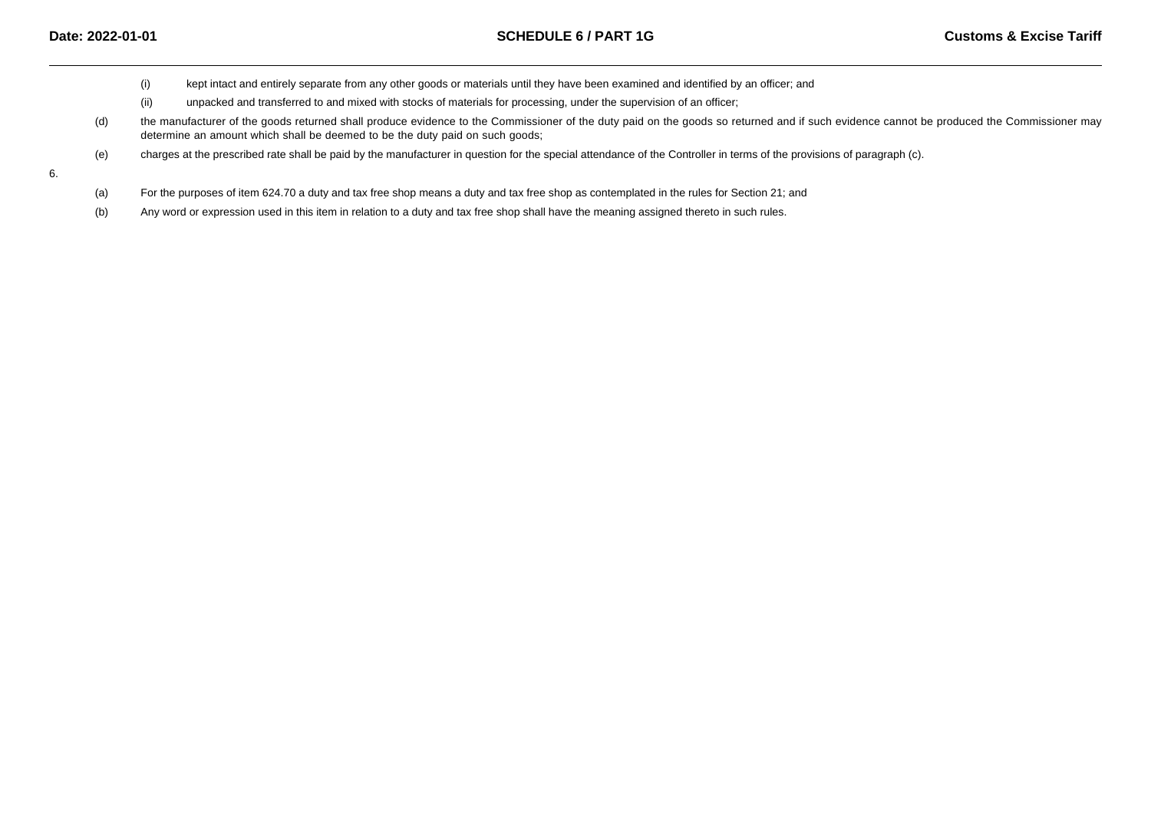- (i)kept intact and entirely separate from any other goods or materials until they have been examined and identified by an officer; and
- (ii)unpacked and transferred to and mixed with stocks of materials for processing, under the supervision of an officer;
- (d) the manufacturer of the goods returned shall produce evidence to the Commissioner of the duty paid on the goods so returned and if such evidence cannot be produced the Commissioner maydetermine an amount which shall be deemed to be the duty paid on such goods;
- (e)charges at the prescribed rate shall be paid by the manufacturer in question for the special attendance of the Controller in terms of the provisions of paragraph (c).

6.

- (a)For the purposes of item 624.70 a duty and tax free shop means a duty and tax free shop as contemplated in the rules for Section 21; and
- (b)Any word or expression used in this item in relation to a duty and tax free shop shall have the meaning assigned thereto in such rules.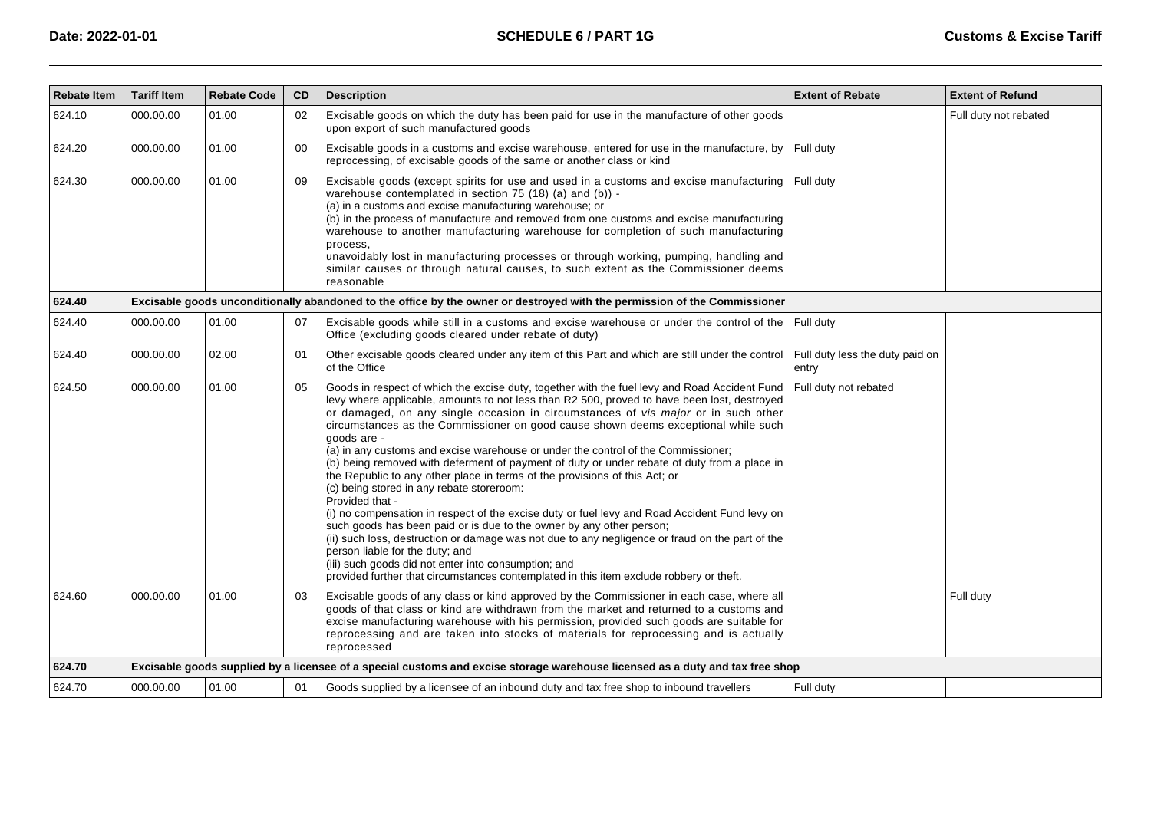| <b>Rebate Item</b> | <b>Tariff Item</b> | <b>Rebate Code</b> | <b>CD</b> | <b>Description</b>                                                                                                                                                                                                                                                                                                                                                                                                                                                                                                                                                                                                                                                                                                                                                                                                                                                                                                                                                                                                                                                                                                                                                                         | <b>Extent of Rebate</b>                  | <b>Extent of Refund</b> |
|--------------------|--------------------|--------------------|-----------|--------------------------------------------------------------------------------------------------------------------------------------------------------------------------------------------------------------------------------------------------------------------------------------------------------------------------------------------------------------------------------------------------------------------------------------------------------------------------------------------------------------------------------------------------------------------------------------------------------------------------------------------------------------------------------------------------------------------------------------------------------------------------------------------------------------------------------------------------------------------------------------------------------------------------------------------------------------------------------------------------------------------------------------------------------------------------------------------------------------------------------------------------------------------------------------------|------------------------------------------|-------------------------|
| 624.10             | 000.00.00          | 01.00              | 02        | Excisable goods on which the duty has been paid for use in the manufacture of other goods<br>upon export of such manufactured goods                                                                                                                                                                                                                                                                                                                                                                                                                                                                                                                                                                                                                                                                                                                                                                                                                                                                                                                                                                                                                                                        |                                          | Full duty not rebated   |
| 624.20             | 000.00.00          | 01.00              | 00        | Excisable goods in a customs and excise warehouse, entered for use in the manufacture, by<br>reprocessing, of excisable goods of the same or another class or kind                                                                                                                                                                                                                                                                                                                                                                                                                                                                                                                                                                                                                                                                                                                                                                                                                                                                                                                                                                                                                         | Full duty                                |                         |
| 624.30             | 000.00.00          | 01.00              | 09        | Excisable goods (except spirits for use and used in a customs and excise manufacturing<br>warehouse contemplated in section 75 (18) (a) and (b)) -<br>(a) in a customs and excise manufacturing warehouse; or<br>(b) in the process of manufacture and removed from one customs and excise manufacturing<br>warehouse to another manufacturing warehouse for completion of such manufacturing<br>process,<br>unavoidably lost in manufacturing processes or through working, pumping, handling and<br>similar causes or through natural causes, to such extent as the Commissioner deems<br>reasonable                                                                                                                                                                                                                                                                                                                                                                                                                                                                                                                                                                                     | Full duty                                |                         |
| 624.40             |                    |                    |           | Excisable goods unconditionally abandoned to the office by the owner or destroyed with the permission of the Commissioner                                                                                                                                                                                                                                                                                                                                                                                                                                                                                                                                                                                                                                                                                                                                                                                                                                                                                                                                                                                                                                                                  |                                          |                         |
| 624.40             | 000.00.00          | 01.00              | 07        | Excisable goods while still in a customs and excise warehouse or under the control of the<br>Office (excluding goods cleared under rebate of duty)                                                                                                                                                                                                                                                                                                                                                                                                                                                                                                                                                                                                                                                                                                                                                                                                                                                                                                                                                                                                                                         | Full duty                                |                         |
| 624.40             | 000.00.00          | 02.00              | 01        | Other excisable goods cleared under any item of this Part and which are still under the control<br>of the Office                                                                                                                                                                                                                                                                                                                                                                                                                                                                                                                                                                                                                                                                                                                                                                                                                                                                                                                                                                                                                                                                           | Full duty less the duty paid on<br>entry |                         |
| 624.50             | 000.00.00          | 01.00              | 05        | Goods in respect of which the excise duty, together with the fuel levy and Road Accident Fund<br>levy where applicable, amounts to not less than R2 500, proved to have been lost, destroyed<br>or damaged, on any single occasion in circumstances of vis major or in such other<br>circumstances as the Commissioner on good cause shown deems exceptional while such<br>qoods are -<br>(a) in any customs and excise warehouse or under the control of the Commissioner;<br>(b) being removed with deferment of payment of duty or under rebate of duty from a place in<br>the Republic to any other place in terms of the provisions of this Act; or<br>(c) being stored in any rebate storeroom:<br>Provided that -<br>(i) no compensation in respect of the excise duty or fuel levy and Road Accident Fund levy on<br>such goods has been paid or is due to the owner by any other person;<br>(ii) such loss, destruction or damage was not due to any negligence or fraud on the part of the<br>person liable for the duty; and<br>(iii) such goods did not enter into consumption; and<br>provided further that circumstances contemplated in this item exclude robbery or theft. | Full duty not rebated                    |                         |
| 624.60             | 000.00.00          | 01.00              | 03        | Excisable goods of any class or kind approved by the Commissioner in each case, where all<br>goods of that class or kind are withdrawn from the market and returned to a customs and<br>excise manufacturing warehouse with his permission, provided such goods are suitable for<br>reprocessing and are taken into stocks of materials for reprocessing and is actually<br>reprocessed                                                                                                                                                                                                                                                                                                                                                                                                                                                                                                                                                                                                                                                                                                                                                                                                    |                                          | Full duty               |
| 624.70             |                    |                    |           | Excisable goods supplied by a licensee of a special customs and excise storage warehouse licensed as a duty and tax free shop                                                                                                                                                                                                                                                                                                                                                                                                                                                                                                                                                                                                                                                                                                                                                                                                                                                                                                                                                                                                                                                              |                                          |                         |
| 624.70             | 000.00.00          | 01.00              | 01        | Goods supplied by a licensee of an inbound duty and tax free shop to inbound travellers                                                                                                                                                                                                                                                                                                                                                                                                                                                                                                                                                                                                                                                                                                                                                                                                                                                                                                                                                                                                                                                                                                    | Full duty                                |                         |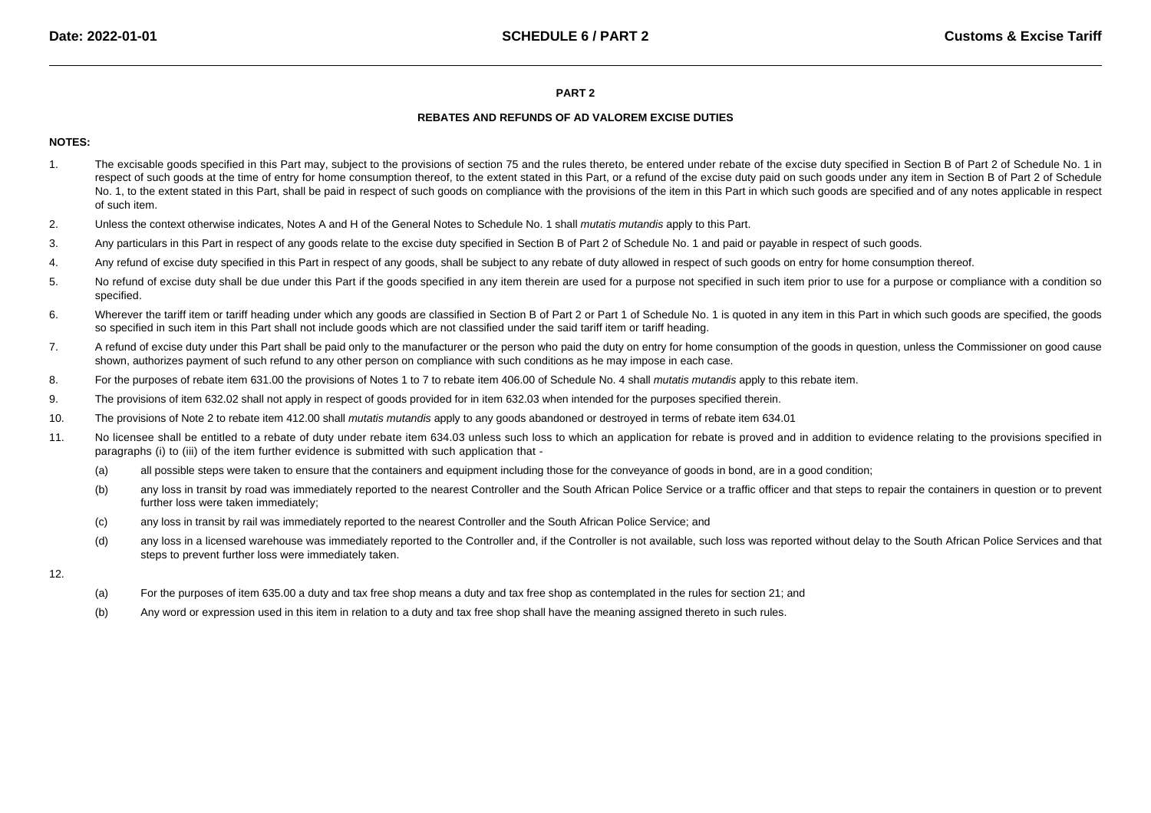#### **PART 2**

# **REBATES AND REFUNDS OF AD VALOREM EXCISE DUTIES**

# **NOTES:**

- 1.The excisable goods specified in this Part may, subject to the provisions of section 75 and the rules thereto, be entered under rebate of the excise duty specified in Section B of Part 2 of Schedule No. 1 in respect of such goods at the time of entry for home consumption thereof, to the extent stated in this Part, or a refund of the excise duty paid on such goods under any item in Section B of Part 2 of Schedule No. 1, to the extent stated in this Part, shall be paid in respect of such goods on compliance with the provisions of the item in this Part in which such goods are specified and of any notes applicable in respectof such item.
- 2.Unless the context otherwise indicates, Notes A and H of the General Notes to Schedule No. 1 shall mutatis mutandis apply to this Part.
- 3.Any particulars in this Part in respect of any goods relate to the excise duty specified in Section B of Part 2 of Schedule No. 1 and paid or payable in respect of such goods.
- 4.Any refund of excise duty specified in this Part in respect of any goods, shall be subject to any rebate of duty allowed in respect of such goods on entry for home consumption thereof.
- 5.No refund of excise duty shall be due under this Part if the goods specified in any item therein are used for a purpose not specified in such item prior to use for a purpose or compliance with a condition so specified.
- 6.Wherever the tariff item or tariff heading under which any goods are classified in Section B of Part 2 or Part 1 of Schedule No. 1 is quoted in any item in this Part in which such goods are specified, the goods so specified in such item in this Part shall not include goods which are not classified under the said tariff item or tariff heading.
- 7.A refund of excise duty under this Part shall be paid only to the manufacturer or the person who paid the duty on entry for home consumption of the goods in question, unless the Commissioner on good cause shown, authorizes payment of such refund to any other person on compliance with such conditions as he may impose in each case.
- 8.For the purposes of rebate item 631.00 the provisions of Notes 1 to 7 to rebate item 406.00 of Schedule No. 4 shall mutatis mutandis apply to this rebate item.
- 9.The provisions of item 632.02 shall not apply in respect of goods provided for in item 632.03 when intended for the purposes specified therein.
- 10.The provisions of Note 2 to rebate item 412.00 shall mutatis mutandis apply to any goods abandoned or destroyed in terms of rebate item 634.01
- 11.No licensee shall be entitled to a rebate of duty under rebate item 634.03 unless such loss to which an application for rebate is proved and in addition to evidence relating to the provisions specified in paragraphs (i) to (iii) of the item further evidence is submitted with such application that -
	- (a)all possible steps were taken to ensure that the containers and equipment including those for the conveyance of goods in bond, are in a good condition;
	- (b)any loss in transit by road was immediately reported to the nearest Controller and the South African Police Service or a traffic officer and that steps to repair the containers in question or to prevent further loss were taken immediately;
	- (c)any loss in transit by rail was immediately reported to the nearest Controller and the South African Police Service; and
	- (d)any loss in a licensed warehouse was immediately reported to the Controller and, if the Controller is not available, such loss was reported without delay to the South African Police Services and that steps to prevent further loss were immediately taken.
- 12.
- (a)For the purposes of item 635.00 a duty and tax free shop means a duty and tax free shop as contemplated in the rules for section 21; and
- (b)Any word or expression used in this item in relation to a duty and tax free shop shall have the meaning assigned thereto in such rules.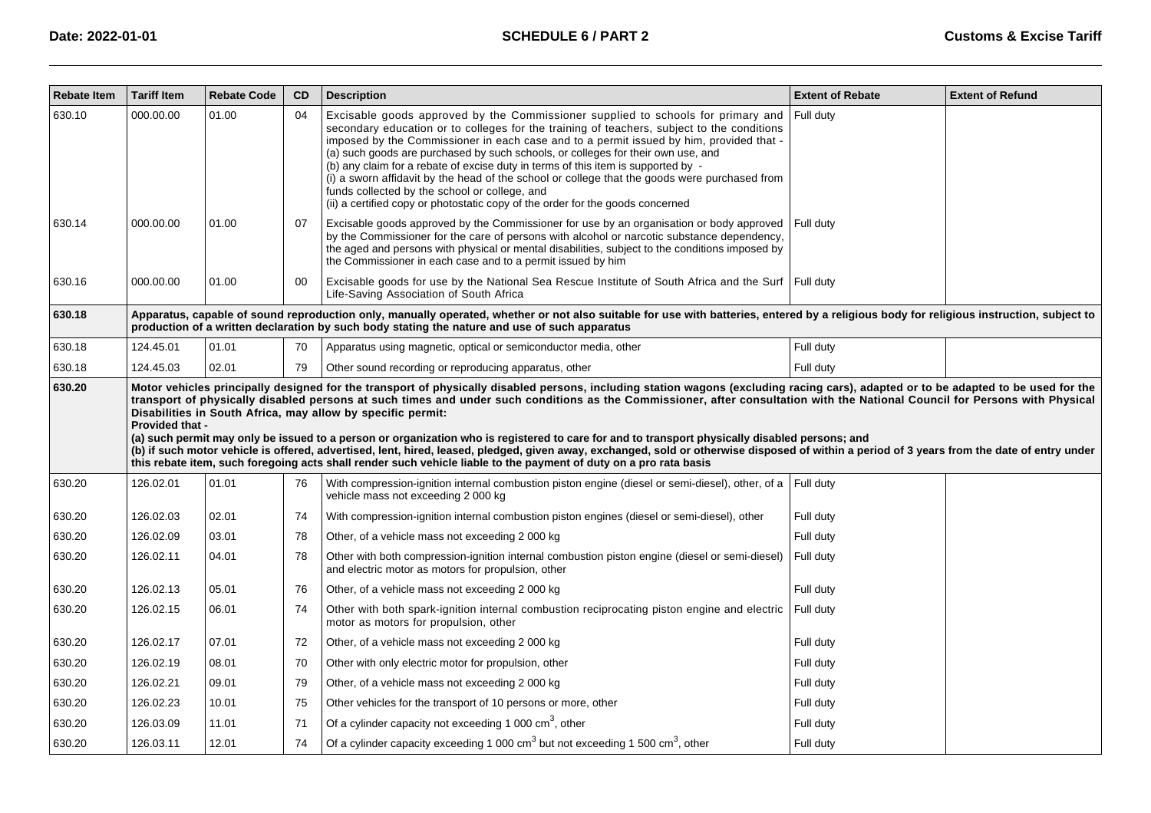| <b>Rebate Item</b> | <b>Tariff Item</b>     | <b>Rebate Code</b> | CD | <b>Description</b>                                                                                                                                                                                                                                                                                                                                                                                                                                                                                                                                                                                                                                                                                                 | <b>Extent of Rebate</b> | <b>Extent of Refund</b> |
|--------------------|------------------------|--------------------|----|--------------------------------------------------------------------------------------------------------------------------------------------------------------------------------------------------------------------------------------------------------------------------------------------------------------------------------------------------------------------------------------------------------------------------------------------------------------------------------------------------------------------------------------------------------------------------------------------------------------------------------------------------------------------------------------------------------------------|-------------------------|-------------------------|
| 630.10             | 000.00.00              | 01.00              | 04 | Excisable goods approved by the Commissioner supplied to schools for primary and<br>secondary education or to colleges for the training of teachers, subject to the conditions<br>imposed by the Commissioner in each case and to a permit issued by him, provided that -<br>(a) such goods are purchased by such schools, or colleges for their own use, and<br>(b) any claim for a rebate of excise duty in terms of this item is supported by -<br>(i) a sworn affidavit by the head of the school or college that the goods were purchased from<br>funds collected by the school or college, and<br>(ii) a certified copy or photostatic copy of the order for the goods concerned                             | Full duty               |                         |
| 630.14             | 000.00.00              | 01.00              | 07 | Excisable goods approved by the Commissioner for use by an organisation or body approved<br>by the Commissioner for the care of persons with alcohol or narcotic substance dependency,<br>the aged and persons with physical or mental disabilities, subject to the conditions imposed by<br>the Commissioner in each case and to a permit issued by him                                                                                                                                                                                                                                                                                                                                                           | Full duty               |                         |
| 630.16             | 000.00.00              | 01.00              | 00 | Excisable goods for use by the National Sea Rescue Institute of South Africa and the Surf Full duty<br>Life-Saving Association of South Africa                                                                                                                                                                                                                                                                                                                                                                                                                                                                                                                                                                     |                         |                         |
| 630.18             |                        |                    |    | Apparatus, capable of sound reproduction only, manually operated, whether or not also suitable for use with batteries, entered by a religious body for religious instruction, subject to<br>production of a written declaration by such body stating the nature and use of such apparatus                                                                                                                                                                                                                                                                                                                                                                                                                          |                         |                         |
| 630.18             | 124.45.01              | 01.01              | 70 | Apparatus using magnetic, optical or semiconductor media, other                                                                                                                                                                                                                                                                                                                                                                                                                                                                                                                                                                                                                                                    | Full duty               |                         |
| 630.18             | 124.45.03              | 02.01              | 79 | Other sound recording or reproducing apparatus, other                                                                                                                                                                                                                                                                                                                                                                                                                                                                                                                                                                                                                                                              | Full duty               |                         |
|                    | <b>Provided that -</b> |                    |    | transport of physically disabled persons at such times and under such conditions as the Commissioner, after consultation with the National Council for Persons with Physical<br>Disabilities in South Africa, may allow by specific permit:<br>(a) such permit may only be issued to a person or organization who is registered to care for and to transport physically disabled persons; and<br>(b) if such motor vehicle is offered, advertised, lent, hired, leased, pledged, given away, exchanged, sold or otherwise disposed of within a period of 3 years from the date of entry under<br>this rebate item, such foregoing acts shall render such vehicle liable to the payment of duty on a pro rata basis |                         |                         |
| 630.20             | 126.02.01              | 01.01              | 76 | With compression-ignition internal combustion piston engine (diesel or semi-diesel), other, of a<br>vehicle mass not exceeding 2 000 kg                                                                                                                                                                                                                                                                                                                                                                                                                                                                                                                                                                            | Full duty               |                         |
| 630.20             | 126.02.03              | 02.01              | 74 | With compression-ignition internal combustion piston engines (diesel or semi-diesel), other                                                                                                                                                                                                                                                                                                                                                                                                                                                                                                                                                                                                                        | Full duty               |                         |
| 630.20             | 126.02.09              | 03.01              | 78 | Other, of a vehicle mass not exceeding 2 000 kg                                                                                                                                                                                                                                                                                                                                                                                                                                                                                                                                                                                                                                                                    | Full duty               |                         |
| 630.20             | 126.02.11              | 04.01              | 78 | Other with both compression-ignition internal combustion piston engine (diesel or semi-diesel)<br>and electric motor as motors for propulsion, other                                                                                                                                                                                                                                                                                                                                                                                                                                                                                                                                                               | Full duty               |                         |
| 630.20             | 126.02.13              | 05.01              | 76 | Other, of a vehicle mass not exceeding 2000 kg                                                                                                                                                                                                                                                                                                                                                                                                                                                                                                                                                                                                                                                                     | Full duty               |                         |
| 630.20             | 126.02.15              | 06.01              | 74 | Other with both spark-ignition internal combustion reciprocating piston engine and electric<br>motor as motors for propulsion, other                                                                                                                                                                                                                                                                                                                                                                                                                                                                                                                                                                               | Full duty               |                         |
| 630.20             | 126.02.17              | 07.01              | 72 | Other, of a vehicle mass not exceeding 2000 kg                                                                                                                                                                                                                                                                                                                                                                                                                                                                                                                                                                                                                                                                     | Full duty               |                         |
| 630.20             | 126.02.19              | 08.01              | 70 | Other with only electric motor for propulsion, other                                                                                                                                                                                                                                                                                                                                                                                                                                                                                                                                                                                                                                                               | Full duty               |                         |
| 630.20             | 126.02.21              | 09.01              | 79 | Other, of a vehicle mass not exceeding 2 000 kg                                                                                                                                                                                                                                                                                                                                                                                                                                                                                                                                                                                                                                                                    | Full duty               |                         |
| 630.20             | 126.02.23              | 10.01              | 75 | Other vehicles for the transport of 10 persons or more, other                                                                                                                                                                                                                                                                                                                                                                                                                                                                                                                                                                                                                                                      | Full duty               |                         |
| 630.20             | 126.03.09              | 11.01              | 71 | Of a cylinder capacity not exceeding 1 000 $\text{cm}^3$ , other                                                                                                                                                                                                                                                                                                                                                                                                                                                                                                                                                                                                                                                   | Full duty               |                         |
| 630.20             | 126.03.11              | 12.01              | 74 | Of a cylinder capacity exceeding 1 000 $\text{cm}^3$ but not exceeding 1 500 $\text{cm}^3$ , other                                                                                                                                                                                                                                                                                                                                                                                                                                                                                                                                                                                                                 | Full duty               |                         |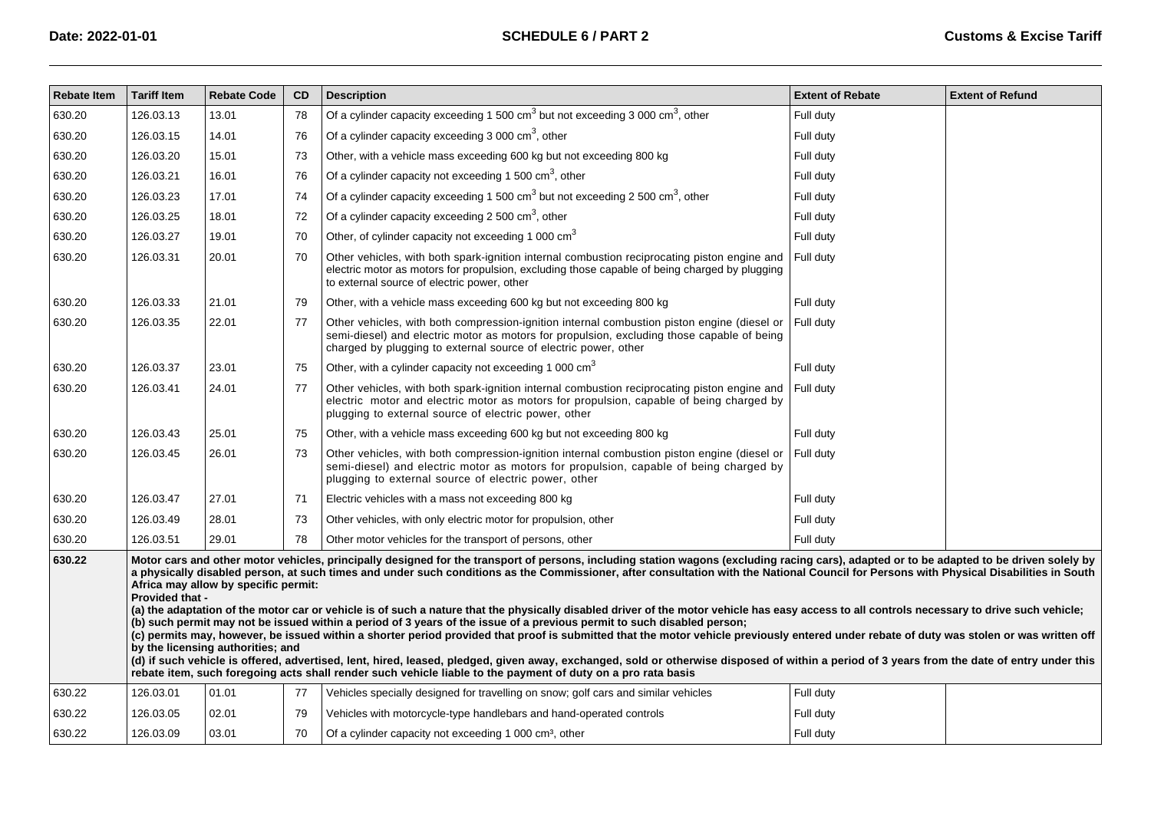| Rebate Item                                                                                                                                                                                                                                                                                                                                                                                                                                                                                                                                                                                                                                                                                                                                                                                                                                                                                                                                                                                                                                                                                                                                                                                                                                                                                                                           | <b>Tariff Item</b> | <b>Rebate Code</b> | <b>CD</b> | <b>Description</b>                                                                                                                                                                                                                                           | <b>Extent of Rebate</b> | <b>Extent of Refund</b> |  |
|---------------------------------------------------------------------------------------------------------------------------------------------------------------------------------------------------------------------------------------------------------------------------------------------------------------------------------------------------------------------------------------------------------------------------------------------------------------------------------------------------------------------------------------------------------------------------------------------------------------------------------------------------------------------------------------------------------------------------------------------------------------------------------------------------------------------------------------------------------------------------------------------------------------------------------------------------------------------------------------------------------------------------------------------------------------------------------------------------------------------------------------------------------------------------------------------------------------------------------------------------------------------------------------------------------------------------------------|--------------------|--------------------|-----------|--------------------------------------------------------------------------------------------------------------------------------------------------------------------------------------------------------------------------------------------------------------|-------------------------|-------------------------|--|
| 630.20                                                                                                                                                                                                                                                                                                                                                                                                                                                                                                                                                                                                                                                                                                                                                                                                                                                                                                                                                                                                                                                                                                                                                                                                                                                                                                                                | 126.03.13          | 13.01              | 78        | Of a cylinder capacity exceeding 1 500 $\text{cm}^3$ but not exceeding 3 000 $\text{cm}^3$ , other                                                                                                                                                           | Full duty               |                         |  |
| 630.20                                                                                                                                                                                                                                                                                                                                                                                                                                                                                                                                                                                                                                                                                                                                                                                                                                                                                                                                                                                                                                                                                                                                                                                                                                                                                                                                | 126.03.15          | 14.01              | 76        | Of a cylinder capacity exceeding 3 000 $\text{cm}^3$ , other                                                                                                                                                                                                 | Full duty               |                         |  |
| 630.20                                                                                                                                                                                                                                                                                                                                                                                                                                                                                                                                                                                                                                                                                                                                                                                                                                                                                                                                                                                                                                                                                                                                                                                                                                                                                                                                | 126.03.20          | 15.01              | 73        | Other, with a vehicle mass exceeding 600 kg but not exceeding 800 kg                                                                                                                                                                                         | Full duty               |                         |  |
| 630.20                                                                                                                                                                                                                                                                                                                                                                                                                                                                                                                                                                                                                                                                                                                                                                                                                                                                                                                                                                                                                                                                                                                                                                                                                                                                                                                                | 126.03.21          | 16.01              | 76        | Of a cylinder capacity not exceeding 1 500 $\text{cm}^3$ , other                                                                                                                                                                                             | Full duty               |                         |  |
| 630.20                                                                                                                                                                                                                                                                                                                                                                                                                                                                                                                                                                                                                                                                                                                                                                                                                                                                                                                                                                                                                                                                                                                                                                                                                                                                                                                                | 126.03.23          | 17.01              | 74        | Of a cylinder capacity exceeding 1 500 $\text{cm}^3$ but not exceeding 2 500 $\text{cm}^3$ , other                                                                                                                                                           | Full duty               |                         |  |
| 630.20                                                                                                                                                                                                                                                                                                                                                                                                                                                                                                                                                                                                                                                                                                                                                                                                                                                                                                                                                                                                                                                                                                                                                                                                                                                                                                                                | 126.03.25          | 18.01              | 72        | Of a cylinder capacity exceeding 2 500 $\text{cm}^3$ , other                                                                                                                                                                                                 | Full duty               |                         |  |
| 630.20                                                                                                                                                                                                                                                                                                                                                                                                                                                                                                                                                                                                                                                                                                                                                                                                                                                                                                                                                                                                                                                                                                                                                                                                                                                                                                                                | 126.03.27          | 19.01              | 70        | Other, of cylinder capacity not exceeding 1 000 cm <sup>3</sup>                                                                                                                                                                                              | Full duty               |                         |  |
| 630.20                                                                                                                                                                                                                                                                                                                                                                                                                                                                                                                                                                                                                                                                                                                                                                                                                                                                                                                                                                                                                                                                                                                                                                                                                                                                                                                                | 126.03.31          | 20.01              | 70        | Other vehicles, with both spark-ignition internal combustion reciprocating piston engine and<br>electric motor as motors for propulsion, excluding those capable of being charged by plugging<br>to external source of electric power, other                 | Full duty               |                         |  |
| 630.20                                                                                                                                                                                                                                                                                                                                                                                                                                                                                                                                                                                                                                                                                                                                                                                                                                                                                                                                                                                                                                                                                                                                                                                                                                                                                                                                | 126.03.33          | 21.01              | 79        | Other, with a vehicle mass exceeding 600 kg but not exceeding 800 kg                                                                                                                                                                                         | Full duty               |                         |  |
| 630.20                                                                                                                                                                                                                                                                                                                                                                                                                                                                                                                                                                                                                                                                                                                                                                                                                                                                                                                                                                                                                                                                                                                                                                                                                                                                                                                                | 126.03.35          | 22.01              | 77        | Other vehicles, with both compression-ignition internal combustion piston engine (diesel or<br>semi-diesel) and electric motor as motors for propulsion, excluding those capable of being<br>charged by plugging to external source of electric power, other | Full duty               |                         |  |
| 630.20                                                                                                                                                                                                                                                                                                                                                                                                                                                                                                                                                                                                                                                                                                                                                                                                                                                                                                                                                                                                                                                                                                                                                                                                                                                                                                                                | 126.03.37          | 23.01              | 75        | Other, with a cylinder capacity not exceeding 1 000 cm <sup>3</sup>                                                                                                                                                                                          | Full duty               |                         |  |
| 630.20                                                                                                                                                                                                                                                                                                                                                                                                                                                                                                                                                                                                                                                                                                                                                                                                                                                                                                                                                                                                                                                                                                                                                                                                                                                                                                                                | 126.03.41          | 24.01              | 77        | Other vehicles, with both spark-ignition internal combustion reciprocating piston engine and<br>electric motor and electric motor as motors for propulsion, capable of being charged by<br>plugging to external source of electric power, other              | Full duty               |                         |  |
| 630.20                                                                                                                                                                                                                                                                                                                                                                                                                                                                                                                                                                                                                                                                                                                                                                                                                                                                                                                                                                                                                                                                                                                                                                                                                                                                                                                                | 126.03.43          | 25.01              | 75        | Other, with a vehicle mass exceeding 600 kg but not exceeding 800 kg                                                                                                                                                                                         | Full duty               |                         |  |
| 630.20                                                                                                                                                                                                                                                                                                                                                                                                                                                                                                                                                                                                                                                                                                                                                                                                                                                                                                                                                                                                                                                                                                                                                                                                                                                                                                                                | 126.03.45          | 26.01              | 73        | Other vehicles, with both compression-ignition internal combustion piston engine (diesel or<br>semi-diesel) and electric motor as motors for propulsion, capable of being charged by<br>plugging to external source of electric power, other                 | Full duty               |                         |  |
| 630.20                                                                                                                                                                                                                                                                                                                                                                                                                                                                                                                                                                                                                                                                                                                                                                                                                                                                                                                                                                                                                                                                                                                                                                                                                                                                                                                                | 126.03.47          | 27.01              | 71        | Electric vehicles with a mass not exceeding 800 kg                                                                                                                                                                                                           | Full duty               |                         |  |
| 630.20                                                                                                                                                                                                                                                                                                                                                                                                                                                                                                                                                                                                                                                                                                                                                                                                                                                                                                                                                                                                                                                                                                                                                                                                                                                                                                                                | 126.03.49          | 28.01              | 73        | Other vehicles, with only electric motor for propulsion, other                                                                                                                                                                                               | Full duty               |                         |  |
| 630.20                                                                                                                                                                                                                                                                                                                                                                                                                                                                                                                                                                                                                                                                                                                                                                                                                                                                                                                                                                                                                                                                                                                                                                                                                                                                                                                                | 126.03.51          | 29.01              | 78        | Other motor vehicles for the transport of persons, other                                                                                                                                                                                                     | Full duty               |                         |  |
| 630.22<br>Motor cars and other motor vehicles, principally designed for the transport of persons, including station wagons (excluding racing cars), adapted or to be adapted to be driven solely by<br>a physically disabled person, at such times and under such conditions as the Commissioner, after consultation with the National Council for Persons with Physical Disabilities in South<br>Africa may allow by specific permit:<br>Provided that -<br>(a) the adaptation of the motor car or vehicle is of such a nature that the physically disabled driver of the motor vehicle has easy access to all controls necessary to drive such vehicle;<br>(b) such permit may not be issued within a period of 3 years of the issue of a previous permit to such disabled person;<br>(c) permits may, however, be issued within a shorter period provided that proof is submitted that the motor vehicle previously entered under rebate of duty was stolen or was written off<br>by the licensing authorities; and<br>(d) if such vehicle is offered, advertised, lent, hired, leased, pledged, given away, exchanged, sold or otherwise disposed of within a period of 3 years from the date of entry under this<br>rebate item, such foregoing acts shall render such vehicle liable to the payment of duty on a pro rata basis |                    |                    |           |                                                                                                                                                                                                                                                              |                         |                         |  |
| 630.22                                                                                                                                                                                                                                                                                                                                                                                                                                                                                                                                                                                                                                                                                                                                                                                                                                                                                                                                                                                                                                                                                                                                                                                                                                                                                                                                | 126.03.01          | 01.01              | 77        | Vehicles specially designed for travelling on snow; golf cars and similar vehicles                                                                                                                                                                           | Full duty               |                         |  |
| 630.22                                                                                                                                                                                                                                                                                                                                                                                                                                                                                                                                                                                                                                                                                                                                                                                                                                                                                                                                                                                                                                                                                                                                                                                                                                                                                                                                | 126.03.05          | 02.01              | 79        | Vehicles with motorcycle-type handlebars and hand-operated controls                                                                                                                                                                                          | Full duty               |                         |  |
| 630.22                                                                                                                                                                                                                                                                                                                                                                                                                                                                                                                                                                                                                                                                                                                                                                                                                                                                                                                                                                                                                                                                                                                                                                                                                                                                                                                                | 126.03.09          | 03.01              | 70        | Of a cylinder capacity not exceeding 1 000 cm <sup>3</sup> , other                                                                                                                                                                                           | Full duty               |                         |  |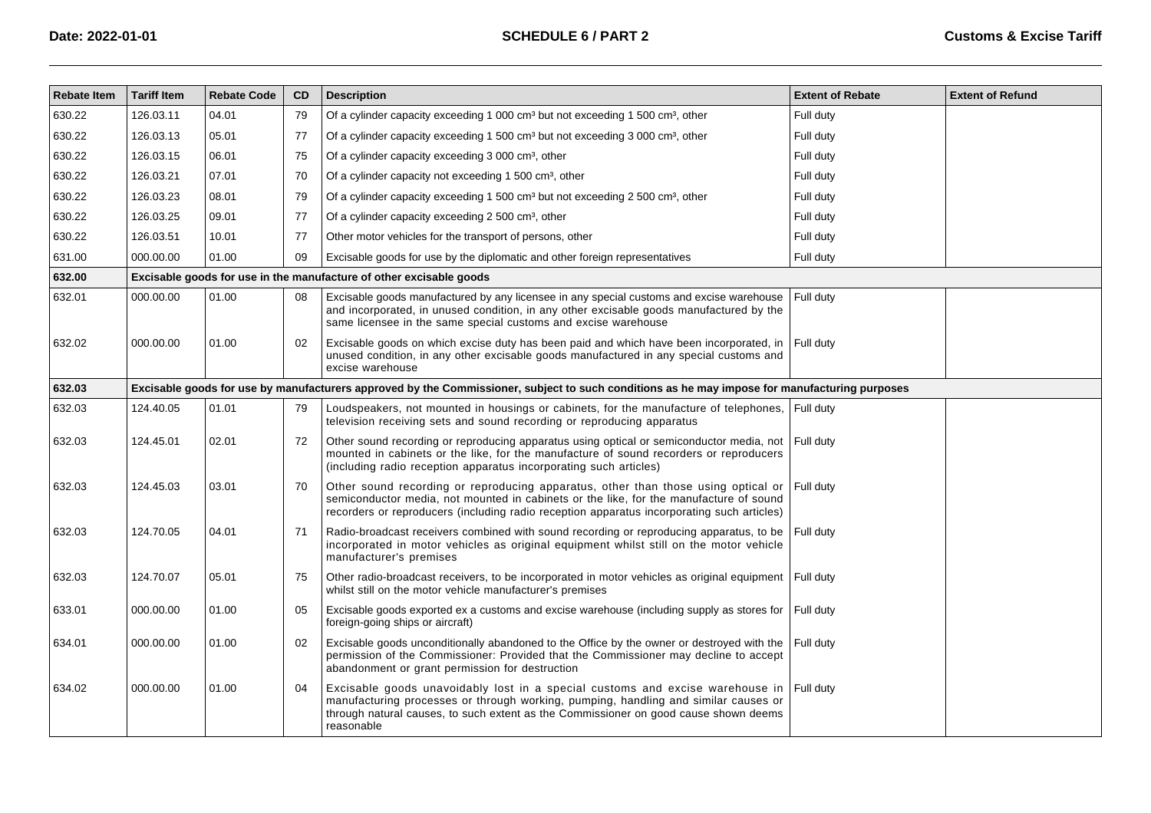| <b>Rebate Item</b> | <b>Tariff Item</b>                                                                                                                            | <b>Rebate Code</b> | CD | <b>Description</b>                                                                                                                                                                                                                                                                   | <b>Extent of Rebate</b> | <b>Extent of Refund</b> |  |  |  |
|--------------------|-----------------------------------------------------------------------------------------------------------------------------------------------|--------------------|----|--------------------------------------------------------------------------------------------------------------------------------------------------------------------------------------------------------------------------------------------------------------------------------------|-------------------------|-------------------------|--|--|--|
| 630.22             | 126.03.11                                                                                                                                     | 04.01              | 79 | Of a cylinder capacity exceeding 1 000 cm <sup>3</sup> but not exceeding 1 500 cm <sup>3</sup> , other                                                                                                                                                                               | Full duty               |                         |  |  |  |
| 630.22             | 126.03.13                                                                                                                                     | 05.01              | 77 | Of a cylinder capacity exceeding 1 500 cm <sup>3</sup> but not exceeding 3 000 cm <sup>3</sup> , other                                                                                                                                                                               | Full duty               |                         |  |  |  |
| 630.22             | 126.03.15                                                                                                                                     | 06.01              | 75 | Of a cylinder capacity exceeding 3 000 cm <sup>3</sup> , other                                                                                                                                                                                                                       | Full duty               |                         |  |  |  |
| 630.22             | 126.03.21                                                                                                                                     | 07.01              | 70 | Of a cylinder capacity not exceeding 1 500 cm <sup>3</sup> , other                                                                                                                                                                                                                   | Full duty               |                         |  |  |  |
| 630.22             | 126.03.23                                                                                                                                     | 08.01              | 79 | Of a cylinder capacity exceeding 1 500 cm <sup>3</sup> but not exceeding 2 500 cm <sup>3</sup> , other                                                                                                                                                                               | Full duty               |                         |  |  |  |
| 630.22             | 126.03.25                                                                                                                                     | 09.01              | 77 | Of a cylinder capacity exceeding 2 500 cm <sup>3</sup> , other                                                                                                                                                                                                                       | Full duty               |                         |  |  |  |
| 630.22             | 126.03.51                                                                                                                                     | 10.01              | 77 | Other motor vehicles for the transport of persons, other                                                                                                                                                                                                                             | Full duty               |                         |  |  |  |
| 631.00             | 000.00.00                                                                                                                                     | 01.00              | 09 | Excisable goods for use by the diplomatic and other foreign representatives                                                                                                                                                                                                          | Full duty               |                         |  |  |  |
| 632.00             |                                                                                                                                               |                    |    | Excisable goods for use in the manufacture of other excisable goods                                                                                                                                                                                                                  |                         |                         |  |  |  |
| 632.01             | 000.00.00                                                                                                                                     | 01.00              | 08 | Excisable goods manufactured by any licensee in any special customs and excise warehouse<br>and incorporated, in unused condition, in any other excisable goods manufactured by the<br>same licensee in the same special customs and excise warehouse                                | Full duty               |                         |  |  |  |
| 632.02             | 000.00.00                                                                                                                                     | 01.00              | 02 | Excisable goods on which excise duty has been paid and which have been incorporated, in Full duty<br>unused condition, in any other excisable goods manufactured in any special customs and<br>excise warehouse                                                                      |                         |                         |  |  |  |
| 632.03             | Excisable goods for use by manufacturers approved by the Commissioner, subject to such conditions as he may impose for manufacturing purposes |                    |    |                                                                                                                                                                                                                                                                                      |                         |                         |  |  |  |
| 632.03             | 124.40.05                                                                                                                                     | 01.01              | 79 | Loudspeakers, not mounted in housings or cabinets, for the manufacture of telephones,<br>television receiving sets and sound recording or reproducing apparatus                                                                                                                      | Full duty               |                         |  |  |  |
| 632.03             | 124.45.01                                                                                                                                     | 02.01              | 72 | Other sound recording or reproducing apparatus using optical or semiconductor media, not Full duty<br>mounted in cabinets or the like, for the manufacture of sound recorders or reproducers<br>(including radio reception apparatus incorporating such articles)                    |                         |                         |  |  |  |
| 632.03             | 124.45.03                                                                                                                                     | 03.01              | 70 | Other sound recording or reproducing apparatus, other than those using optical or<br>semiconductor media, not mounted in cabinets or the like, for the manufacture of sound<br>recorders or reproducers (including radio reception apparatus incorporating such articles)            | Full dutv               |                         |  |  |  |
| 632.03             | 124.70.05                                                                                                                                     | 04.01              | 71 | Radio-broadcast receivers combined with sound recording or reproducing apparatus, to be Full duty<br>incorporated in motor vehicles as original equipment whilst still on the motor vehicle<br>manufacturer's premises                                                               |                         |                         |  |  |  |
| 632.03             | 124.70.07                                                                                                                                     | 05.01              | 75 | Other radio-broadcast receivers, to be incorporated in motor vehicles as original equipment Full duty<br>whilst still on the motor vehicle manufacturer's premises                                                                                                                   |                         |                         |  |  |  |
| 633.01             | 000.00.00                                                                                                                                     | 01.00              | 05 | Excisable goods exported ex a customs and excise warehouse (including supply as stores for Full duty<br>foreign-going ships or aircraft)                                                                                                                                             |                         |                         |  |  |  |
| 634.01             | 000.00.00                                                                                                                                     | 01.00              | 02 | Excisable goods unconditionally abandoned to the Office by the owner or destroyed with the Full duty<br>permission of the Commissioner: Provided that the Commissioner may decline to accept<br>abandonment or grant permission for destruction                                      |                         |                         |  |  |  |
| 634.02             | 000.00.00                                                                                                                                     | 01.00              | 04 | Excisable goods unavoidably lost in a special customs and excise warehouse in Full duty<br>manufacturing processes or through working, pumping, handling and similar causes or<br>through natural causes, to such extent as the Commissioner on good cause shown deems<br>reasonable |                         |                         |  |  |  |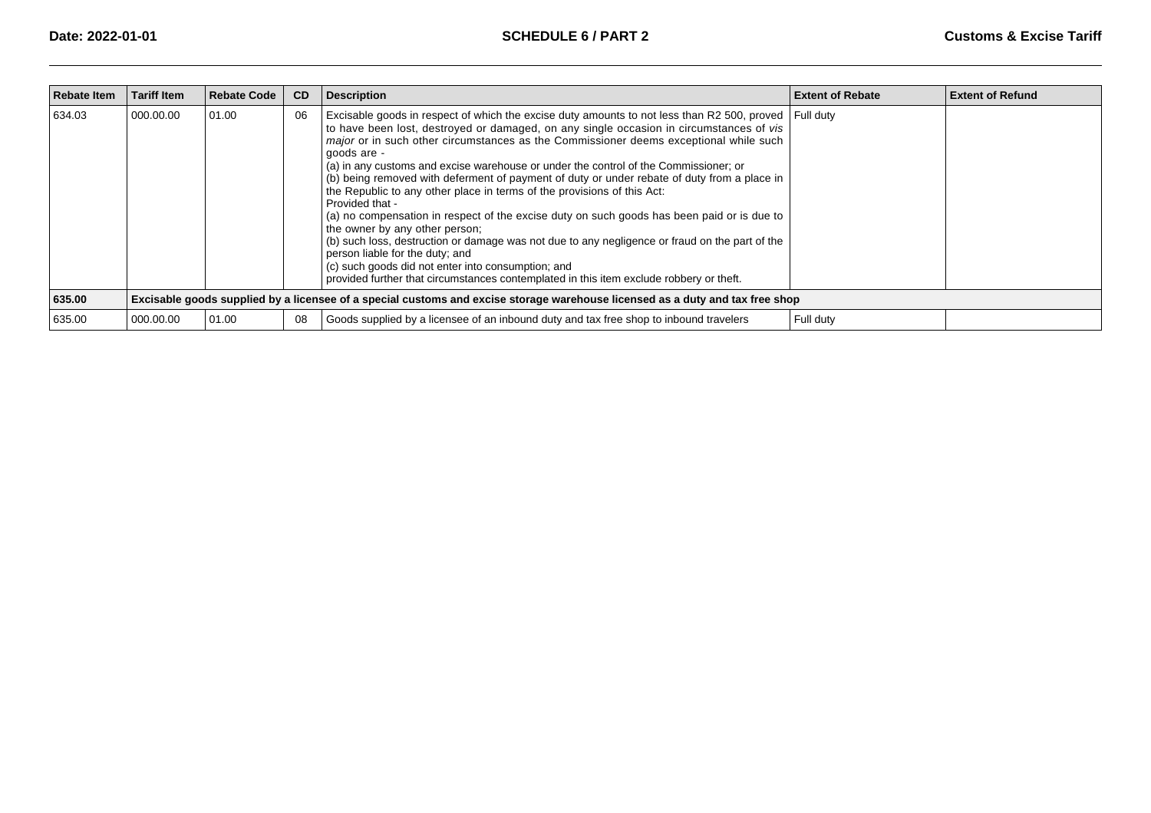| <b>Rebate Item</b> | <b>Tariff Item</b>                                                                                                            | <b>Rebate Code</b> | <b>CD</b> | <b>Description</b>                                                                                                                                                                                                                                                                                                                                                                                                                                                                                                                                                                                                                                                                                                                                                                                                                                                                                                                                                                                               | <b>Extent of Rebate</b> | <b>Extent of Refund</b> |  |  |
|--------------------|-------------------------------------------------------------------------------------------------------------------------------|--------------------|-----------|------------------------------------------------------------------------------------------------------------------------------------------------------------------------------------------------------------------------------------------------------------------------------------------------------------------------------------------------------------------------------------------------------------------------------------------------------------------------------------------------------------------------------------------------------------------------------------------------------------------------------------------------------------------------------------------------------------------------------------------------------------------------------------------------------------------------------------------------------------------------------------------------------------------------------------------------------------------------------------------------------------------|-------------------------|-------------------------|--|--|
| 634.03             | 000.00.00                                                                                                                     | 01.00              | 06        | Excisable goods in respect of which the excise duty amounts to not less than R2 500, proved<br>to have been lost, destroyed or damaged, on any single occasion in circumstances of vis<br><i>major</i> or in such other circumstances as the Commissioner deems exceptional while such<br>goods are -<br>(a) in any customs and excise warehouse or under the control of the Commissioner; or<br>(b) being removed with deferment of payment of duty or under rebate of duty from a place in<br>the Republic to any other place in terms of the provisions of this Act:<br>Provided that -<br>(a) no compensation in respect of the excise duty on such goods has been paid or is due to<br>the owner by any other person;<br>(b) such loss, destruction or damage was not due to any negligence or fraud on the part of the<br>person liable for the duty; and<br>(c) such goods did not enter into consumption; and<br>provided further that circumstances contemplated in this item exclude robbery or theft. | l Full dutv             |                         |  |  |
| 635.00             | Excisable goods supplied by a licensee of a special customs and excise storage warehouse licensed as a duty and tax free shop |                    |           |                                                                                                                                                                                                                                                                                                                                                                                                                                                                                                                                                                                                                                                                                                                                                                                                                                                                                                                                                                                                                  |                         |                         |  |  |
| 635.00             | 000.00.00                                                                                                                     | 01.00              | 08        | Goods supplied by a licensee of an inbound duty and tax free shop to inbound travelers                                                                                                                                                                                                                                                                                                                                                                                                                                                                                                                                                                                                                                                                                                                                                                                                                                                                                                                           | Full duty               |                         |  |  |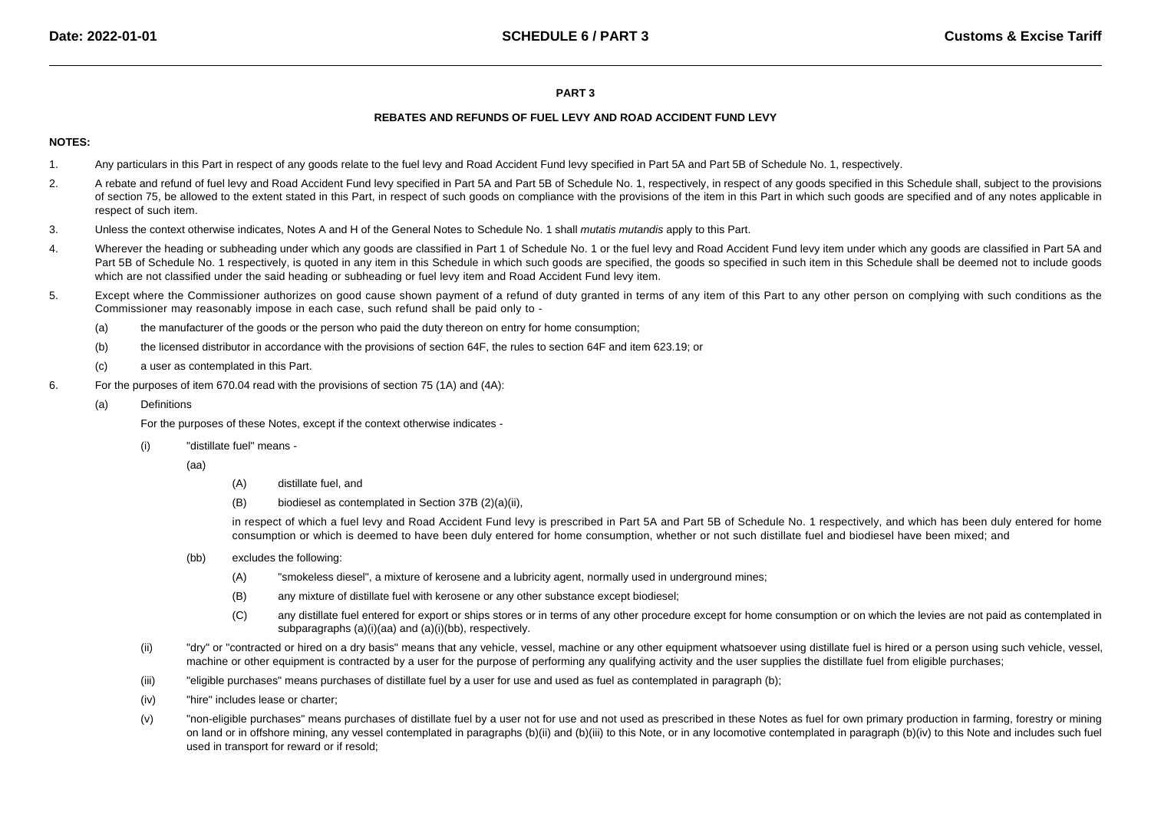### **PART 3**

# **REBATES AND REFUNDS OF FUEL LEVY AND ROAD ACCIDENT FUND LEVY**

# **NOTES:**

- 1.Any particulars in this Part in respect of any goods relate to the fuel levy and Road Accident Fund levy specified in Part 5A and Part 5B of Schedule No. 1, respectively.
- 2.A rebate and refund of fuel levy and Road Accident Fund levy specified in Part 5A and Part 5B of Schedule No. 1, respectively, in respect of any goods specified in this Schedule shall, subject to the provisions of section 75, be allowed to the extent stated in this Part, in respect of such goods on compliance with the provisions of the item in this Part in which such goods are specified and of any notes applicable in respect of such item.
- 3.Unless the context otherwise indicates, Notes A and H of the General Notes to Schedule No. 1 shall mutatis mutandis apply to this Part.
- 4.Wherever the heading or subheading under which any goods are classified in Part 1 of Schedule No. 1 or the fuel levy and Road Accident Fund levy item under which any goods are classified in Part 5A and Part 5B of Schedule No. 1 respectively, is quoted in any item in this Schedule in which such goods are specified, the goods so specified in such item in this Schedule shall be deemed not to include goodswhich are not classified under the said heading or subheading or fuel levy item and Road Accident Fund levy item.
- 5.Except where the Commissioner authorizes on good cause shown payment of a refund of duty granted in terms of any item of this Part to any other person on complying with such conditions as the Commissioner may reasonably impose in each case, such refund shall be paid only to -
	- (a)the manufacturer of the goods or the person who paid the duty thereon on entry for home consumption;
	- (b)the licensed distributor in accordance with the provisions of section 64F, the rules to section 64F and item 623.19; or
	- (c)a user as contemplated in this Part.
- 6. For the purposes of item 670.04 read with the provisions of section 75 (1A) and (4A):
	- (a)Definitions

For the purposes of these Notes, except if the context otherwise indicates -

- (i) "distillate fuel" means -
	- (aa)
- (A)distillate fuel, and
- (B)biodiesel as contemplated in Section 37B (2)(a)(ii),

in respect of which a fuel levy and Road Accident Fund levy is prescribed in Part 5A and Part 5B of Schedule No. 1 respectively, and which has been duly entered for homeconsumption or which is deemed to have been duly entered for home consumption, whether or not such distillate fuel and biodiesel have been mixed; and

- (bb) excludes the following:
	- (A)"smokeless diesel", a mixture of kerosene and a lubricity agent, normally used in underground mines;
	- (B)any mixture of distillate fuel with kerosene or any other substance except biodiesel;
	- (C) any distillate fuel entered for export or ships stores or in terms of any other procedure except for home consumption or on which the levies are not paid as contemplated insubparagraphs (a)(i)(aa) and (a)(i)(bb), respectively.
- (ii)"dry" or "contracted or hired on a dry basis" means that any vehicle, vessel, machine or any other equipment whatsoever using distillate fuel is hired or a person using such vehicle, vessel, machine or other equipment is contracted by a user for the purpose of performing any qualifying activity and the user supplies the distillate fuel from eligible purchases;
- (iii)"eligible purchases" means purchases of distillate fuel by a user for use and used as fuel as contemplated in paragraph (b);
- (iv)"hire" includes lease or charter;
- (v) "non-eligible purchases" means purchases of distillate fuel by a user not for use and not used as prescribed in these Notes as fuel for own primary production in farming, forestry or miningon land or in offshore mining, any vessel contemplated in paragraphs (b)(ii) and (b)(iii) to this Note, or in any locomotive contemplated in paragraph (b)(iv) to this Note and includes such fuel used in transport for reward or if resold;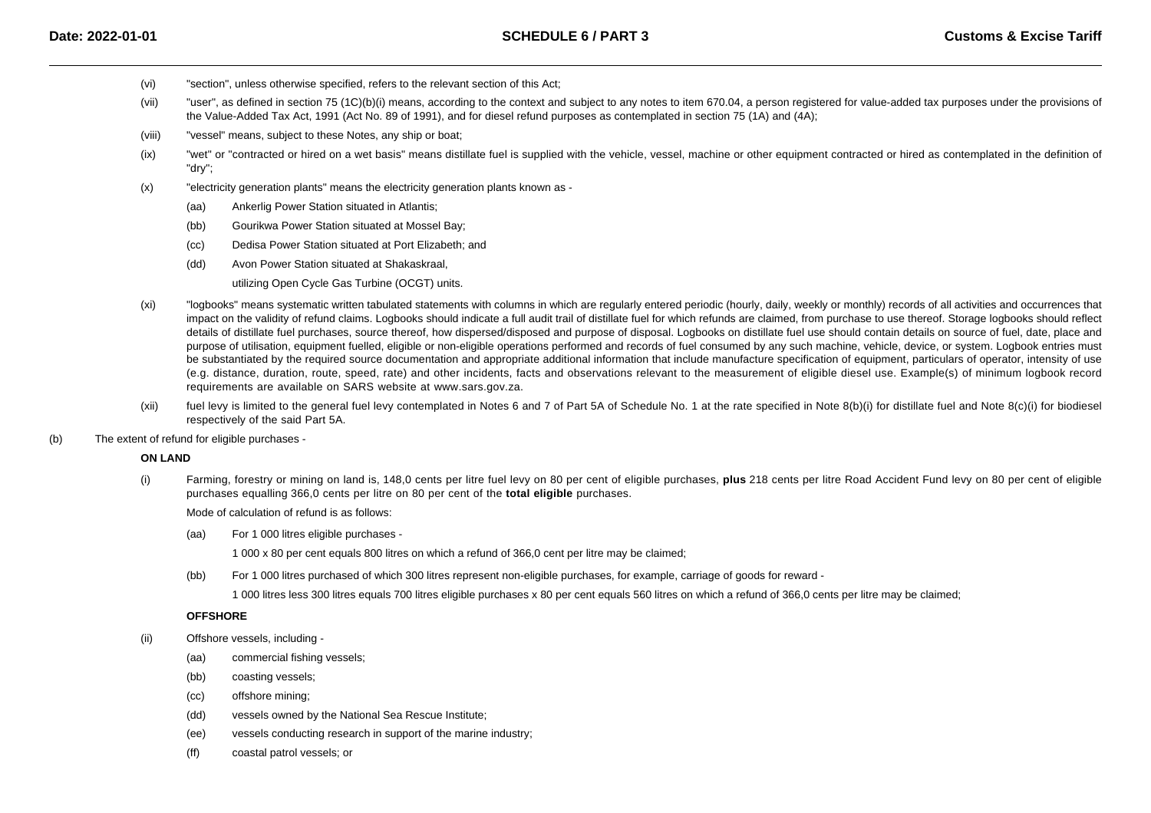- (vi)"section", unless otherwise specified, refers to the relevant section of this Act;
- (vii)"user", as defined in section 75 (1C)(b)(i) means, according to the context and subject to any notes to item 670.04, a person registered for value-added tax purposes under the provisions of the Value-Added Tax Act, 1991 (Act No. 89 of 1991), and for diesel refund purposes as contemplated in section 75 (1A) and (4A);
- (viii)"vessel" means, subject to these Notes, any ship or boat;
- (ix)"wet" or "contracted or hired on a wet basis" means distillate fuel is supplied with the vehicle, vessel, machine or other equipment contracted or hired as contemplated in the definition of "dry";
- (x) "electricity generation plants" means the electricity generation plants known as -
	- (aa)Ankerlig Power Station situated in Atlantis;
	- (bb)Gourikwa Power Station situated at Mossel Bay;
	- (cc)Dedisa Power Station situated at Port Elizabeth; and
	- (dd)Avon Power Station situated at Shakaskraal,

utilizing Open Cycle Gas Turbine (OCGT) units.

- (xi) "logbooks" means systematic written tabulated statements with columns in which are regularly entered periodic (hourly, daily, weekly or monthly) records of all activities and occurrences that impact on the validity of refund claims. Logbooks should indicate a full audit trail of distillate fuel for which refunds are claimed, from purchase to use thereof. Storage logbooks should reflect details of distillate fuel purchases, source thereof, how dispersed/disposed and purpose of disposal. Logbooks on distillate fuel use should contain details on source of fuel, date, place and purpose of utilisation, equipment fuelled, eligible or non-eligible operations performed and records of fuel consumed by any such machine, vehicle, device, or system. Logbook entries mustbe substantiated by the required source documentation and appropriate additional information that include manufacture specification of equipment, particulars of operator, intensity of use (e.g. distance, duration, route, speed, rate) and other incidents, facts and observations relevant to the measurement of eligible diesel use. Example(s) of minimum logbook recordrequirements are available on SARS website at [www.sars.gov.za](http://www.sars.gov.za).
- (xii)fuel levy is limited to the general fuel levy contemplated in Notes 6 and 7 of Part 5A of Schedule No. 1 at the rate specified in Note 8(b)(i) for distillate fuel and Note 8(c)(i) for biodiesel respectively of the said Part 5A.
- (b)The extent of refund for eligible purchases -

#### **ON LAND**

(i) Farming, forestry or mining on land is, 148,0 cents per litre fuel levy on 80 per cent of eligible purchases, **plus** 218 cents per litre Road Accident Fund levy on 80 per cent of eligiblepurchases equalling 366,0 cents per litre on 80 per cent of the **total eligible** purchases.

Mode of calculation of refund is as follows:

(aa)For 1 000 litres eligible purchases -

1 000 x 80 per cent equals 800 litres on which a refund of 366,0 cent per litre may be claimed;

(bb)For 1 000 litres purchased of which 300 litres represent non-eligible purchases, for example, carriage of goods for reward -

1 000 litres less 300 litres equals 700 litres eligible purchases x 80 per cent equals 560 litres on which a refund of 366,0 cents per litre may be claimed;

# **OFFSHORE**

- (ii) Offshore vessels, including -
	- (aa)commercial fishing vessels;
	- (bb)coasting vessels;
	- (cc)offshore mining;
	- (dd)vessels owned by the National Sea Rescue Institute;
	- (ee)vessels conducting research in support of the marine industry;
	- (ff)coastal patrol vessels; or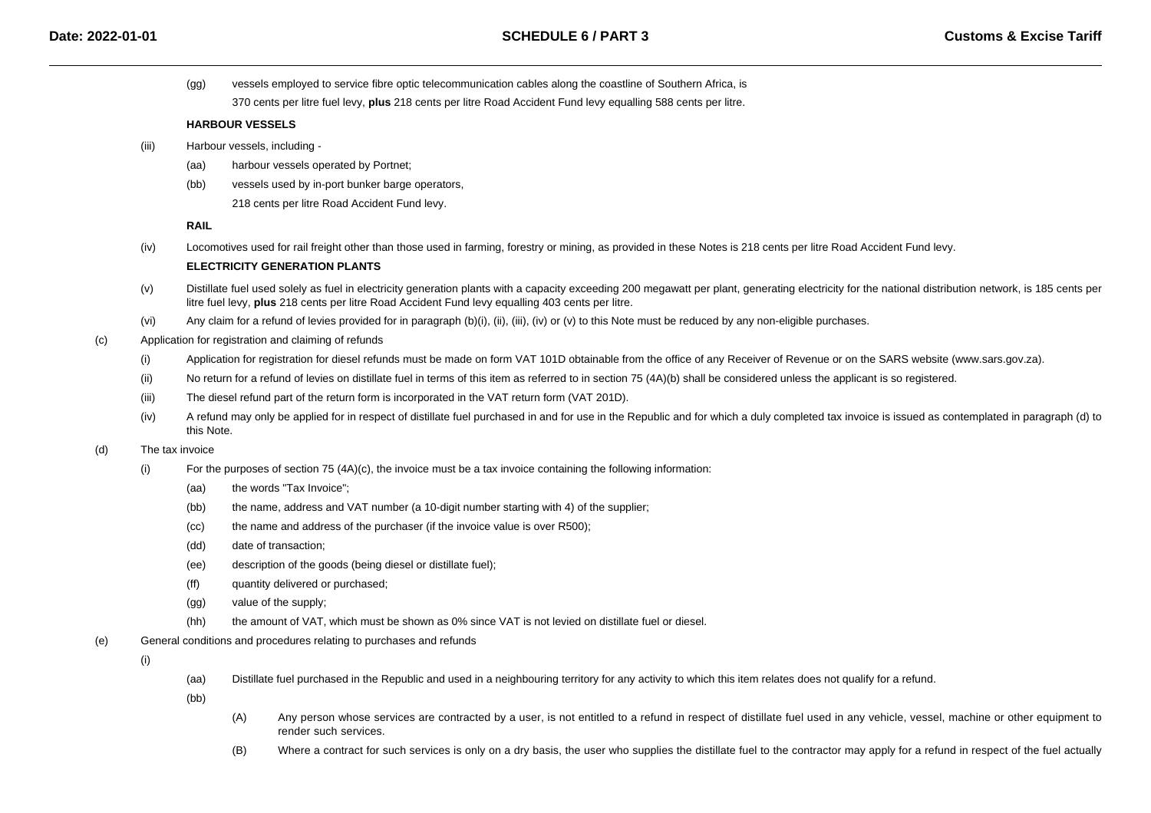(gg)vessels employed to service fibre optic telecommunication cables along the coastline of Southern Africa, is

370 cents per litre fuel levy, **plus** 218 cents per litre Road Accident Fund levy equalling 588 cents per litre.

# **HARBOUR VESSELS**

- (iii) Harbour vessels, including -
	- (aa)harbour vessels operated by Portnet;
	- (bb)vessels used by in-port bunker barge operators,

218 cents per litre Road Accident Fund levy.

**RAIL**

(iv)Locomotives used for rail freight other than those used in farming, forestry or mining, as provided in these Notes is 218 cents per litre Road Accident Fund levy.

# **ELECTRICITY GENERATION PLANTS**

- (v)Distillate fuel used solely as fuel in electricity generation plants with a capacity exceeding 200 megawatt per plant, generating electricity for the national distribution network, is 185 cents per litre fuel levy, **plus** 218 cents per litre Road Accident Fund levy equalling 403 cents per litre.
- (vi)Any claim for a refund of levies provided for in paragraph (b)(i), (ii), (iii), (iv) or (v) to this Note must be reduced by any non-eligible purchases.
- (c) Application for registration and claiming of refunds
	- (i)Application for registration for diesel refunds must be made on form VAT 101D obtainable from the office of any Receiver of Revenue or on the SARS website (www.sars.gov.za).
	- (ii)No return for a refund of levies on distillate fuel in terms of this item as referred to in section 75 (4A)(b) shall be considered unless the applicant is so registered.
	- (iii)The diesel refund part of the return form is incorporated in the VAT return form (VAT 201D).
	- (iv) A refund may only be applied for in respect of distillate fuel purchased in and for use in the Republic and for which a duly completed tax invoice is issued as contemplated in paragraph (d) tothis Note.

#### (d)The tax invoice

- (i) For the purposes of section 75 (4A)(c), the invoice must be a tax invoice containing the following information:
	- (aa)the words "Tax Invoice";
	- (bb)the name, address and VAT number (a 10-digit number starting with 4) of the supplier;
	- (cc)the name and address of the purchaser (if the invoice value is over R500);
	- (dd)date of transaction;
	- (ee)description of the goods (being diesel or distillate fuel);
	- (ff)quantity delivered or purchased;
	- (gg)value of the supply;
	- (hh)the amount of VAT, which must be shown as 0% since VAT is not levied on distillate fuel or diesel.
- (e)General conditions and procedures relating to purchases and refunds

(i)

(aa)Distillate fuel purchased in the Republic and used in a neighbouring territory for any activity to which this item relates does not qualify for a refund.

(bb)

- (A) Any person whose services are contracted by a user, is not entitled to a refund in respect of distillate fuel used in any vehicle, vessel, machine or other equipment torender such services.
- (B)Where a contract for such services is only on a dry basis, the user who supplies the distillate fuel to the contractor may apply for a refund in respect of the fuel actually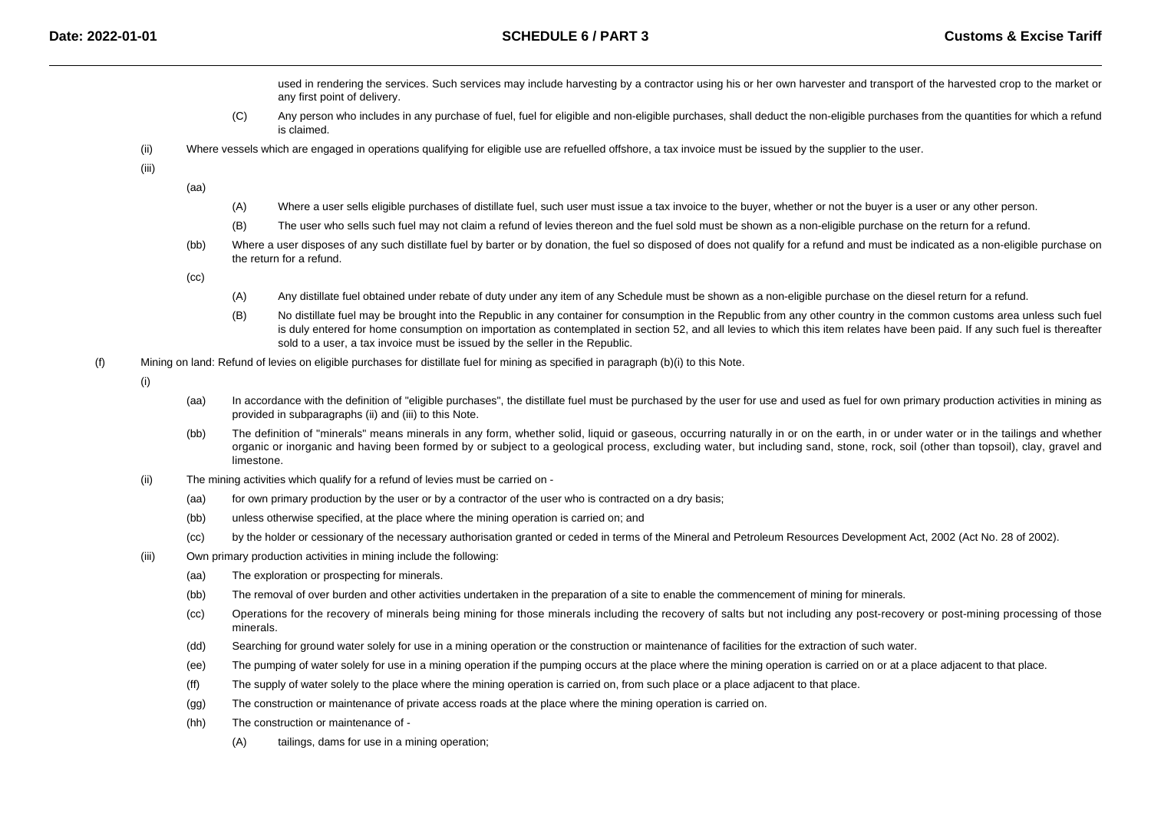- used in rendering the services. Such services may include harvesting by a contractor using his or her own harvester and transport of the harvested crop to the market orany first point of delivery.
- $(C)$  Any person who includes in any purchase of fuel, fuel for eligible and non-eligible purchases, shall deduct the non-eligible purchases from the quantities for which a refundis claimed.
- (ii)Where vessels which are engaged in operations qualifying for eligible use are refuelled offshore, a tax invoice must be issued by the supplier to the user.

(iii)

(aa)

- (A)Where a user sells eligible purchases of distillate fuel, such user must issue a tax invoice to the buyer, whether or not the buyer is a user or any other person.
- (B)The user who sells such fuel may not claim a refund of levies thereon and the fuel sold must be shown as a non-eligible purchase on the return for a refund.
- (bb)Where a user disposes of any such distillate fuel by barter or by donation, the fuel so disposed of does not qualify for a refund and must be indicated as a non-eligible purchase on the return for a refund.

(cc)

- (A)Any distillate fuel obtained under rebate of duty under any item of any Schedule must be shown as a non-eligible purchase on the diesel return for a refund.
- (B)No distillate fuel may be brought into the Republic in any container for consumption in the Republic from any other country in the common customs area unless such fuel is duly entered for home consumption on importation as contemplated in section 52, and all levies to which this item relates have been paid. If any such fuel is thereafter sold to a user, a tax invoice must be issued by the seller in the Republic.
- (f)Mining on land: Refund of levies on eligible purchases for distillate fuel for mining as specified in paragraph (b)(i) to this Note.

(i)

- (aa)In accordance with the definition of "eligible purchases", the distillate fuel must be purchased by the user for use and used as fuel for own primary production activities in mining as provided in subparagraphs (ii) and (iii) to this Note.
- (bb) The definition of "minerals" means minerals in any form, whether solid, liquid or gaseous, occurring naturally in or on the earth, in or under water or in the tailings and whether organic or inorganic and having been formed by or subject to a geological process, excluding water, but including sand, stone, rock, soil (other than topsoil), clay, gravel andlimestone.
- (ii) The mining activities which qualify for a refund of levies must be carried on -
	- (aa)for own primary production by the user or by a contractor of the user who is contracted on a dry basis;
	- (bb)unless otherwise specified, at the place where the mining operation is carried on; and
	- (cc)by the holder or cessionary of the necessary authorisation granted or ceded in terms of the Mineral and Petroleum Resources Development Act, 2002 (Act No. 28 of 2002).
- (iii) Own primary production activities in mining include the following:
	- (aa)The exploration or prospecting for minerals.
	- (bb)The removal of over burden and other activities undertaken in the preparation of a site to enable the commencement of mining for minerals.
	- (cc) Operations for the recovery of minerals being mining for those minerals including the recovery of salts but not including any post-recovery or post-mining processing of thoseminerals.
	- (dd)Searching for ground water solely for use in a mining operation or the construction or maintenance of facilities for the extraction of such water.
	- (ee)The pumping of water solely for use in a mining operation if the pumping occurs at the place where the mining operation is carried on or at a place adjacent to that place.
	- (ff)The supply of water solely to the place where the mining operation is carried on, from such place or a place adjacent to that place.
	- (gg)The construction or maintenance of private access roads at the place where the mining operation is carried on.
	- (hh) The construction or maintenance of -
		- (A)tailings, dams for use in a mining operation;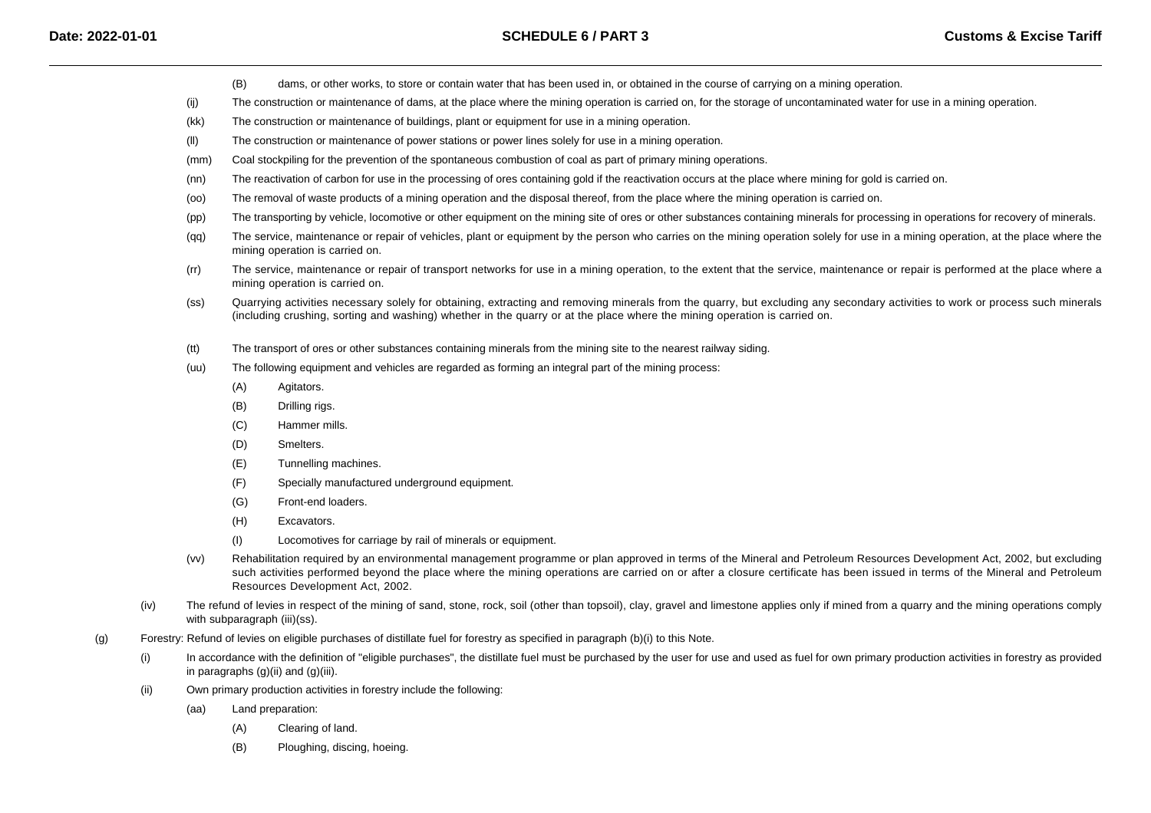- (B)dams, or other works, to store or contain water that has been used in, or obtained in the course of carrying on a mining operation.
- (ij)The construction or maintenance of dams, at the place where the mining operation is carried on, for the storage of uncontaminated water for use in a mining operation.
- (kk)The construction or maintenance of buildings, plant or equipment for use in a mining operation.
- (ll)The construction or maintenance of power stations or power lines solely for use in a mining operation.
- (mm)Coal stockpiling for the prevention of the spontaneous combustion of coal as part of primary mining operations.
- (nn)The reactivation of carbon for use in the processing of ores containing gold if the reactivation occurs at the place where mining for gold is carried on.
- $(00)$ The removal of waste products of a mining operation and the disposal thereof, from the place where the mining operation is carried on.
- (pp)The transporting by vehicle, locomotive or other equipment on the mining site of ores or other substances containing minerals for processing in operations for recovery of minerals.
- (qq)The service, maintenance or repair of vehicles, plant or equipment by the person who carries on the mining operation solely for use in a mining operation, at the place where the mining operation is carried on.
- (rr) The service, maintenance or repair of transport networks for use in a mining operation, to the extent that the service, maintenance or repair is performed at the place where amining operation is carried on.
- (ss) Quarrying activities necessary solely for obtaining, extracting and removing minerals from the quarry, but excluding any secondary activities to work or process such minerals(including crushing, sorting and washing) whether in the quarry or at the place where the mining operation is carried on.
- (tt)The transport of ores or other substances containing minerals from the mining site to the nearest railway siding.
- (uu) The following equipment and vehicles are regarded as forming an integral part of the mining process:
	- (A)Agitators.
	- (B)Drilling rigs.
	- $(C)$ Hammer mills.
	- (D)Smelters.
	- (E)Tunnelling machines.
	- $(F)$ Specially manufactured underground equipment.
	- $(G)$ Front-end loaders.
	- (H)Excavators.
	- (I)Locomotives for carriage by rail of minerals or equipment.
- (vv) Rehabilitation required by an environmental management programme or plan approved in terms of the Mineral and Petroleum Resources Development Act, 2002, but excluding such activities performed beyond the place where the mining operations are carried on or after a closure certificate has been issued in terms of the Mineral and PetroleumResources Development Act, 2002.
- (iv)The refund of levies in respect of the mining of sand, stone, rock, soil (other than topsoil), clay, gravel and limestone applies only if mined from a quarry and the mining operations comply with subparagraph (iii)(ss).
- (g) Forestry: Refund of levies on eligible purchases of distillate fuel for forestry as specified in paragraph (b)(i) to this Note.
	- (i)In accordance with the definition of "eligible purchases", the distillate fuel must be purchased by the user for use and used as fuel for own primary production activities in forestry as provided in paragraphs (g)(ii) and (g)(iii).
	- (ii) Own primary production activities in forestry include the following:
		- (aa) Land preparation:
			- (A)Clearing of land.
			- (B)Ploughing, discing, hoeing.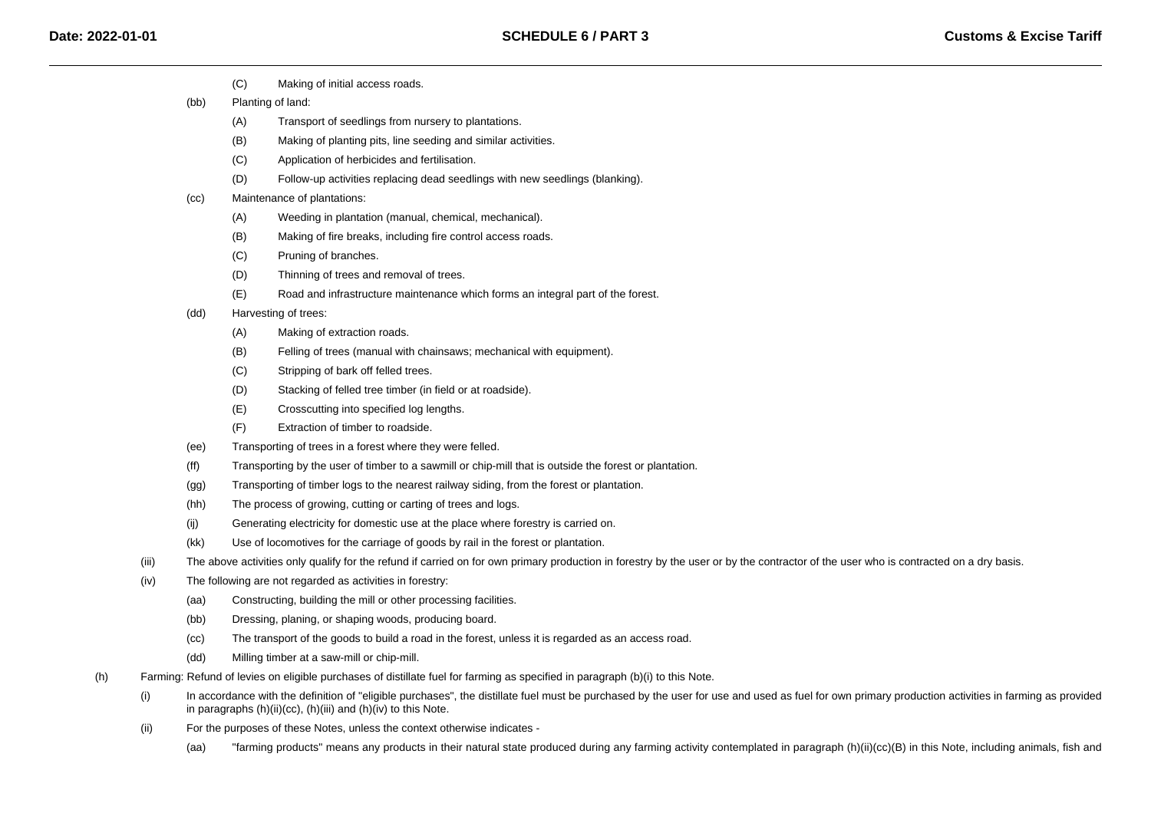- $(C)$ Making of initial access roads.
- (bb) Planting of land:
	- (A)Transport of seedlings from nursery to plantations.
	- (B)Making of planting pits, line seeding and similar activities.
	- $(C)$ Application of herbicides and fertilisation.
	- (D)Follow-up activities replacing dead seedlings with new seedlings (blanking).
- (cc) Maintenance of plantations:
	- (A)Weeding in plantation (manual, chemical, mechanical).
	- (B)Making of fire breaks, including fire control access roads.
	- $(C)$ Pruning of branches.
	- (D)Thinning of trees and removal of trees.
	- (E)Road and infrastructure maintenance which forms an integral part of the forest.
- (dd) Harvesting of trees:
	- (A)Making of extraction roads.
	- (B)Felling of trees (manual with chainsaws; mechanical with equipment).
	- $(C)$ Stripping of bark off felled trees.
	- (D)Stacking of felled tree timber (in field or at roadside).
	- (E)Crosscutting into specified log lengths.
	- (F)Extraction of timber to roadside.
- (ee)Transporting of trees in a forest where they were felled.
- (ff)Transporting by the user of timber to a sawmill or chip-mill that is outside the forest or plantation.
- (gg)Transporting of timber logs to the nearest railway siding, from the forest or plantation.
- (hh)The process of growing, cutting or carting of trees and logs.
- (ij)Generating electricity for domestic use at the place where forestry is carried on.
- (kk)Use of locomotives for the carriage of goods by rail in the forest or plantation.
- (iii)The above activities only qualify for the refund if carried on for own primary production in forestry by the user or by the contractor of the user who is contracted on a dry basis.
- (iv) The following are not regarded as activities in forestry:
	- (aa)Constructing, building the mill or other processing facilities.
	- (bb)Dressing, planing, or shaping woods, producing board.
	- (cc)The transport of the goods to build a road in the forest, unless it is regarded as an access road.
	- (dd)Milling timber at a saw-mill or chip-mill.
- (h) Farming: Refund of levies on eligible purchases of distillate fuel for farming as specified in paragraph (b)(i) to this Note.
	- (i)In accordance with the definition of "eligible purchases", the distillate fuel must be purchased by the user for use and used as fuel for own primary production activities in farming as provided in paragraphs (h)(ii)(cc), (h)(iii) and (h)(iv) to this Note.
	- (ii) For the purposes of these Notes, unless the context otherwise indicates -
		- (aa)"farming products" means any products in their natural state produced during any farming activity contemplated in paragraph (h)(ii)(cc)(B) in this Note, including animals, fish and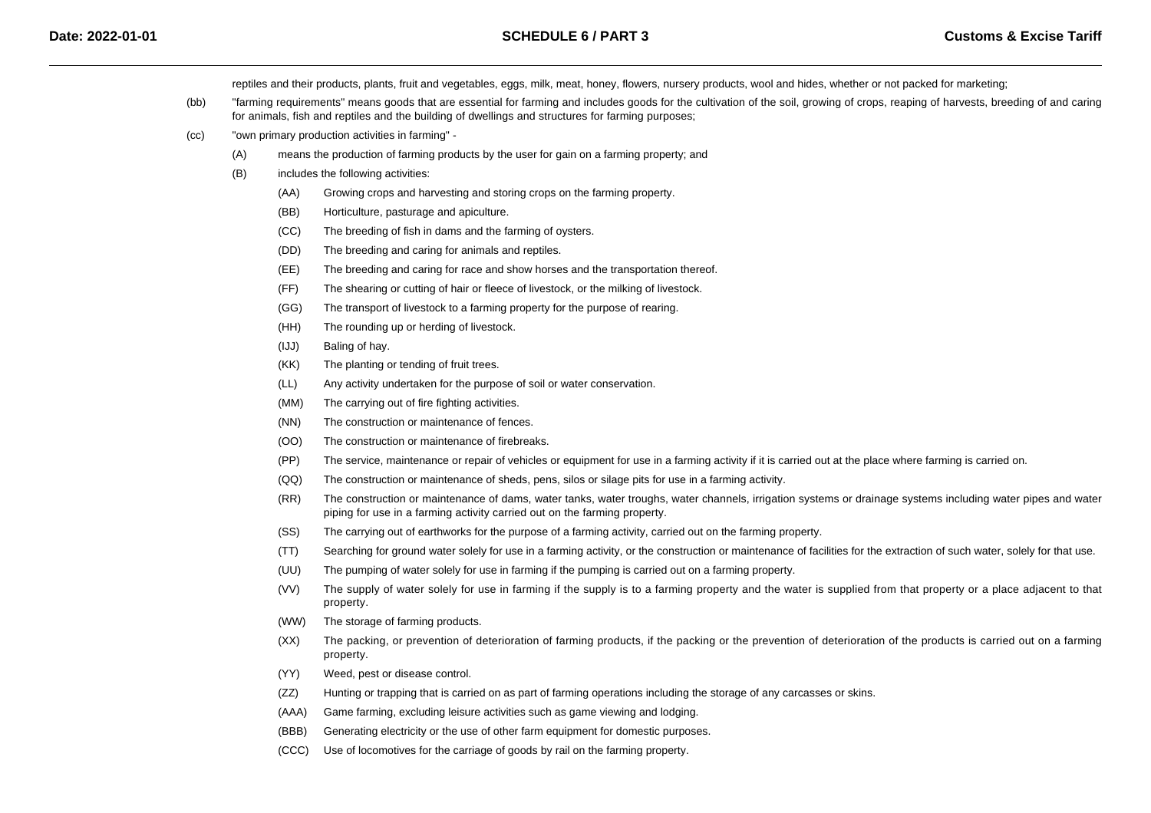reptiles and their products, plants, fruit and vegetables, eggs, milk, meat, honey, flowers, nursery products, wool and hides, whether or not packed for marketing;

- (bb) "farming requirements" means goods that are essential for farming and includes goods for the cultivation of the soil, growing of crops, reaping of harvests, breeding of and caringfor animals, fish and reptiles and the building of dwellings and structures for farming purposes;
- $(cc)$  "own primary production activities in farming" -
	- (A)means the production of farming products by the user for gain on a farming property; and
	- (B) includes the following activities:
		- (AA)Growing crops and harvesting and storing crops on the farming property.
		- (BB)Horticulture, pasturage and apiculture.
		- (CC)The breeding of fish in dams and the farming of oysters.
		- (DD)The breeding and caring for animals and reptiles.
		- (EE)The breeding and caring for race and show horses and the transportation thereof.
		- (FF)The shearing or cutting of hair or fleece of livestock, or the milking of livestock.
		- (GG)The transport of livestock to a farming property for the purpose of rearing.
		- (HH)The rounding up or herding of livestock.
		- (IJJ)Baling of hay.
		- (KK)The planting or tending of fruit trees.
		- (LL)Any activity undertaken for the purpose of soil or water conservation.
		- (MM)The carrying out of fire fighting activities.
		- (NN)The construction or maintenance of fences.
		- (OO)The construction or maintenance of firebreaks.
		- (PP)The service, maintenance or repair of vehicles or equipment for use in a farming activity if it is carried out at the place where farming is carried on.
		- $(OO)$ The construction or maintenance of sheds, pens, silos or silage pits for use in a farming activity.
		- (RR) The construction or maintenance of dams, water tanks, water troughs, water channels, irrigation systems or drainage systems including water pipes and water piping for use in a farming activity carried out on the farming property.
		- (SS)The carrying out of earthworks for the purpose of a farming activity, carried out on the farming property.
		- (TT)Searching for ground water solely for use in a farming activity, or the construction or maintenance of facilities for the extraction of such water, solely for that use.
		- (UU)The pumping of water solely for use in farming if the pumping is carried out on a farming property.
		- (VV) The supply of water solely for use in farming if the supply is to a farming property and the water is supplied from that property or a place adjacent to that property.
		- (WW)The storage of farming products.
		- $(XX)$  The packing, or prevention of deterioration of farming products, if the packing or the prevention of deterioration of the products is carried out on a farmingproperty.
		- (YY)Weed, pest or disease control.
		- (ZZ)Hunting or trapping that is carried on as part of farming operations including the storage of any carcasses or skins.
		- (AAA)Game farming, excluding leisure activities such as game viewing and lodging.
		- (BBB)Generating electricity or the use of other farm equipment for domestic purposes.
		- (CCC)Use of locomotives for the carriage of goods by rail on the farming property.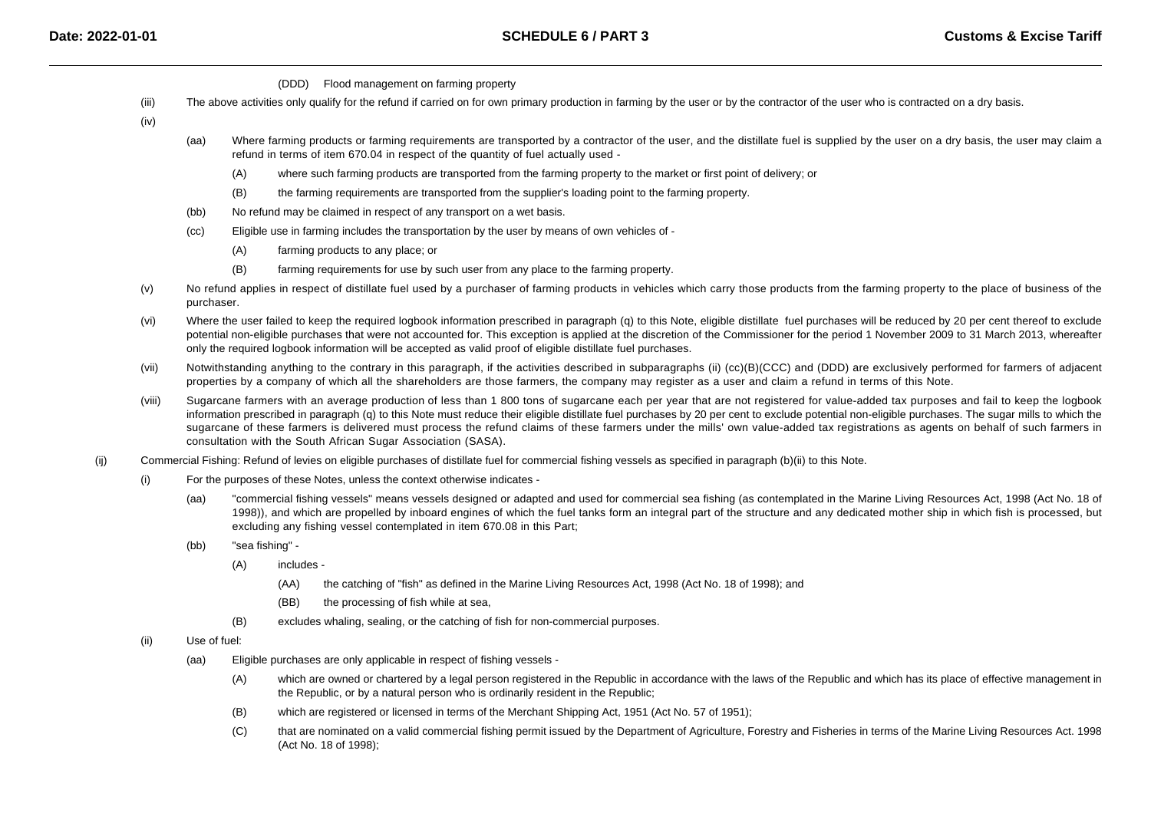- (DDD) Flood management on farming property
- (iii)The above activities only qualify for the refund if carried on for own primary production in farming by the user or by the contractor of the user who is contracted on a dry basis.

(iv)

- (aa)Where farming products or farming requirements are transported by a contractor of the user, and the distillate fuel is supplied by the user on a dry basis, the user may claim a refund in terms of item 670.04 in respect of the quantity of fuel actually used -
	- $(A)$ where such farming products are transported from the farming property to the market or first point of delivery; or
	- (B)the farming requirements are transported from the supplier's loading point to the farming property.
- (bb)No refund may be claimed in respect of any transport on a wet basis.
- (cc) Eligible use in farming includes the transportation by the user by means of own vehicles of -
	- (A)farming products to any place; or
	- (B)farming requirements for use by such user from any place to the farming property.
- (v)No refund applies in respect of distillate fuel used by a purchaser of farming products in vehicles which carry those products from the farming property to the place of business of the purchaser.
- (vi)Where the user failed to keep the required logbook information prescribed in paragraph (q) to this Note, eligible distillate fuel purchases will be reduced by 20 per cent thereof to exclude potential non-eligible purchases that were not accounted for. This exception is applied at the discretion of the Commissioner for the period 1 November 2009 to 31 March 2013, whereafteronly the required logbook information will be accepted as valid proof of eligible distillate fuel purchases.
- (vii)Notwithstanding anything to the contrary in this paragraph, if the activities described in subparagraphs (ii) (cc)(B)(CCC) and (DDD) are exclusively performed for farmers of adjacent properties by a company of which all the shareholders are those farmers, the company may register as a user and claim a refund in terms of this Note.
- (viii) Sugarcane farmers with an average production of less than 1 800 tons of sugarcane each per year that are not registered for value-added tax purposes and fail to keep the logbookinformation prescribed in paragraph (q) to this Note must reduce their eligible distillate fuel purchases by 20 per cent to exclude potential non-eligible purchases. The sugar mills to which the sugarcane of these farmers is delivered must process the refund claims of these farmers under the mills' own value-added tax registrations as agents on behalf of such farmers inconsultation with the South African Sugar Association (SASA).
- (ij) Commercial Fishing: Refund of levies on eligible purchases of distillate fuel for commercial fishing vessels as specified in paragraph (b)(ii) to this Note.
	- (i) For the purposes of these Notes, unless the context otherwise indicates -
		- (aa) "commercial fishing vessels" means vessels designed or adapted and used for commercial sea fishing (as contemplated in the Marine Living Resources Act, 1998 (Act No. 18 of 1998)), and which are propelled by inboard engines of which the fuel tanks form an integral part of the structure and any dedicated mother ship in which fish is processed, butexcluding any fishing vessel contemplated in item 670.08 in this Part;
		- (bb) "sea fishing" -
			- (A) includes -
				- (AA)the catching of "fish" as defined in the Marine Living Resources Act, 1998 (Act No. 18 of 1998); and
				- (BB)the processing of fish while at sea,
			- (B)excludes whaling, sealing, or the catching of fish for non-commercial purposes.
	- (ii) Use of fuel:
		- (aa) Eligible purchases are only applicable in respect of fishing vessels -
			- (A)which are owned or chartered by a legal person registered in the Republic in accordance with the laws of the Republic and which has its place of effective management in the Republic, or by a natural person who is ordinarily resident in the Republic;
			- (B)which are registered or licensed in terms of the Merchant Shipping Act, 1951 (Act No. 57 of 1951);
			- $(C)$  that are nominated on a valid commercial fishing permit issued by the Department of Agriculture, Forestry and Fisheries in terms of the Marine Living Resources Act. 1998(Act No. 18 of 1998);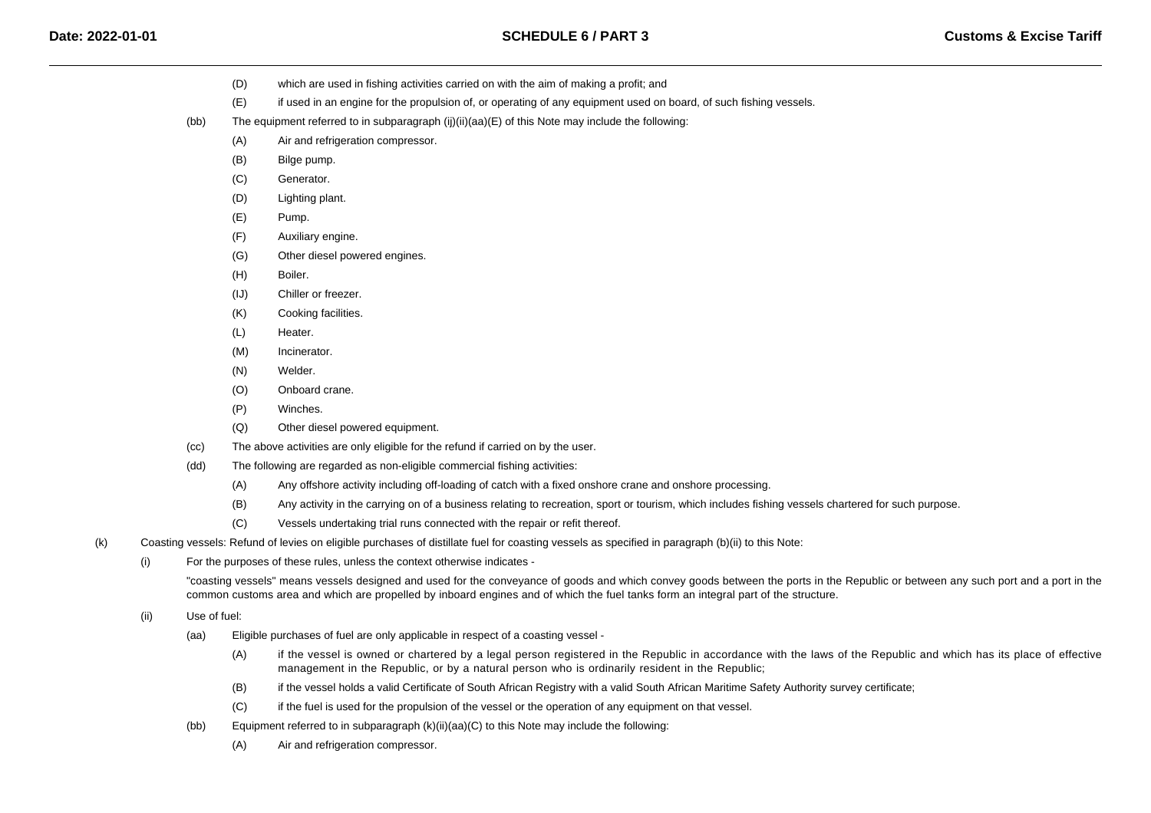- (D)which are used in fishing activities carried on with the aim of making a profit: and
- (E)if used in an engine for the propulsion of, or operating of any equipment used on board, of such fishing vessels.
- (bb) The equipment referred to in subparagraph (ij)(ii)(aa)(E) of this Note may include the following:
	- $(A)$ Air and refrigeration compressor.
	- (B)Bilge pump.
	- (C)Generator.
	- (D)Lighting plant.
	- (E)Pump.
	- (F)Auxiliary engine.
	- (G)Other diesel powered engines.
	- (H)Boiler.
	- (IJ)Chiller or freezer.
	- $(K)$ Cooking facilities.
	- (L)Heater.
	- (M)Incinerator.
	- (N)Welder.
	- (O)Onboard crane.
	- (P)Winches.
	- (Q)Other diesel powered equipment.
- (cc)The above activities are only eligible for the refund if carried on by the user.
- (dd) The following are regarded as non-eligible commercial fishing activities:
	- (A)Any offshore activity including off-loading of catch with a fixed onshore crane and onshore processing.
	- (B)Any activity in the carrying on of a business relating to recreation, sport or tourism, which includes fishing vessels chartered for such purpose.
	- $(C)$ Vessels undertaking trial runs connected with the repair or refit thereof.
- (k) Coasting vessels: Refund of levies on eligible purchases of distillate fuel for coasting vessels as specified in paragraph (b)(ii) to this Note:
	- (i)For the purposes of these rules, unless the context otherwise indicates -

"coasting vessels" means vessels designed and used for the conveyance of goods and which convey goods between the ports in the Republic or between any such port and a port in thecommon customs area and which are propelled by inboard engines and of which the fuel tanks form an integral part of the structure.

- (ii) Use of fuel:
	- (aa) Eligible purchases of fuel are only applicable in respect of a coasting vessel -
		- (A) if the vessel is owned or chartered by a legal person registered in the Republic in accordance with the laws of the Republic and which has its place of effectivemanagement in the Republic, or by a natural person who is ordinarily resident in the Republic;
		- (B)if the vessel holds a valid Certificate of South African Registry with a valid South African Maritime Safety Authority survey certificate;
		- (C)if the fuel is used for the propulsion of the vessel or the operation of any equipment on that vessel.
	- (bb)Equipment referred to in subparagraph  $(k)(ii)(aa)(C)$  to this Note may include the following:
		- (A)Air and refrigeration compressor.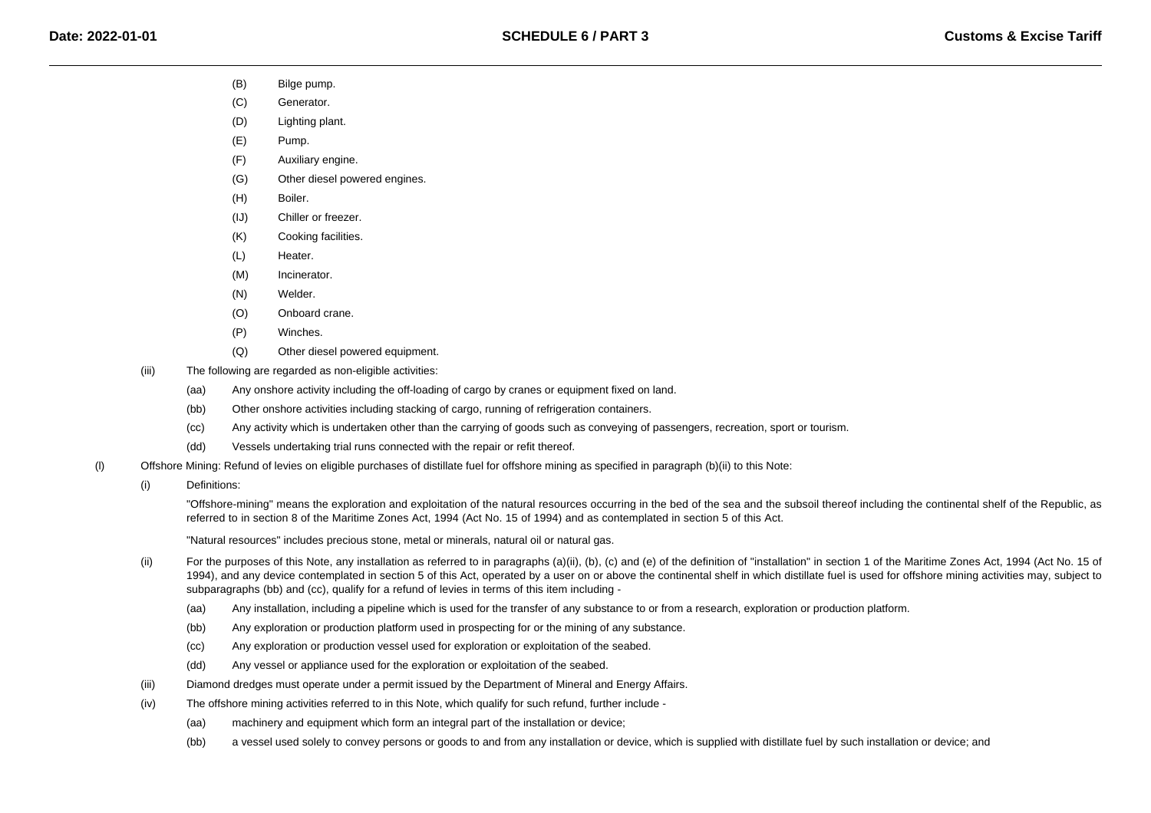- (B)Bilge pump.
- $(C)$ Generator.
- (D)Lighting plant.
- $(E)$ Pump.
- $(F)$ Auxiliary engine.
- $(G)$ Other diesel powered engines.
- $(H)$ Boiler.
- (IJ)Chiller or freezer.
- (K)Cooking facilities.
- (L)Heater.
- (M)Incinerator.
- (N)Welder.
- (O)Onboard crane.
- (P)Winches.
- (Q)Other diesel powered equipment.
- (iii) The following are regarded as non-eligible activities:
	- (aa)Any onshore activity including the off-loading of cargo by cranes or equipment fixed on land.
	- (bb)Other onshore activities including stacking of cargo, running of refrigeration containers.
	- (cc)Any activity which is undertaken other than the carrying of goods such as conveying of passengers, recreation, sport or tourism.
	- (dd)Vessels undertaking trial runs connected with the repair or refit thereof.
- (l) Offshore Mining: Refund of levies on eligible purchases of distillate fuel for offshore mining as specified in paragraph (b)(ii) to this Note:
	- (i)Definitions:

"Offshore-mining" means the exploration and exploitation of the natural resources occurring in the bed of the sea and the subsoil thereof including the continental shelf of the Republic, asreferred to in section 8 of the Maritime Zones Act, 1994 (Act No. 15 of 1994) and as contemplated in section 5 of this Act.

"Natural resources" includes precious stone, metal or minerals, natural oil or natural gas.

- (ii)For the purposes of this Note, any installation as referred to in paragraphs (a)(ii), (b), (c) and (e) of the definition of "installation" in section 1 of the Maritime Zones Act, 1994 (Act No. 15 of 1994), and any device contemplated in section 5 of this Act, operated by a user on or above the continental shelf in which distillate fuel is used for offshore mining activities may, subject tosubparagraphs (bb) and (cc), qualify for a refund of levies in terms of this item including -
	- (aa)Any installation, including a pipeline which is used for the transfer of any substance to or from a research, exploration or production platform.
	- (bb)Any exploration or production platform used in prospecting for or the mining of any substance.
	- $(cc)$ Any exploration or production vessel used for exploration or exploitation of the seabed.
	- (dd)Any vessel or appliance used for the exploration or exploitation of the seabed.
- (iii)Diamond dredges must operate under a permit issued by the Department of Mineral and Energy Affairs.
- (iv) The offshore mining activities referred to in this Note, which qualify for such refund, further include -
	- (aa)machinery and equipment which form an integral part of the installation or device;
	- (bb)a vessel used solely to convey persons or goods to and from any installation or device, which is supplied with distillate fuel by such installation or device; and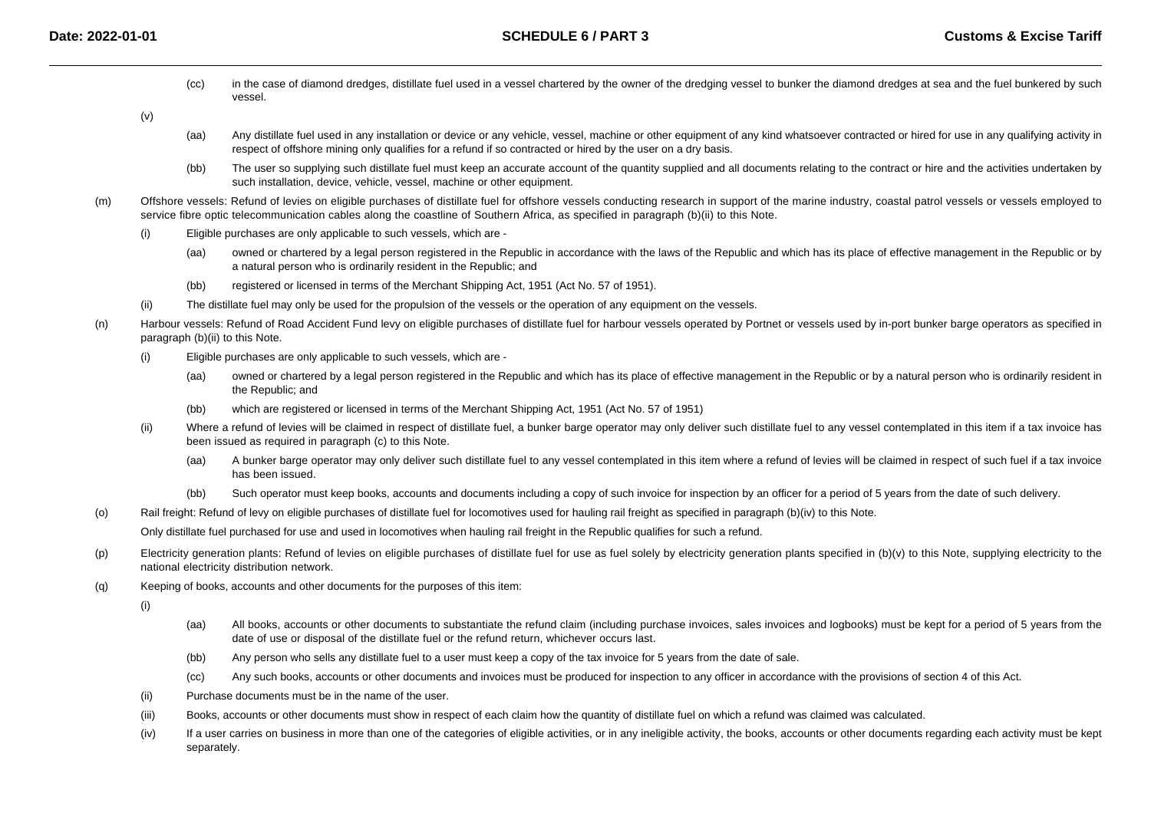(cc)in the case of diamond dredges, distillate fuel used in a vessel chartered by the owner of the dredging vessel to bunker the diamond dredges at sea and the fuel bunkered by such vessel.

(v)

- (aa)Any distillate fuel used in any installation or device or any vehicle, vessel, machine or other equipment of any kind whatsoever contracted or hired for use in any qualifying activity in respect of offshore mining only qualifies for a refund if so contracted or hired by the user on a dry basis.
- (bb)The user so supplying such distillate fuel must keep an accurate account of the quantity supplied and all documents relating to the contract or hire and the activities undertaken by such installation, device, vehicle, vessel, machine or other equipment.
- (m) Offshore vessels: Refund of levies on eligible purchases of distillate fuel for offshore vessels conducting research in support of the marine industry, coastal patrol vessels or vessels employed toservice fibre optic telecommunication cables along the coastline of Southern Africa, as specified in paragraph (b)(ii) to this Note.
	- (i) Eligible purchases are only applicable to such vessels, which are -
		- (aa) owned or chartered by a legal person registered in the Republic in accordance with the laws of the Republic and which has its place of effective management in the Republic or bya natural person who is ordinarily resident in the Republic; and
		- (bb)registered or licensed in terms of the Merchant Shipping Act, 1951 (Act No. 57 of 1951).
	- (ii)The distillate fuel may only be used for the propulsion of the vessels or the operation of any equipment on the vessels.
- (n)Harbour vessels: Refund of Road Accident Fund levy on eligible purchases of distillate fuel for harbour vessels operated by Portnet or vessels used by in-port bunker barge operators as specified in paragraph (b)(ii) to this Note.
	- (i) Eligible purchases are only applicable to such vessels, which are -
		- (aa) owned or chartered by a legal person registered in the Republic and which has its place of effective management in the Republic or by a natural person who is ordinarily resident inthe Republic; and
		- (bb)which are registered or licensed in terms of the Merchant Shipping Act, 1951 (Act No. 57 of 1951)
	- (ii)Where a refund of levies will be claimed in respect of distillate fuel, a bunker barge operator may only deliver such distillate fuel to any vessel contemplated in this item if a tax invoice has been issued as required in paragraph (c) to this Note.
		- (aa) A bunker barge operator may only deliver such distillate fuel to any vessel contemplated in this item where a refund of levies will be claimed in respect of such fuel if a tax invoicehas been issued.
		- (bb)Such operator must keep books, accounts and documents including a copy of such invoice for inspection by an officer for a period of 5 years from the date of such delivery.
- (o)Rail freight: Refund of levy on eligible purchases of distillate fuel for locomotives used for hauling rail freight as specified in paragraph (b)(iv) to this Note.

Only distillate fuel purchased for use and used in locomotives when hauling rail freight in the Republic qualifies for such a refund.

- (p)Electricity generation plants: Refund of levies on eligible purchases of distillate fuel for use as fuel solely by electricity generation plants specified in  $(b)(v)$  to this Note, supplying electricity to the national electricity distribution network.
- (q)Keeping of books, accounts and other documents for the purposes of this item:

(i)

- (aa) All books, accounts or other documents to substantiate the refund claim (including purchase invoices, sales invoices and logbooks) must be kept for a period of 5 years from thedate of use or disposal of the distillate fuel or the refund return, whichever occurs last.
- (bb)Any person who sells any distillate fuel to a user must keep a copy of the tax invoice for 5 years from the date of sale.
- (cc)Any such books, accounts or other documents and invoices must be produced for inspection to any officer in accordance with the provisions of section 4 of this Act.
- (ii)Purchase documents must be in the name of the user.
- (iii)Books, accounts or other documents must show in respect of each claim how the quantity of distillate fuel on which a refund was claimed was calculated.
- (iv) If a user carries on business in more than one of the categories of eligible activities, or in any ineligible activity, the books, accounts or other documents regarding each activity must be kept separately.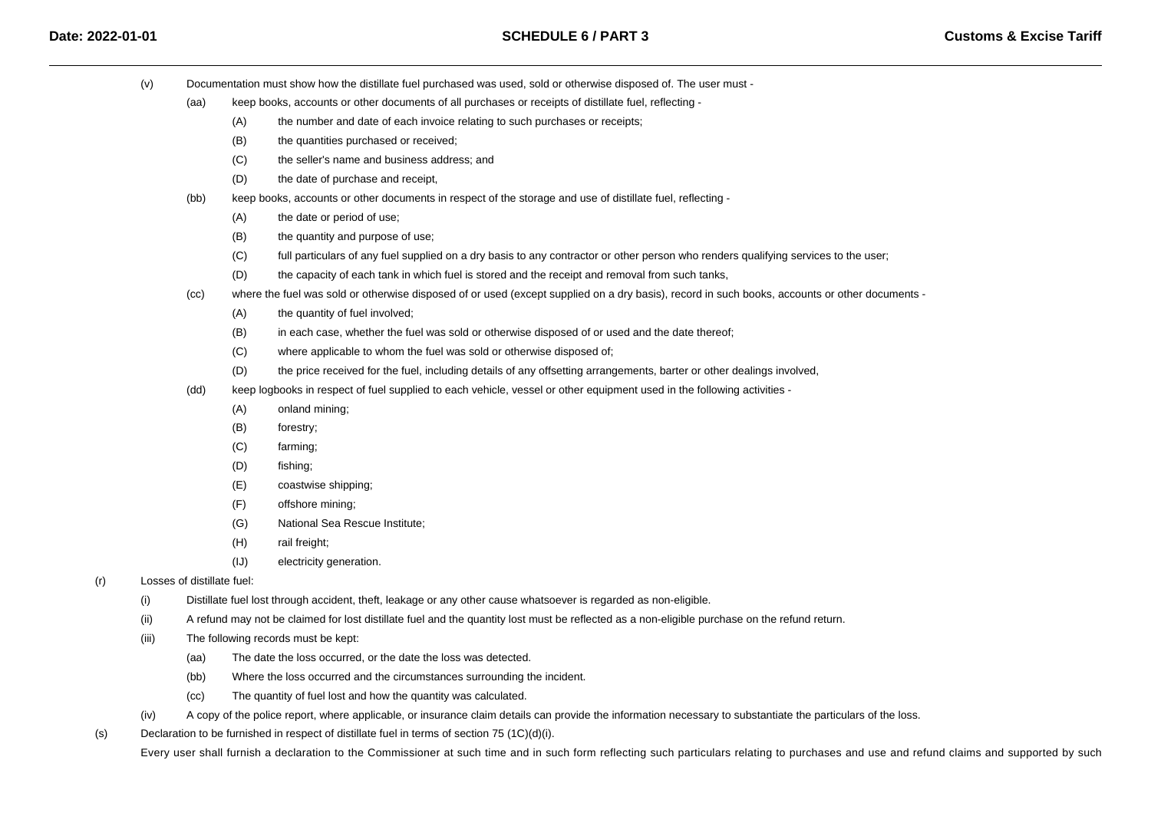- (v) Documentation must show how the distillate fuel purchased was used, sold or otherwise disposed of. The user must -
	- (aa) keep books, accounts or other documents of all purchases or receipts of distillate fuel, reflecting -
		- (A)the number and date of each invoice relating to such purchases or receipts;
		- (B)the quantities purchased or received;
		- $(C)$ the seller's name and business address; and
		- (D)the date of purchase and receipt,
	- (bb) keep books, accounts or other documents in respect of the storage and use of distillate fuel, reflecting -
		- (A)the date or period of use;
		- (B)the quantity and purpose of use;
		- $(C)$ full particulars of any fuel supplied on a dry basis to any contractor or other person who renders qualifying services to the user;
		- (D)the capacity of each tank in which fuel is stored and the receipt and removal from such tanks,
	- (cc)where the fuel was sold or otherwise disposed of or used (except supplied on a dry basis), record in such books, accounts or other documents -
		- (A)the quantity of fuel involved;
		- (B)in each case, whether the fuel was sold or otherwise disposed of or used and the date thereof;
		- $(C)$ where applicable to whom the fuel was sold or otherwise disposed of;
		- (D)the price received for the fuel, including details of any offsetting arrangements, barter or other dealings involved,
	- (dd) keep logbooks in respect of fuel supplied to each vehicle, vessel or other equipment used in the following activities -
		- (A)onland mining;
		- (B)forestry;
		- $(C)$ farming;
		- (D)fishing;
		- (E)coastwise shipping;
		- (F)offshore mining;
		- (G)National Sea Rescue Institute;
		- (H)rail freight;
		- (IJ)electricity generation.
- (r) Losses of distillate fuel:
	- (i)Distillate fuel lost through accident, theft, leakage or any other cause whatsoever is regarded as non-eligible.
	- (ii)A refund may not be claimed for lost distillate fuel and the quantity lost must be reflected as a non-eligible purchase on the refund return.
	- (iii) The following records must be kept:
		- (aa)The date the loss occurred, or the date the loss was detected.
		- (bb)Where the loss occurred and the circumstances surrounding the incident.
		- (cc)The quantity of fuel lost and how the quantity was calculated.
	- (iv)A copy of the police report, where applicable, or insurance claim details can provide the information necessary to substantiate the particulars of the loss.
- (s)Declaration to be furnished in respect of distillate fuel in terms of section 75  $(1C)(d)(i)$ .

Every user shall furnish a declaration to the Commissioner at such time and in such form reflecting such particulars relating to purchases and use and refund claims and supported by such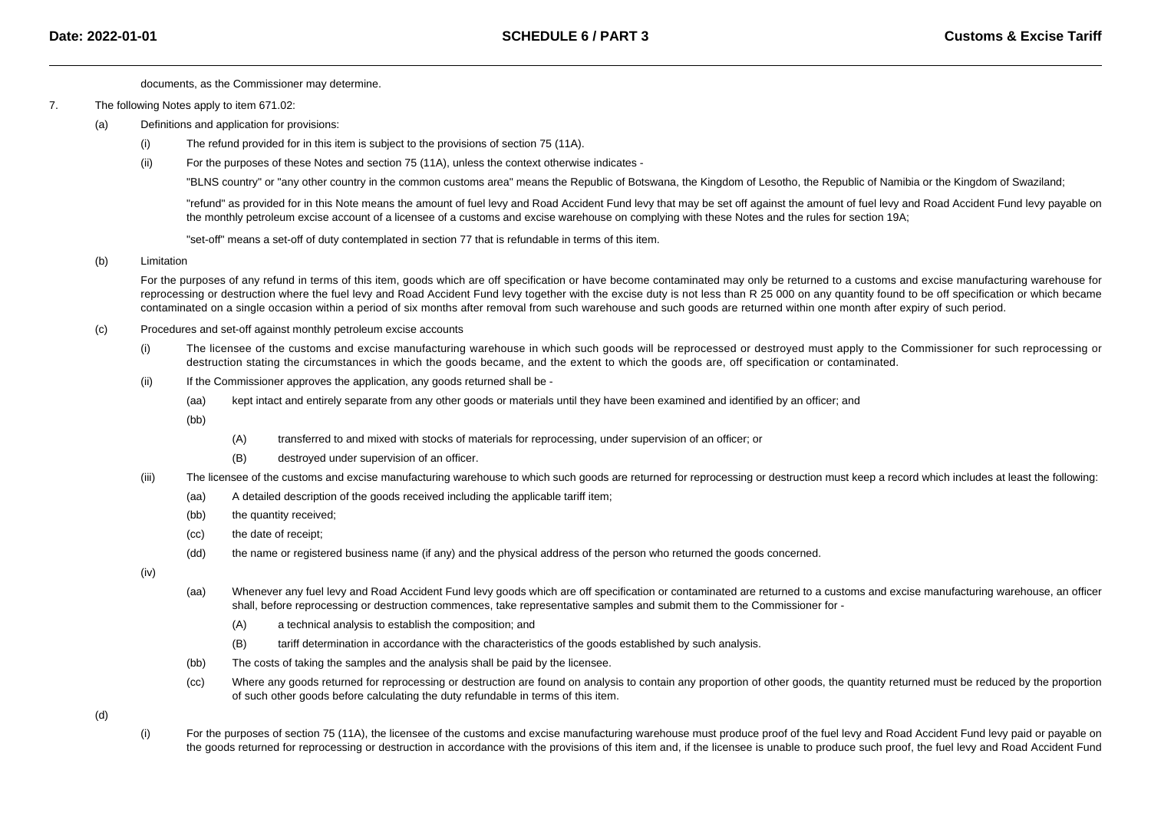documents, as the Commissioner may determine.

- 7. The following Notes apply to item 671.02:
	- $(a)$  Definitions and application for provisions:
		- (i)The refund provided for in this item is subject to the provisions of section 75 (11A).
		- (ii)For the purposes of these Notes and section 75 (11A), unless the context otherwise indicates -

"BLNS country" or "any other country in the common customs area" means the Republic of Botswana, the Kingdom of Lesotho, the Republic of Namibia or the Kingdom of Swaziland;

"refund" as provided for in this Note means the amount of fuel levy and Road Accident Fund levy that may be set off against the amount of fuel levy and Road Accident Fund levy payable onthe monthly petroleum excise account of a licensee of a customs and excise warehouse on complying with these Notes and the rules for section 19A;

"set-off" means a set-off of duty contemplated in section 77 that is refundable in terms of this item.

#### (b)Limitation

For the purposes of any refund in terms of this item, goods which are off specification or have become contaminated may only be returned to a customs and excise manufacturing warehouse for reprocessing or destruction where the fuel levy and Road Accident Fund levy together with the excise duty is not less than R 25 000 on any quantity found to be off specification or which became contaminated on a single occasion within a period of six months after removal from such warehouse and such goods are returned within one month after expiry of such period.

- (c) Procedures and set-off against monthly petroleum excise accounts
	- (i) The licensee of the customs and excise manufacturing warehouse in which such goods will be reprocessed or destroyed must apply to the Commissioner for such reprocessing or destruction stating the circumstances in which the goods became, and the extent to which the goods are, off specification or contaminated.
	- (ii) If the Commissioner approves the application, any goods returned shall be -
		- (aa)kept intact and entirely separate from any other goods or materials until they have been examined and identified by an officer; and
		- (bb)
- (A)transferred to and mixed with stocks of materials for reprocessing, under supervision of an officer; or
- (B)destroyed under supervision of an officer.
- (iii)The licensee of the customs and excise manufacturing warehouse to which such goods are returned for reprocessing or destruction must keep a record which includes at least the following:
	- (aa)A detailed description of the goods received including the applicable tariff item;
	- (bb)the quantity received;
	- (cc)the date of receipt;
	- (dd)the name or registered business name (if any) and the physical address of the person who returned the goods concerned.

(iv)

- (aa) Whenever any fuel levy and Road Accident Fund levy goods which are off specification or contaminated are returned to a customs and excise manufacturing warehouse, an officer shall, before reprocessing or destruction commences, take representative samples and submit them to the Commissioner for -
	- (A)a technical analysis to establish the composition; and
	- (B)tariff determination in accordance with the characteristics of the goods established by such analysis.
- (bb)The costs of taking the samples and the analysis shall be paid by the licensee.
- (cc)Where any goods returned for reprocessing or destruction are found on analysis to contain any proportion of other goods, the quantity returned must be reduced by the proportion of such other goods before calculating the duty refundable in terms of this item.

(d)

(i)For the purposes of section 75 (11A), the licensee of the customs and excise manufacturing warehouse must produce proof of the fuel levy and Road Accident Fund levy paid or payable on the goods returned for reprocessing or destruction in accordance with the provisions of this item and, if the licensee is unable to produce such proof, the fuel levy and Road Accident Fund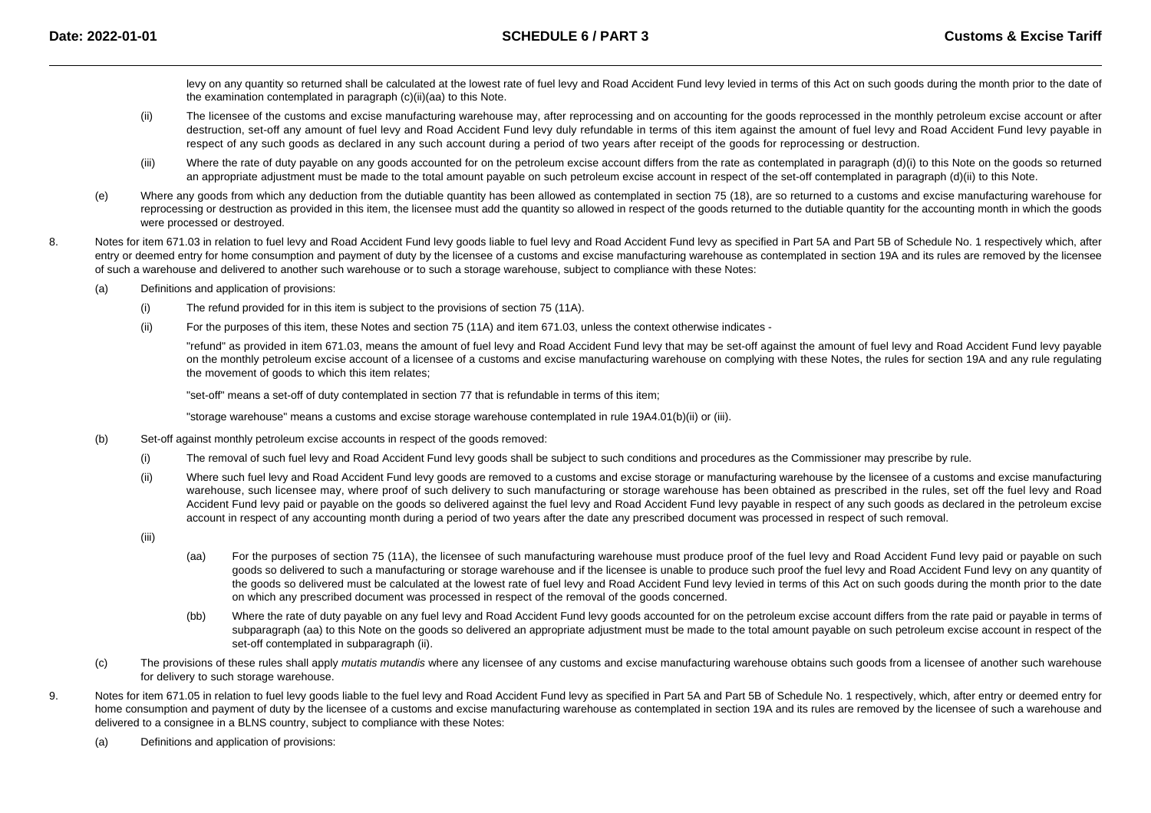levy on any quantity so returned shall be calculated at the lowest rate of fuel levy and Road Accident Fund levy levied in terms of this Act on such goods during the month prior to the date of the examination contemplated in paragraph (c)(ii)(aa) to this Note.

- (ii)The licensee of the customs and excise manufacturing warehouse may, after reprocessing and on accounting for the goods reprocessed in the monthly petroleum excise account or after destruction, set-off any amount of fuel levy and Road Accident Fund levy duly refundable in terms of this item against the amount of fuel levy and Road Accident Fund levy payable in respect of any such goods as declared in any such account during a period of two years after receipt of the goods for reprocessing or destruction.
- (iii)Where the rate of duty payable on any goods accounted for on the petroleum excise account differs from the rate as contemplated in paragraph (d)(i) to this Note on the goods so returned an appropriate adjustment must be made to the total amount payable on such petroleum excise account in respect of the set-off contemplated in paragraph (d)(ii) to this Note.
- (e)Where any goods from which any deduction from the dutiable quantity has been allowed as contemplated in section 75 (18), are so returned to a customs and excise manufacturing warehouse for reprocessing or destruction as provided in this item, the licensee must add the quantity so allowed in respect of the goods returned to the dutiable quantity for the accounting month in which the goods were processed or destroyed.
- 8.Notes for item 671.03 in relation to fuel levy and Road Accident Fund levy goods liable to fuel levy and Road Accident Fund levy as specified in Part 5A and Part 5B of Schedule No. 1 respectively which, after entry or deemed entry for home consumption and payment of duty by the licensee of a customs and excise manufacturing warehouse as contemplated in section 19A and its rules are removed by the licensee of such a warehouse and delivered to another such warehouse or to such a storage warehouse, subject to compliance with these Notes:
	- (a) Definitions and application of provisions:
		- (i)The refund provided for in this item is subject to the provisions of section 75 (11A).
		- (ii)For the purposes of this item, these Notes and section 75 (11A) and item 671.03, unless the context otherwise indicates -

"refund" as provided in item 671.03, means the amount of fuel levy and Road Accident Fund levy that may be set-off against the amount of fuel levy and Road Accident Fund levy payable on the monthly petroleum excise account of a licensee of a customs and excise manufacturing warehouse on complying with these Notes, the rules for section 19A and any rule regulatingthe movement of goods to which this item relates;

"set-off" means a set-off of duty contemplated in section 77 that is refundable in terms of this item;

"storage warehouse" means a customs and excise storage warehouse contemplated in rule 19A4.01(b)(ii) or (iii).

- (b) Set-off against monthly petroleum excise accounts in respect of the goods removed:
	- (i)The removal of such fuel levy and Road Accident Fund levy goods shall be subject to such conditions and procedures as the Commissioner may prescribe by rule.
	- (ii)Where such fuel levy and Road Accident Fund levy goods are removed to a customs and excise storage or manufacturing warehouse by the licensee of a customs and excise manufacturing warehouse, such licensee may, where proof of such delivery to such manufacturing or storage warehouse has been obtained as prescribed in the rules, set off the fuel levy and Road Accident Fund levy paid or payable on the goods so delivered against the fuel levy and Road Accident Fund levy payable in respect of any such goods as declared in the petroleum exciseaccount in respect of any accounting month during a period of two years after the date any prescribed document was processed in respect of such removal.
	- (iii)
- (aa) For the purposes of section 75 (11A), the licensee of such manufacturing warehouse must produce proof of the fuel levy and Road Accident Fund levy paid or payable on such goods so delivered to such a manufacturing or storage warehouse and if the licensee is unable to produce such proof the fuel levy and Road Accident Fund levy on any quantity of the goods so delivered must be calculated at the lowest rate of fuel levy and Road Accident Fund levy levied in terms of this Act on such goods during the month prior to the dateon which any prescribed document was processed in respect of the removal of the goods concerned.
- (bb)Where the rate of duty payable on any fuel levy and Road Accident Fund levy goods accounted for on the petroleum excise account differs from the rate paid or payable in terms of subparagraph (aa) to this Note on the goods so delivered an appropriate adjustment must be made to the total amount payable on such petroleum excise account in respect of the set-off contemplated in subparagraph (ii).
- (c)The provisions of these rules shall apply *mutatis mutandis* where any licensee of any customs and excise manufacturing warehouse obtains such goods from a licensee of another such warehouse for delivery to such storage warehouse.
- 9.Notes for item 671.05 in relation to fuel levy goods liable to the fuel levy and Road Accident Fund levy as specified in Part 5A and Part 5B of Schedule No. 1 respectively, which, after entry or deemed entry for home consumption and payment of duty by the licensee of a customs and excise manufacturing warehouse as contemplated in section 19A and its rules are removed by the licensee of such a warehouse and delivered to a consignee in a BLNS country, subject to compliance with these Notes:
	- (a)Definitions and application of provisions: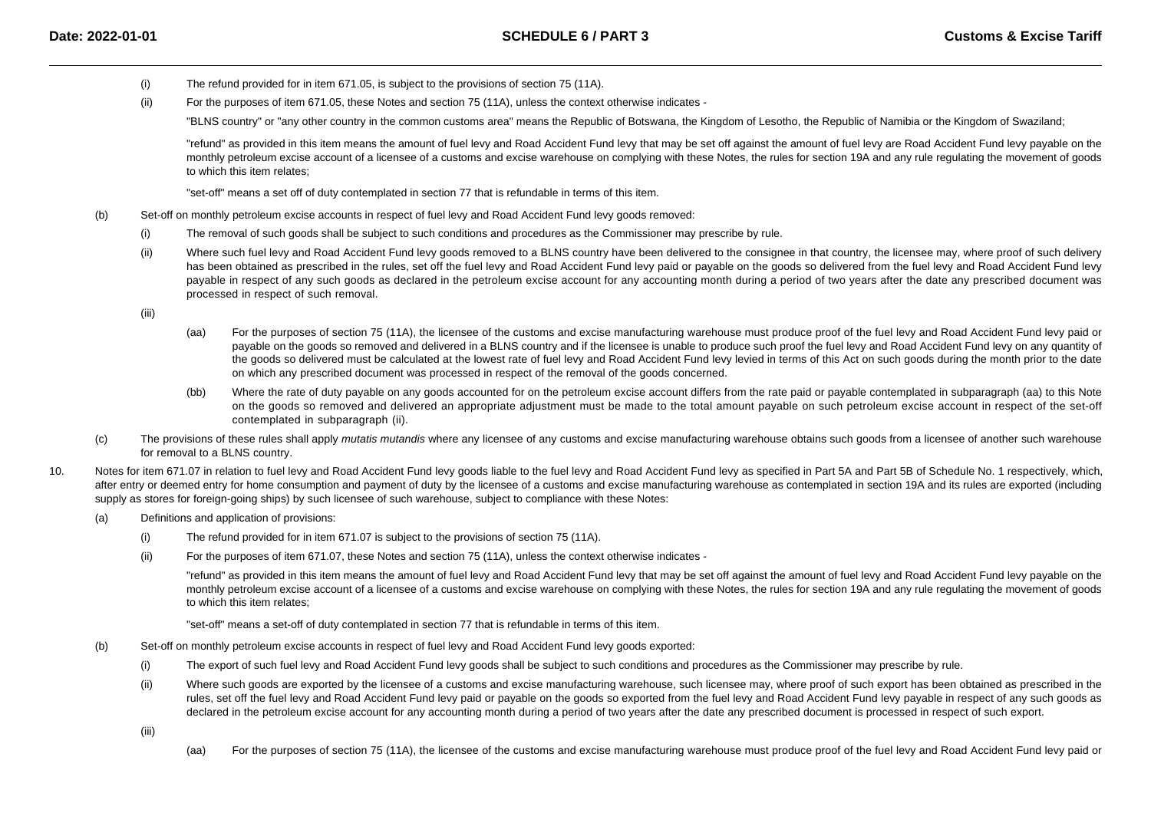- (i)The refund provided for in item 671.05, is subject to the provisions of section 75 (11A).
- (ii)For the purposes of item 671.05, these Notes and section 75 (11A), unless the context otherwise indicates -

"BLNS country" or "any other country in the common customs area" means the Republic of Botswana, the Kingdom of Lesotho, the Republic of Namibia or the Kingdom of Swaziland;

"refund" as provided in this item means the amount of fuel levy and Road Accident Fund levy that may be set off against the amount of fuel levy are Road Accident Fund levy payable on the monthly petroleum excise account of a licensee of a customs and excise warehouse on complying with these Notes, the rules for section 19A and any rule regulating the movement of goodsto which this item relates;

"set-off" means a set off of duty contemplated in section 77 that is refundable in terms of this item.

- (b) Set-off on monthly petroleum excise accounts in respect of fuel levy and Road Accident Fund levy goods removed:
	- (i)The removal of such goods shall be subject to such conditions and procedures as the Commissioner may prescribe by rule.
	- (ii)Where such fuel levy and Road Accident Fund levy goods removed to a BLNS country have been delivered to the consignee in that country, the licensee may, where proof of such delivery has been obtained as prescribed in the rules, set off the fuel levy and Road Accident Fund levy paid or payable on the goods so delivered from the fuel levy and Road Accident Fund levy payable in respect of any such goods as declared in the petroleum excise account for any accounting month during a period of two years after the date any prescribed document wasprocessed in respect of such removal.

(iii)

- (aa) For the purposes of section 75 (11A), the licensee of the customs and excise manufacturing warehouse must produce proof of the fuel levy and Road Accident Fund levy paid or payable on the goods so removed and delivered in a BLNS country and if the licensee is unable to produce such proof the fuel levy and Road Accident Fund levy on any quantity ofthe goods so delivered must be calculated at the lowest rate of fuel levy and Road Accident Fund levy levied in terms of this Act on such goods during the month prior to the date on which any prescribed document was processed in respect of the removal of the goods concerned.
- (bb)Where the rate of duty payable on any goods accounted for on the petroleum excise account differs from the rate paid or payable contemplated in subparagraph (aa) to this Note on the goods so removed and delivered an appropriate adjustment must be made to the total amount payable on such petroleum excise account in respect of the set-offcontemplated in subparagraph (ii).
- (c)The provisions of these rules shall apply *mutatis mutandis* where any licensee of any customs and excise manufacturing warehouse obtains such goods from a licensee of another such warehouse for removal to a BLNS country.
- 10.Notes for item 671.07 in relation to fuel levy and Road Accident Fund levy goods liable to the fuel levy and Road Accident Fund levy as specified in Part 5A and Part 5B of Schedule No. 1 respectively, which, after entry or deemed entry for home consumption and payment of duty by the licensee of a customs and excise manufacturing warehouse as contemplated in section 19A and its rules are exported (including supply as stores for foreign-going ships) by such licensee of such warehouse, subject to compliance with these Notes:
	- (a) Definitions and application of provisions:
		- (i)The refund provided for in item 671.07 is subject to the provisions of section 75 (11A).
		- (ii)For the purposes of item 671.07, these Notes and section 75 (11A), unless the context otherwise indicates -

"refund" as provided in this item means the amount of fuel levy and Road Accident Fund levy that may be set off against the amount of fuel levy and Road Accident Fund levy payable on the monthly petroleum excise account of a licensee of a customs and excise warehouse on complying with these Notes, the rules for section 19A and any rule regulating the movement of goodsto which this item relates;

"set-off" means a set-off of duty contemplated in section 77 that is refundable in terms of this item.

- (b) Set-off on monthly petroleum excise accounts in respect of fuel levy and Road Accident Fund levy goods exported:
	- (i)The export of such fuel levy and Road Accident Fund levy goods shall be subject to such conditions and procedures as the Commissioner may prescribe by rule.
	- (ii)Where such goods are exported by the licensee of a customs and excise manufacturing warehouse, such licensee may, where proof of such export has been obtained as prescribed in the rules, set off the fuel levy and Road Accident Fund levy paid or payable on the goods so exported from the fuel levy and Road Accident Fund levy payable in respect of any such goods asdeclared in the petroleum excise account for any accounting month during a period of two years after the date any prescribed document is processed in respect of such export.

(iii)

(aa)For the purposes of section 75 (11A), the licensee of the customs and excise manufacturing warehouse must produce proof of the fuel levy and Road Accident Fund levy paid or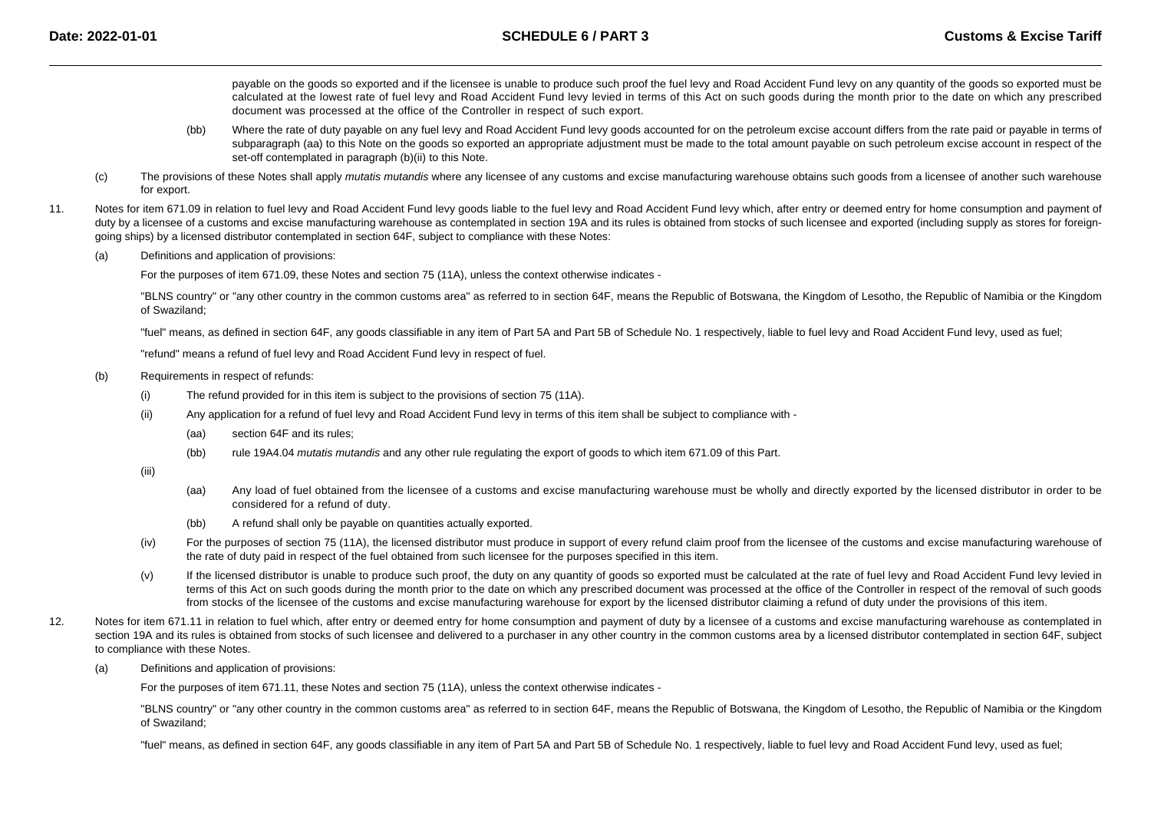payable on the goods so exported and if the licensee is unable to produce such proof the fuel levy and Road Accident Fund levy on any quantity of the goods so exported must be calculated at the lowest rate of fuel levy and Road Accident Fund levy levied in terms of this Act on such goods during the month prior to the date on which any prescribeddocument was processed at the office of the Controller in respect of such export.

- (bb)Where the rate of duty payable on any fuel levy and Road Accident Fund levy goods accounted for on the petroleum excise account differs from the rate paid or payable in terms of subparagraph (aa) to this Note on the goods so exported an appropriate adjustment must be made to the total amount payable on such petroleum excise account in respect of the set-off contemplated in paragraph (b)(ii) to this Note.
- (c)The provisions of these Notes shall apply *mutatis mutandis* where any licensee of any customs and excise manufacturing warehouse obtains such goods from a licensee of another such warehouse for export.
- 11.Notes for item 671.09 in relation to fuel levy and Road Accident Fund levy goods liable to the fuel levy and Road Accident Fund levy which, after entry or deemed entry for home consumption and payment of duty by a licensee of a customs and excise manufacturing warehouse as contemplated in section 19A and its rules is obtained from stocks of such licensee and exported (including supply as stores for foreigngoing ships) by a licensed distributor contemplated in section 64F, subject to compliance with these Notes:
	- (a)Definitions and application of provisions:

For the purposes of item 671.09, these Notes and section 75 (11A), unless the context otherwise indicates -

"BLNS country" or "any other country in the common customs area" as referred to in section 64F, means the Republic of Botswana, the Kingdom of Lesotho, the Republic of Namibia or the Kingdom of Swaziland;

"fuel" means, as defined in section 64F, any goods classifiable in any item of Part 5A and Part 5B of Schedule No. 1 respectively, liable to fuel levy and Road Accident Fund levy, used as fuel;

"refund" means a refund of fuel levy and Road Accident Fund levy in respect of fuel.

- (b) Requirements in respect of refunds:
	- (i)The refund provided for in this item is subject to the provisions of section 75 (11A).
	- (ii) Any application for a refund of fuel levy and Road Accident Fund levy in terms of this item shall be subject to compliance with -
		- (aa)section 64F and its rules:
		- (bb)rule 19A4.04 mutatis mutandis and any other rule regulating the export of goods to which item 671.09 of this Part.

(iii)

- (aa)Any load of fuel obtained from the licensee of a customs and excise manufacturing warehouse must be wholly and directly exported by the licensed distributor in order to be considered for a refund of duty.
- (bb)A refund shall only be payable on quantities actually exported.
- (iv)For the purposes of section 75 (11A), the licensed distributor must produce in support of every refund claim proof from the licensee of the customs and excise manufacturing warehouse of the rate of duty paid in respect of the fuel obtained from such licensee for the purposes specified in this item.
- (v)If the licensed distributor is unable to produce such proof, the duty on any quantity of goods so exported must be calculated at the rate of fuel levy and Road Accident Fund levy levied in terms of this Act on such goods during the month prior to the date on which any prescribed document was processed at the office of the Controller in respect of the removal of such goodsfrom stocks of the licensee of the customs and excise manufacturing warehouse for export by the licensed distributor claiming a refund of duty under the provisions of this item.
- 12.Notes for item 671.11 in relation to fuel which, after entry or deemed entry for home consumption and payment of duty by a licensee of a customs and excise manufacturing warehouse as contemplated in section 19A and its rules is obtained from stocks of such licensee and delivered to a purchaser in any other country in the common customs area by a licensed distributor contemplated in section 64F, subject to compliance with these Notes.
	- (a)Definitions and application of provisions:

For the purposes of item 671.11, these Notes and section 75 (11A), unless the context otherwise indicates -

"BLNS country" or "any other country in the common customs area" as referred to in section 64F, means the Republic of Botswana, the Kingdom of Lesotho, the Republic of Namibia or the Kingdomof Swaziland;

"fuel" means, as defined in section 64F, any goods classifiable in any item of Part 5A and Part 5B of Schedule No. 1 respectively, liable to fuel levy and Road Accident Fund levy, used as fuel;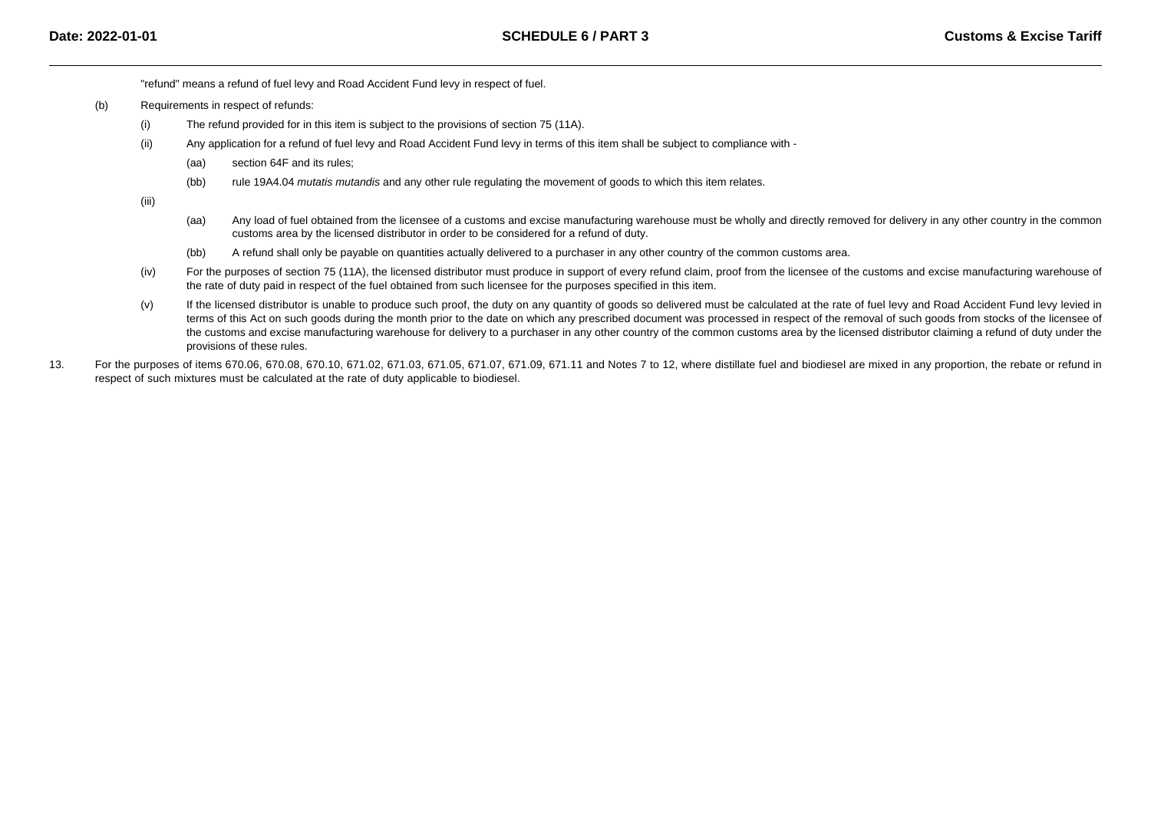"refund" means a refund of fuel levy and Road Accident Fund levy in respect of fuel.

- (b) Requirements in respect of refunds:
	- (i)The refund provided for in this item is subject to the provisions of section 75 (11A).
	- (ii) Any application for a refund of fuel levy and Road Accident Fund levy in terms of this item shall be subject to compliance with -
		- (aa)section 64F and its rules;
		- $(hh)$ rule 19A4.04 mutatis mutandis and any other rule regulating the movement of goods to which this item relates.

(iii)

- (aa)Any load of fuel obtained from the licensee of a customs and excise manufacturing warehouse must be wholly and directly removed for delivery in any other country in the common customs area by the licensed distributor in order to be considered for a refund of duty.
- (bb)A refund shall only be payable on quantities actually delivered to a purchaser in any other country of the common customs area.
- (iv)For the purposes of section 75 (11A), the licensed distributor must produce in support of every refund claim, proof from the licensee of the customs and excise manufacturing warehouse of the rate of duty paid in respect of the fuel obtained from such licensee for the purposes specified in this item.
- (v)If the licensed distributor is unable to produce such proof, the duty on any quantity of goods so delivered must be calculated at the rate of fuel levy and Road Accident Fund levy levied in terms of this Act on such goods during the month prior to the date on which any prescribed document was processed in respect of the removal of such goods from stocks of the licensee ofthe customs and excise manufacturing warehouse for delivery to a purchaser in any other country of the common customs area by the licensed distributor claiming a refund of duty under the provisions of these rules.
- 13.For the purposes of items 670.06, 670.08, 670.10, 671.02, 671.03, 671.05, 671.07, 671.09, 671.11 and Notes 7 to 12, where distillate fuel and biodiesel are mixed in any proportion, the rebate or refund in respect of such mixtures must be calculated at the rate of duty applicable to biodiesel.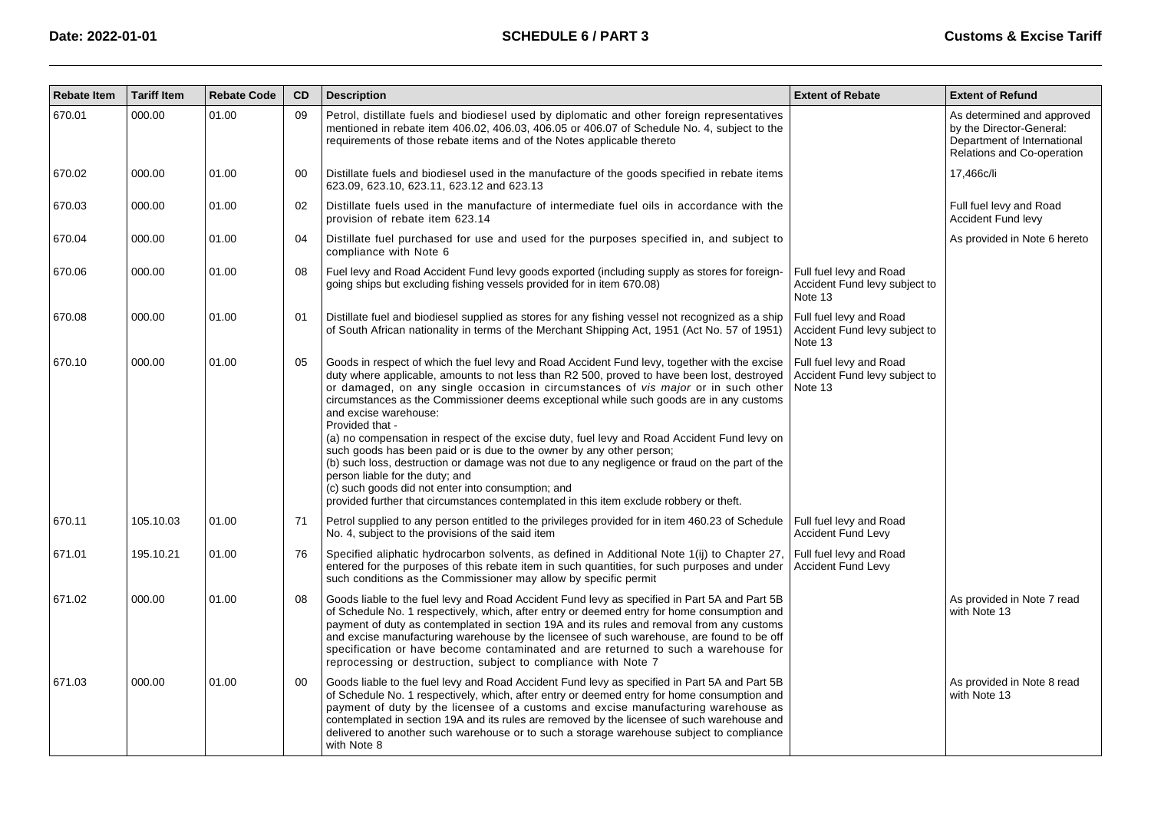| <b>Rebate Item</b> | <b>Tariff Item</b> | <b>Rebate Code</b> | CD | <b>Description</b>                                                                                                                                                                                                                                                                                                                                                                                                                                                                                                                                                                                                                                                                                                                                                                                                                                                                    | <b>Extent of Rebate</b>                                             | <b>Extent of Refund</b>                                                                                             |
|--------------------|--------------------|--------------------|----|---------------------------------------------------------------------------------------------------------------------------------------------------------------------------------------------------------------------------------------------------------------------------------------------------------------------------------------------------------------------------------------------------------------------------------------------------------------------------------------------------------------------------------------------------------------------------------------------------------------------------------------------------------------------------------------------------------------------------------------------------------------------------------------------------------------------------------------------------------------------------------------|---------------------------------------------------------------------|---------------------------------------------------------------------------------------------------------------------|
| 670.01             | 000.00             | 01.00              | 09 | Petrol, distillate fuels and biodiesel used by diplomatic and other foreign representatives<br>mentioned in rebate item 406.02, 406.03, 406.05 or 406.07 of Schedule No. 4, subject to the<br>requirements of those rebate items and of the Notes applicable thereto                                                                                                                                                                                                                                                                                                                                                                                                                                                                                                                                                                                                                  |                                                                     | As determined and approved<br>by the Director-General:<br>Department of International<br>Relations and Co-operation |
| 670.02             | 000.00             | 01.00              | 00 | Distillate fuels and biodiesel used in the manufacture of the goods specified in rebate items<br>623.09, 623.10, 623.11, 623.12 and 623.13                                                                                                                                                                                                                                                                                                                                                                                                                                                                                                                                                                                                                                                                                                                                            |                                                                     | 17,466c/li                                                                                                          |
| 670.03             | 000.00             | 01.00              | 02 | Distillate fuels used in the manufacture of intermediate fuel oils in accordance with the<br>provision of rebate item 623.14                                                                                                                                                                                                                                                                                                                                                                                                                                                                                                                                                                                                                                                                                                                                                          |                                                                     | Full fuel levy and Road<br><b>Accident Fund levy</b>                                                                |
| 670.04             | 000.00             | 01.00              | 04 | Distillate fuel purchased for use and used for the purposes specified in, and subject to<br>compliance with Note 6                                                                                                                                                                                                                                                                                                                                                                                                                                                                                                                                                                                                                                                                                                                                                                    |                                                                     | As provided in Note 6 hereto                                                                                        |
| 670.06             | 000.00             | 01.00              | 08 | Fuel levy and Road Accident Fund levy goods exported (including supply as stores for foreign-<br>going ships but excluding fishing vessels provided for in item 670.08)                                                                                                                                                                                                                                                                                                                                                                                                                                                                                                                                                                                                                                                                                                               | Full fuel levy and Road<br>Accident Fund levy subject to<br>Note 13 |                                                                                                                     |
| 670.08             | 000.00             | 01.00              | 01 | Distillate fuel and biodiesel supplied as stores for any fishing vessel not recognized as a ship<br>of South African nationality in terms of the Merchant Shipping Act, 1951 (Act No. 57 of 1951)                                                                                                                                                                                                                                                                                                                                                                                                                                                                                                                                                                                                                                                                                     | Full fuel levy and Road<br>Accident Fund levy subject to<br>Note 13 |                                                                                                                     |
| 670.10             | 000.00             | 01.00              | 05 | Goods in respect of which the fuel levy and Road Accident Fund levy, together with the excise<br>duty where applicable, amounts to not less than R2 500, proved to have been lost, destroyed<br>or damaged, on any single occasion in circumstances of vis major or in such other<br>circumstances as the Commissioner deems exceptional while such goods are in any customs<br>and excise warehouse:<br>Provided that -<br>(a) no compensation in respect of the excise duty, fuel levy and Road Accident Fund levy on<br>such goods has been paid or is due to the owner by any other person;<br>(b) such loss, destruction or damage was not due to any negligence or fraud on the part of the<br>person liable for the duty; and<br>(c) such goods did not enter into consumption; and<br>provided further that circumstances contemplated in this item exclude robbery or theft. | Full fuel levy and Road<br>Accident Fund levy subject to<br>Note 13 |                                                                                                                     |
| 670.11             | 105.10.03          | 01.00              | 71 | Petrol supplied to any person entitled to the privileges provided for in item 460.23 of Schedule<br>No. 4, subject to the provisions of the said item                                                                                                                                                                                                                                                                                                                                                                                                                                                                                                                                                                                                                                                                                                                                 | Full fuel levy and Road<br><b>Accident Fund Levy</b>                |                                                                                                                     |
| 671.01             | 195.10.21          | 01.00              | 76 | Specified aliphatic hydrocarbon solvents, as defined in Additional Note 1(ii) to Chapter 27<br>entered for the purposes of this rebate item in such quantities, for such purposes and under<br>such conditions as the Commissioner may allow by specific permit                                                                                                                                                                                                                                                                                                                                                                                                                                                                                                                                                                                                                       | Full fuel levy and Road<br><b>Accident Fund Levy</b>                |                                                                                                                     |
| 671.02             | 000.00             | 01.00              | 08 | Goods liable to the fuel levy and Road Accident Fund levy as specified in Part 5A and Part 5B<br>of Schedule No. 1 respectively, which, after entry or deemed entry for home consumption and<br>payment of duty as contemplated in section 19A and its rules and removal from any customs<br>and excise manufacturing warehouse by the licensee of such warehouse, are found to be off<br>specification or have become contaminated and are returned to such a warehouse for<br>reprocessing or destruction, subject to compliance with Note 7                                                                                                                                                                                                                                                                                                                                        |                                                                     | As provided in Note 7 read<br>with Note 13                                                                          |
| 671.03             | 000.00             | 01.00              | 00 | Goods liable to the fuel levy and Road Accident Fund levy as specified in Part 5A and Part 5B<br>of Schedule No. 1 respectively, which, after entry or deemed entry for home consumption and<br>payment of duty by the licensee of a customs and excise manufacturing warehouse as<br>contemplated in section 19A and its rules are removed by the licensee of such warehouse and<br>delivered to another such warehouse or to such a storage warehouse subject to compliance<br>with Note 8                                                                                                                                                                                                                                                                                                                                                                                          |                                                                     | As provided in Note 8 read<br>with Note 13                                                                          |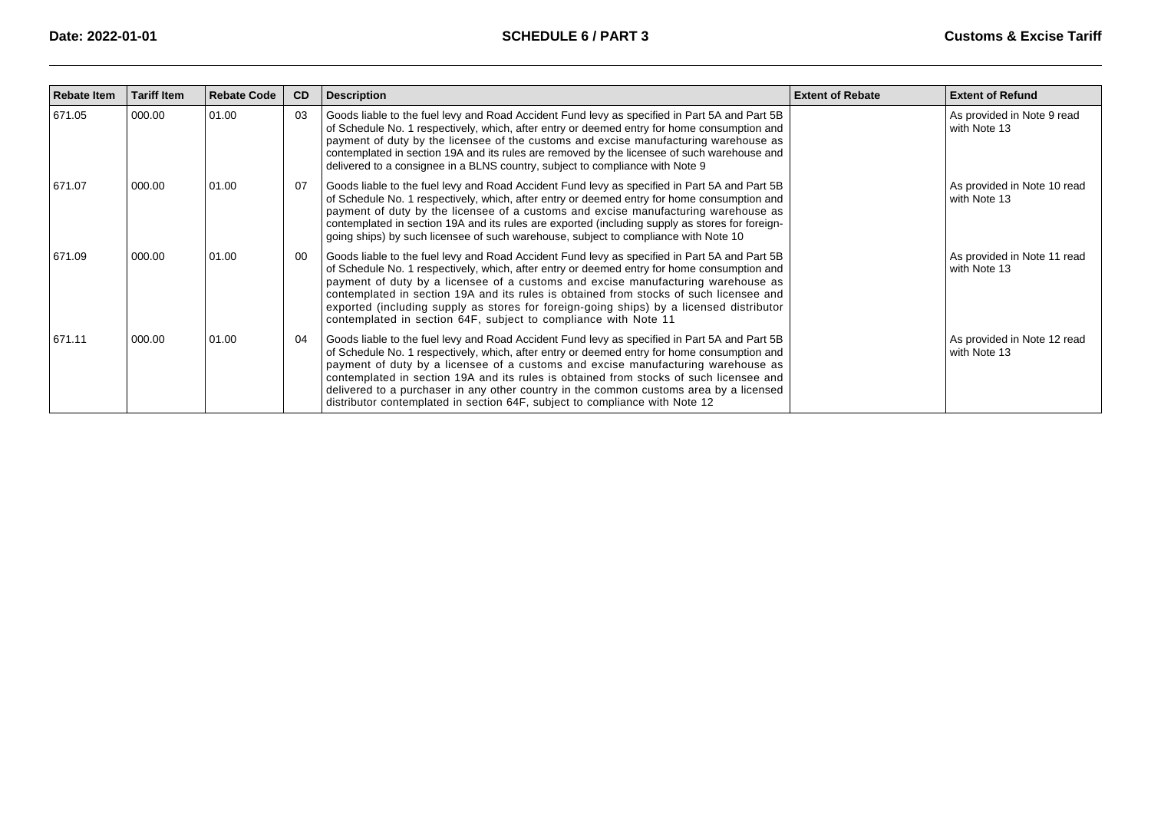| <b>Rebate Item</b> | <b>Tariff Item</b> | <b>Rebate Code</b> | <b>CD</b> | <b>Description</b>                                                                                                                                                                                                                                                                                                                                                                                                                                                                                                                                  | <b>Extent of Rebate</b> | <b>Extent of Refund</b>                     |
|--------------------|--------------------|--------------------|-----------|-----------------------------------------------------------------------------------------------------------------------------------------------------------------------------------------------------------------------------------------------------------------------------------------------------------------------------------------------------------------------------------------------------------------------------------------------------------------------------------------------------------------------------------------------------|-------------------------|---------------------------------------------|
| 671.05             | 000.00             | 01.00              | 03        | Goods liable to the fuel levy and Road Accident Fund levy as specified in Part 5A and Part 5B<br>of Schedule No. 1 respectively, which, after entry or deemed entry for home consumption and<br>payment of duty by the licensee of the customs and excise manufacturing warehouse as<br>contemplated in section 19A and its rules are removed by the licensee of such warehouse and<br>delivered to a consignee in a BLNS country, subject to compliance with Note 9                                                                                |                         | As provided in Note 9 read<br>with Note 13  |
| 671.07             | 000.00             | 01.00              | 07        | Goods liable to the fuel levy and Road Accident Fund levy as specified in Part 5A and Part 5B<br>of Schedule No. 1 respectively, which, after entry or deemed entry for home consumption and<br>payment of duty by the licensee of a customs and excise manufacturing warehouse as<br>contemplated in section 19A and its rules are exported (including supply as stores for foreign-<br>going ships) by such licensee of such warehouse, subject to compliance with Note 10                                                                        |                         | As provided in Note 10 read<br>with Note 13 |
| 671.09             | 000.00             | 01.00              | -00       | Goods liable to the fuel levy and Road Accident Fund levy as specified in Part 5A and Part 5B<br>of Schedule No. 1 respectively, which, after entry or deemed entry for home consumption and<br>payment of duty by a licensee of a customs and excise manufacturing warehouse as<br>contemplated in section 19A and its rules is obtained from stocks of such licensee and<br>exported (including supply as stores for foreign-going ships) by a licensed distributor<br>contemplated in section 64F, subject to compliance with Note 11            |                         | As provided in Note 11 read<br>with Note 13 |
| 671.11             | 000.00             | 01.00              | 04        | Goods liable to the fuel levy and Road Accident Fund levy as specified in Part 5A and Part 5B<br>of Schedule No. 1 respectively, which, after entry or deemed entry for home consumption and<br>payment of duty by a licensee of a customs and excise manufacturing warehouse as<br>contemplated in section 19A and its rules is obtained from stocks of such licensee and<br>delivered to a purchaser in any other country in the common customs area by a licensed<br>distributor contemplated in section 64F, subject to compliance with Note 12 |                         | As provided in Note 12 read<br>with Note 13 |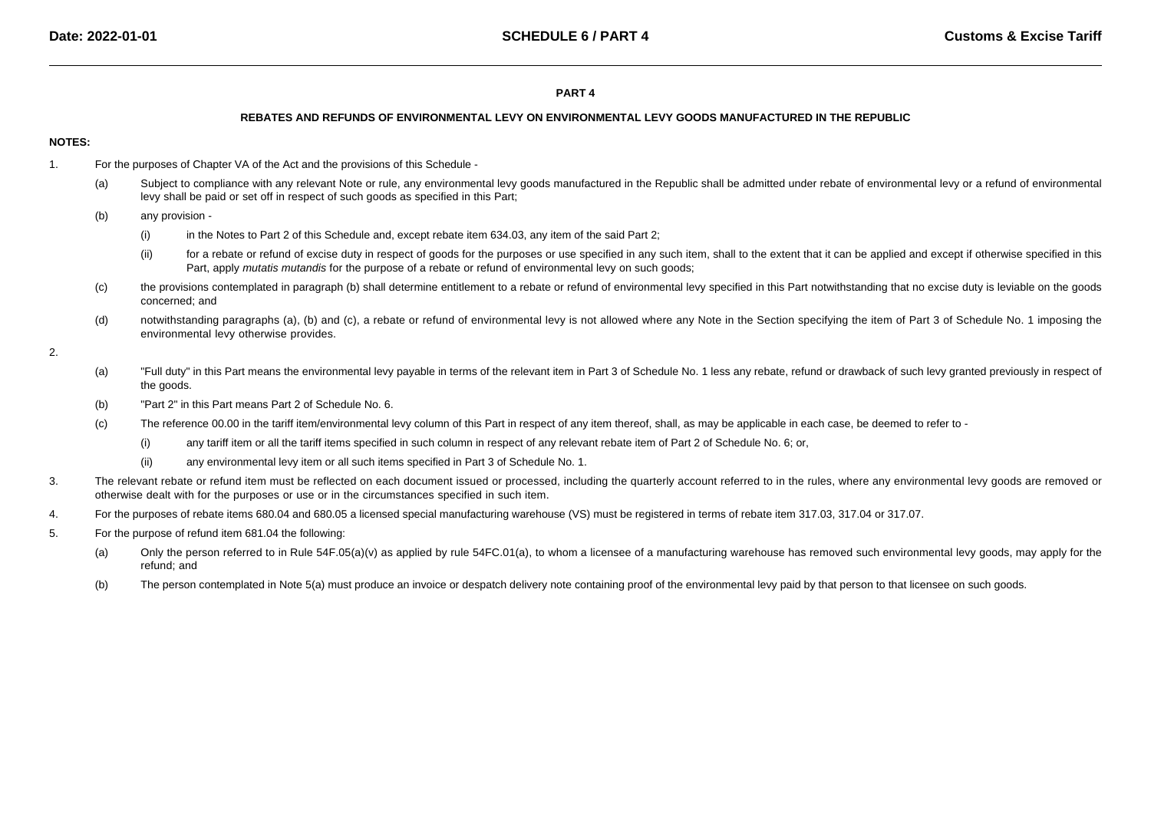### **PART 4**

#### **REBATES AND REFUNDS OF ENVIRONMENTAL LEVY ON ENVIRONMENTAL LEVY GOODS MANUFACTURED IN THE REPUBLIC**

### **NOTES:**

- 1. For the purposes of Chapter VA of the Act and the provisions of this Schedule -
	- (a)Subject to compliance with any relevant Note or rule, any environmental levy goods manufactured in the Republic shall be admitted under rebate of environmental levy or a refund of environmental levy shall be paid or set off in respect of such goods as specified in this Part;
	- (b) any provision -
		- (i)in the Notes to Part 2 of this Schedule and, except rebate item 634.03, any item of the said Part 2;
		- (ii)for a rebate or refund of excise duty in respect of goods for the purposes or use specified in any such item, shall to the extent that it can be applied and except if otherwise specified in this Part, apply *mutatis mutandis* for the purpose of a rebate or refund of environmental levy on such goods;
	- (c) the provisions contemplated in paragraph (b) shall determine entitlement to a rebate or refund of environmental levy specified in this Part notwithstanding that no excise duty is leviable on the goodsconcerned; and
	- (d)notwithstanding paragraphs (a), (b) and (c), a rebate or refund of environmental levy is not allowed where any Note in the Section specifying the item of Part 3 of Schedule No. 1 imposing the environmental levy otherwise provides.

#### 2.

- (a)"Full duty" in this Part means the environmental levy payable in terms of the relevant item in Part 3 of Schedule No. 1 less any rebate, refund or drawback of such levy granted previously in respect of the goods.
- (b)"Part 2" in this Part means Part 2 of Schedule No. 6.
- (c) The reference 00.00 in the tariff item/environmental levy column of this Part in respect of any item thereof, shall, as may be applicable in each case, be deemed to refer to -
	- (i)any tariff item or all the tariff items specified in such column in respect of any relevant rebate item of Part 2 of Schedule No. 6; or,
	- (ii)any environmental levy item or all such items specified in Part 3 of Schedule No. 1.
- 3.The relevant rebate or refund item must be reflected on each document issued or processed, including the quarterly account referred to in the rules, where any environmental levy goods are removed or otherwise dealt with for the purposes or use or in the circumstances specified in such item.
- 4.For the purposes of rebate items 680.04 and 680.05 a licensed special manufacturing warehouse (VS) must be registered in terms of rebate item 317.03, 317.04 or 317.07.
- 5. For the purpose of refund item 681.04 the following:
	- (a)Only the person referred to in Rule 54F.05(a)(v) as applied by rule 54FC.01(a), to whom a licensee of a manufacturing warehouse has removed such environmental levy goods, may apply for the refund; and
	- (b)The person contemplated in Note 5(a) must produce an invoice or despatch delivery note containing proof of the environmental levy paid by that person to that licensee on such goods.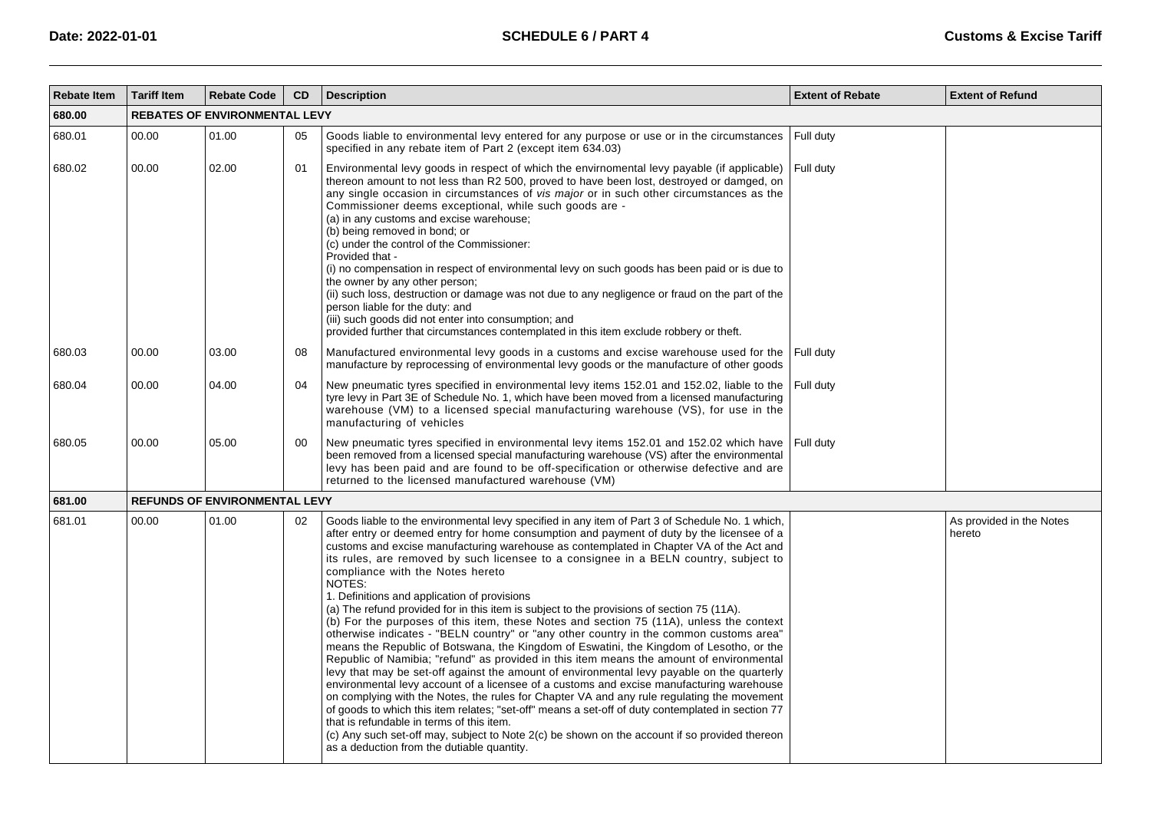| <b>Rebate Item</b> | <b>Tariff Item</b> | <b>Rebate Code</b>                   | <b>CD</b> | <b>Description</b>                                                                                                                                                                                                                                                                                                                                                                                                                                                                                                                                                                                                                                                                                                                                                                                                                                                                                                                                                                                                                                                                                                                                                                                                                                                                                                                                                                                                                                                                                                                               | <b>Extent of Rebate</b> | <b>Extent of Refund</b>            |
|--------------------|--------------------|--------------------------------------|-----------|--------------------------------------------------------------------------------------------------------------------------------------------------------------------------------------------------------------------------------------------------------------------------------------------------------------------------------------------------------------------------------------------------------------------------------------------------------------------------------------------------------------------------------------------------------------------------------------------------------------------------------------------------------------------------------------------------------------------------------------------------------------------------------------------------------------------------------------------------------------------------------------------------------------------------------------------------------------------------------------------------------------------------------------------------------------------------------------------------------------------------------------------------------------------------------------------------------------------------------------------------------------------------------------------------------------------------------------------------------------------------------------------------------------------------------------------------------------------------------------------------------------------------------------------------|-------------------------|------------------------------------|
| 680.00             |                    | <b>REBATES OF ENVIRONMENTAL LEVY</b> |           |                                                                                                                                                                                                                                                                                                                                                                                                                                                                                                                                                                                                                                                                                                                                                                                                                                                                                                                                                                                                                                                                                                                                                                                                                                                                                                                                                                                                                                                                                                                                                  |                         |                                    |
| 680.01             | 00.00              | 01.00                                | 05        | Goods liable to environmental levy entered for any purpose or use or in the circumstances<br>specified in any rebate item of Part 2 (except item 634.03)                                                                                                                                                                                                                                                                                                                                                                                                                                                                                                                                                                                                                                                                                                                                                                                                                                                                                                                                                                                                                                                                                                                                                                                                                                                                                                                                                                                         | Full duty               |                                    |
| 680.02             | 00.00              | 02.00                                | 01        | Environmental levy goods in respect of which the envirnomental levy payable (if applicable)<br>thereon amount to not less than R2 500, proved to have been lost, destroyed or damged, on<br>any single occasion in circumstances of vis major or in such other circumstances as the<br>Commissioner deems exceptional, while such goods are -<br>(a) in any customs and excise warehouse;<br>(b) being removed in bond; or<br>(c) under the control of the Commissioner:<br>Provided that -<br>(i) no compensation in respect of environmental levy on such goods has been paid or is due to<br>the owner by any other person:<br>(ii) such loss, destruction or damage was not due to any negligence or fraud on the part of the<br>person liable for the duty: and<br>(iii) such goods did not enter into consumption; and<br>provided further that circumstances contemplated in this item exclude robbery or theft.                                                                                                                                                                                                                                                                                                                                                                                                                                                                                                                                                                                                                          | Full duty               |                                    |
| 680.03             | 00.00              | 03.00                                | 08        | Manufactured environmental levy goods in a customs and excise warehouse used for the<br>manufacture by reprocessing of environmental levy goods or the manufacture of other goods                                                                                                                                                                                                                                                                                                                                                                                                                                                                                                                                                                                                                                                                                                                                                                                                                                                                                                                                                                                                                                                                                                                                                                                                                                                                                                                                                                | Full duty               |                                    |
| 680.04             | 00.00              | 04.00                                | 04        | New pneumatic tyres specified in environmental levy items 152.01 and 152.02, liable to the<br>tyre levy in Part 3E of Schedule No. 1, which have been moved from a licensed manufacturing<br>warehouse (VM) to a licensed special manufacturing warehouse (VS), for use in the<br>manufacturing of vehicles                                                                                                                                                                                                                                                                                                                                                                                                                                                                                                                                                                                                                                                                                                                                                                                                                                                                                                                                                                                                                                                                                                                                                                                                                                      | Full duty               |                                    |
| 680.05             | 00.00              | 05.00                                | 00        | New pneumatic tyres specified in environmental levy items 152.01 and 152.02 which have<br>been removed from a licensed special manufacturing warehouse (VS) after the environmental<br>levy has been paid and are found to be off-specification or otherwise defective and are<br>returned to the licensed manufactured warehouse (VM)                                                                                                                                                                                                                                                                                                                                                                                                                                                                                                                                                                                                                                                                                                                                                                                                                                                                                                                                                                                                                                                                                                                                                                                                           | Full duty               |                                    |
| 681.00             |                    | <b>REFUNDS OF ENVIRONMENTAL LEVY</b> |           |                                                                                                                                                                                                                                                                                                                                                                                                                                                                                                                                                                                                                                                                                                                                                                                                                                                                                                                                                                                                                                                                                                                                                                                                                                                                                                                                                                                                                                                                                                                                                  |                         |                                    |
| 681.01             | 00.00              | 01.00                                | 02        | Goods liable to the environmental levy specified in any item of Part 3 of Schedule No. 1 which,<br>after entry or deemed entry for home consumption and payment of duty by the licensee of a<br>customs and excise manufacturing warehouse as contemplated in Chapter VA of the Act and<br>its rules, are removed by such licensee to a consignee in a BELN country, subject to<br>compliance with the Notes hereto<br>NOTES:<br>1. Definitions and application of provisions<br>(a) The refund provided for in this item is subject to the provisions of section 75 (11A).<br>(b) For the purposes of this item, these Notes and section 75 (11A), unless the context<br>otherwise indicates - "BELN country" or "any other country in the common customs area"<br>means the Republic of Botswana, the Kingdom of Eswatini, the Kingdom of Lesotho, or the<br>Republic of Namibia; "refund" as provided in this item means the amount of environmental<br>levy that may be set-off against the amount of environmental levy payable on the quarterly<br>environmental levy account of a licensee of a customs and excise manufacturing warehouse<br>on complying with the Notes, the rules for Chapter VA and any rule regulating the movement<br>of goods to which this item relates; "set-off" means a set-off of duty contemplated in section 77<br>that is refundable in terms of this item.<br>(c) Any such set-off may, subject to Note 2(c) be shown on the account if so provided thereon<br>as a deduction from the dutiable quantity. |                         | As provided in the Notes<br>hereto |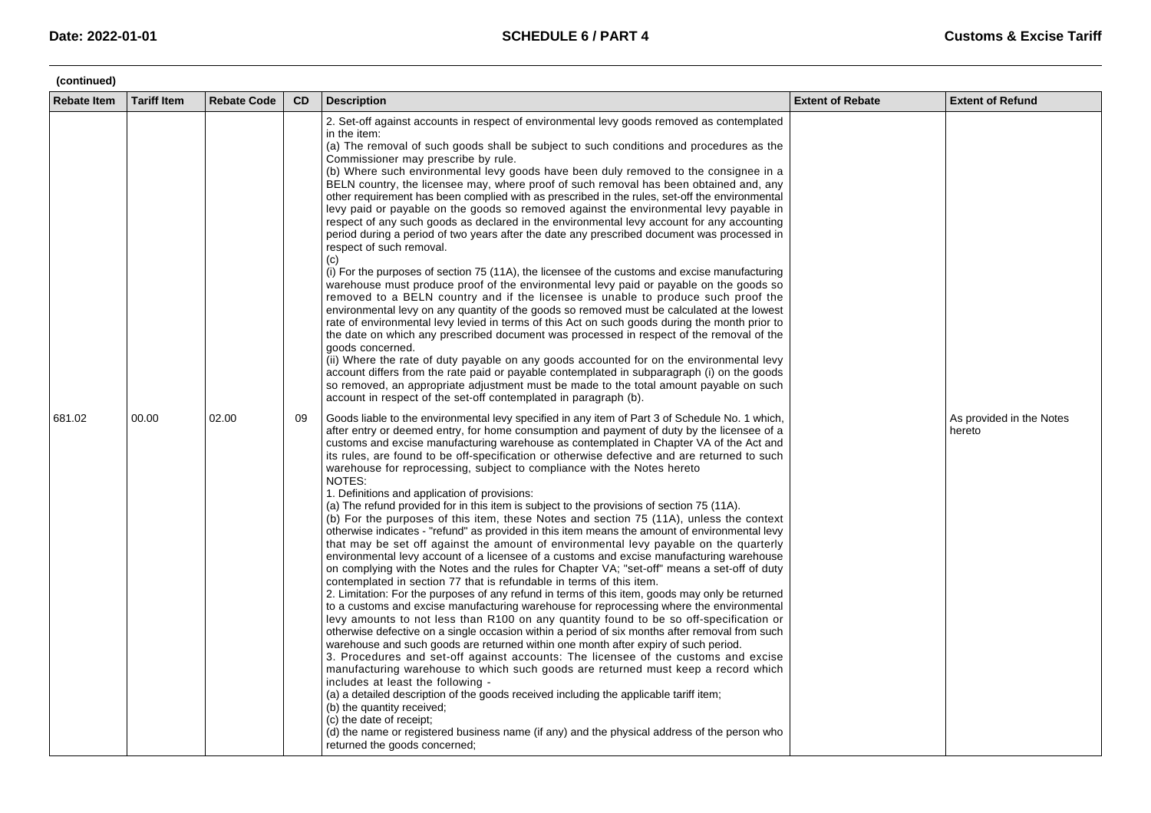| (continued)        |                    |                    |           |                                                                                                                                                                                                                                                                                                                                                                                                                                                                                                                                                                                                                                                                                                                                                                                                                                                                                                                                                                                                                                                                                                                                                                                                                                                                                                                                                                                                                                                                                                                                                                                                                                                                                                                                                                                                                                                                                                                                                                                                                                                                                                                                                                              |                         |                                    |
|--------------------|--------------------|--------------------|-----------|------------------------------------------------------------------------------------------------------------------------------------------------------------------------------------------------------------------------------------------------------------------------------------------------------------------------------------------------------------------------------------------------------------------------------------------------------------------------------------------------------------------------------------------------------------------------------------------------------------------------------------------------------------------------------------------------------------------------------------------------------------------------------------------------------------------------------------------------------------------------------------------------------------------------------------------------------------------------------------------------------------------------------------------------------------------------------------------------------------------------------------------------------------------------------------------------------------------------------------------------------------------------------------------------------------------------------------------------------------------------------------------------------------------------------------------------------------------------------------------------------------------------------------------------------------------------------------------------------------------------------------------------------------------------------------------------------------------------------------------------------------------------------------------------------------------------------------------------------------------------------------------------------------------------------------------------------------------------------------------------------------------------------------------------------------------------------------------------------------------------------------------------------------------------------|-------------------------|------------------------------------|
| <b>Rebate Item</b> | <b>Tariff Item</b> | <b>Rebate Code</b> | <b>CD</b> | <b>Description</b>                                                                                                                                                                                                                                                                                                                                                                                                                                                                                                                                                                                                                                                                                                                                                                                                                                                                                                                                                                                                                                                                                                                                                                                                                                                                                                                                                                                                                                                                                                                                                                                                                                                                                                                                                                                                                                                                                                                                                                                                                                                                                                                                                           | <b>Extent of Rebate</b> | <b>Extent of Refund</b>            |
|                    |                    |                    |           | 2. Set-off against accounts in respect of environmental levy goods removed as contemplated<br>in the item:<br>(a) The removal of such goods shall be subject to such conditions and procedures as the<br>Commissioner may prescribe by rule.<br>(b) Where such environmental levy goods have been duly removed to the consignee in a<br>BELN country, the licensee may, where proof of such removal has been obtained and, any<br>other requirement has been complied with as prescribed in the rules, set-off the environmental<br>levy paid or payable on the goods so removed against the environmental levy payable in<br>respect of any such goods as declared in the environmental levy account for any accounting<br>period during a period of two years after the date any prescribed document was processed in<br>respect of such removal.<br>(c)<br>(i) For the purposes of section 75 (11A), the licensee of the customs and excise manufacturing<br>warehouse must produce proof of the environmental levy paid or payable on the goods so<br>removed to a BELN country and if the licensee is unable to produce such proof the<br>environmental levy on any quantity of the goods so removed must be calculated at the lowest<br>rate of environmental levy levied in terms of this Act on such goods during the month prior to<br>the date on which any prescribed document was processed in respect of the removal of the<br>goods concerned.<br>(ii) Where the rate of duty payable on any goods accounted for on the environmental levy<br>account differs from the rate paid or payable contemplated in subparagraph (i) on the goods<br>so removed, an appropriate adjustment must be made to the total amount payable on such<br>account in respect of the set-off contemplated in paragraph (b).                                                                                                                                                                                                                                                                                                                                                        |                         |                                    |
| 681.02             | 00.00              | 02.00              | 09        | Goods liable to the environmental levy specified in any item of Part 3 of Schedule No. 1 which,<br>after entry or deemed entry, for home consumption and payment of duty by the licensee of a<br>customs and excise manufacturing warehouse as contemplated in Chapter VA of the Act and<br>its rules, are found to be off-specification or otherwise defective and are returned to such<br>warehouse for reprocessing, subject to compliance with the Notes hereto<br>NOTES:<br>1. Definitions and application of provisions:<br>(a) The refund provided for in this item is subject to the provisions of section 75 (11A).<br>(b) For the purposes of this item, these Notes and section 75 (11A), unless the context<br>otherwise indicates - "refund" as provided in this item means the amount of environmental levy<br>that may be set off against the amount of environmental levy payable on the quarterly<br>environmental levy account of a licensee of a customs and excise manufacturing warehouse<br>on complying with the Notes and the rules for Chapter VA; "set-off" means a set-off of duty<br>contemplated in section 77 that is refundable in terms of this item.<br>2. Limitation: For the purposes of any refund in terms of this item, goods may only be returned<br>to a customs and excise manufacturing warehouse for reprocessing where the environmental<br>levy amounts to not less than R100 on any quantity found to be so off-specification or<br>otherwise defective on a single occasion within a period of six months after removal from such<br>warehouse and such goods are returned within one month after expiry of such period.<br>3. Procedures and set-off against accounts: The licensee of the customs and excise<br>manufacturing warehouse to which such goods are returned must keep a record which<br>includes at least the following -<br>(a) a detailed description of the goods received including the applicable tariff item;<br>(b) the quantity received;<br>(c) the date of receipt;<br>(d) the name or registered business name (if any) and the physical address of the person who<br>returned the goods concerned; |                         | As provided in the Notes<br>hereto |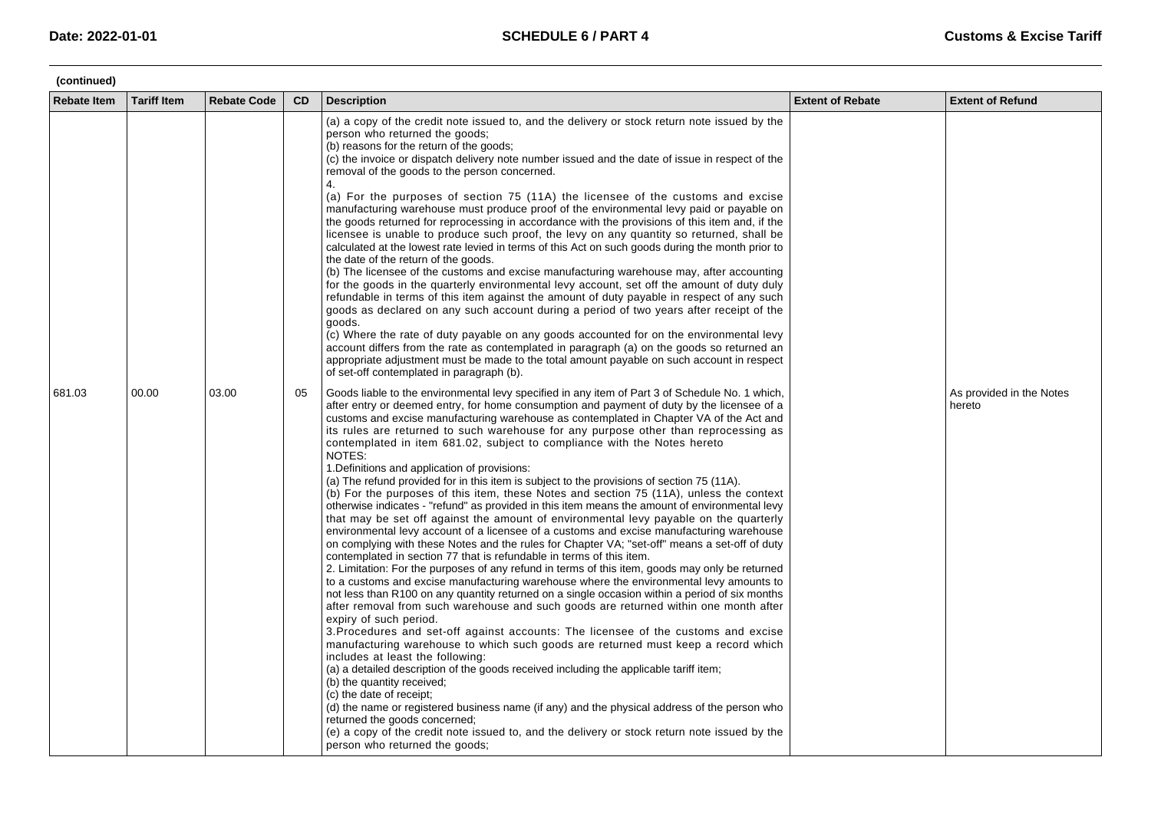| (continued)        |                    |                    |           |                                                                                                                                                                                                                                                                                                                                                                                                                                                                                                                                                                                                                                                                                                                                                                                                                                                                                                                                                                                                                                                                                                                                                                                                                                                                                                                                                                                                                                                                                                                                                                                                                                                                                                                                                                                                                                                                                                                                                                                                                                                                                                                                                                                                                                         |                         |                                    |  |  |
|--------------------|--------------------|--------------------|-----------|-----------------------------------------------------------------------------------------------------------------------------------------------------------------------------------------------------------------------------------------------------------------------------------------------------------------------------------------------------------------------------------------------------------------------------------------------------------------------------------------------------------------------------------------------------------------------------------------------------------------------------------------------------------------------------------------------------------------------------------------------------------------------------------------------------------------------------------------------------------------------------------------------------------------------------------------------------------------------------------------------------------------------------------------------------------------------------------------------------------------------------------------------------------------------------------------------------------------------------------------------------------------------------------------------------------------------------------------------------------------------------------------------------------------------------------------------------------------------------------------------------------------------------------------------------------------------------------------------------------------------------------------------------------------------------------------------------------------------------------------------------------------------------------------------------------------------------------------------------------------------------------------------------------------------------------------------------------------------------------------------------------------------------------------------------------------------------------------------------------------------------------------------------------------------------------------------------------------------------------------|-------------------------|------------------------------------|--|--|
| <b>Rebate Item</b> | <b>Tariff Item</b> | <b>Rebate Code</b> | <b>CD</b> | <b>Description</b>                                                                                                                                                                                                                                                                                                                                                                                                                                                                                                                                                                                                                                                                                                                                                                                                                                                                                                                                                                                                                                                                                                                                                                                                                                                                                                                                                                                                                                                                                                                                                                                                                                                                                                                                                                                                                                                                                                                                                                                                                                                                                                                                                                                                                      | <b>Extent of Rebate</b> | <b>Extent of Refund</b>            |  |  |
|                    |                    |                    |           | (a) a copy of the credit note issued to, and the delivery or stock return note issued by the<br>person who returned the goods;<br>(b) reasons for the return of the goods;<br>(c) the invoice or dispatch delivery note number issued and the date of issue in respect of the<br>removal of the goods to the person concerned.<br>4.<br>(a) For the purposes of section 75 (11A) the licensee of the customs and excise<br>manufacturing warehouse must produce proof of the environmental levy paid or payable on<br>the goods returned for reprocessing in accordance with the provisions of this item and, if the<br>licensee is unable to produce such proof, the levy on any quantity so returned, shall be<br>calculated at the lowest rate levied in terms of this Act on such goods during the month prior to<br>the date of the return of the goods.<br>(b) The licensee of the customs and excise manufacturing warehouse may, after accounting<br>for the goods in the quarterly environmental levy account, set off the amount of duty duly<br>refundable in terms of this item against the amount of duty payable in respect of any such<br>goods as declared on any such account during a period of two years after receipt of the<br>goods.<br>(c) Where the rate of duty payable on any goods accounted for on the environmental levy<br>account differs from the rate as contemplated in paragraph (a) on the goods so returned an<br>appropriate adjustment must be made to the total amount payable on such account in respect<br>of set-off contemplated in paragraph (b).                                                                                                                                                                                                                                                                                                                                                                                                                                                                                                                                                                                                                                          |                         |                                    |  |  |
| 681.03             | 00.00              | 03.00              | 05        | Goods liable to the environmental levy specified in any item of Part 3 of Schedule No. 1 which,<br>after entry or deemed entry, for home consumption and payment of duty by the licensee of a<br>customs and excise manufacturing warehouse as contemplated in Chapter VA of the Act and<br>its rules are returned to such warehouse for any purpose other than reprocessing as<br>contemplated in item 681.02, subject to compliance with the Notes hereto<br>NOTES:<br>1. Definitions and application of provisions:<br>(a) The refund provided for in this item is subject to the provisions of section 75 (11A).<br>(b) For the purposes of this item, these Notes and section 75 (11A), unless the context<br>otherwise indicates - "refund" as provided in this item means the amount of environmental levy<br>that may be set off against the amount of environmental levy payable on the quarterly<br>environmental levy account of a licensee of a customs and excise manufacturing warehouse<br>on complying with these Notes and the rules for Chapter VA; "set-off" means a set-off of duty<br>contemplated in section 77 that is refundable in terms of this item.<br>2. Limitation: For the purposes of any refund in terms of this item, goods may only be returned<br>to a customs and excise manufacturing warehouse where the environmental levy amounts to<br>not less than R100 on any quantity returned on a single occasion within a period of six months<br>after removal from such warehouse and such goods are returned within one month after<br>expiry of such period.<br>3. Procedures and set-off against accounts: The licensee of the customs and excise<br>manufacturing warehouse to which such goods are returned must keep a record which<br>includes at least the following:<br>(a) a detailed description of the goods received including the applicable tariff item;<br>(b) the quantity received;<br>(c) the date of receipt;<br>(d) the name or registered business name (if any) and the physical address of the person who<br>returned the goods concerned;<br>(e) a copy of the credit note issued to, and the delivery or stock return note issued by the<br>person who returned the goods; |                         | As provided in the Notes<br>hereto |  |  |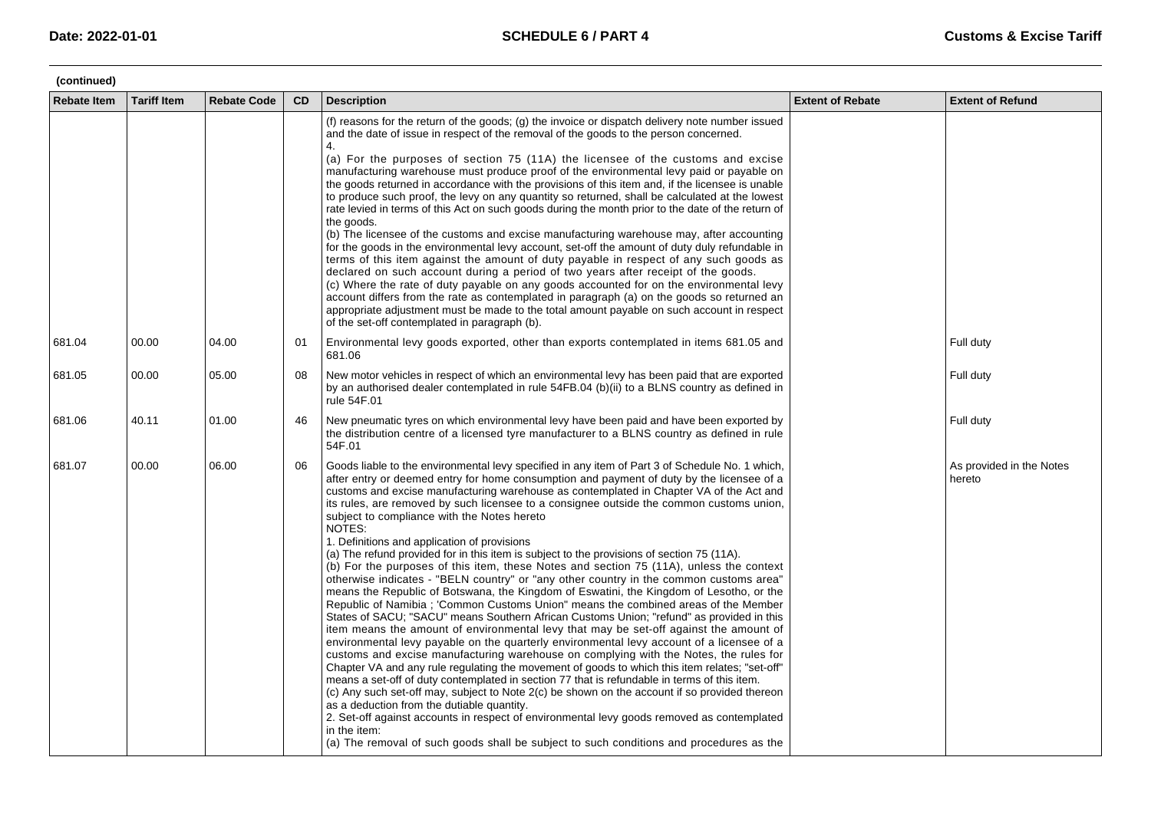| (continued)        |                    |                    |           |                                                                                                                                                                                                                                                                                                                                                                                                                                                                                                                                                                                                                                                                                                                                                                                                                                                                                                                                                                                                                                                                                                                                                                                                                                                                                                                                                                                                                                                                                                                                                                                                                                                                                                                                                                                                                                                                                                        |                         |                                    |  |  |  |
|--------------------|--------------------|--------------------|-----------|--------------------------------------------------------------------------------------------------------------------------------------------------------------------------------------------------------------------------------------------------------------------------------------------------------------------------------------------------------------------------------------------------------------------------------------------------------------------------------------------------------------------------------------------------------------------------------------------------------------------------------------------------------------------------------------------------------------------------------------------------------------------------------------------------------------------------------------------------------------------------------------------------------------------------------------------------------------------------------------------------------------------------------------------------------------------------------------------------------------------------------------------------------------------------------------------------------------------------------------------------------------------------------------------------------------------------------------------------------------------------------------------------------------------------------------------------------------------------------------------------------------------------------------------------------------------------------------------------------------------------------------------------------------------------------------------------------------------------------------------------------------------------------------------------------------------------------------------------------------------------------------------------------|-------------------------|------------------------------------|--|--|--|
| <b>Rebate Item</b> | <b>Tariff Item</b> | <b>Rebate Code</b> | <b>CD</b> | <b>Description</b>                                                                                                                                                                                                                                                                                                                                                                                                                                                                                                                                                                                                                                                                                                                                                                                                                                                                                                                                                                                                                                                                                                                                                                                                                                                                                                                                                                                                                                                                                                                                                                                                                                                                                                                                                                                                                                                                                     | <b>Extent of Rebate</b> | <b>Extent of Refund</b>            |  |  |  |
|                    |                    |                    |           | (f) reasons for the return of the goods; (g) the invoice or dispatch delivery note number issued<br>and the date of issue in respect of the removal of the goods to the person concerned.<br>4.<br>(a) For the purposes of section 75 (11A) the licensee of the customs and excise<br>manufacturing warehouse must produce proof of the environmental levy paid or payable on<br>the goods returned in accordance with the provisions of this item and, if the licensee is unable<br>to produce such proof, the levy on any quantity so returned, shall be calculated at the lowest<br>rate levied in terms of this Act on such goods during the month prior to the date of the return of<br>the goods.<br>(b) The licensee of the customs and excise manufacturing warehouse may, after accounting<br>for the goods in the environmental levy account, set-off the amount of duty duly refundable in<br>terms of this item against the amount of duty payable in respect of any such goods as<br>declared on such account during a period of two years after receipt of the goods.<br>(c) Where the rate of duty payable on any goods accounted for on the environmental levy<br>account differs from the rate as contemplated in paragraph (a) on the goods so returned an<br>appropriate adjustment must be made to the total amount payable on such account in respect<br>of the set-off contemplated in paragraph (b).                                                                                                                                                                                                                                                                                                                                                                                                                                                                            |                         |                                    |  |  |  |
| 681.04             | 00.00              | 04.00              | 01        | Environmental levy goods exported, other than exports contemplated in items 681.05 and<br>681.06                                                                                                                                                                                                                                                                                                                                                                                                                                                                                                                                                                                                                                                                                                                                                                                                                                                                                                                                                                                                                                                                                                                                                                                                                                                                                                                                                                                                                                                                                                                                                                                                                                                                                                                                                                                                       |                         | Full duty                          |  |  |  |
| 681.05             | 00.00              | 05.00              | 08        | New motor vehicles in respect of which an environmental levy has been paid that are exported<br>by an authorised dealer contemplated in rule 54FB.04 (b)(ii) to a BLNS country as defined in<br>rule 54F.01                                                                                                                                                                                                                                                                                                                                                                                                                                                                                                                                                                                                                                                                                                                                                                                                                                                                                                                                                                                                                                                                                                                                                                                                                                                                                                                                                                                                                                                                                                                                                                                                                                                                                            |                         | Full duty                          |  |  |  |
| 681.06             | 40.11              | 01.00              | 46        | New pneumatic tyres on which environmental levy have been paid and have been exported by<br>the distribution centre of a licensed tyre manufacturer to a BLNS country as defined in rule<br>54F.01                                                                                                                                                                                                                                                                                                                                                                                                                                                                                                                                                                                                                                                                                                                                                                                                                                                                                                                                                                                                                                                                                                                                                                                                                                                                                                                                                                                                                                                                                                                                                                                                                                                                                                     |                         | Full duty                          |  |  |  |
| 681.07             | 00.00              | 06.00              | 06        | Goods liable to the environmental levy specified in any item of Part 3 of Schedule No. 1 which,<br>after entry or deemed entry for home consumption and payment of duty by the licensee of a<br>customs and excise manufacturing warehouse as contemplated in Chapter VA of the Act and<br>its rules, are removed by such licensee to a consignee outside the common customs union,<br>subject to compliance with the Notes hereto<br>NOTES:<br>1. Definitions and application of provisions<br>(a) The refund provided for in this item is subject to the provisions of section 75 (11A).<br>(b) For the purposes of this item, these Notes and section 75 (11A), unless the context<br>otherwise indicates - "BELN country" or "any other country in the common customs area"<br>means the Republic of Botswana, the Kingdom of Eswatini, the Kingdom of Lesotho, or the<br>Republic of Namibia; 'Common Customs Union" means the combined areas of the Member<br>States of SACU; "SACU" means Southern African Customs Union; "refund" as provided in this<br>item means the amount of environmental levy that may be set-off against the amount of<br>environmental levy payable on the quarterly environmental levy account of a licensee of a<br>customs and excise manufacturing warehouse on complying with the Notes, the rules for<br>Chapter VA and any rule regulating the movement of goods to which this item relates; "set-off"<br>means a set-off of duty contemplated in section 77 that is refundable in terms of this item.<br>(c) Any such set-off may, subject to Note 2(c) be shown on the account if so provided thereon<br>as a deduction from the dutiable quantity.<br>2. Set-off against accounts in respect of environmental levy goods removed as contemplated<br>in the item:<br>(a) The removal of such goods shall be subject to such conditions and procedures as the |                         | As provided in the Notes<br>hereto |  |  |  |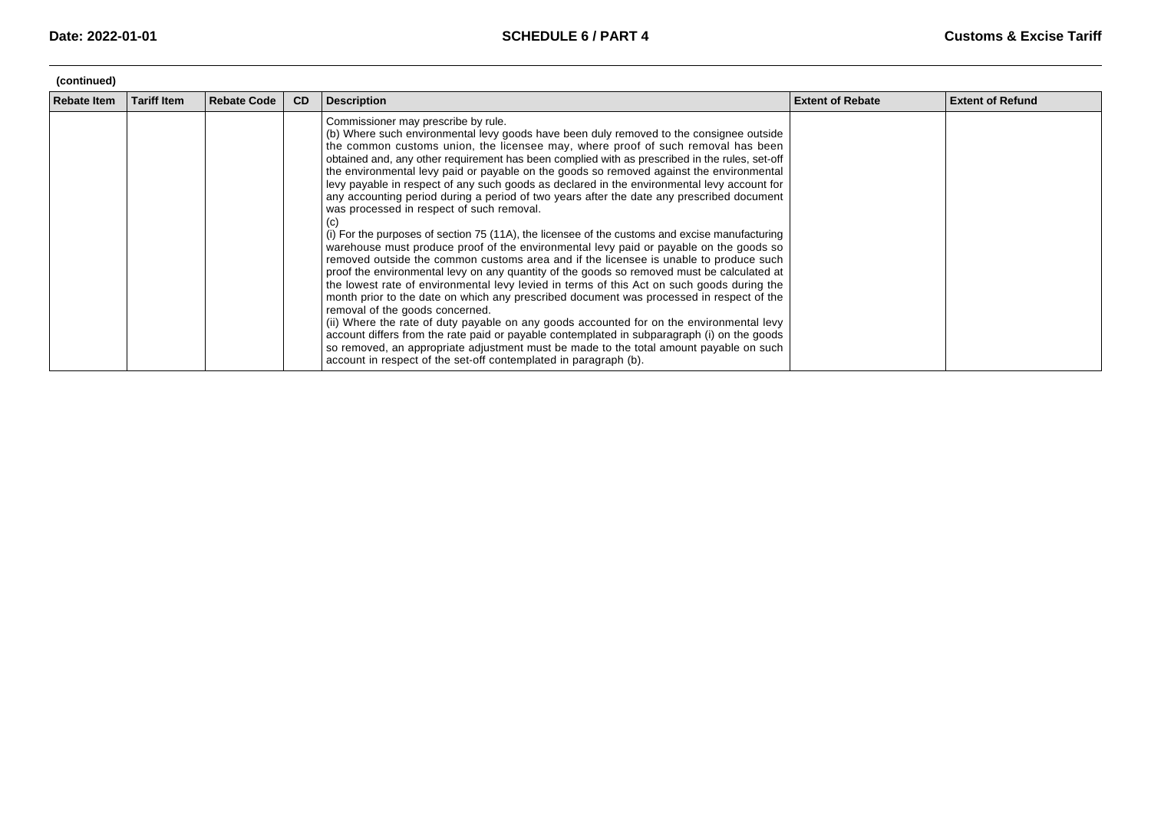| (continued)        |                    |                    |           |                                                                                                                                                                                                                                                                                                                                                                                                                                                                                                                                                                                                                                                                                                                                                                                                                                                                                                                                                                                                                                                                                                                                                                                                                                                                                                                                                                                                                                                                                                                                                                                                                                           |                         |                         |  |  |  |
|--------------------|--------------------|--------------------|-----------|-------------------------------------------------------------------------------------------------------------------------------------------------------------------------------------------------------------------------------------------------------------------------------------------------------------------------------------------------------------------------------------------------------------------------------------------------------------------------------------------------------------------------------------------------------------------------------------------------------------------------------------------------------------------------------------------------------------------------------------------------------------------------------------------------------------------------------------------------------------------------------------------------------------------------------------------------------------------------------------------------------------------------------------------------------------------------------------------------------------------------------------------------------------------------------------------------------------------------------------------------------------------------------------------------------------------------------------------------------------------------------------------------------------------------------------------------------------------------------------------------------------------------------------------------------------------------------------------------------------------------------------------|-------------------------|-------------------------|--|--|--|
| <b>Rebate Item</b> | <b>Tariff Item</b> | <b>Rebate Code</b> | <b>CD</b> | <b>Description</b>                                                                                                                                                                                                                                                                                                                                                                                                                                                                                                                                                                                                                                                                                                                                                                                                                                                                                                                                                                                                                                                                                                                                                                                                                                                                                                                                                                                                                                                                                                                                                                                                                        | <b>Extent of Rebate</b> | <b>Extent of Refund</b> |  |  |  |
|                    |                    |                    |           | Commissioner may prescribe by rule.<br>(b) Where such environmental levy goods have been duly removed to the consignee outside<br>the common customs union, the licensee may, where proof of such removal has been<br>obtained and, any other requirement has been complied with as prescribed in the rules, set-off<br>the environmental levy paid or payable on the goods so removed against the environmental<br>levy payable in respect of any such goods as declared in the environmental levy account for<br>any accounting period during a period of two years after the date any prescribed document<br>was processed in respect of such removal.<br>(C)<br>(i) For the purposes of section 75 (11A), the licensee of the customs and excise manufacturing<br>warehouse must produce proof of the environmental levy paid or payable on the goods so<br>removed outside the common customs area and if the licensee is unable to produce such<br>proof the environmental levy on any quantity of the goods so removed must be calculated at<br>the lowest rate of environmental levy levied in terms of this Act on such goods during the<br>month prior to the date on which any prescribed document was processed in respect of the<br>removal of the goods concerned.<br>(ii) Where the rate of duty payable on any goods accounted for on the environmental levy<br>account differs from the rate paid or payable contemplated in subparagraph (i) on the goods<br>so removed, an appropriate adjustment must be made to the total amount payable on such<br>account in respect of the set-off contemplated in paragraph (b). |                         |                         |  |  |  |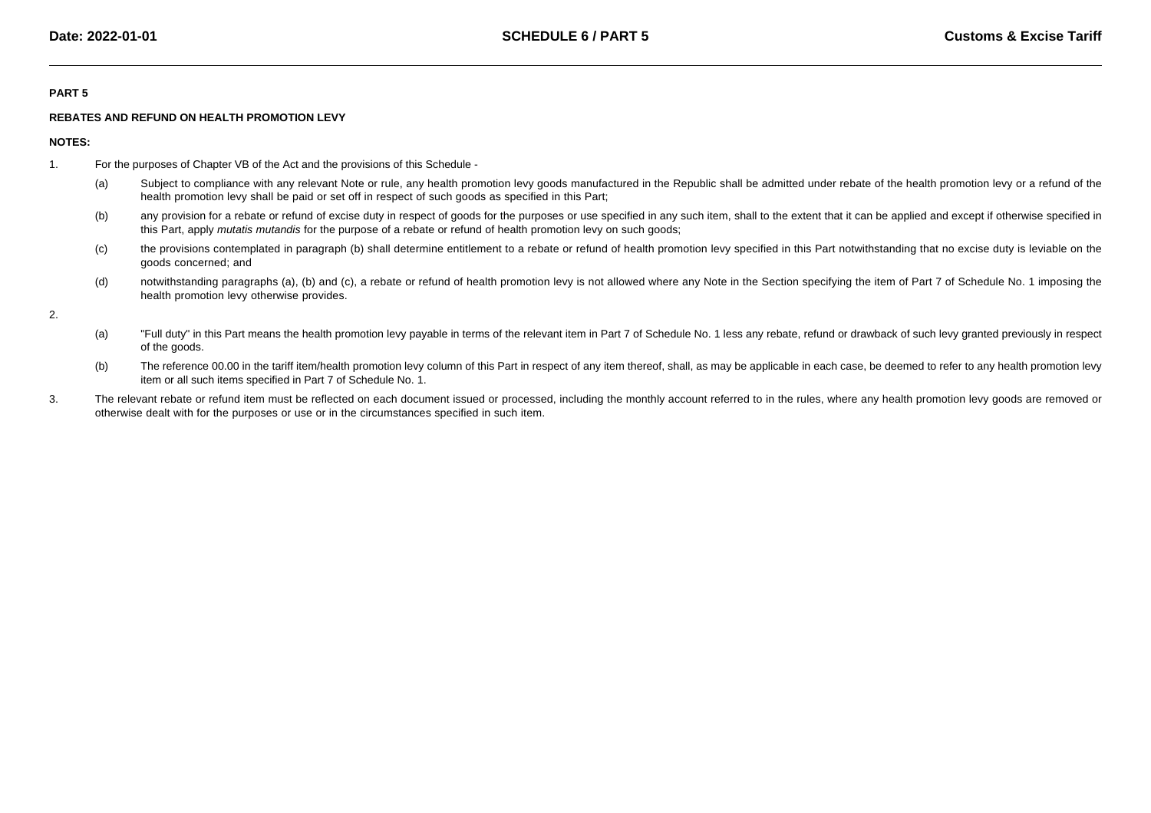## **PART 5**

## **REBATES AND REFUND ON HEALTH PROMOTION LEVY**

**NOTES:**

- 1. For the purposes of Chapter VB of the Act and the provisions of this Schedule -
	- (a)Subject to compliance with any relevant Note or rule, any health promotion levy goods manufactured in the Republic shall be admitted under rebate of the health promotion levy or a refund of the health promotion levy shall be paid or set off in respect of such goods as specified in this Part;
	- (b)any provision for a rebate or refund of excise duty in respect of goods for the purposes or use specified in any such item, shall to the extent that it can be applied and except if otherwise specified in this Part, apply mutatis mutandis for the purpose of a rebate or refund of health promotion levy on such goods;
	- (c) the provisions contemplated in paragraph (b) shall determine entitlement to a rebate or refund of health promotion levy specified in this Part notwithstanding that no excise duty is leviable on thegoods concerned; and
	- (d)notwithstanding paragraphs (a), (b) and (c), a rebate or refund of health promotion levy is not allowed where any Note in the Section specifying the item of Part 7 of Schedule No. 1 imposing the health promotion levy otherwise provides.

2.

- (a)"Full duty" in this Part means the health promotion levy payable in terms of the relevant item in Part 7 of Schedule No. 1 less any rebate, refund or drawback of such levy granted previously in respect of the goods.
- (b)The reference 00.00 in the tariff item/health promotion levy column of this Part in respect of any item thereof, shall, as may be applicable in each case, be deemed to refer to any health promotion levy item or all such items specified in Part 7 of Schedule No. 1.
- 3.The relevant rebate or refund item must be reflected on each document issued or processed, including the monthly account referred to in the rules, where any health promotion levy goods are removed or otherwise dealt with for the purposes or use or in the circumstances specified in such item.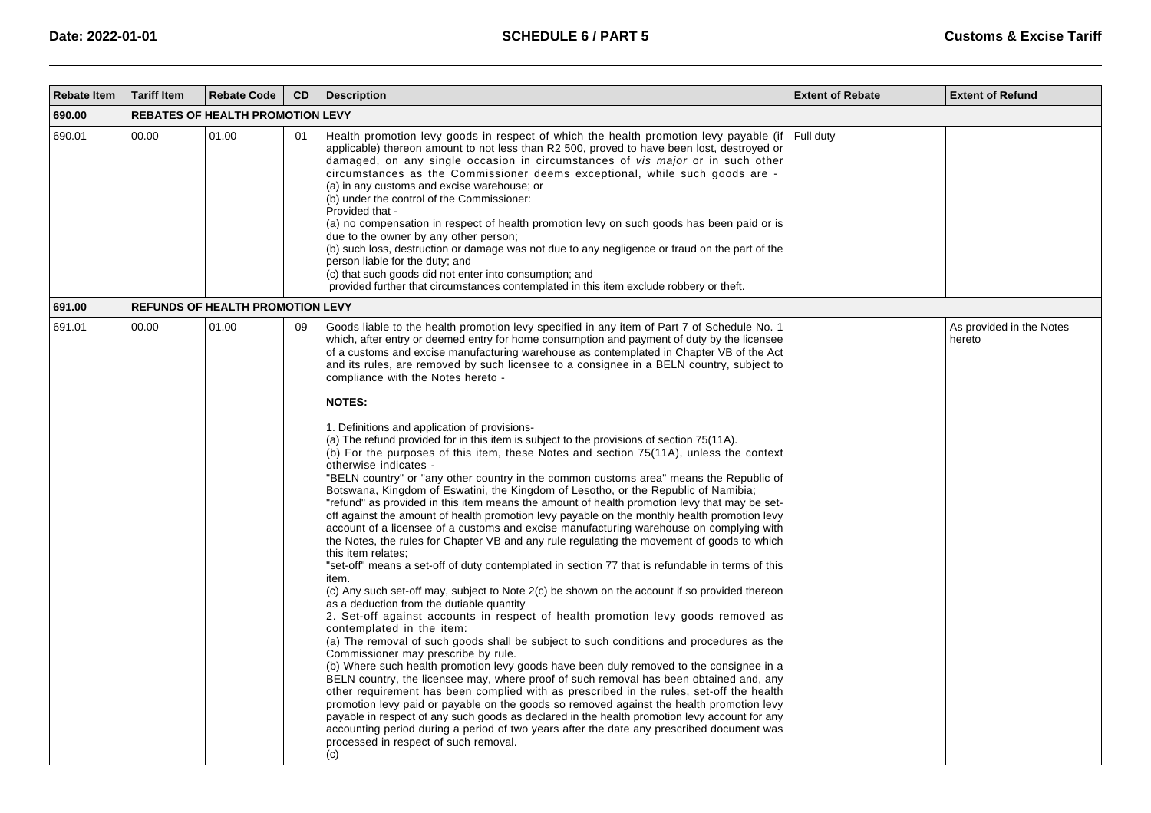| <b>Rebate Item</b> | <b>Tariff Item</b> | <b>Rebate Code</b>                      | CD | <b>Description</b>                                                                                                                                                                                                                                                                                                                                                                                                                                                                                                                                                                                                                                                                                                                                                                                                                                                                                                                                                                                                                                                                                                                                                                                                                                                                                                                                                                                                                                                                                                                                                                                                                                                                                                                                                                                                                                                                                                                                                                                                                                                                                                                                                                                                                                                                                                                                                                                                                                | <b>Extent of Rebate</b> | <b>Extent of Refund</b>            |
|--------------------|--------------------|-----------------------------------------|----|---------------------------------------------------------------------------------------------------------------------------------------------------------------------------------------------------------------------------------------------------------------------------------------------------------------------------------------------------------------------------------------------------------------------------------------------------------------------------------------------------------------------------------------------------------------------------------------------------------------------------------------------------------------------------------------------------------------------------------------------------------------------------------------------------------------------------------------------------------------------------------------------------------------------------------------------------------------------------------------------------------------------------------------------------------------------------------------------------------------------------------------------------------------------------------------------------------------------------------------------------------------------------------------------------------------------------------------------------------------------------------------------------------------------------------------------------------------------------------------------------------------------------------------------------------------------------------------------------------------------------------------------------------------------------------------------------------------------------------------------------------------------------------------------------------------------------------------------------------------------------------------------------------------------------------------------------------------------------------------------------------------------------------------------------------------------------------------------------------------------------------------------------------------------------------------------------------------------------------------------------------------------------------------------------------------------------------------------------------------------------------------------------------------------------------------------------|-------------------------|------------------------------------|
| 690.00             |                    | <b>REBATES OF HEALTH PROMOTION LEVY</b> |    |                                                                                                                                                                                                                                                                                                                                                                                                                                                                                                                                                                                                                                                                                                                                                                                                                                                                                                                                                                                                                                                                                                                                                                                                                                                                                                                                                                                                                                                                                                                                                                                                                                                                                                                                                                                                                                                                                                                                                                                                                                                                                                                                                                                                                                                                                                                                                                                                                                                   |                         |                                    |
| 690.01             | 00.00              | 01.00                                   | 01 | Health promotion levy goods in respect of which the health promotion levy payable (if<br>applicable) thereon amount to not less than R2 500, proved to have been lost, destroyed or<br>damaged, on any single occasion in circumstances of vis major or in such other<br>circumstances as the Commissioner deems exceptional, while such goods are -<br>(a) in any customs and excise warehouse; or<br>(b) under the control of the Commissioner:<br>Provided that -<br>(a) no compensation in respect of health promotion levy on such goods has been paid or is<br>due to the owner by any other person;<br>(b) such loss, destruction or damage was not due to any negligence or fraud on the part of the<br>person liable for the duty; and<br>(c) that such goods did not enter into consumption; and<br>provided further that circumstances contemplated in this item exclude robbery or theft.                                                                                                                                                                                                                                                                                                                                                                                                                                                                                                                                                                                                                                                                                                                                                                                                                                                                                                                                                                                                                                                                                                                                                                                                                                                                                                                                                                                                                                                                                                                                             | Full duty               |                                    |
| 691.00             |                    | <b>REFUNDS OF HEALTH PROMOTION LEVY</b> |    |                                                                                                                                                                                                                                                                                                                                                                                                                                                                                                                                                                                                                                                                                                                                                                                                                                                                                                                                                                                                                                                                                                                                                                                                                                                                                                                                                                                                                                                                                                                                                                                                                                                                                                                                                                                                                                                                                                                                                                                                                                                                                                                                                                                                                                                                                                                                                                                                                                                   |                         |                                    |
| 691.01             | 00.00              | 01.00                                   | 09 | Goods liable to the health promotion levy specified in any item of Part 7 of Schedule No. 1<br>which, after entry or deemed entry for home consumption and payment of duty by the licensee<br>of a customs and excise manufacturing warehouse as contemplated in Chapter VB of the Act<br>and its rules, are removed by such licensee to a consignee in a BELN country, subject to<br>compliance with the Notes hereto -<br><b>NOTES:</b><br>1. Definitions and application of provisions-<br>(a) The refund provided for in this item is subject to the provisions of section 75(11A).<br>(b) For the purposes of this item, these Notes and section 75(11A), unless the context<br>otherwise indicates -<br>"BELN country" or "any other country in the common customs area" means the Republic of<br>Botswana, Kingdom of Eswatini, the Kingdom of Lesotho, or the Republic of Namibia;<br>"refund" as provided in this item means the amount of health promotion levy that may be set-<br>off against the amount of health promotion levy payable on the monthly health promotion levy<br>account of a licensee of a customs and excise manufacturing warehouse on complying with<br>the Notes, the rules for Chapter VB and any rule regulating the movement of goods to which<br>this item relates:<br>set-off" means a set-off of duty contemplated in section 77 that is refundable in terms of this"<br>item.<br>(c) Any such set-off may, subject to Note 2(c) be shown on the account if so provided thereon<br>as a deduction from the dutiable quantity<br>2. Set-off against accounts in respect of health promotion levy goods removed as<br>contemplated in the item:<br>(a) The removal of such goods shall be subject to such conditions and procedures as the<br>Commissioner may prescribe by rule.<br>(b) Where such health promotion levy goods have been duly removed to the consignee in a<br>BELN country, the licensee may, where proof of such removal has been obtained and, any<br>other requirement has been complied with as prescribed in the rules, set-off the health<br>promotion levy paid or payable on the goods so removed against the health promotion levy<br>payable in respect of any such goods as declared in the health promotion levy account for any<br>accounting period during a period of two years after the date any prescribed document was<br>processed in respect of such removal.<br>(c) |                         | As provided in the Notes<br>hereto |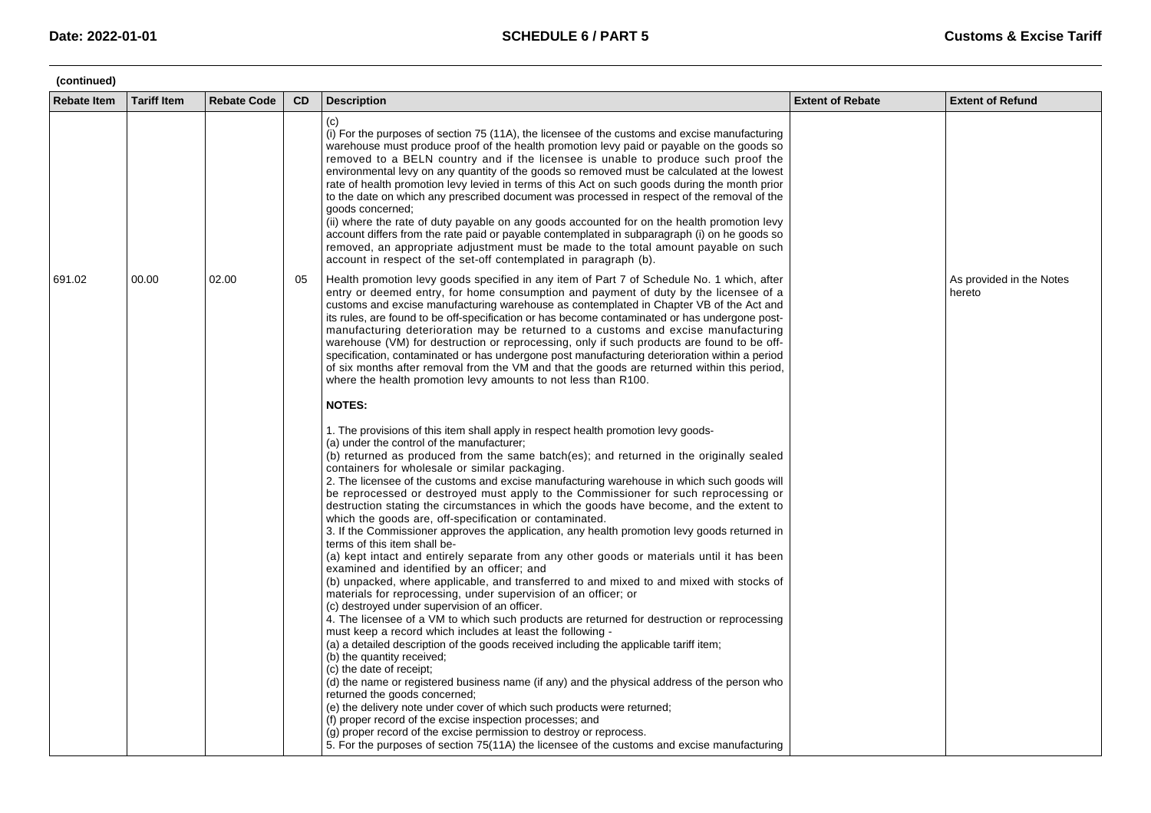| (continued)        |                    |                    |           |                                                                                                                                                                                                                                                                                                                                                                                                                                                                                                                                                                                                                                                                                                                                                                                                                                                                                                                                                                                                                                                                                                                                                                                                                                                                                                                                                                                                                                                                                                                                                                                                                                                                                                                                                                                                                                                                                      |                         |                                    |  |  |  |
|--------------------|--------------------|--------------------|-----------|--------------------------------------------------------------------------------------------------------------------------------------------------------------------------------------------------------------------------------------------------------------------------------------------------------------------------------------------------------------------------------------------------------------------------------------------------------------------------------------------------------------------------------------------------------------------------------------------------------------------------------------------------------------------------------------------------------------------------------------------------------------------------------------------------------------------------------------------------------------------------------------------------------------------------------------------------------------------------------------------------------------------------------------------------------------------------------------------------------------------------------------------------------------------------------------------------------------------------------------------------------------------------------------------------------------------------------------------------------------------------------------------------------------------------------------------------------------------------------------------------------------------------------------------------------------------------------------------------------------------------------------------------------------------------------------------------------------------------------------------------------------------------------------------------------------------------------------------------------------------------------------|-------------------------|------------------------------------|--|--|--|
| <b>Rebate Item</b> | <b>Tariff Item</b> | <b>Rebate Code</b> | <b>CD</b> | <b>Description</b>                                                                                                                                                                                                                                                                                                                                                                                                                                                                                                                                                                                                                                                                                                                                                                                                                                                                                                                                                                                                                                                                                                                                                                                                                                                                                                                                                                                                                                                                                                                                                                                                                                                                                                                                                                                                                                                                   | <b>Extent of Rebate</b> | <b>Extent of Refund</b>            |  |  |  |
|                    |                    |                    |           | (c)<br>(i) For the purposes of section 75 (11A), the licensee of the customs and excise manufacturing<br>warehouse must produce proof of the health promotion levy paid or payable on the goods so<br>removed to a BELN country and if the licensee is unable to produce such proof the<br>environmental levy on any quantity of the goods so removed must be calculated at the lowest<br>rate of health promotion levy levied in terms of this Act on such goods during the month prior<br>to the date on which any prescribed document was processed in respect of the removal of the<br>goods concerned;<br>(ii) where the rate of duty payable on any goods accounted for on the health promotion levy<br>account differs from the rate paid or payable contemplated in subparagraph (i) on he goods so<br>removed, an appropriate adjustment must be made to the total amount payable on such<br>account in respect of the set-off contemplated in paragraph (b).                                                                                                                                                                                                                                                                                                                                                                                                                                                                                                                                                                                                                                                                                                                                                                                                                                                                                                               |                         |                                    |  |  |  |
| 691.02             | 00.00              | 02.00              | 05        | Health promotion levy goods specified in any item of Part 7 of Schedule No. 1 which, after<br>entry or deemed entry, for home consumption and payment of duty by the licensee of a<br>customs and excise manufacturing warehouse as contemplated in Chapter VB of the Act and<br>its rules, are found to be off-specification or has become contaminated or has undergone post-<br>manufacturing deterioration may be returned to a customs and excise manufacturing<br>warehouse (VM) for destruction or reprocessing, only if such products are found to be off-<br>specification, contaminated or has undergone post manufacturing deterioration within a period<br>of six months after removal from the VM and that the goods are returned within this period,<br>where the health promotion levy amounts to not less than R100.                                                                                                                                                                                                                                                                                                                                                                                                                                                                                                                                                                                                                                                                                                                                                                                                                                                                                                                                                                                                                                                 |                         | As provided in the Notes<br>hereto |  |  |  |
|                    |                    |                    |           | <b>NOTES:</b>                                                                                                                                                                                                                                                                                                                                                                                                                                                                                                                                                                                                                                                                                                                                                                                                                                                                                                                                                                                                                                                                                                                                                                                                                                                                                                                                                                                                                                                                                                                                                                                                                                                                                                                                                                                                                                                                        |                         |                                    |  |  |  |
|                    |                    |                    |           | 1. The provisions of this item shall apply in respect health promotion levy goods-<br>(a) under the control of the manufacturer;<br>(b) returned as produced from the same batch(es); and returned in the originally sealed<br>containers for wholesale or similar packaging.<br>2. The licensee of the customs and excise manufacturing warehouse in which such goods will<br>be reprocessed or destroyed must apply to the Commissioner for such reprocessing or<br>destruction stating the circumstances in which the goods have become, and the extent to<br>which the goods are, off-specification or contaminated.<br>3. If the Commissioner approves the application, any health promotion levy goods returned in<br>terms of this item shall be-<br>(a) kept intact and entirely separate from any other goods or materials until it has been<br>examined and identified by an officer; and<br>(b) unpacked, where applicable, and transferred to and mixed to and mixed with stocks of<br>materials for reprocessing, under supervision of an officer; or<br>(c) destroyed under supervision of an officer.<br>4. The licensee of a VM to which such products are returned for destruction or reprocessing<br>must keep a record which includes at least the following -<br>(a) a detailed description of the goods received including the applicable tariff item;<br>(b) the quantity received;<br>(c) the date of receipt;<br>(d) the name or registered business name (if any) and the physical address of the person who<br>returned the goods concerned;<br>(e) the delivery note under cover of which such products were returned;<br>(f) proper record of the excise inspection processes; and<br>(g) proper record of the excise permission to destroy or reprocess.<br>5. For the purposes of section 75(11A) the licensee of the customs and excise manufacturing |                         |                                    |  |  |  |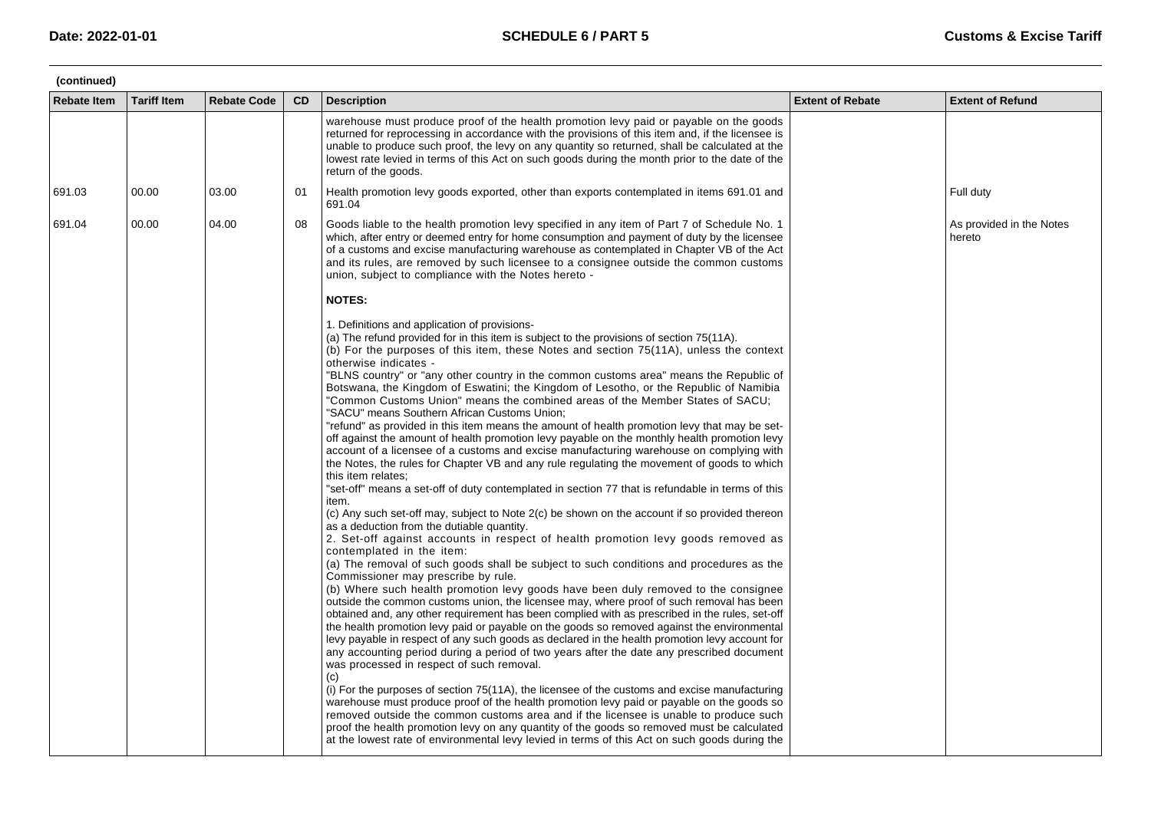| (continued)        |                    |                    |           |                                                                                                                                                                                                                                                                                                                                                                                                                                                                                                                                                                                                                                                                                                                                                                                                                                                                                                                                                                                                                                                                                                                                                                                                                                                                                                                                                                                                                                                                                                                                                                                                                                                                                                                                                                                                                                                                                                                                                                                                                                                                                                                                                                                                                                                                                                                                                                                                                                                                                                                                                                                                                                             |                         |                                    |  |  |
|--------------------|--------------------|--------------------|-----------|---------------------------------------------------------------------------------------------------------------------------------------------------------------------------------------------------------------------------------------------------------------------------------------------------------------------------------------------------------------------------------------------------------------------------------------------------------------------------------------------------------------------------------------------------------------------------------------------------------------------------------------------------------------------------------------------------------------------------------------------------------------------------------------------------------------------------------------------------------------------------------------------------------------------------------------------------------------------------------------------------------------------------------------------------------------------------------------------------------------------------------------------------------------------------------------------------------------------------------------------------------------------------------------------------------------------------------------------------------------------------------------------------------------------------------------------------------------------------------------------------------------------------------------------------------------------------------------------------------------------------------------------------------------------------------------------------------------------------------------------------------------------------------------------------------------------------------------------------------------------------------------------------------------------------------------------------------------------------------------------------------------------------------------------------------------------------------------------------------------------------------------------------------------------------------------------------------------------------------------------------------------------------------------------------------------------------------------------------------------------------------------------------------------------------------------------------------------------------------------------------------------------------------------------------------------------------------------------------------------------------------------------|-------------------------|------------------------------------|--|--|
| <b>Rebate Item</b> | <b>Tariff Item</b> | <b>Rebate Code</b> | <b>CD</b> | <b>Description</b>                                                                                                                                                                                                                                                                                                                                                                                                                                                                                                                                                                                                                                                                                                                                                                                                                                                                                                                                                                                                                                                                                                                                                                                                                                                                                                                                                                                                                                                                                                                                                                                                                                                                                                                                                                                                                                                                                                                                                                                                                                                                                                                                                                                                                                                                                                                                                                                                                                                                                                                                                                                                                          | <b>Extent of Rebate</b> | <b>Extent of Refund</b>            |  |  |
|                    |                    |                    |           | warehouse must produce proof of the health promotion levy paid or payable on the goods<br>returned for reprocessing in accordance with the provisions of this item and, if the licensee is<br>unable to produce such proof, the levy on any quantity so returned, shall be calculated at the<br>lowest rate levied in terms of this Act on such goods during the month prior to the date of the<br>return of the goods.                                                                                                                                                                                                                                                                                                                                                                                                                                                                                                                                                                                                                                                                                                                                                                                                                                                                                                                                                                                                                                                                                                                                                                                                                                                                                                                                                                                                                                                                                                                                                                                                                                                                                                                                                                                                                                                                                                                                                                                                                                                                                                                                                                                                                     |                         |                                    |  |  |
| 691.03             | 00.00              | 03.00              | 01        | Health promotion levy goods exported, other than exports contemplated in items 691.01 and<br>691.04                                                                                                                                                                                                                                                                                                                                                                                                                                                                                                                                                                                                                                                                                                                                                                                                                                                                                                                                                                                                                                                                                                                                                                                                                                                                                                                                                                                                                                                                                                                                                                                                                                                                                                                                                                                                                                                                                                                                                                                                                                                                                                                                                                                                                                                                                                                                                                                                                                                                                                                                         |                         | Full duty                          |  |  |
| 691.04             | 00.00              | 04.00              | 08        | Goods liable to the health promotion levy specified in any item of Part 7 of Schedule No. 1<br>which, after entry or deemed entry for home consumption and payment of duty by the licensee<br>of a customs and excise manufacturing warehouse as contemplated in Chapter VB of the Act<br>and its rules, are removed by such licensee to a consignee outside the common customs<br>union, subject to compliance with the Notes hereto -                                                                                                                                                                                                                                                                                                                                                                                                                                                                                                                                                                                                                                                                                                                                                                                                                                                                                                                                                                                                                                                                                                                                                                                                                                                                                                                                                                                                                                                                                                                                                                                                                                                                                                                                                                                                                                                                                                                                                                                                                                                                                                                                                                                                     |                         | As provided in the Notes<br>hereto |  |  |
|                    |                    |                    |           | <b>NOTES:</b>                                                                                                                                                                                                                                                                                                                                                                                                                                                                                                                                                                                                                                                                                                                                                                                                                                                                                                                                                                                                                                                                                                                                                                                                                                                                                                                                                                                                                                                                                                                                                                                                                                                                                                                                                                                                                                                                                                                                                                                                                                                                                                                                                                                                                                                                                                                                                                                                                                                                                                                                                                                                                               |                         |                                    |  |  |
|                    |                    |                    |           | 1. Definitions and application of provisions-<br>(a) The refund provided for in this item is subject to the provisions of section 75(11A).<br>(b) For the purposes of this item, these Notes and section 75(11A), unless the context<br>otherwise indicates -<br>"BLNS country" or "any other country in the common customs area" means the Republic of<br>Botswana, the Kingdom of Eswatini; the Kingdom of Lesotho, or the Republic of Namibia<br>"Common Customs Union" means the combined areas of the Member States of SACU;<br>"SACU" means Southern African Customs Union;<br>"refund" as provided in this item means the amount of health promotion levy that may be set-<br>off against the amount of health promotion levy payable on the monthly health promotion levy<br>account of a licensee of a customs and excise manufacturing warehouse on complying with<br>the Notes, the rules for Chapter VB and any rule regulating the movement of goods to which<br>this item relates;<br>"set-off" means a set-off of duty contemplated in section 77 that is refundable in terms of this<br>item.<br>(c) Any such set-off may, subject to Note 2(c) be shown on the account if so provided thereon<br>as a deduction from the dutiable quantity.<br>2. Set-off against accounts in respect of health promotion levy goods removed as<br>contemplated in the item:<br>(a) The removal of such goods shall be subject to such conditions and procedures as the<br>Commissioner may prescribe by rule.<br>(b) Where such health promotion levy goods have been duly removed to the consignee<br>outside the common customs union, the licensee may, where proof of such removal has been<br>obtained and, any other requirement has been complied with as prescribed in the rules, set-off<br>the health promotion levy paid or payable on the goods so removed against the environmental<br>levy payable in respect of any such goods as declared in the health promotion levy account for<br>any accounting period during a period of two years after the date any prescribed document<br>was processed in respect of such removal.<br>(c)<br>(i) For the purposes of section 75(11A), the licensee of the customs and excise manufacturing<br>warehouse must produce proof of the health promotion levy paid or payable on the goods so<br>removed outside the common customs area and if the licensee is unable to produce such<br>proof the health promotion levy on any quantity of the goods so removed must be calculated<br>at the lowest rate of environmental levy levied in terms of this Act on such goods during the |                         |                                    |  |  |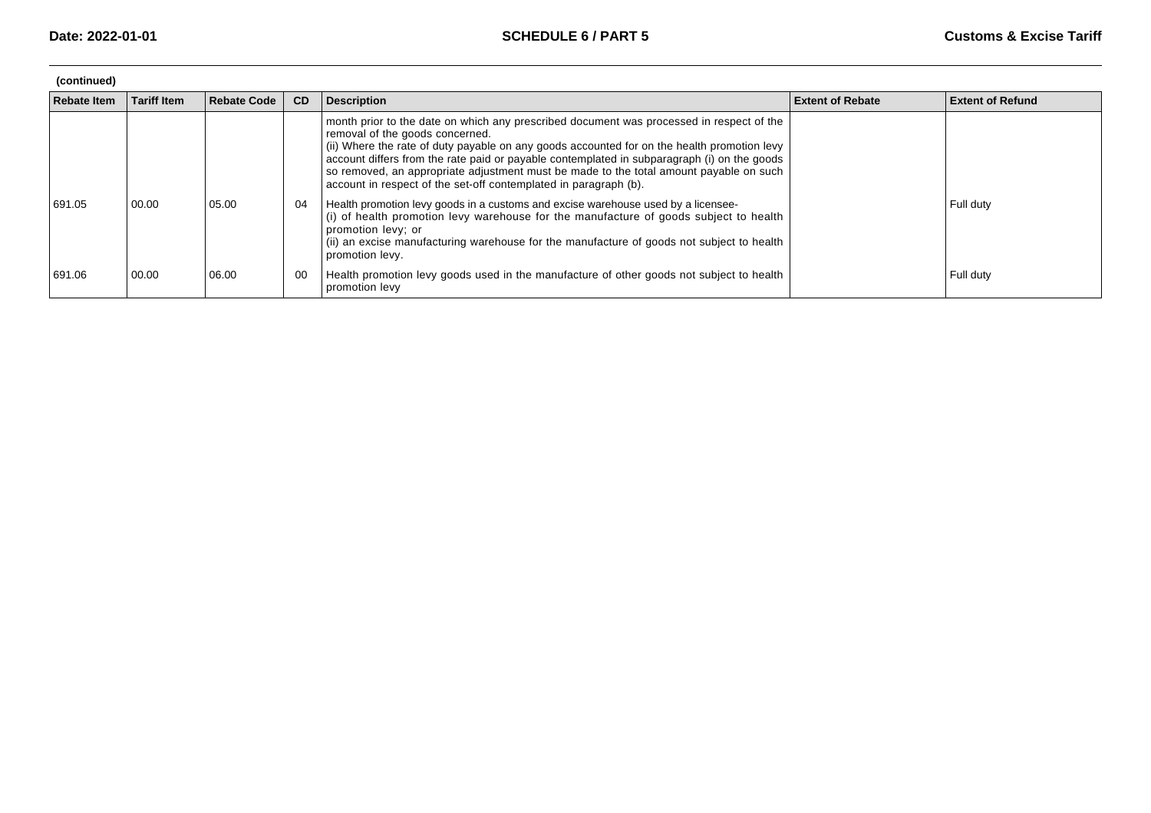| (continued) |                    |                    |    |                                                                                                                                                                                                                                                                                                                                                                                                                                                                                         |                         |                         |  |  |
|-------------|--------------------|--------------------|----|-----------------------------------------------------------------------------------------------------------------------------------------------------------------------------------------------------------------------------------------------------------------------------------------------------------------------------------------------------------------------------------------------------------------------------------------------------------------------------------------|-------------------------|-------------------------|--|--|
| Rebate Item | <b>Tariff Item</b> | <b>Rebate Code</b> | CD | <b>Description</b>                                                                                                                                                                                                                                                                                                                                                                                                                                                                      | <b>Extent of Rebate</b> | <b>Extent of Refund</b> |  |  |
|             |                    |                    |    | month prior to the date on which any prescribed document was processed in respect of the<br>removal of the goods concerned.<br>(ii) Where the rate of duty payable on any goods accounted for on the health promotion levy<br>account differs from the rate paid or payable contemplated in subparagraph (i) on the goods<br>so removed, an appropriate adjustment must be made to the total amount payable on such<br>account in respect of the set-off contemplated in paragraph (b). |                         |                         |  |  |
| 691.05      | 00.00              | 05.00              | 04 | Health promotion levy goods in a customs and excise warehouse used by a licensee-<br>(i) of health promotion levy warehouse for the manufacture of goods subject to health<br>promotion levy; or<br>(ii) an excise manufacturing warehouse for the manufacture of goods not subject to health<br>promotion levy.                                                                                                                                                                        |                         | Full duty               |  |  |
| 691.06      | 00.00              | 06.00              | 00 | Health promotion levy goods used in the manufacture of other goods not subject to health<br>promotion levy                                                                                                                                                                                                                                                                                                                                                                              |                         | Full duty               |  |  |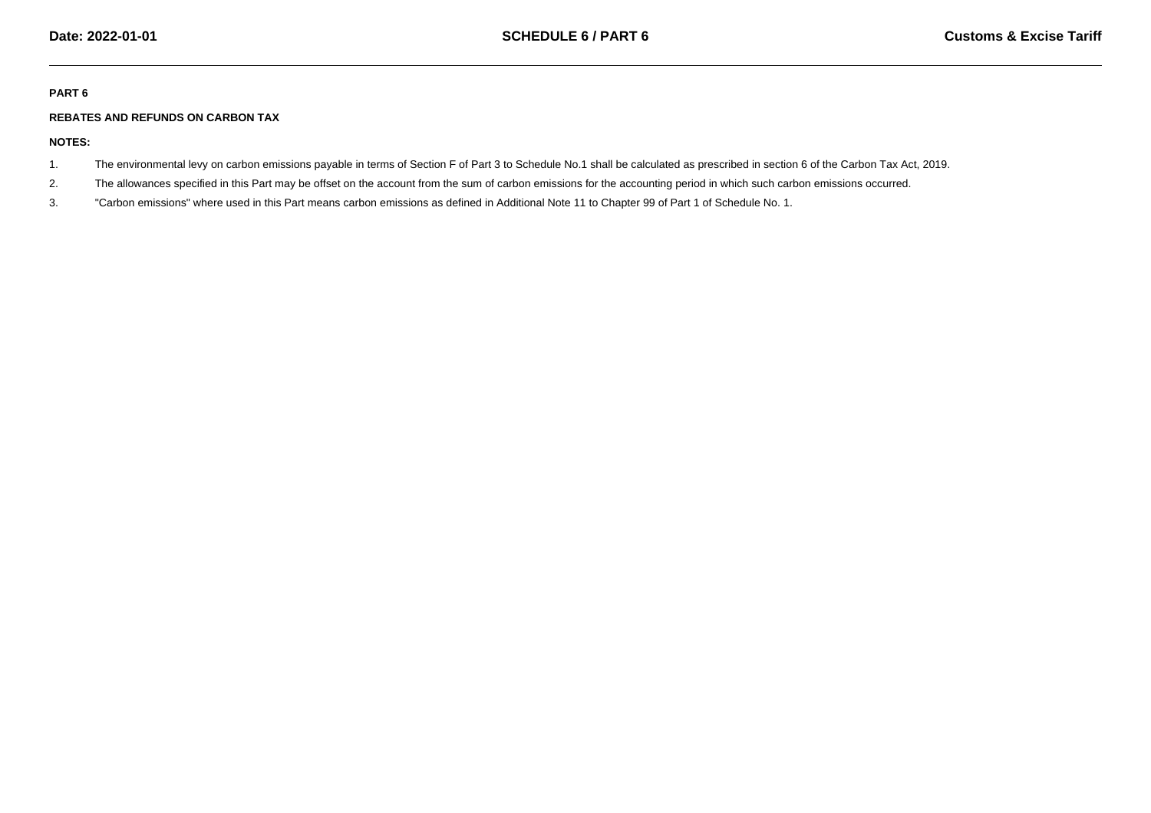## **PART 6**

## **REBATES AND REFUNDS ON CARBON TAX**

**NOTES:**

- 1.The environmental levy on carbon emissions payable in terms of Section F of Part 3 to Schedule No.1 shall be calculated as prescribed in section 6 of the Carbon Tax Act, 2019.
- 2.The allowances specified in this Part may be offset on the account from the sum of carbon emissions for the accounting period in which such carbon emissions occurred.
- 3."Carbon emissions" where used in this Part means carbon emissions as defined in Additional Note 11 to Chapter 99 of Part 1 of Schedule No. 1.